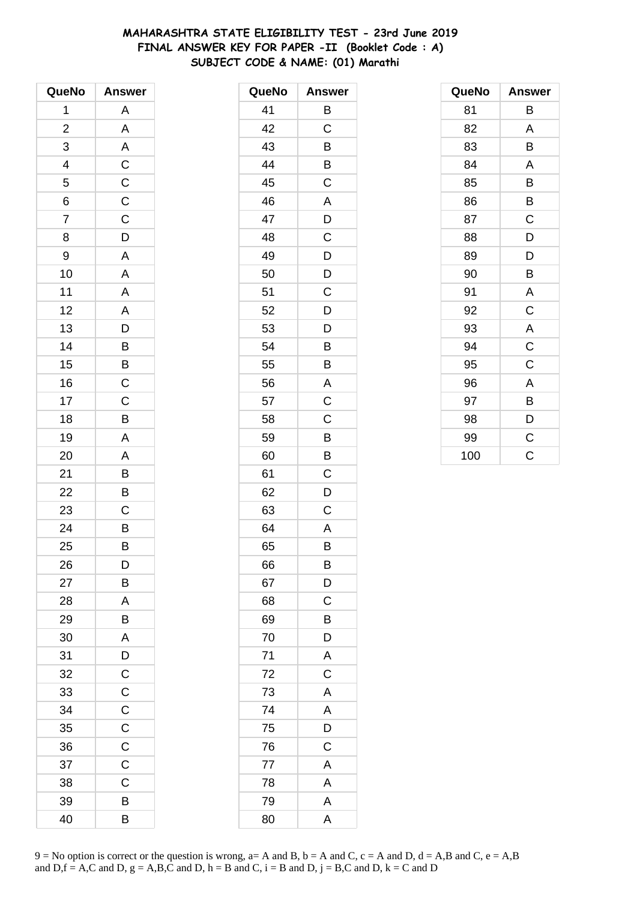# **MAHARASHTRA STATE ELIGIBILITY TEST - 23rd June 2019 FINAL ANSWER KEY FOR PAPER -II (Booklet Code : A) SUBJECT CODE & NAME: (01) Marathi**

| QueNo          | <b>Answer</b>           |
|----------------|-------------------------|
| 1              | Α                       |
| $\overline{c}$ | A                       |
| 3              | A                       |
| 4              | $\mathsf C$             |
| 5              | $\mathsf{C}$            |
| 6              | $\overline{C}$          |
| $\overline{7}$ | $\overline{C}$          |
| 8              | D                       |
| 9              | A                       |
| 10             | A                       |
| 11             | A                       |
| 12             | $\overline{\mathsf{A}}$ |
| 13             | $\overline{D}$          |
| 14             | B                       |
| 15             | B                       |
| 16             | $\mathsf C$             |
| 17             | $\mathsf C$             |
| 18             | B                       |
| 19             | A                       |
| 20             | A                       |
| 21             | B                       |
| 22             | B                       |
| 23             | C                       |
| 24             | B                       |
| 25             | B                       |
| 26             | D                       |
| 27             | В                       |
| 28             | A                       |
| 29             | В                       |
| 30             | A                       |
| 31             | D                       |
| 32             | $\mathsf{C}$            |
| 33             | $\mathsf C$             |
| 34             | $\mathsf C$             |
| 35             | $\mathsf C$             |
| 36             | $\mathsf C$             |
| 37             | $\mathsf{C}$            |
| 38             | C                       |
| 39             | B                       |
| 40             | В                       |

| QueNo | <b>Answer</b>  |
|-------|----------------|
| 41    | B              |
| 42    | C              |
| 43    | B              |
| 44    | Β              |
| 45    | C              |
| 46    | A              |
| 47    | D              |
| 48    | C              |
| 49    | D              |
| 50    | D              |
| 51    | C              |
| 52    | D              |
| 53    | D              |
| 54    | B              |
| 55    | B              |
| 56    | A              |
| 57    | C              |
| 58    | C              |
| 59    | B              |
| 60    | B              |
| 61    | C              |
| 62    | D              |
| 63    | С              |
| 64    | A              |
| 65    | B              |
| 66    | B              |
| 67    | D              |
| 68    | C              |
| 69    | B              |
| 70    | D              |
| 71    | $\overline{A}$ |
| 72    | $\overline{C}$ |
| 73    | A              |
| 74    | A              |
| 75    | D              |
| 76    | $\mathsf C$    |
| 77    | A              |
| 78    | A              |
| 79    | A              |
| 80    | A              |

| QueNo | <b>Answer</b> |
|-------|---------------|
| 81    | В             |
| 82    | A             |
| 83    | B             |
| 84    | Α             |
| 85    | B             |
| 86    | В             |
| 87    | C             |
| 88    | D             |
| 89    | D             |
| 90    | B             |
| 91    | A             |
| 92    | C             |
| 93    | A             |
| 94    | $\mathsf C$   |
| 95    | C             |
| 96    | A             |
| 97    | В             |
| 98    | D             |
| 99    | C             |
| 100   | Ć             |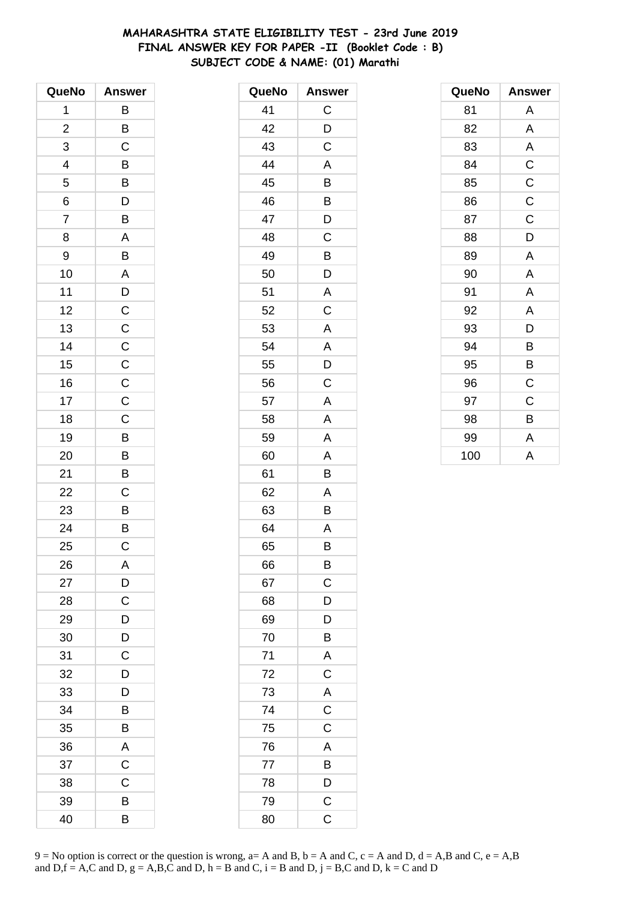# **MAHARASHTRA STATE ELIGIBILITY TEST - 23rd June 2019 FINAL ANSWER KEY FOR PAPER -II (Booklet Code : B) SUBJECT CODE & NAME: (01) Marathi**

| QueNo          | <b>Answer</b>     |
|----------------|-------------------|
| 1              | B                 |
| $\overline{c}$ | B                 |
| 3              | C                 |
| 4              | $\mathsf{B}$      |
| 5              | $\overline{B}$    |
| 6              | $\overline{D}$    |
| $\overline{7}$ | B                 |
| 8              | A                 |
| 9              | B                 |
| 10             | A                 |
| 11             |                   |
| 12             | $\frac{D}{C}$     |
| 13             |                   |
| 14             | $C$<br>$C$<br>$C$ |
| 15             |                   |
| 16             |                   |
| 17             | $\mathsf C$       |
| 18             | $\overline{C}$    |
| 19             | B                 |
| 20             | B                 |
| 21             | B                 |
| 22             | C                 |
| 23             | $\overline{B}$    |
| 24             | $\overline{B}$    |
| 25             | C                 |
| 26             | A                 |
| 27             | D                 |
| 28             | C                 |
| 29             | D                 |
| 30             | D                 |
| 31             | C                 |
| 32             | D                 |
| 33             | D                 |
| 34             | B                 |
| 35             | B                 |
| 36             | A                 |
| 37             | $\mathsf C$       |
| 38             | C                 |
| 39             | B                 |
| 40             | В                 |

| QueNo | <b>Answer</b>           |
|-------|-------------------------|
| 41    | C                       |
| 42    | D                       |
| 43    | C                       |
| 44    | A                       |
| 45    | B                       |
| 46    | Β                       |
| 47    | D                       |
| 48    | C                       |
| 49    | B                       |
| 50    | D                       |
| 51    | Α                       |
| 52    | C                       |
| 53    | A                       |
| 54    | A                       |
| 55    | D                       |
| 56    | C                       |
| 57    | A                       |
| 58    | A                       |
| 59    | A                       |
| 60    | A                       |
| 61    | B                       |
| 62    | A                       |
| 63    | B                       |
| 64    | A                       |
| 65    | В                       |
| 66    | B                       |
| 67    | $\mathsf C$             |
| 68    | D                       |
| 69    | D                       |
| 70    | B                       |
| 71    | $rac{A}{C}$             |
| 72    |                         |
| 73    | $rac{A}{C}$             |
| 74    |                         |
| 75    | $\overline{C}$          |
| 76    | A                       |
| 77    | B                       |
| 78    | $\overline{D}$          |
| 79    | $\overline{\mathsf{C}}$ |
| 80    | C                       |

| QueNo | Answer      |
|-------|-------------|
| 81    | A           |
| 82    | A           |
| 83    | A           |
| 84    | $\mathsf C$ |
| 85    | $\mathsf C$ |
| 86    | $\mathsf C$ |
| 87    | C           |
| 88    | D           |
| 89    | A           |
| 90    | A           |
| 91    | A           |
| 92    | A           |
| 93    | D           |
| 94    | B           |
| 95    | B           |
| 96    | $\mathsf C$ |
| 97    | C           |
| 98    | B           |
| 99    | A           |
| 100   | A           |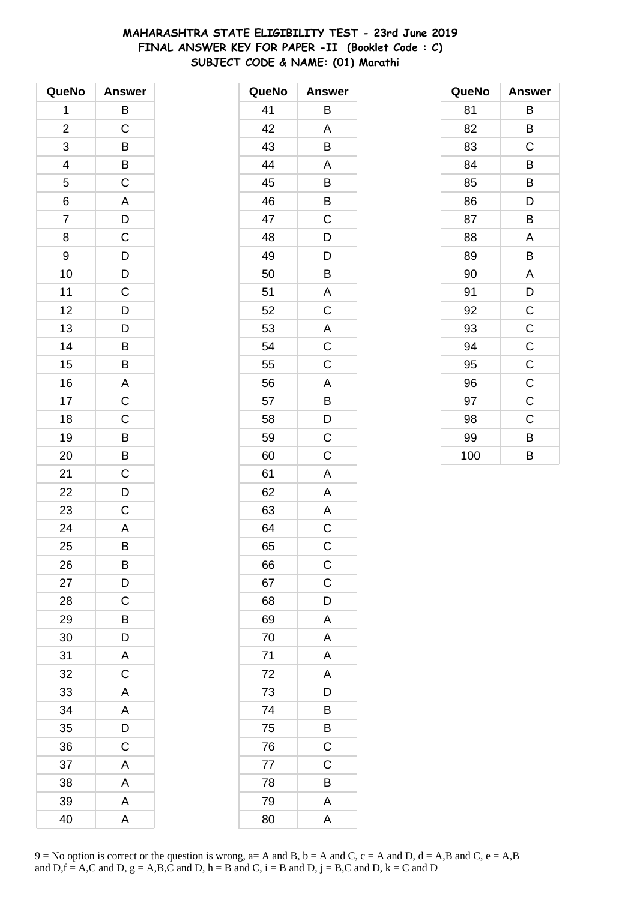# **MAHARASHTRA STATE ELIGIBILITY TEST - 23rd June 2019 FINAL ANSWER KEY FOR PAPER -II (Booklet Code : C) SUBJECT CODE & NAME: (01) Marathi**

| QueNo                    | <b>Answer</b>  |
|--------------------------|----------------|
| 1                        | B              |
| $\overline{\mathbf{c}}$  | $\mathsf C$    |
| 3                        | B              |
| $\overline{\mathcal{L}}$ |                |
| 5                        | $rac{B}{C}$    |
| 6                        | A              |
| $\overline{7}$           |                |
| 8                        | $\frac{D}{C}$  |
| 9                        | $\mathsf{D}$   |
| 10                       | $\overline{D}$ |
| 11                       | $\overline{c}$ |
| 12                       | $\overline{D}$ |
| 13                       | $\overline{D}$ |
| 14                       | B              |
| 15                       | B              |
| 16                       | A              |
| 17                       | $\overline{C}$ |
| 18                       | $\overline{C}$ |
| 19                       | $\overline{B}$ |
| 20                       | B              |
| 21                       | $\mathsf C$    |
| 22                       | D              |
| 23                       | C              |
| 24                       | A              |
| 25                       | B              |
| 26                       | B              |
| 27                       | D              |
| 28                       | C              |
| 29                       | B              |
| 30                       | D              |
| 31                       | A              |
| 32                       | $\mathsf C$    |
| 33                       | A              |
| 34                       | A              |
| 35                       | D              |
| 36                       | C              |
| 37                       | A              |
| 38                       | A              |
| 39                       | A              |
| 40                       | A              |

| QueNo | <b>Answer</b>           |
|-------|-------------------------|
| 41    | B                       |
| 42    | A                       |
| 43    | B                       |
| 44    | A                       |
| 45    | B                       |
| 46    | B                       |
| 47    | C                       |
| 48    | D                       |
| 49    | D                       |
| 50    | B                       |
| 51    | A                       |
| 52    | C                       |
| 53    | A                       |
| 54    | $\overline{\mathrm{c}}$ |
| 55    | $\mathsf C$             |
| 56    | A                       |
| 57    | B                       |
| 58    | D                       |
| 59    | $\mathsf C$             |
| 60    | C                       |
| 61    | A                       |
| 62    | A                       |
| 63    | A                       |
| 64    | C                       |
| 65    | $\mathsf C$             |
| 66    | $\mathsf C$             |
| 67    | $\mathsf C$             |
| 68    | D                       |
| 69    | A                       |
| 70    | A                       |
| 71    | A                       |
| 72    | A                       |
| 73    | D                       |
| 74    | B                       |
| 75    | B                       |
| 76    | $\mathsf C$             |
| 77    | $\mathsf C$             |
| 78    | B                       |
| 79    | A                       |
| 80    | A                       |

| QueNo | <b>Answer</b> |
|-------|---------------|
| 81    | В             |
| 82    | B             |
| 83    | C             |
| 84    | B             |
| 85    | В             |
| 86    | D             |
| 87    | B             |
| 88    | A             |
| 89    | B             |
| 90    | A             |
| 91    | D             |
| 92    | C             |
| 93    | $\mathsf C$   |
| 94    | $\mathsf C$   |
| 95    | $\mathsf C$   |
| 96    | $\mathsf C$   |
| 97    | C             |
| 98    | C             |
| 99    | B             |
| 100   | B             |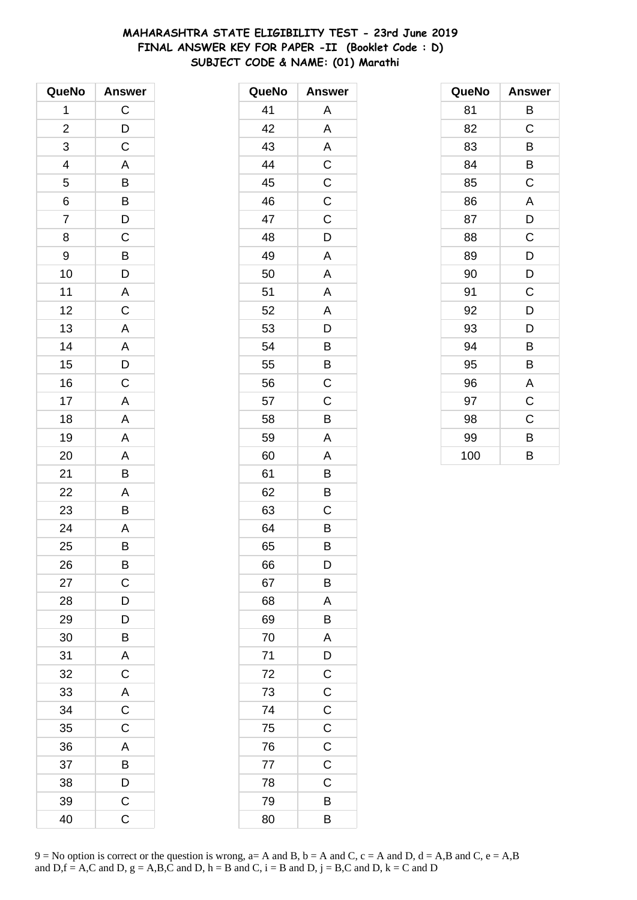# **MAHARASHTRA STATE ELIGIBILITY TEST - 23rd June 2019 FINAL ANSWER KEY FOR PAPER -II (Booklet Code : D) SUBJECT CODE & NAME: (01) Marathi**

| QueNo          | <b>Answer</b>           |
|----------------|-------------------------|
| 1              | $\mathsf C$             |
| $\overline{c}$ | $\overline{D}$          |
| 3              | C                       |
| 4              | A                       |
| 5              | B                       |
| 6              | B                       |
| $\overline{7}$ | $\overline{D}$          |
| 8              | $\mathsf C$             |
| 9              | B                       |
| 10             | D                       |
| 11             | $\overline{A}$          |
| 12             | $\overline{\mathrm{c}}$ |
| 13             | A                       |
| 14             | A                       |
| 15             | D                       |
| 16             | $\mathsf C$             |
| 17             | $\mathsf{A}$            |
| 18             | A                       |
| 19             | A                       |
| 20             | A                       |
| 21             | B                       |
| 22             | A                       |
| 23             | B                       |
| 24             | $\overline{A}$          |
| 25             | B                       |
| 26             | B                       |
| 27             | C                       |
| 28             | D                       |
| 29             | D                       |
| 30             | B                       |
| 31             | $\mathsf{A}$            |
| 32             | $\mathsf C$             |
| 33             | A                       |
| 34             | C                       |
| 35             | C                       |
| 36             | A                       |
| 37             | $\overline{\mathsf{B}}$ |
| 38             | D                       |
| 39             | $\overline{C}$          |
| 40             | C                       |

| QueNo | <b>Answer</b>           |
|-------|-------------------------|
| 41    | Α                       |
| 42    | A                       |
| 43    | A                       |
| 44    | C                       |
| 45    | $\mathsf C$             |
| 46    | $\mathsf C$             |
| 47    | C                       |
| 48    | D                       |
| 49    | Α                       |
| 50    | A                       |
| 51    | Α                       |
| 52    | A                       |
| 53    | D                       |
| 54    | B                       |
| 55    | B                       |
| 56    | C                       |
| 57    | C                       |
| 58    | B                       |
| 59    | A                       |
| 60    | A                       |
| 61    | B                       |
| 62    | B                       |
| 63    | C                       |
| 64    | B                       |
| 65    | B                       |
| 66    | D                       |
| 67    | B                       |
| 68    | A                       |
| 69    | B                       |
| 70    | A                       |
| 71    | $\overline{D}$          |
| 72    | $\overline{C}$          |
| 73    | $\overline{\mathrm{c}}$ |
| 74    | $\mathsf C$             |
| 75    | C                       |
| 76    | $\mathsf C$             |
| 77    | $\overline{C}$          |
| 78    | C                       |
| 79    | B                       |
| 80    | B                       |

| QueNo | <b>Answer</b> |
|-------|---------------|
| 81    | В             |
| 82    | C             |
| 83    | B             |
| 84    | B             |
| 85    | C             |
| 86    | A             |
| 87    | D             |
| 88    | C             |
| 89    | D             |
| 90    | D             |
| 91    | C             |
| 92    | D             |
| 93    | D             |
| 94    | B             |
| 95    | B             |
| 96    | A             |
| 97    | C             |
| 98    | C             |
| 99    | B             |
| 100   | B             |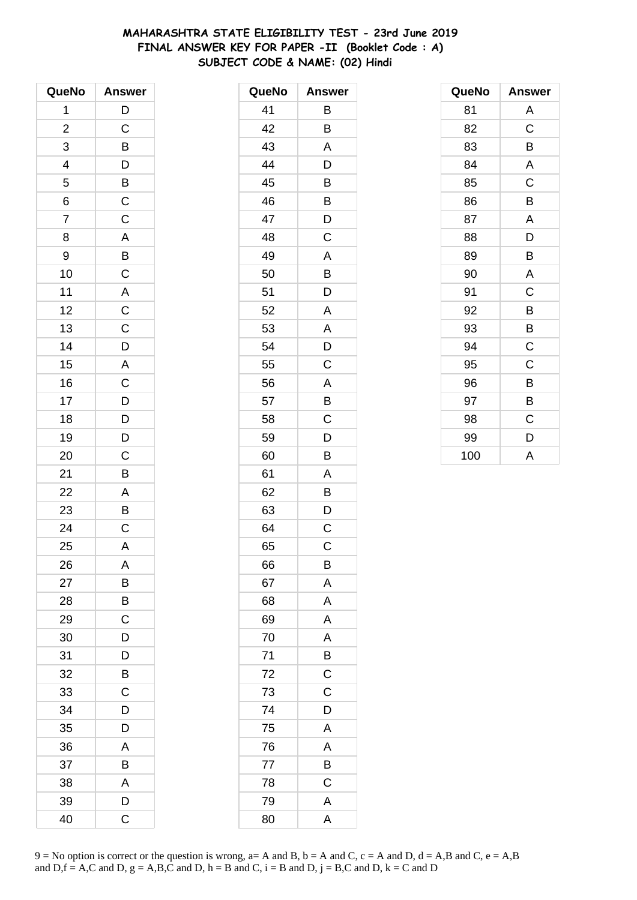# **MAHARASHTRA STATE ELIGIBILITY TEST - 23rd June 2019 FINAL ANSWER KEY FOR PAPER -II (Booklet Code : A) SUBJECT CODE & NAME: (02) Hindi**

| QueNo          | <b>Answer</b>           |
|----------------|-------------------------|
| 1              | $\mathsf{D}$            |
| $\overline{c}$ | C                       |
| 3              | B                       |
| 4              | $\mathsf{D}$            |
| 5              | B                       |
| 6              | $\overline{C}$          |
| $\overline{7}$ | $\mathsf C$             |
| 8              | A                       |
| 9              | $\overline{B}$          |
| 10             | $\overline{\text{c}}$   |
| 11             | $\overline{A}$          |
| 12             | $\overline{C}$          |
| 13             | $\overline{C}$          |
| 14             | D                       |
| 15             | A                       |
| 16             | $\mathsf C$             |
| 17             | D                       |
| 18             | $\frac{D}{D}$           |
| 19             |                         |
| 20             | $\mathsf C$             |
| 21             | B                       |
| 22             | A                       |
| 23             | B                       |
| 24             | $\overline{\mathrm{c}}$ |
| 25             | A                       |
| 26             | A                       |
| 27             | B                       |
| 28             | В                       |
| 29             | C                       |
| 30             | D                       |
| 31             | $\overline{D}$          |
| 32             | B                       |
| 33             | C                       |
| 34             | D                       |
| 35             | D                       |
| 36             | A                       |
| 37             | B                       |
| 38             | A                       |
| 39             | D                       |
| 40             | C                       |

| QueNo | <b>Answer</b>           |
|-------|-------------------------|
| 41    | Β                       |
| 42    | B                       |
| 43    | Α                       |
| 44    | D                       |
| 45    | B                       |
| 46    | B                       |
| 47    | D                       |
| 48    | C                       |
| 49    | A                       |
| 50    | B                       |
| 51    | D                       |
| 52    | A                       |
| 53    | A                       |
| 54    | D                       |
| 55    | C                       |
| 56    | A                       |
| 57    | B                       |
| 58    | C                       |
| 59    | D                       |
| 60    | B                       |
| 61    | Α                       |
| 62    | Β                       |
| 63    | D                       |
| 64    | $\mathsf C$             |
| 65    | C                       |
| 66    | B                       |
| 67    | A                       |
| 68    | A                       |
| 69    | A                       |
| 70    | A                       |
| 71    | B                       |
| 72    | $\mathsf C$             |
| 73    | C                       |
| 74    | D                       |
| 75    | A                       |
| 76    | $\overline{\mathsf{A}}$ |
| 77    | B                       |
| 78    | C                       |
| 79    | A                       |
| 80    | A                       |

| QueNo | <b>Answer</b> |
|-------|---------------|
| 81    | A             |
| 82    | $\mathsf C$   |
| 83    | B             |
| 84    | A             |
| 85    | $\mathsf C$   |
| 86    | B             |
| 87    | A             |
| 88    | D             |
| 89    | B             |
| 90    | A             |
| 91    | $\mathsf C$   |
| 92    | B             |
| 93    | В             |
| 94    | $\mathsf C$   |
| 95    | C             |
| 96    | B             |
| 97    | В             |
| 98    | C             |
| 99    | D             |
| 100   | A             |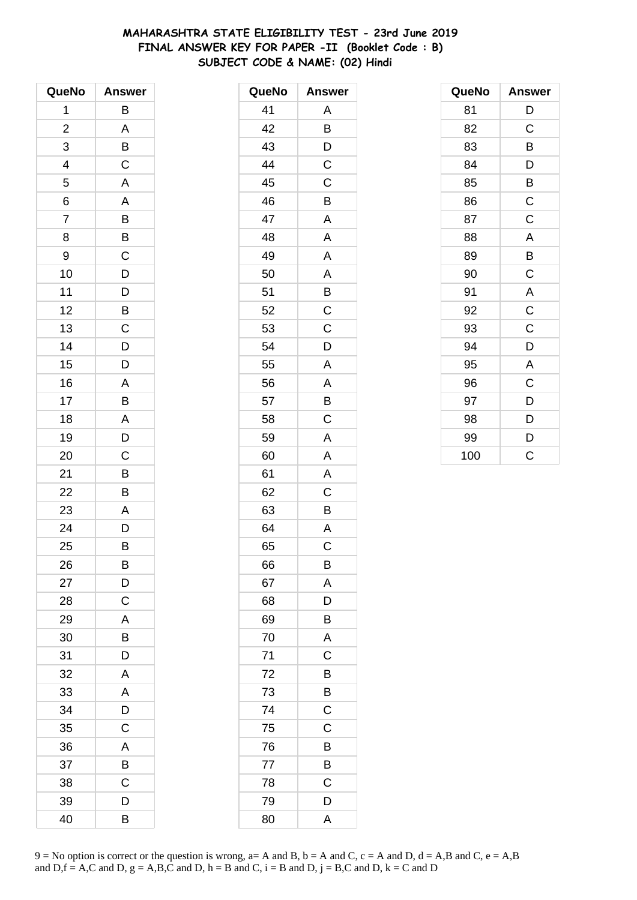# **MAHARASHTRA STATE ELIGIBILITY TEST - 23rd June 2019 FINAL ANSWER KEY FOR PAPER -II (Booklet Code : B) SUBJECT CODE & NAME: (02) Hindi**

| QueNo                    | <b>Answer</b>           |
|--------------------------|-------------------------|
| 1                        | B                       |
| $\overline{\mathbf{c}}$  | A                       |
| 3                        | B                       |
| $\overline{\mathcal{A}}$ | $\mathsf C$             |
| 5                        | $\overline{\mathsf{A}}$ |
| 6                        | A                       |
| $\overline{7}$           | $\overline{B}$          |
| 8                        | B                       |
| 9                        | $\mathsf C$             |
| 10                       | D                       |
| 11                       |                         |
| 12                       | $\frac{D}{B}$           |
| 13                       | $\overline{C}$          |
| 14                       | D                       |
| 15                       | D                       |
| 16                       | A                       |
| 17                       | B                       |
| 18                       | $\overline{A}$          |
| 19                       | $\overline{D}$          |
| 20                       | C                       |
| 21                       | B                       |
| 22                       | B                       |
| 23                       | A                       |
| 24                       | D                       |
| 25                       | B                       |
| 26                       | B                       |
| 27                       | D                       |
| 28                       | C                       |
| 29                       | A                       |
| 30                       | B                       |
| 31                       | D                       |
| 32                       | A                       |
| 33                       | A                       |
| 34                       | D                       |
| 35                       | $\mathsf C$             |
| 36                       | A                       |
| 37                       | B                       |
| 38                       | C                       |
| 39                       | D                       |
| 40                       | B                       |

| QueNo | <b>Answer</b>           |
|-------|-------------------------|
| 41    | Α                       |
| 42    | B                       |
| 43    | D                       |
| 44    | $\mathsf C$             |
| 45    | C                       |
| 46    | B                       |
| 47    | A                       |
| 48    | A                       |
| 49    | Α                       |
| 50    | A                       |
| 51    | B                       |
| 52    | $\overline{\mathrm{c}}$ |
| 53    | C                       |
| 54    | D                       |
| 55    | A                       |
| 56    | Α                       |
| 57    | B                       |
| 58    | C                       |
| 59    | A                       |
| 60    | A                       |
| 61    | Α                       |
| 62    | C                       |
| 63    | B                       |
| 64    | A                       |
| 65    | C                       |
| 66    | B                       |
| 67    | A                       |
| 68    | D                       |
| 69    | B                       |
| 70    | A                       |
| 71    | C                       |
| 72    | B                       |
| 73    | B                       |
| 74    | C                       |
| 75    | C                       |
| 76    | B                       |
| 77    | B                       |
| 78    | C                       |
| 79    | D                       |
| 80    | Α                       |

| QueNo | <b>Answer</b> |
|-------|---------------|
| 81    | D             |
| 82    | $\mathsf C$   |
| 83    | В             |
| 84    | D             |
| 85    | B             |
| 86    | $\mathsf C$   |
| 87    | C             |
| 88    | A             |
| 89    | B             |
| 90    | C             |
| 91    | A             |
| 92    | $\mathsf C$   |
| 93    | C             |
| 94    | D             |
| 95    | A             |
| 96    | C             |
| 97    | D             |
| 98    | D             |
| 99    | D             |
| 100   | Ć             |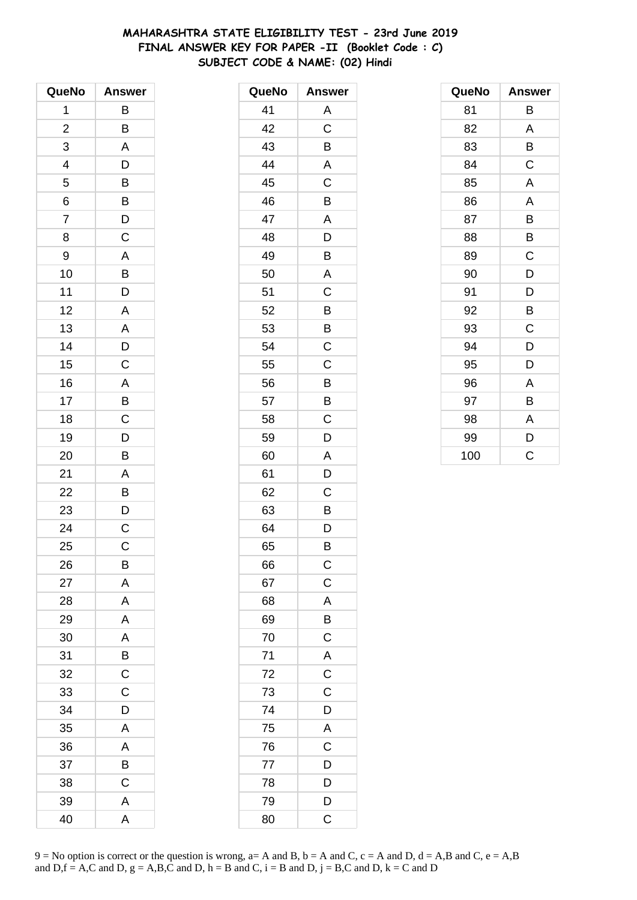# **MAHARASHTRA STATE ELIGIBILITY TEST - 23rd June 2019 FINAL ANSWER KEY FOR PAPER -II (Booklet Code : C) SUBJECT CODE & NAME: (02) Hindi**

| QueNo                   | <b>Answer</b>           |
|-------------------------|-------------------------|
| 1                       | В                       |
| $\overline{\mathbf{c}}$ | B                       |
| 3                       | A                       |
| 4                       | D                       |
| 5                       |                         |
| 6                       | $\overline{B}$          |
| $\overline{7}$          | $\frac{D}{C}$           |
| 8                       |                         |
| 9                       | A                       |
| 10                      | $\overline{B}$          |
| 11                      | $\overline{\mathsf{D}}$ |
| 12                      | A                       |
| 13                      | A                       |
| 14                      | $\frac{D}{C}$           |
| 15                      |                         |
| 16                      |                         |
| 17                      | $\frac{A}{B}$           |
| 18                      |                         |
| 19                      | $\overline{D}$          |
| 20                      | B                       |
| 21                      | A                       |
| 22                      | B                       |
| 23                      | $\overline{D}$          |
| 24                      | $\overline{C}$          |
| 25                      | C                       |
| 26                      | B                       |
| 27                      | A                       |
| 28                      | A                       |
| 29                      | A                       |
| 30                      | A                       |
| 31                      | B                       |
| 32                      | $\mathsf C$             |
| 33                      | C                       |
| 34                      | D                       |
| 35                      | A                       |
| 36                      | A                       |
| 37                      | B                       |
| 38                      | C                       |
| 39                      | A                       |
| 40                      | A                       |

| QueNo | <b>Answer</b>           |
|-------|-------------------------|
| 41    | А                       |
| 42    | C                       |
| 43    | B                       |
| 44    | A                       |
| 45    | C                       |
| 46    | B                       |
| 47    | Α                       |
| 48    | D                       |
| 49    | B                       |
| 50    | A                       |
| 51    | C                       |
| 52    | B                       |
| 53    | B                       |
| 54    | $\mathsf C$             |
| 55    | C                       |
| 56    | $\overline{B}$          |
| 57    | B                       |
| 58    | C                       |
| 59    | D                       |
| 60    | A                       |
| 61    | D                       |
| 62    | $\mathsf C$             |
| 63    | B                       |
| 64    | D                       |
| 65    | В                       |
| 66    | C                       |
| 67    | $\mathsf{C}$            |
| 68    | $\overline{A}$          |
| 69    | $\overline{B}$          |
| 70    | $\mathsf C$             |
| 71    | A                       |
| 72    | $\mathsf C$             |
| 73    | $\mathsf C$             |
| 74    | D                       |
| 75    | $\mathsf{A}$            |
| 76    | $\overline{C}$          |
| 77    | D                       |
| 78    | D                       |
| 79    | D                       |
| 80    | $\overline{\mathrm{C}}$ |

| QueNo | <b>Answer</b> |
|-------|---------------|
| 81    | В             |
| 82    | A             |
| 83    | В             |
| 84    | C             |
| 85    | A             |
| 86    | A             |
| 87    | B             |
| 88    | B             |
| 89    | C             |
| 90    | D             |
| 91    | D             |
| 92    | B             |
| 93    | C             |
| 94    | D             |
| 95    | D             |
| 96    | Α             |
| 97    | В             |
| 98    | Α             |
| 99    | D             |
| 100   | Ć             |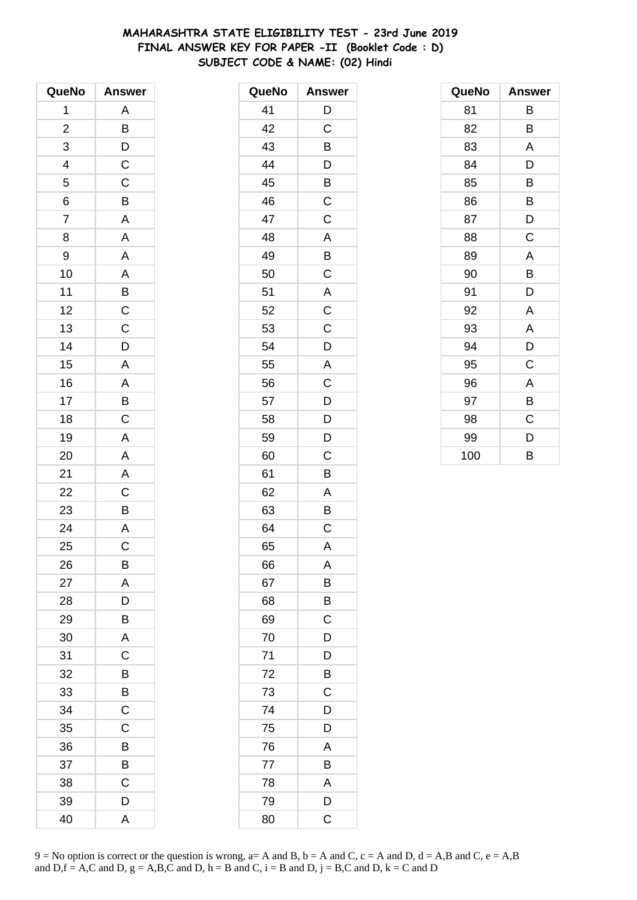# **MAHARASHTRA STATE ELIGIBILITY TEST - 23rd June 2019 FINAL ANSWER KEY FOR PAPER -II (Booklet Code : D) SUBJECT CODE & NAME: (02) Hindi**

| QueNo                   | <b>Answer</b>             |
|-------------------------|---------------------------|
| 1                       | A                         |
| $\overline{\mathbf{c}}$ | B                         |
| 3                       | $\mathsf{D}$              |
| 4                       | $\mathsf C$               |
| 5                       | $\mathsf C$               |
| 6                       | B                         |
| $\overline{7}$          | A                         |
| 8                       | A                         |
| 9                       | A                         |
| 10                      | A                         |
| 11                      |                           |
| 12                      | $rac{B}{C}$               |
| 13                      | $\overline{\overline{C}}$ |
| 14                      | D                         |
| 15                      | A                         |
| 16                      | A                         |
| 17                      | B                         |
| 18                      | $\mathsf C$               |
| 19                      | A                         |
| 20                      | A                         |
| 21                      | A                         |
| 22                      | C                         |
| 23                      | B                         |
| 24                      | $\mathsf{A}$              |
| 25                      | C                         |
| 26                      | B                         |
| 27                      | Α                         |
| 28                      | D                         |
| 29                      | В                         |
| 30                      | A                         |
| 31                      | C                         |
| 32                      | B                         |
| 33                      | B                         |
| 34                      | С                         |
| 35                      | C                         |
| 36                      | В                         |
| 37                      | B                         |
| 38                      | C                         |
| 39                      | D                         |
| 40                      | Α                         |

| QueNo | <b>Answer</b> |
|-------|---------------|
| 41    | D             |
| 42    | C             |
| 43    | B             |
| 44    | D             |
| 45    | B             |
| 46    | $\mathsf C$   |
| 47    | C             |
| 48    | A             |
| 49    | B             |
| 50    | C             |
| 51    | A             |
| 52    | C             |
| 53    | $\mathsf C$   |
| 54    | D             |
| 55    | A             |
| 56    | C             |
| 57    | D             |
| 58    | D             |
| 59    | D             |
| 60    | C             |
| 61    | B             |
| 62    | A             |
| 63    | В             |
| 64    | C             |
| 65    | A             |
| 66    | A             |
| 67    | B             |
| 68    | B             |
| 69    | C             |
| 70    | D             |
| 71    | D             |
| 72    | B             |
| 73    | C             |
| 74    | D             |
| 75    | D             |
| 76    | Α             |
| 77    | B             |
| 78    | A             |
| 79    | D             |
| 80    | C             |

| QueNo | <b>Answer</b> |
|-------|---------------|
| 81    | В             |
| 82    | В             |
| 83    | A             |
| 84    | D             |
| 85    | B             |
| 86    | B             |
| 87    | D             |
| 88    | C             |
| 89    | A             |
| 90    | B             |
| 91    | D             |
| 92    | Α             |
| 93    | A             |
| 94    | D             |
| 95    | C             |
| 96    | Α             |
| 97    | В             |
| 98    | C             |
| 99    | D             |
| 100   | B             |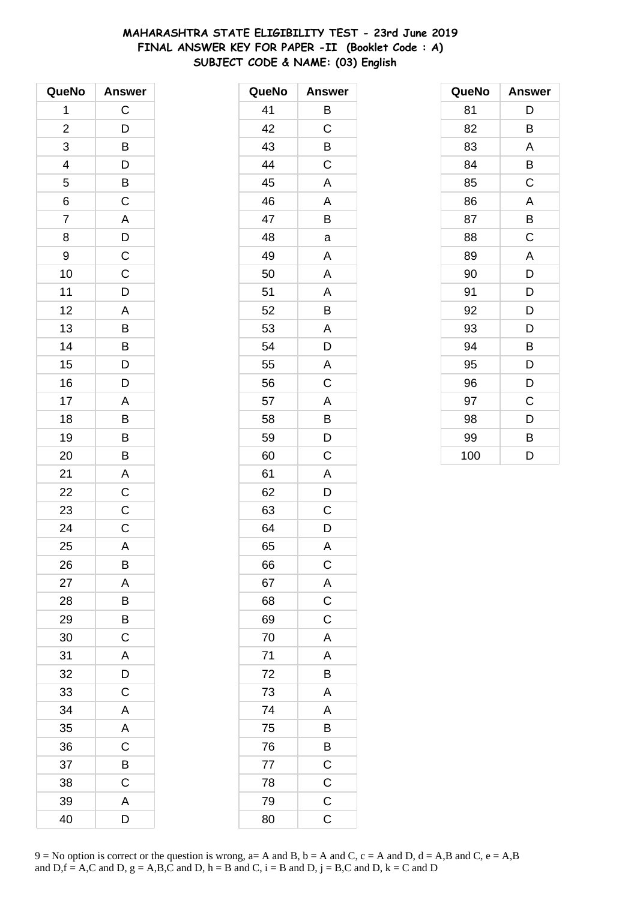# **MAHARASHTRA STATE ELIGIBILITY TEST - 23rd June 2019 FINAL ANSWER KEY FOR PAPER -II (Booklet Code : A) SUBJECT CODE & NAME: (03) English**

| QueNo          | <b>Answer</b>  |
|----------------|----------------|
| 1              | $\mathsf C$    |
| $\overline{c}$ | D              |
| 3              | B              |
| 4              | D              |
| 5              | B              |
| 6              | $\mathsf{C}$   |
| $\overline{7}$ | A              |
| 8              | $\overline{D}$ |
| 9              | $\mathsf{C}$   |
| 10             | C              |
| 11             | D              |
| 12             | A              |
| 13             | $\overline{B}$ |
| 14             | $\overline{B}$ |
| 15             | D              |
| 16             | D              |
| 17             | A              |
| 18             | B              |
| 19             | $\overline{B}$ |
| 20             | B              |
| 21             | A              |
| 22             | $\overline{C}$ |
| 23             | $\mathsf C$    |
| 24             | $\mathsf{C}$   |
| 25             | A              |
| 26             | B              |
| 27             | A              |
| 28             | B              |
| 29             | B              |
| 30             | $\mathsf C$    |
| 31             | A              |
| 32             | D              |
| 33             | C              |
| 34             | A              |
| 35             | A              |
| 36             | $\mathsf C$    |
| 37             | B              |
| 38             | C              |
| 39             | A              |
| 40             | D              |

| QueNo | <b>Answer</b> |
|-------|---------------|
| 41    | B             |
| 42    | C             |
| 43    | Β             |
| 44    | C             |
| 45    | A             |
| 46    | A             |
| 47    | B             |
| 48    | a             |
| 49    | Α             |
| 50    | A             |
| 51    | A             |
| 52    | B             |
| 53    | A             |
| 54    | D             |
| 55    | A             |
| 56    | C             |
| 57    | A             |
| 58    | B             |
| 59    | D             |
| 60    | C             |
| 61    | A             |
| 62    | D             |
| 63    | C             |
| 64    | D             |
| 65    | A             |
| 66    | $\mathsf{C}$  |
| 67    | A             |
| 68    | $\mathsf C$   |
| 69    | $\mathsf C$   |
| 70    | A             |
| 71    | A             |
| 72    | B             |
| 73    | A             |
| 74    | A             |
| 75    | Β             |
| 76    | B             |
| 77    | $\mathsf C$   |
| 78    | $\mathsf C$   |
| 79    | $\mathsf C$   |
| 80    | C             |

| QueNo | <b>Answer</b> |
|-------|---------------|
| 81    | D             |
| 82    | В             |
| 83    | A             |
| 84    | B             |
| 85    | C             |
| 86    | A             |
| 87    | B             |
| 88    | C             |
| 89    | A             |
| 90    | D             |
| 91    | D             |
| 92    | D             |
| 93    | D             |
| 94    | B             |
| 95    | D             |
| 96    | D             |
| 97    | C             |
| 98    | D             |
| 99    | B             |
| 100   | D             |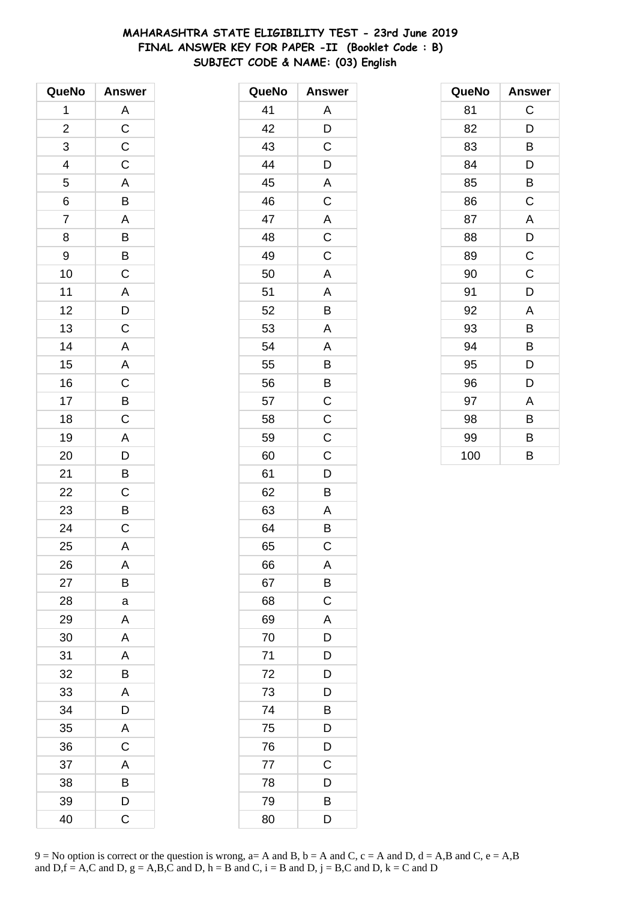# **MAHARASHTRA STATE ELIGIBILITY TEST - 23rd June 2019 FINAL ANSWER KEY FOR PAPER -II (Booklet Code : B) SUBJECT CODE & NAME: (03) English**

| QueNo          | <b>Answer</b>           |
|----------------|-------------------------|
| 1              | A                       |
| $\overline{c}$ | $\overline{C}$          |
| 3              | $\overline{c}$          |
| 4              | $\mathsf C$             |
| 5              | A                       |
| 6              | B                       |
| $\overline{7}$ | A                       |
| 8              | B                       |
| 9              | $rac{B}{C}$             |
| 10             |                         |
| 11             | A                       |
| 12             | $\overline{D}$          |
| 13             | $\overline{C}$          |
| 14             | A                       |
| 15             | A                       |
| 16             | $\mathsf C$             |
| 17             | B                       |
| 18             | $\overline{C}$          |
| 19             | A                       |
| 20             | D                       |
| 21             | B                       |
| 22             | $\mathsf C$             |
| 23             | B                       |
| 24             | $\overline{\mathrm{c}}$ |
| 25             | A                       |
| 26             | A                       |
| 27             | В                       |
| 28             | a                       |
| 29             | A                       |
| 30             | A                       |
| 31             | A                       |
| 32             | B                       |
| 33             | A                       |
| 34             | D                       |
| 35             | A                       |
| 36             | C                       |
| 37             | A                       |
| 38             | B                       |
| 39             | D                       |
| 40             | C                       |

| QueNo | <b>Answer</b>           |
|-------|-------------------------|
| 41    | Α                       |
| 42    | D                       |
| 43    | C                       |
| 44    | D                       |
| 45    | A                       |
| 46    | $\mathsf C$             |
| 47    | $\mathsf{A}$            |
| 48    | $\mathsf C$             |
| 49    | C                       |
| 50    | A                       |
| 51    | A                       |
| 52    | B                       |
| 53    | A                       |
| 54    | A                       |
| 55    | B                       |
| 56    | B                       |
| 57    | $\mathsf C$             |
| 58    | $\overline{\mathrm{c}}$ |
| 59    | $\mathsf C$             |
| 60    | C                       |
| 61    | D                       |
| 62    | Β                       |
| 63    | A                       |
| 64    | B                       |
| 65    | C                       |
| 66    | Α                       |
| 67    | B                       |
| 68    | C                       |
| 69    | A                       |
| 70    | D                       |
| 71    | D                       |
| 72    | D                       |
| 73    | D                       |
| 74    | B                       |
| 75    | D                       |
| 76    | D                       |
| 77    | C                       |
| 78    | D                       |
| 79    | B                       |
| 80    | D                       |

| QueNo | <b>Answer</b> |
|-------|---------------|
| 81    | C             |
| 82    | D             |
| 83    | В             |
| 84    | D             |
| 85    | В             |
| 86    | C             |
| 87    | A             |
| 88    | D             |
| 89    | $\mathsf C$   |
| 90    | $\mathsf C$   |
| 91    | D             |
| 92    | A             |
| 93    | B             |
| 94    | B             |
| 95    | D             |
| 96    | D             |
| 97    | A             |
| 98    | B             |
| 99    | B             |
| 100   | B             |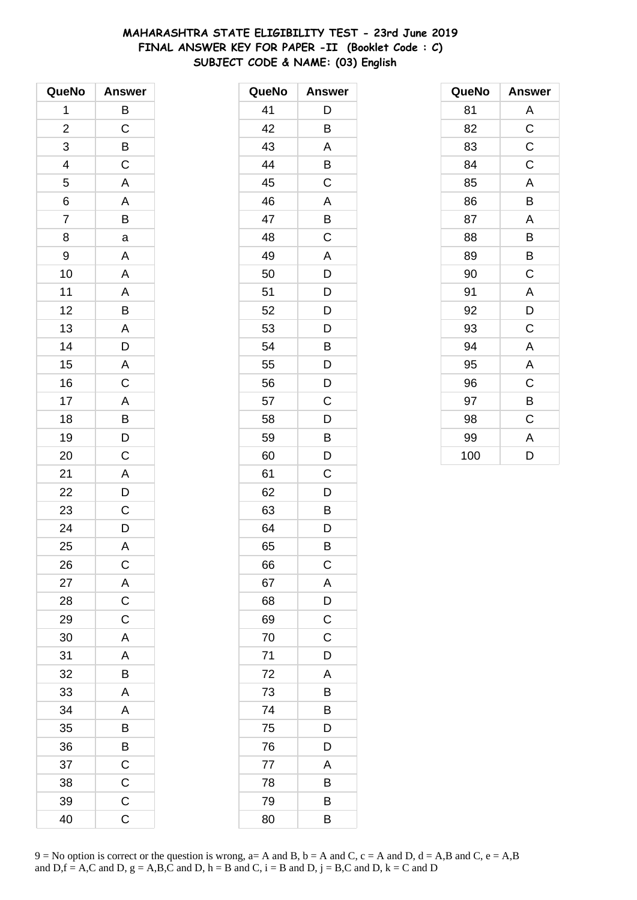# **MAHARASHTRA STATE ELIGIBILITY TEST - 23rd June 2019 FINAL ANSWER KEY FOR PAPER -II (Booklet Code : C) SUBJECT CODE & NAME: (03) English**

| QueNo                    | <b>Answer</b>           |
|--------------------------|-------------------------|
| 1                        | B                       |
| $\overline{c}$           | $\mathsf C$             |
| 3                        | B                       |
| $\overline{\mathcal{L}}$ | $\overline{C}$          |
| $\overline{5}$           | A                       |
| 6                        | A                       |
| $\overline{7}$           | B                       |
| 8                        | a                       |
| 9                        | A                       |
| 10                       | A                       |
| 11                       | A                       |
| 12                       | $\overline{B}$          |
| 13                       | $\overline{\mathsf{A}}$ |
| 14                       | D                       |
| 15                       | A                       |
| 16                       | C                       |
| 17                       | $\overline{A}$          |
| 18                       | $\overline{B}$          |
| 19                       | $\overline{D}$          |
| 20                       | $\mathsf C$             |
| 21                       | A                       |
| 22                       | D                       |
| 23                       | $\mathsf C$             |
| 24                       | D                       |
| 25                       | A                       |
| 26                       | $\mathsf{C}$            |
| 27                       | A                       |
| 28                       | $\mathsf C$             |
| 29                       | $\mathsf C$             |
| 30                       | A                       |
| 31                       | A                       |
| 32                       | B                       |
| 33                       | A                       |
| 34                       | A                       |
| 35                       | B                       |
| 36                       | B                       |
| 37                       | $\mathsf C$             |
| 38                       | $\mathsf C$             |
| 39                       | $\mathsf C$             |
| 40                       | C                       |

| QueNo | <b>Answer</b> |
|-------|---------------|
| 41    | D             |
| 42    | B             |
| 43    | A             |
| 44    | B             |
| 45    | C             |
| 46    | A             |
| 47    | B             |
| 48    | C             |
| 49    | A             |
| 50    | D             |
| 51    | D             |
| 52    | D             |
| 53    | D             |
| 54    | B             |
| 55    | D             |
| 56    | D             |
| 57    | C             |
| 58    | D             |
| 59    | B             |
| 60    | D             |
| 61    | C             |
| 62    | D             |
| 63    | Β             |
| 64    | D             |
| 65    | В             |
| 66    | $\mathsf C$   |
| 67    | A             |
| 68    | D             |
| 69    | C             |
| 70    | C             |
| 71    | D             |
| 72    | A             |
| 73    | B             |
| 74    | B             |
| 75    | D             |
| 76    | D             |
| 77    | A             |
| 78    | B             |
| 79    | B             |
| 80    | B             |

| QueNo | <b>Answer</b> |
|-------|---------------|
| 81    | Α             |
| 82    | $\mathsf C$   |
| 83    | C             |
| 84    | C             |
| 85    | A             |
| 86    | B             |
| 87    | A             |
| 88    | B             |
| 89    | В             |
| 90    | C             |
| 91    | A             |
| 92    | D             |
| 93    | C             |
| 94    | A             |
| 95    | A             |
| 96    | C             |
| 97    | В             |
| 98    | C             |
| 99    | A             |
| 100   | D             |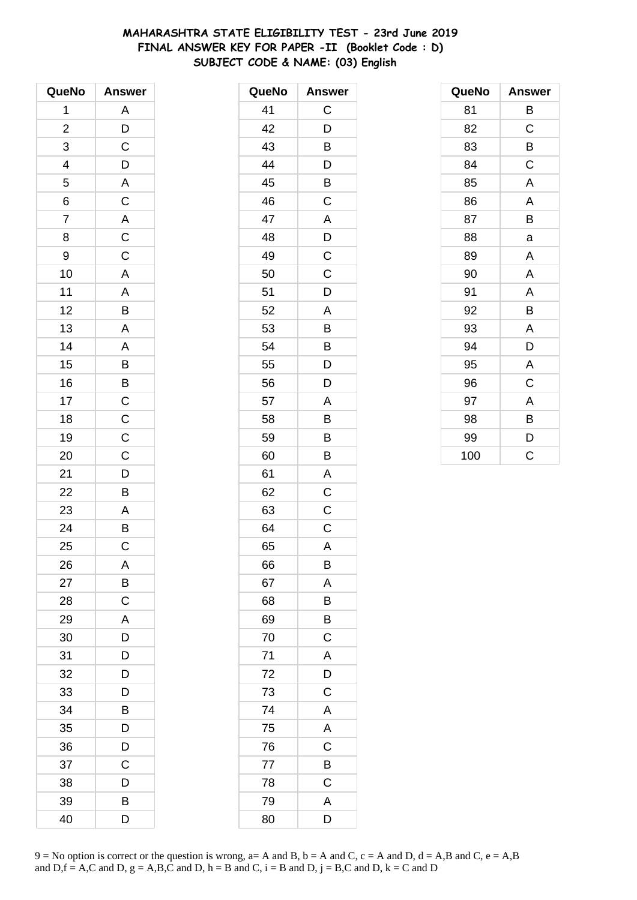# **MAHARASHTRA STATE ELIGIBILITY TEST - 23rd June 2019 FINAL ANSWER KEY FOR PAPER -II (Booklet Code : D) SUBJECT CODE & NAME: (03) English**

| QueNo          | <b>Answer</b>           |
|----------------|-------------------------|
| 1              | A                       |
| $\overline{c}$ |                         |
| 3              | $\frac{D}{C}$           |
|                |                         |
| $\frac{4}{5}$  |                         |
| $\overline{6}$ | $\frac{D}{A}$           |
| $\overline{7}$ |                         |
| 8              | $\frac{A}{C}$           |
| 9              |                         |
| 10             | $\overline{\mathsf{A}}$ |
| 11             |                         |
| 12             |                         |
| 13             |                         |
| 14             |                         |
| 15             | A B A A B B C C         |
| 16             |                         |
| 17             |                         |
| 18             |                         |
| 19             | $\overline{C}$          |
| 20             | $\overline{C}$          |
| 21             |                         |
| 22             | $\frac{D}{B}$           |
| 23             |                         |
| 24             | $rac{A}{B}$             |
| 25             | $\overline{\mathrm{c}}$ |
| 26             | A                       |
| 27             | B                       |
| 28             | C                       |
| 29             | A                       |
| 30             | $\overline{D}$          |
| 31             | D                       |
| 32             | D                       |
| 33             | D                       |
| 34             | B                       |
| 35             | D                       |
| 36             | D                       |
| 37             | C                       |
| 38             | D                       |
| 39             | B                       |
| 40             | D                       |

| QueNo | <b>Answer</b> |
|-------|---------------|
| 41    | C             |
| 42    | D             |
| 43    | В             |
| 44    | D             |
| 45    | B             |
| 46    | C             |
| 47    | A             |
| 48    | D             |
| 49    | $\mathsf C$   |
| 50    | C             |
| 51    | D             |
| 52    | A             |
| 53    | B             |
| 54    | B             |
| 55    | D             |
| 56    | D             |
| 57    | A             |
| 58    | B             |
| 59    | B             |
| 60    | B             |
| 61    | A             |
| 62    | $\mathsf C$   |
| 63    | $\mathsf C$   |
| 64    | $\mathsf C$   |
| 65    | A             |
| 66    | В             |
| 67    | A             |
| 68    | Β             |
| 69    | B             |
| 70    | $\mathsf C$   |
| 71    | A             |
| 72    | D             |
| 73    | C             |
| 74    | A             |
| 75    | A             |
| 76    | C             |
| 77    | B             |
| 78    | C             |
| 79    | A             |
| 80    | D             |

| QueNo | <b>Answer</b> |
|-------|---------------|
| 81    | В             |
| 82    | $\mathsf C$   |
| 83    | В             |
| 84    | C             |
| 85    | A             |
| 86    | A             |
| 87    | B             |
| 88    | a             |
| 89    | A             |
| 90    | A             |
| 91    | A             |
| 92    | B             |
| 93    | A             |
| 94    | D             |
| 95    | A             |
| 96    | C             |
| 97    | A             |
| 98    | В             |
| 99    | D             |
| 100   | C             |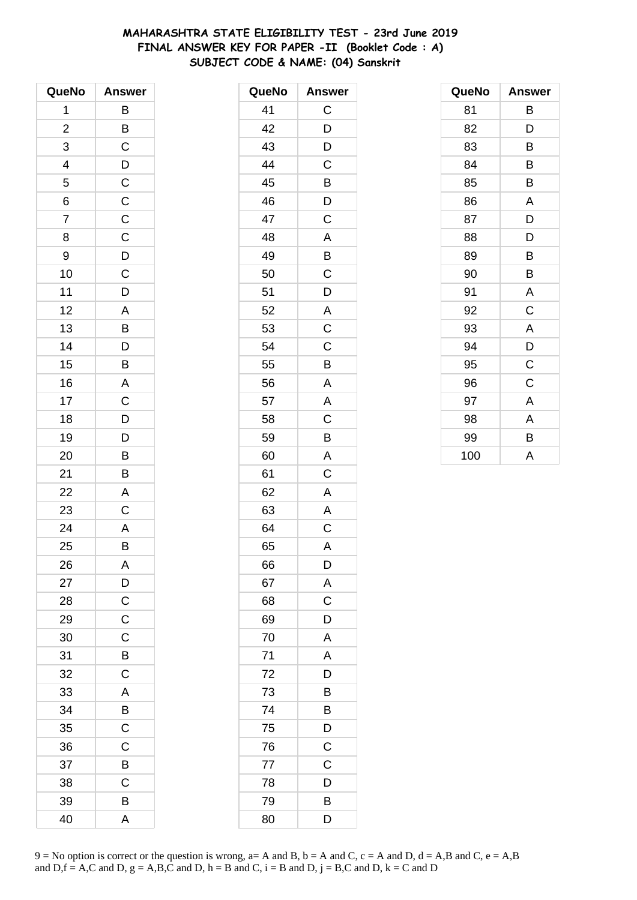# **MAHARASHTRA STATE ELIGIBILITY TEST - 23rd June 2019 FINAL ANSWER KEY FOR PAPER -II (Booklet Code : A) SUBJECT CODE & NAME: (04) Sanskrit**

| QueNo          | <b>Answer</b>           |
|----------------|-------------------------|
| 1              | B                       |
| $\overline{c}$ | B                       |
| 3              | $\mathsf C$             |
| 4              | $\mathsf{D}$            |
| 5              | $\mathsf{C}$            |
| 6              | $\overline{C}$          |
| $\overline{7}$ | $\overline{C}$          |
| 8              | $\overline{C}$          |
| 9              |                         |
| 10             | $\frac{D}{C}$           |
| 11             | D                       |
| 12             | $\overline{\mathsf{A}}$ |
| 13             | $\overline{B}$          |
| 14             | D                       |
| 15             | B                       |
| 16             | A                       |
| 17             | C                       |
| 18             | $\overline{D}$          |
| 19             | $\overline{\mathsf{D}}$ |
| 20             | B                       |
| 21             | B                       |
| 22             | A                       |
| 23             | C                       |
| 24             | $\overline{\mathsf{A}}$ |
| 25             | B                       |
| 26             | A                       |
| 27             | $\overline{D}$          |
| 28             | $\mathsf C$             |
| 29             | $\mathsf C$             |
| 30             | $\mathsf C$             |
| 31             | B                       |
| 32             | $\mathsf C$             |
| 33             | A                       |
| 34             | B                       |
| 35             | $\mathsf C$             |
| 36             | $\mathsf C$             |
| 37             | B                       |
| 38             | C                       |
| 39             | B                       |
| 40             | A                       |

| QueNo | <b>Answer</b>  |
|-------|----------------|
| 41    | $\mathsf C$    |
| 42    | D              |
| 43    | D              |
| 44    | C              |
| 45    | B              |
| 46    | D              |
| 47    | $\mathsf C$    |
| 48    | A              |
| 49    | B              |
| 50    | C              |
| 51    | D              |
| 52    | $\mathbf{A}$   |
| 53    | $\overline{C}$ |
| 54    | $\mathsf C$    |
| 55    | B              |
| 56    | A              |
| 57    | A              |
| 58    | C              |
| 59    | B              |
| 60    | A              |
| 61    | C              |
| 62    | $\mathsf{A}$   |
| 63    | A              |
| 64    | C              |
| 65    | A              |
| 66    | D              |
| 67    | A              |
| 68    | C              |
| 69    | D              |
| 70    | A              |
| 71    | A              |
| 72    | D              |
| 73    | B              |
| 74    | Β              |
| 75    | D              |
| 76    | $\mathsf C$    |
| 77    | $\mathsf C$    |
| 78    | D              |
| 79    | B              |
| 80    | D              |

| QueNo | <b>Answer</b> |
|-------|---------------|
| 81    | В             |
| 82    | D             |
| 83    | B             |
| 84    | B             |
| 85    | B             |
| 86    | A             |
| 87    | D             |
| 88    | D             |
| 89    | B             |
| 90    | B             |
| 91    | A             |
| 92    | C             |
| 93    | A             |
| 94    | D             |
| 95    | C             |
| 96    | C             |
| 97    | A             |
| 98    | A             |
| 99    | В             |
| 100   | A             |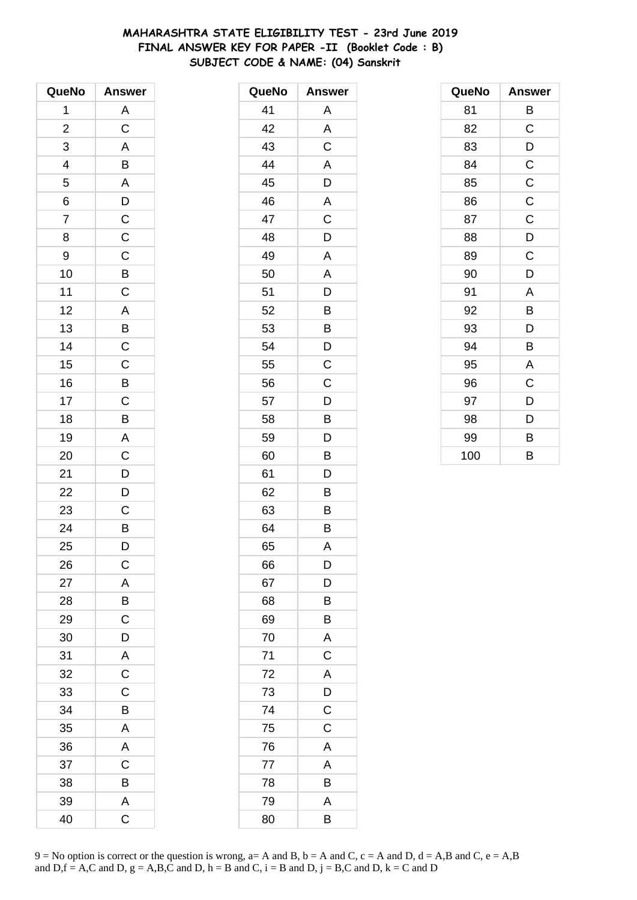# **MAHARASHTRA STATE ELIGIBILITY TEST - 23rd June 2019 FINAL ANSWER KEY FOR PAPER -II (Booklet Code : B) SUBJECT CODE & NAME: (04) Sanskrit**

| QueNo                   | <b>Answer</b>           |
|-------------------------|-------------------------|
| 1                       | A                       |
| $\overline{\mathbf{c}}$ | $\overline{C}$          |
| 3                       | $\overline{\mathsf{A}}$ |
| 4                       | B                       |
| 5                       | $\overline{\mathsf{A}}$ |
| $\overline{6}$          |                         |
| $\overline{7}$          | $\frac{D}{C}$           |
| 8                       | $\overline{C}$          |
| 9                       | $\mathsf{C}$            |
| 10                      | $\overline{B}$          |
| 11                      | $\mathsf C$             |
| 12                      | $\overline{A}$          |
| 13                      | $\overline{B}$          |
| 14                      | $\overline{\mathrm{c}}$ |
| 15                      | $\overline{C}$          |
| 16                      | B                       |
| 17                      | $\mathsf{C}$            |
| 18                      | $\overline{\mathsf{B}}$ |
| 19                      | $\overline{A}$          |
| 20                      | $\frac{1}{C}$           |
| 21                      | D                       |
| 22                      | D                       |
| 23                      | $\mathsf C$             |
| 24                      | $\overline{B}$          |
| 25                      | D                       |
| 26                      | $\mathsf C$             |
| 27                      | A                       |
| 28                      | B                       |
| 29                      | $\mathsf C$             |
| 30                      | $\frac{1}{D}$           |
| 31                      | $\overline{A}$          |
| 32                      | $\overline{C}$          |
| 33                      | $\mathsf C$             |
| 34                      | B                       |
| 35                      | $\mathsf{A}$            |
| 36                      | $\overline{\mathsf{A}}$ |
| 37                      | $\overline{C}$          |
| 38                      | B                       |
| 39                      | A                       |
| 40                      | C                       |

| QueNo | <b>Answer</b> |
|-------|---------------|
| 41    | Α             |
| 42    | A             |
| 43    | C             |
| 44    | A             |
| 45    | D             |
| 46    | A             |
| 47    | C             |
| 48    | D             |
| 49    | A             |
| 50    | A             |
| 51    | D             |
| 52    | B             |
| 53    | B             |
| 54    | D             |
| 55    | C             |
| 56    | C             |
| 57    | D             |
| 58    | B             |
| 59    | D             |
| 60    | B             |
| 61    | D             |
| 62    | В             |
| 63    | Β             |
| 64    | B             |
| 65    | A             |
| 66    | D             |
| 67    | D             |
| 68    | B             |
| 69    | B             |
| 70    | A             |
| 71    | $\mathsf C$   |
| 72    | A             |
| 73    | D             |
| 74    | $\mathsf C$   |
| 75    | C             |
| 76    | A             |
| 77    | A             |
| 78    | B             |
| 79    | A             |
| 80    | B             |

| QueNo | <b>Answer</b> |
|-------|---------------|
| 81    | В             |
| 82    | C             |
| 83    | D             |
| 84    | $\mathsf C$   |
| 85    | $\mathsf{C}$  |
| 86    | $\mathsf C$   |
| 87    | $\mathsf C$   |
| 88    | D             |
| 89    | C             |
| 90    | D             |
| 91    | A             |
| 92    | B             |
| 93    | D             |
| 94    | B             |
| 95    | A             |
| 96    | C             |
| 97    | D             |
| 98    | D             |
| 99    | B             |
| 100   | B             |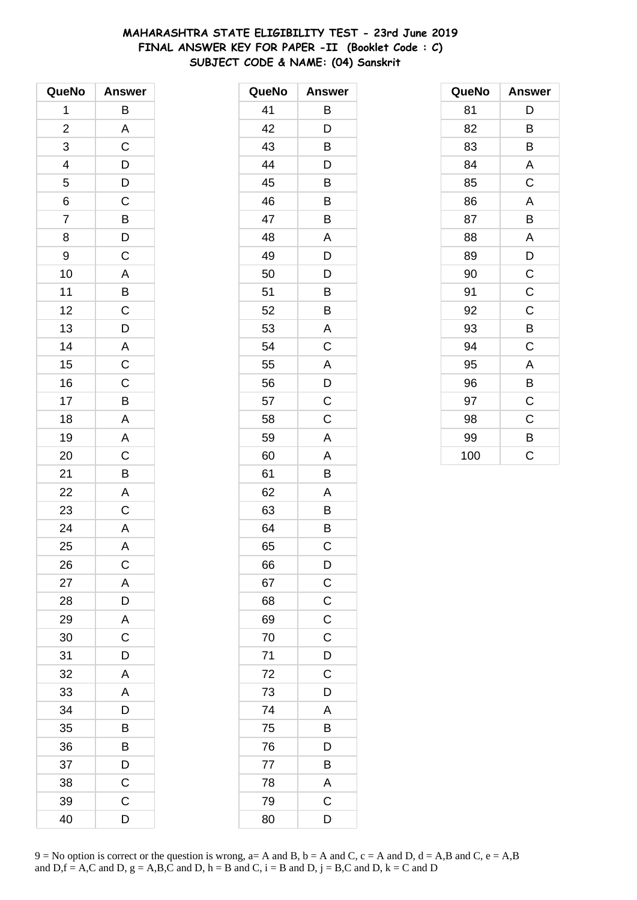# **MAHARASHTRA STATE ELIGIBILITY TEST - 23rd June 2019 FINAL ANSWER KEY FOR PAPER -II (Booklet Code : C) SUBJECT CODE & NAME: (04) Sanskrit**

| QueNo                    | <b>Answer</b>           |
|--------------------------|-------------------------|
| 1                        | B                       |
| $\overline{\mathbf{c}}$  | A                       |
| 3                        | $\overline{\mathsf{C}}$ |
| $\overline{\mathcal{L}}$ |                         |
| 5                        | $\frac{D}{D}$           |
| 6                        | $\overline{C}$          |
| $\overline{7}$           | $\frac{1}{B}$           |
| 8                        | $\overline{D}$          |
| 9                        | $\mathsf C$             |
| 10                       | A                       |
| 11                       | $\overline{B}$          |
| 12                       | $\overline{C}$          |
| 13                       | $\overline{D}$          |
| 14                       |                         |
| 15                       | $rac{A}{C}$             |
| 16                       | $\overline{C}$          |
| 17                       | $\overline{B}$          |
| 18                       | $\overline{\mathsf{A}}$ |
| 19                       | $\overline{\mathsf{A}}$ |
| 20                       | $\mathsf C$             |
| 21                       | B                       |
| 22                       | A                       |
| 23                       | $\mathsf C$             |
| 24                       | $\mathsf{A}$            |
| 25                       | A                       |
| 26                       | $\mathsf{C}$            |
| 27                       | A                       |
| 28                       | D                       |
| 29                       | A                       |
| 30                       | $\mathsf C$             |
| 31                       | D                       |
| 32                       | A                       |
| 33                       | A                       |
| 34                       | D                       |
| 35                       | В                       |
| 36                       | B                       |
| 37                       | D                       |
| 38                       | $\mathsf C$             |
| 39                       | C                       |
| 40                       | D                       |

| QueNo | <b>Answer</b>  |
|-------|----------------|
| 41    | В              |
| 42    | D              |
| 43    | B              |
| 44    | D              |
| 45    | B              |
| 46    | Β              |
| 47    | B              |
| 48    | A              |
| 49    | D              |
| 50    | D              |
| 51    | B              |
| 52    | B              |
| 53    | Α              |
| 54    | $\mathsf C$    |
| 55    | A              |
| 56    | D              |
| 57    | C              |
| 58    | C              |
| 59    | A              |
| 60    | A              |
| 61    | B              |
| 62    | A              |
| 63    | B              |
| 64    | Β              |
| 65    | C              |
| 66    | $\mathsf{D}$   |
| 67    | $\overline{C}$ |
| 68    | $\frac{C}{C}$  |
| 69    |                |
| 70    | C              |
| 71    | D              |
| 72    | $\overline{C}$ |
| 73    | D              |
| 74    | A              |
| 75    | B              |
| 76    | D              |
| 77    | B              |
| 78    | A              |
| 79    | $\mathsf C$    |
| 80    | D              |

| QueNo | <b>Answer</b> |
|-------|---------------|
| 81    | D             |
| 82    | B             |
| 83    | В             |
| 84    | A             |
| 85    | $\mathsf C$   |
| 86    | A             |
| 87    | B             |
| 88    | Α             |
| 89    | D             |
| 90    | $\mathsf C$   |
| 91    | C             |
| 92    | $\mathsf C$   |
| 93    | В             |
| 94    | C             |
| 95    | A             |
| 96    | B             |
| 97    | C             |
| 98    | C             |
| 99    | B             |
| 100   | Ċ             |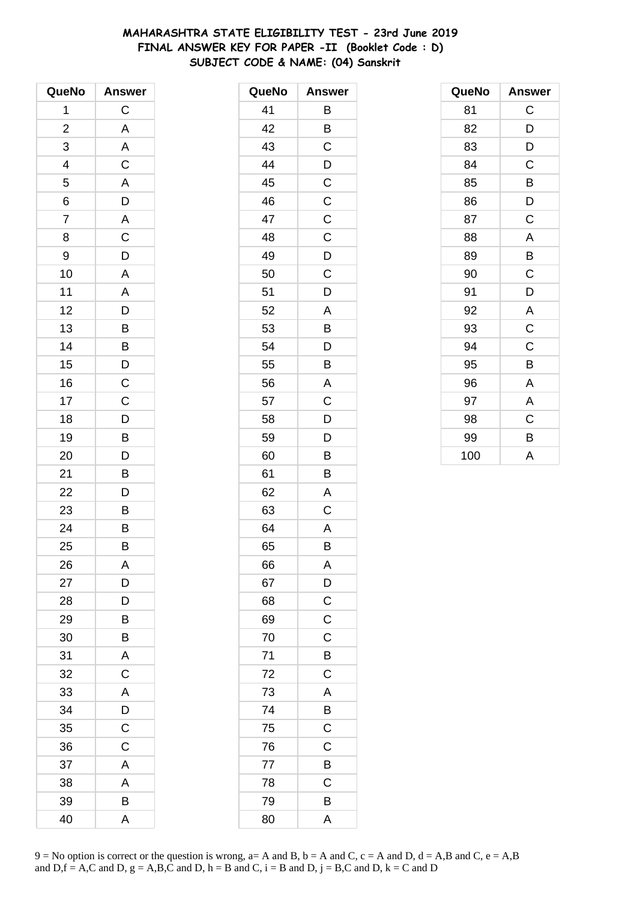# **MAHARASHTRA STATE ELIGIBILITY TEST - 23rd June 2019 FINAL ANSWER KEY FOR PAPER -II (Booklet Code : D) SUBJECT CODE & NAME: (04) Sanskrit**

| QueNo                    | <b>Answer</b>           |
|--------------------------|-------------------------|
| 1                        | $\mathsf C$             |
| $\overline{c}$           | A                       |
| 3                        | A                       |
| $\overline{\mathcal{L}}$ | $\mathsf C$             |
| $\overline{5}$           | $\overline{A}$          |
| 6                        | $\overline{D}$          |
| $\overline{7}$           | $\overline{\mathsf{A}}$ |
| 8                        | $\overline{\mathbf{C}}$ |
| 9                        | D                       |
| 10                       | A                       |
| 11                       | $\mathsf{A}$            |
| 12                       |                         |
| 13                       | $\frac{D}{B}$           |
| 14                       |                         |
| 15                       | B<br>D                  |
| 16                       | $\mathsf{C}$            |
| 17                       | $\mathsf{C}$            |
| 18                       |                         |
| 19                       | $\overline{D}$<br>B     |
| 20                       | D                       |
| 21                       | B                       |
| 22                       | D                       |
| 23                       | B                       |
| 24                       | $\overline{B}$          |
| 25                       | B                       |
| 26                       | A                       |
| 27                       | D                       |
| 28                       | D                       |
| 29                       | B                       |
| 30                       | $\overline{B}$          |
| 31                       | A                       |
| 32                       | $\mathsf C$             |
| 33                       | $\overline{\mathsf{A}}$ |
| 34                       | D                       |
| 35                       | $\mathsf C$             |
| 36                       | $\mathsf C$             |
| 37                       | A                       |
| 38                       | A                       |
| 39                       | B                       |
| 40                       | A                       |

| QueNo | <b>Answer</b>  |
|-------|----------------|
| 41    | Β              |
| 42    | B              |
| 43    | C              |
| 44    | $\mathsf{D}$   |
| 45    | $\overline{C}$ |
| 46    | $\overline{C}$ |
| 47    | $\mathsf C$    |
| 48    | C              |
| 49    | $\mathsf{D}$   |
| 50    | C              |
| 51    | D              |
| 52    | A              |
| 53    | B              |
| 54    | D              |
| 55    | B              |
| 56    | A              |
| 57    | $\mathsf C$    |
| 58    | D              |
| 59    | D              |
| 60    | B              |
| 61    | B              |
| 62    | A              |
| 63    | $\mathsf C$    |
| 64    | A              |
| 65    | B              |
| 66    | Α              |
| 67    | D              |
| 68    | $\mathsf{C}$   |
| 69    | $\overline{C}$ |
| 70    | $\mathsf{C}$   |
| 71    | B              |
| 72    | $\mathsf C$    |
| 73    | A              |
| 74    | B              |
| 75    | $\overline{C}$ |
| 76    | $\mathsf{C}$   |
| 77    | B              |
| 78    | C              |
| 79    | B              |
| 80    | A              |

| QueNo | <b>Answer</b> |
|-------|---------------|
| 81    | C             |
| 82    | D             |
| 83    | D             |
| 84    | C             |
| 85    | B             |
| 86    | D             |
| 87    | C             |
| 88    | A             |
| 89    | B             |
| 90    | C             |
| 91    | D             |
| 92    | A             |
| 93    | $\mathsf C$   |
| 94    | C             |
| 95    | B             |
| 96    | Α             |
| 97    | A             |
| 98    | C             |
| 99    | B             |
| 100   | A             |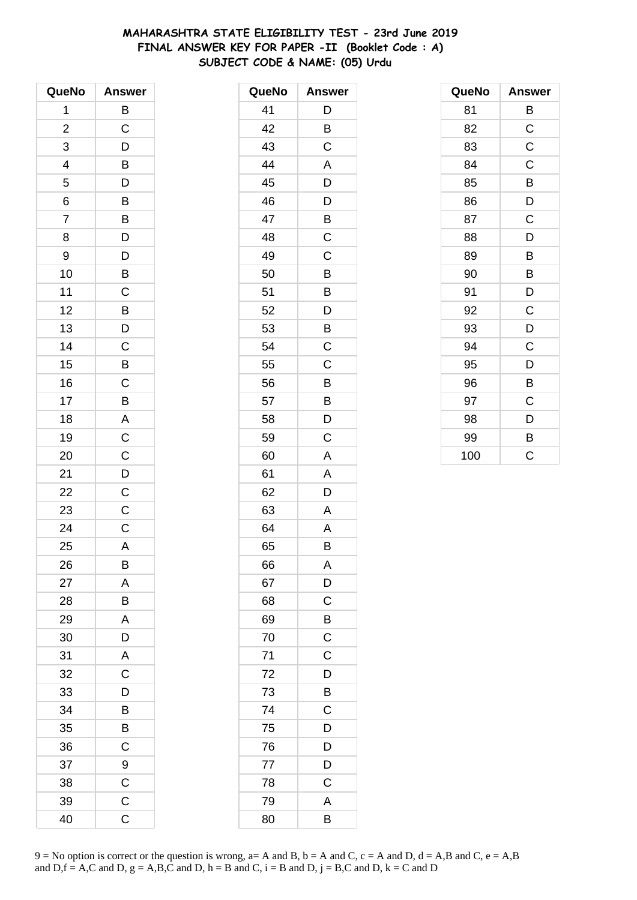# **MAHARASHTRA STATE ELIGIBILITY TEST - 23rd June 2019 FINAL ANSWER KEY FOR PAPER -II (Booklet Code : A) SUBJECT CODE & NAME: (05) Urdu**

| QueNo          | <b>Answer</b>           |
|----------------|-------------------------|
| 1              | B                       |
| $\overline{c}$ | C                       |
| 3              | D                       |
| 4              | B                       |
| 5              | D                       |
| 6              | $\overline{B}$          |
| $\overline{7}$ | B                       |
| 8              | D                       |
| 9              | D                       |
| 10             | B                       |
| 11             | $\mathsf C$             |
| 12             | $\overline{B}$          |
| 13             | $\overline{D}$          |
| 14             | C                       |
| 15             | B                       |
| 16             | $\mathsf{C}$            |
| 17             | B                       |
| 18             | $\overline{A}$          |
| 19             | $\overline{\mathrm{c}}$ |
| 20             | $\mathsf C$             |
| 21             | $\overline{D}$          |
| 22             | $\overline{\text{c}}$   |
| 23             | $\mathsf C$             |
| 24             | $\mathsf{C}$            |
| 25             | Α                       |
| 26             | B                       |
| 27             | A                       |
| 28             | B                       |
| 29             | A                       |
| 30             | D                       |
| 31             | A                       |
| 32             | $\mathsf C$             |
| 33             | D                       |
| 34             | B                       |
| 35             | B                       |
| 36             | C                       |
| 37             | 9                       |
| 38             | C                       |
| 39             | $\mathsf C$             |
| 40             | C                       |

| QueNo | <b>Answer</b> |
|-------|---------------|
| 41    | D             |
| 42    | B             |
| 43    | C             |
| 44    | A             |
| 45    | D             |
| 46    | D             |
| 47    | B             |
| 48    | C             |
| 49    | C             |
| 50    | Β             |
| 51    | B             |
| 52    | D             |
| 53    | B             |
| 54    | C             |
| 55    | C             |
| 56    | Β             |
| 57    | Β             |
| 58    | D             |
| 59    | C             |
| 60    | A             |
| 61    | A             |
| 62    | D             |
| 63    | Α             |
| 64    | A             |
| 65    | В             |
| 66    | A             |
| 67    | D             |
| 68    | C             |
| 69    | B             |
| 70    | $\mathsf C$   |
| 71    | $\mathsf C$   |
| 72    | D             |
| 73    | B             |
| 74    | C             |
| 75    | D             |
| 76    | D             |
| 77    | D             |
| 78    | C             |
| 79    | A             |
| 80    | B             |

| QueNo | <b>Answer</b> |
|-------|---------------|
| 81    | В             |
| 82    | $\mathsf C$   |
| 83    | C             |
| 84    | C             |
| 85    | В             |
| 86    | D             |
| 87    | C             |
| 88    | D             |
| 89    | B             |
| 90    | B             |
| 91    | D             |
| 92    | C             |
| 93    | D             |
| 94    | C             |
| 95    | D             |
| 96    | B             |
| 97    | C             |
| 98    | D             |
| 99    | B             |
| 100   | Ć             |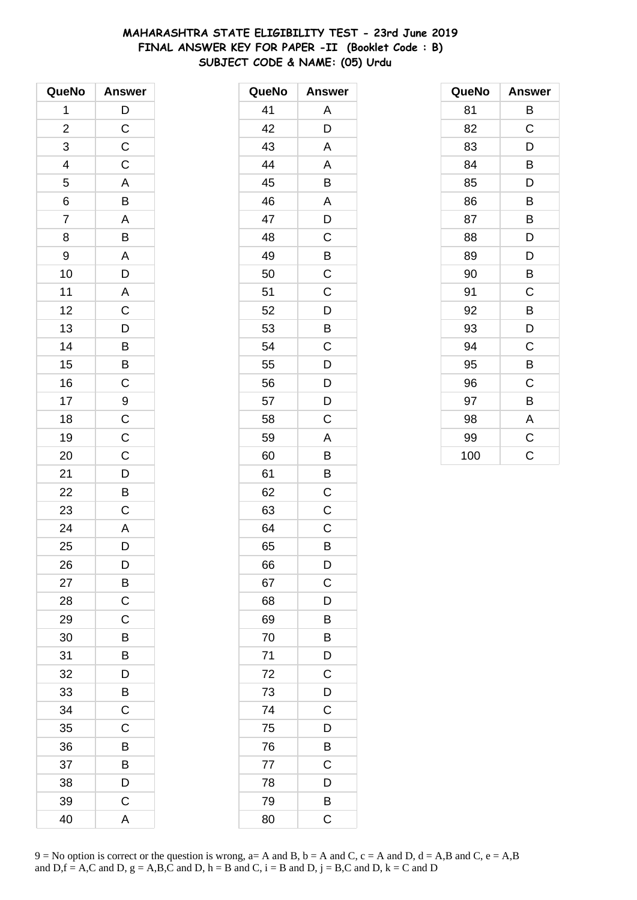# **MAHARASHTRA STATE ELIGIBILITY TEST - 23rd June 2019 FINAL ANSWER KEY FOR PAPER -II (Booklet Code : B) SUBJECT CODE & NAME: (05) Urdu**

| QueNo                    | <b>Answer</b>  |
|--------------------------|----------------|
| 1                        | $\mathsf{D}$   |
| $\overline{\mathbf{c}}$  | $\mathsf C$    |
| 3                        | $\mathsf C$    |
| $\overline{\mathcal{L}}$ | $\mathsf C$    |
| $\overline{5}$           | A              |
| 6                        | B              |
| $\overline{7}$           | A              |
| 8                        | B              |
| 9                        | A              |
| 10                       | D              |
| 11                       | $\overline{A}$ |
| 12                       | $\overline{C}$ |
| 13                       | $\overline{D}$ |
| 14                       | $\overline{B}$ |
| 15                       | $\overline{B}$ |
| 16                       | $\mathsf{C}$   |
| 17                       | 9              |
| 18                       | $\overline{C}$ |
| 19                       | $\overline{C}$ |
| 20                       | $\mathsf{C}$   |
| 21                       | $\overline{D}$ |
| 22                       | B              |
| 23                       | $\mathsf C$    |
| 24                       | $\overline{A}$ |
| 25                       | D              |
| 26                       | D              |
| 27                       | В              |
| 28                       | C              |
| 29                       | C              |
| 30                       | B              |
| 31                       | B              |
| 32                       | D              |
| 33                       | B              |
| 34                       | С              |
| 35                       | C              |
| 36                       | В              |
| 37                       | B              |
| 38                       | D              |
| 39                       | C              |
| 40                       | A              |

| QueNo | <b>Answer</b> |
|-------|---------------|
| 41    | A             |
| 42    | D             |
| 43    | A             |
| 44    | A             |
| 45    | B             |
| 46    | A             |
| 47    | D             |
| 48    | C             |
| 49    | B             |
| 50    | C             |
| 51    | C             |
| 52    | D             |
| 53    | B             |
| 54    | C             |
| 55    | D             |
| 56    | D             |
| 57    | D             |
| 58    | C             |
| 59    | A             |
| 60    | B             |
| 61    | B             |
| 62    | C             |
| 63    | С             |
| 64    | C             |
| 65    | B             |
| 66    | D             |
| 67    | C             |
| 68    | D             |
| 69    | B             |
| 70    | B             |
| 71    | D             |
| 72    | $\mathsf C$   |
| 73    | D             |
| 74    | C             |
| 75    | D             |
| 76    | B             |
| 77    | $\mathsf C$   |
| 78    | D             |
| 79    | B             |
| 80    | C             |

| QueNo | <b>Answer</b> |
|-------|---------------|
| 81    | В             |
| 82    | C             |
| 83    | D             |
| 84    | B             |
| 85    | D             |
| 86    | B             |
| 87    | B             |
| 88    | D             |
| 89    | D             |
| 90    | B             |
| 91    | C             |
| 92    | B             |
| 93    | D             |
| 94    | C             |
| 95    | B             |
| 96    | C             |
| 97    | B             |
| 98    | A             |
| 99    | C             |
| 100   | Ć             |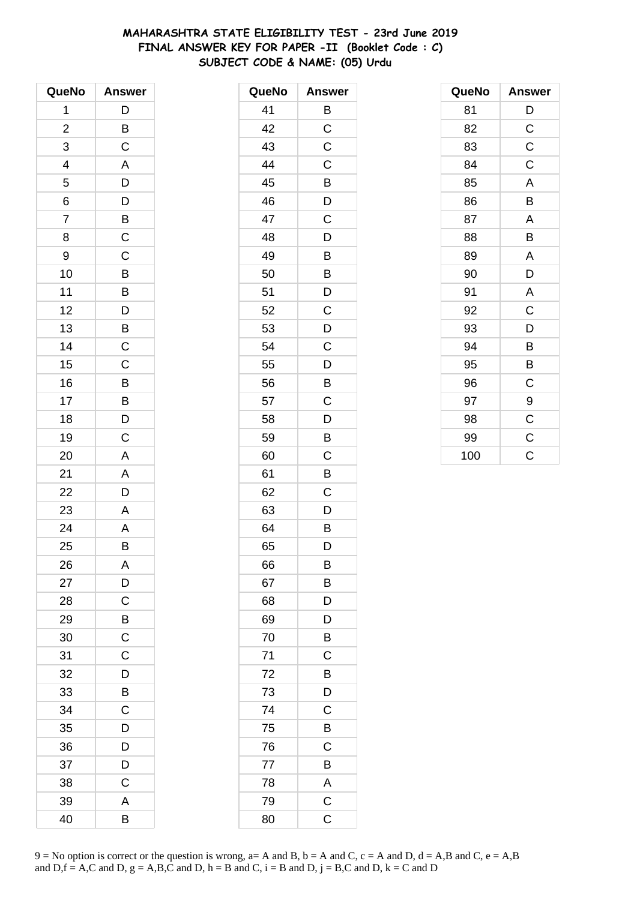# **MAHARASHTRA STATE ELIGIBILITY TEST - 23rd June 2019 FINAL ANSWER KEY FOR PAPER -II (Booklet Code : C) SUBJECT CODE & NAME: (05) Urdu**

| QueNo          | <b>Answer</b>  |
|----------------|----------------|
| 1              | D              |
| $\overline{c}$ | B              |
| 3              | $\mathsf C$    |
| 4              | A              |
| 5              | D              |
| 6              |                |
| $\overline{7}$ | $\frac{D}{B}$  |
| 8              | $\mathsf C$    |
| 9              | C              |
| 10             | B              |
| 11             | B              |
| 12             | D              |
| 13             | $\overline{B}$ |
| 14             | $\mathsf C$    |
| 15             | C              |
| 16             | B              |
| 17             | B              |
| 18             | D              |
| 19             | $\mathsf C$    |
| 20             | A              |
| 21             | A              |
| 22             | D              |
| 23             | A              |
| 24             | A              |
| 25             | B              |
| 26             | A              |
| 27             | D              |
| 28             | C              |
| 29             | B              |
| 30             | $\mathsf C$    |
| 31             | C              |
| 32             | D              |
| 33             | B              |
| 34             | С              |
| 35             | D              |
| 36             | D              |
| 37             | D              |
| 38             | C              |
| 39             | A              |
| 40             | В              |

| QueNo | <b>Answer</b> |
|-------|---------------|
| 41    | B             |
| 42    | C             |
| 43    | C             |
| 44    | C             |
| 45    | B             |
| 46    | D             |
| 47    | C             |
| 48    | D             |
| 49    | Β             |
| 50    | B             |
| 51    | D             |
| 52    | C             |
| 53    | D             |
| 54    | C             |
| 55    | D             |
| 56    | B             |
| 57    | C             |
| 58    | D             |
| 59    | B             |
| 60    | C             |
| 61    | B             |
| 62    | C             |
| 63    | D             |
| 64    | B             |
| 65    | D             |
| 66    | B             |
| 67    | B             |
| 68    | D             |
| 69    | D             |
| 70    | B             |
| 71    | C             |
| 72    | B             |
| 73    | D             |
| 74    | C             |
| 75    | B             |
| 76    | C             |
| 77    | B             |
| 78    | A             |
| 79    | $\mathsf C$   |
| 80    | C             |

| QueNo | <b>Answer</b> |
|-------|---------------|
| 81    | D             |
| 82    | $\mathsf C$   |
| 83    | $\mathsf C$   |
| 84    | C             |
| 85    | A             |
| 86    | B             |
| 87    | A             |
| 88    | B             |
| 89    | A             |
| 90    | D             |
| 91    | A             |
| 92    | C             |
| 93    | D             |
| 94    | B             |
| 95    | B             |
| 96    | C             |
| 97    | 9             |
| 98    | $\mathsf C$   |
| 99    | $\mathsf C$   |
| 100   | Ċ             |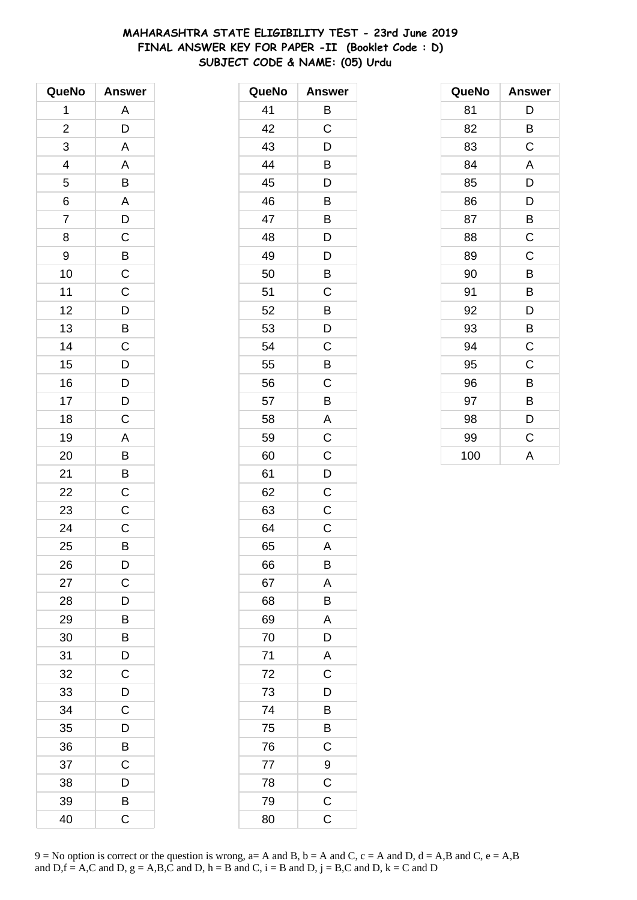# **MAHARASHTRA STATE ELIGIBILITY TEST - 23rd June 2019 FINAL ANSWER KEY FOR PAPER -II (Booklet Code : D) SUBJECT CODE & NAME: (05) Urdu**

| QueNo                   | <b>Answer</b>         |
|-------------------------|-----------------------|
| 1                       | A                     |
| $\overline{\mathbf{c}}$ | D                     |
| 3                       | A                     |
| 4                       | A                     |
| 5                       | B                     |
| 6                       | A                     |
| $\overline{7}$          | D                     |
| 8                       | $\mathsf C$           |
| 9                       | $\overline{B}$        |
| 10                      | $\overline{\text{c}}$ |
| 11                      | $\mathsf C$           |
| 12                      | $\overline{D}$        |
| 13                      | $\overline{B}$        |
| 14                      | C                     |
| 15                      | D                     |
| 16                      | $\overline{D}$        |
| 17                      | D                     |
| 18                      | $\mathsf C$           |
| 19                      | A                     |
| 20                      | B                     |
| 21                      | B                     |
| 22                      | $\overline{C}$        |
| 23                      | C                     |
| 24                      | $\mathsf{C}$          |
| 25                      | B                     |
| 26                      | D                     |
| 27                      | C                     |
| 28                      | D                     |
| 29                      | B                     |
| 30                      | B                     |
| 31                      | D                     |
| 32                      | C                     |
| 33                      | D                     |
| 34                      | С                     |
| 35                      | D                     |
| 36                      | B                     |
| 37                      | Ċ                     |
| 38                      | D                     |
| 39                      | В                     |
| 40                      | C                     |

| QueNo | <b>Answer</b>  |
|-------|----------------|
| 41    | B              |
| 42    | C              |
| 43    | D              |
| 44    | B              |
| 45    | D              |
| 46    | B              |
| 47    | B              |
| 48    | D              |
| 49    | D              |
| 50    | B              |
| 51    | C              |
| 52    | B              |
| 53    | D              |
| 54    | C              |
| 55    | B              |
| 56    | C              |
| 57    | B              |
| 58    | A              |
| 59    | $\mathsf C$    |
| 60    | C              |
| 61    | D              |
| 62    | C              |
| 63    | C              |
| 64    | C              |
| 65    | A              |
| 66    | B              |
| 67    | A              |
| 68    | B              |
| 69    | Α              |
| 70    | D              |
| 71    | A              |
| 72    | $\overline{C}$ |
| 73    | D              |
| 74    | B              |
| 75    | Β              |
| 76    | C              |
| 77    | 9              |
| 78    | $\mathsf C$    |
| 79    | $\mathsf C$    |
| 80    | C              |

| QueNo | <b>Answer</b> |
|-------|---------------|
| 81    | D             |
| 82    | B             |
| 83    | C             |
| 84    | A             |
| 85    | D             |
| 86    | D             |
| 87    | B             |
| 88    | $\mathsf C$   |
| 89    | C             |
| 90    | B             |
| 91    | B             |
| 92    | D             |
| 93    | B             |
| 94    | $\mathsf C$   |
| 95    | C             |
| 96    | B             |
| 97    | B             |
| 98    | D             |
| 99    | $\mathsf C$   |
| 100   | A             |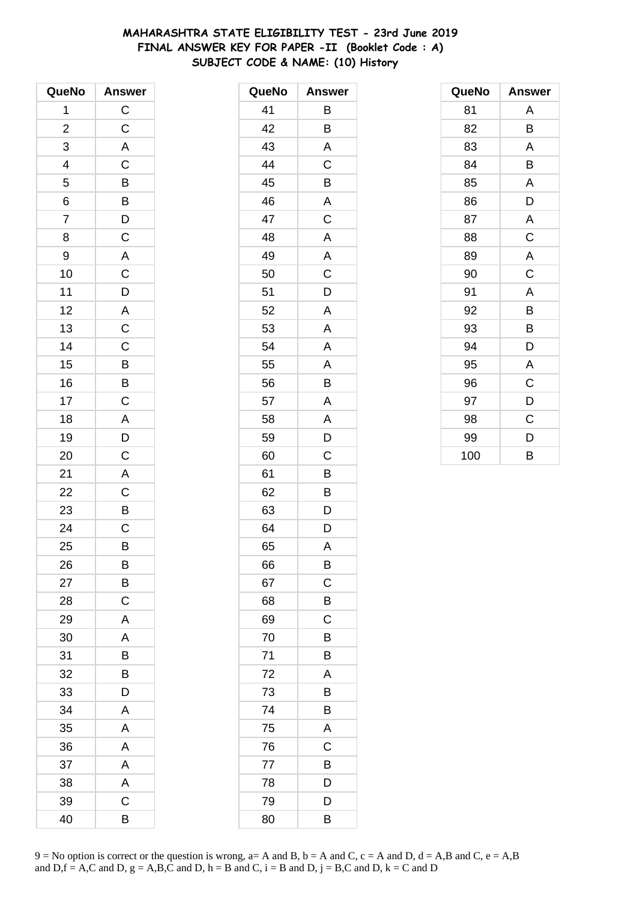# **MAHARASHTRA STATE ELIGIBILITY TEST - 23rd June 2019 FINAL ANSWER KEY FOR PAPER -II (Booklet Code : A) SUBJECT CODE & NAME: (10) History**

| QueNo          | <b>Answer</b>           |
|----------------|-------------------------|
| 1              | $\overline{C}$          |
| $\overline{c}$ | $\mathsf C$             |
| 3              | A                       |
| 4              | $\mathsf C$             |
| 5              | B                       |
| $\overline{6}$ |                         |
| $\overline{7}$ | $\frac{B}{D}$           |
| 8              | $\overline{C}$          |
| 9              | A                       |
| 10             | $\overline{\text{c}}$   |
| 11             | D                       |
| 12             | $\overline{A}$          |
| 13             | $\overline{\mathrm{c}}$ |
| 14             | $\mathsf C$             |
| 15             | $\overline{B}$          |
| 16             | $\overline{B}$          |
| 17             | $\overline{C}$          |
| 18             | $\overline{A}$          |
| 19             | $\overline{D}$          |
| 20             | $\overline{C}$          |
| 21             | A                       |
| 22             | $\mathsf C$             |
| 23             | $\overline{B}$          |
| 24             | $\overline{\mathrm{c}}$ |
| 25             | B                       |
| 26             | B                       |
| 27             | B                       |
| 28             | C                       |
| 29             | A                       |
| 30             | A                       |
| 31             | B                       |
| 32             | B                       |
| 33             | D                       |
| 34             | Α                       |
| 35             | A                       |
| 36             | A                       |
| 37             | A                       |
| 38             | A                       |
| 39             | C                       |
| 40             | В                       |

| QueNo | <b>Answer</b> |
|-------|---------------|
| 41    | B             |
| 42    | B             |
| 43    | A             |
| 44    | C             |
| 45    | B             |
| 46    | A             |
| 47    | C             |
| 48    | A             |
| 49    | A             |
| 50    | C             |
| 51    | D             |
| 52    | A             |
| 53    | A             |
| 54    | A             |
| 55    | A             |
| 56    | B             |
| 57    | A             |
| 58    | A             |
| 59    | D             |
| 60    | C             |
| 61    | B             |
| 62    | Β             |
| 63    | D             |
| 64    | D             |
| 65    | A             |
| 66    | B             |
| 67    | $\mathsf C$   |
| 68    | B             |
| 69    | C             |
| 70    | B             |
| 71    | B             |
| 72    | A             |
| 73    | B             |
| 74    | Β             |
| 75    | A             |
| 76    | $\mathsf C$   |
| 77    | B             |
| 78    | D             |
| 79    | D             |
| 80    | Β             |

| QueNo | <b>Answer</b> |
|-------|---------------|
| 81    | A             |
| 82    | B             |
| 83    | A             |
| 84    | B             |
| 85    | A             |
| 86    | D             |
| 87    | A             |
| 88    | C             |
| 89    | A             |
| 90    | C             |
| 91    | A             |
| 92    | B             |
| 93    | В             |
| 94    | D             |
| 95    | A             |
| 96    | C             |
| 97    | D             |
| 98    | C             |
| 99    | D             |
| 100   | B             |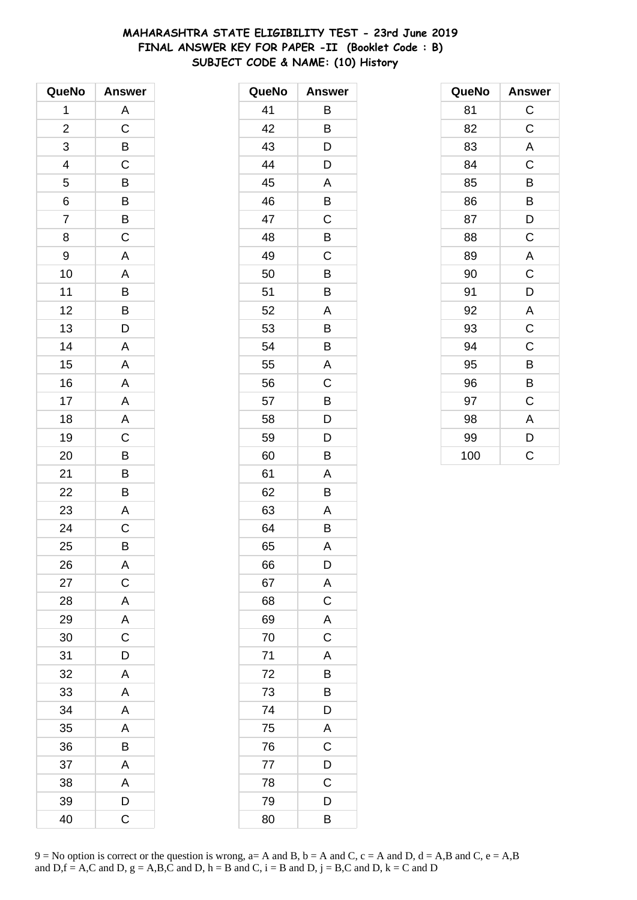# **MAHARASHTRA STATE ELIGIBILITY TEST - 23rd June 2019 FINAL ANSWER KEY FOR PAPER -II (Booklet Code : B) SUBJECT CODE & NAME: (10) History**

| QueNo                   | <b>Answer</b>         |
|-------------------------|-----------------------|
| 1                       | A                     |
| $\overline{\mathbf{c}}$ | $\mathsf C$           |
| 3                       | B                     |
| 4                       | $\mathsf C$           |
| 5                       | B                     |
| 6                       | $\overline{B}$        |
| $\overline{7}$          | $\overline{B}$        |
| 8                       | $\mathsf C$           |
| 9                       | A                     |
| 10                      | A                     |
| 11                      | $\overline{B}$        |
| 12                      | $\overline{B}$        |
| 13                      | $\overline{D}$        |
| 14                      | A                     |
| 15                      | A                     |
| 16                      | $\overline{A}$        |
| 17                      | $\mathsf{A}$          |
| 18                      | $\overline{A}$        |
| 19                      | $\overline{\text{c}}$ |
| 20                      | B                     |
| 21                      | B                     |
| 22                      | B                     |
| 23                      | A                     |
| 24                      | $\mathsf{C}$          |
| 25                      | B                     |
| 26                      | A                     |
| 27                      | $\mathsf C$           |
| 28                      | A                     |
| 29                      | A                     |
| 30                      | $\mathsf C$           |
| 31                      | D                     |
| 32                      | A                     |
| 33                      | A                     |
| 34                      | A                     |
| 35                      | A                     |
| 36                      | В                     |
| 37                      | A                     |
| 38                      | A                     |
| 39                      | D                     |
| 40                      | C                     |

| QueNo | <b>Answer</b> |
|-------|---------------|
| 41    | Β             |
| 42    | B             |
| 43    | D             |
| 44    | D             |
| 45    | A             |
| 46    | B             |
| 47    | C             |
| 48    | B             |
| 49    | С             |
| 50    | B             |
| 51    | B             |
| 52    | A             |
| 53    | B             |
| 54    | B             |
| 55    | A             |
| 56    | C             |
| 57    | B             |
| 58    | D             |
| 59    | D             |
| 60    | B             |
| 61    | Α             |
| 62    | B             |
| 63    | A             |
| 64    | B             |
| 65    | A             |
| 66    | D             |
| 67    | A             |
| 68    | C             |
| 69    | A             |
| 70    | $\mathsf{C}$  |
| 71    | A             |
| 72    | B             |
| 73    | B             |
| 74    | D             |
| 75    | A             |
| 76    | $\mathsf C$   |
| 77    | D             |
| 78    | C             |
| 79    | D             |
| 80    | B             |

| QueNo | <b>Answer</b> |
|-------|---------------|
| 81    | $\mathsf C$   |
| 82    | C             |
| 83    | A             |
| 84    | $\mathsf C$   |
| 85    | B             |
| 86    | B             |
| 87    | D             |
| 88    | $\mathsf C$   |
| 89    | A             |
| 90    | $\mathsf C$   |
| 91    | D             |
| 92    | A             |
| 93    | $\mathsf C$   |
| 94    | $\mathsf C$   |
| 95    | B             |
| 96    | B             |
| 97    | C             |
| 98    | A             |
| 99    | D             |
| 100   | Ć             |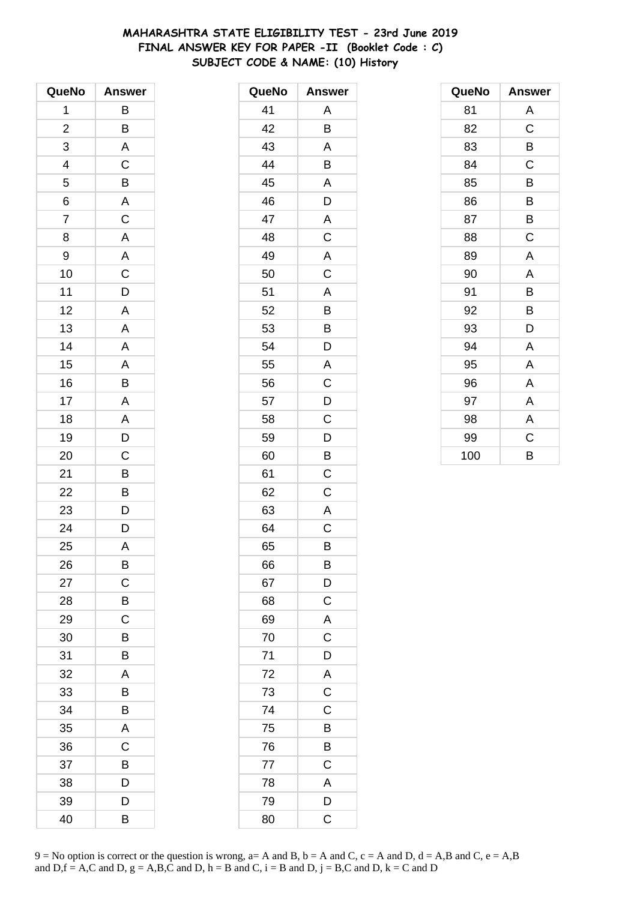# **MAHARASHTRA STATE ELIGIBILITY TEST - 23rd June 2019 FINAL ANSWER KEY FOR PAPER -II (Booklet Code : C) SUBJECT CODE & NAME: (10) History**

| QueNo                    | <b>Answer</b>           |
|--------------------------|-------------------------|
| 1                        | В                       |
| $\overline{\mathbf{c}}$  | B                       |
| 3                        | A                       |
| $\overline{\mathcal{L}}$ | $\mathsf C$             |
| 5                        | $\overline{B}$          |
| 6                        | $\overline{A}$          |
| $\overline{7}$           | $\overline{C}$          |
| 8                        | A                       |
| 9                        | A                       |
| 10                       | $\mathsf C$             |
| 11                       | $\overline{\mathsf{D}}$ |
| 12                       | A                       |
| 13                       | A                       |
| 14                       | A                       |
| 15                       | A                       |
| 16                       | B                       |
| 17                       | A                       |
| 18                       | A                       |
| 19                       | $\overline{D}$          |
| 20                       | C                       |
| 21                       | B                       |
| 22                       | B                       |
| 23                       | $\overline{D}$          |
| 24                       | $\overline{\mathsf{D}}$ |
| 25                       | A                       |
| 26                       | B                       |
| 27                       | C                       |
| 28                       | Β                       |
| 29                       | $\mathsf C$             |
| 30                       | B                       |
| 31                       | B                       |
| 32                       | A                       |
| 33                       | B                       |
| 34                       | B                       |
| 35                       | A                       |
| 36                       | $\mathsf C$             |
| 37                       | B                       |
| 38                       | D                       |
| 39                       | D                       |
| 40                       | B                       |

| QueNo | <b>Answer</b>  |
|-------|----------------|
| 41    | Α              |
| 42    | B              |
| 43    | A              |
| 44    | B              |
| 45    | A              |
| 46    | D              |
| 47    | A              |
| 48    | C              |
| 49    | A              |
| 50    | C              |
| 51    | Α              |
| 52    | B              |
| 53    | B              |
| 54    | D              |
| 55    | A              |
| 56    | C              |
| 57    | D              |
| 58    | C              |
| 59    | D              |
| 60    | B              |
| 61    | C              |
| 62    | C              |
| 63    | A              |
| 64    | C              |
| 65    | B              |
| 66    | B              |
| 67    | $\mathsf{D}$   |
| 68    | $\mathsf C$    |
| 69    | A              |
| 70    | C              |
| 71    | D              |
| 72    | A              |
| 73    | $\mathsf{C}$   |
| 74    | C              |
| 75    | B              |
| 76    | B              |
| 77    | $\overline{C}$ |
| 78    | A              |
| 79    | D              |
| 80    | $\mathsf C$    |

| QueNo | Answer |
|-------|--------|
| 81    | Α      |
| 82    | C      |
| 83    | В      |
| 84    | C      |
| 85    | В      |
| 86    | B      |
| 87    | B      |
| 88    | C      |
| 89    | A      |
| 90    | A      |
| 91    | В      |
| 92    | B      |
| 93    | D      |
| 94    | A      |
| 95    | A      |
| 96    | A      |
| 97    | A      |
| 98    | A      |
| 99    | C      |
| 100   | B      |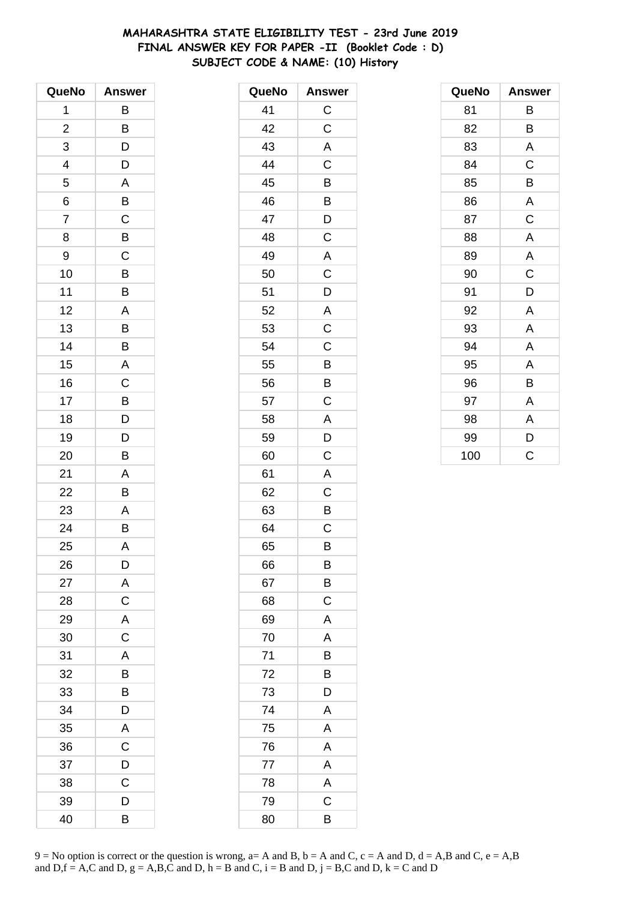# **MAHARASHTRA STATE ELIGIBILITY TEST - 23rd June 2019 FINAL ANSWER KEY FOR PAPER -II (Booklet Code : D) SUBJECT CODE & NAME: (10) History**

| QueNo          | <b>Answer</b>  |
|----------------|----------------|
| 1              | В              |
| $\overline{c}$ | B              |
| 3              | D              |
| 4              | D              |
| 5              | A              |
| 6              | B              |
| $\overline{7}$ | $\overline{C}$ |
| 8              | B              |
| 9              | $\mathsf C$    |
| 10             | B              |
| 11             | B              |
| 12             | A              |
| 13             | B              |
| 14             | B              |
| 15             | A              |
| 16             | $\mathsf C$    |
| 17             | B              |
| 18             | D              |
| 19             | D              |
| 20             | B              |
| 21             | A              |
| 22             | B              |
| 23             | A              |
| 24             | B              |
| 25             | A              |
| 26             | D              |
| 27             | A              |
| 28             | $\mathsf C$    |
| 29             | A              |
| 30             | $\mathsf C$    |
| 31             | A              |
| 32             | B              |
| 33             | B              |
| 34             | D              |
| 35             | A              |
| 36             | C              |
| 37             | D              |
| 38             | C              |
| 39             | D              |
| 40             | В              |

| QueNo | <b>Answer</b>  |
|-------|----------------|
| 41    | $\mathsf C$    |
| 42    | C              |
| 43    | A              |
| 44    | C              |
| 45    | B              |
| 46    | B              |
| 47    | D              |
| 48    | C              |
| 49    | A              |
| 50    | C              |
| 51    | D              |
| 52    | A              |
| 53    | $\mathsf C$    |
| 54    | C              |
| 55    | B              |
| 56    | B              |
| 57    | C              |
| 58    | A              |
| 59    | D              |
| 60    | C              |
| 61    | A              |
| 62    | $\overline{C}$ |
| 63    | B              |
| 64    | C              |
| 65    | B              |
| 66    | B              |
| 67    | B              |
| 68    | C              |
| 69    | A              |
| 70    | A              |
| 71    | B              |
| 72    | B              |
| 73    | D              |
| 74    | A              |
| 75    | $\mathsf{A}$   |
| 76    | A              |
| 77    | A              |
| 78    | A              |
| 79    | C              |
| 80    | B              |

| QueNo | <b>Answer</b> |
|-------|---------------|
| 81    | В             |
| 82    | B             |
| 83    | Α             |
| 84    | C             |
| 85    | B             |
| 86    | A             |
| 87    | C             |
| 88    | A             |
| 89    | A             |
| 90    | $\mathsf C$   |
| 91    | D             |
| 92    | A             |
| 93    | Α             |
| 94    | A             |
| 95    | A             |
| 96    | B             |
| 97    | Α             |
| 98    | A             |
| 99    | D             |
| 100   | C             |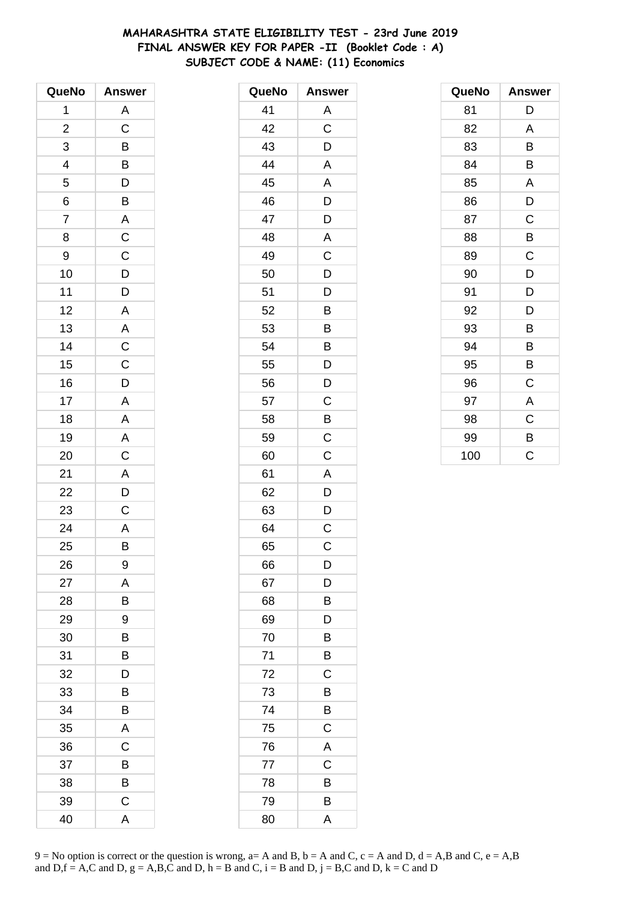## **MAHARASHTRA STATE ELIGIBILITY TEST - 23rd June 2019 FINAL ANSWER KEY FOR PAPER -II (Booklet Code : A) SUBJECT CODE & NAME: (11) Economics**

| QueNo                   | <b>Answer</b>           |
|-------------------------|-------------------------|
| 1                       | A                       |
| $\overline{\mathbf{c}}$ | $\overline{C}$          |
| 3                       | B                       |
|                         | $\overline{B}$          |
| $\frac{4}{5}$           | $\overline{D}$          |
| 6                       | $\overline{B}$          |
| $\overline{7}$          | $\overline{\mathsf{A}}$ |
| 8                       | $\overline{C}$          |
| 9                       | $\mathsf C$             |
| 10                      | D                       |
| 11                      | $\overline{\mathsf{D}}$ |
| 12                      | $\overline{\mathsf{A}}$ |
| 13                      |                         |
| 14                      | $rac{A}{C}$             |
| 15                      | $\overline{C}$          |
| 16                      | D                       |
| 17                      | $\overline{A}$          |
| 18                      | A                       |
| 19                      |                         |
| 20                      | $rac{A}{C}$             |
| 21                      | $\overline{\mathsf{A}}$ |
| 22                      | $\overline{D}$          |
| 23                      | $\mathsf C$             |
| 24                      | A                       |
| 25                      | B                       |
| 26                      | 9                       |
| 27                      | A                       |
| 28                      | В                       |
| 29                      | 9                       |
| 30                      | B                       |
| 31                      | B                       |
| 32                      | D                       |
| 33                      | B                       |
| 34                      | B                       |
| 35                      | A                       |
| 36                      | C                       |
| 37                      | B                       |
| 38                      | B                       |
| 39                      | $\mathsf C$             |
| 40                      | A                       |

| QueNo | <b>Answer</b> |
|-------|---------------|
| 41    | Α             |
| 42    | C             |
| 43    | D             |
| 44    | A             |
| 45    | A             |
| 46    | D             |
| 47    | D             |
| 48    | A             |
| 49    | C             |
| 50    | D             |
| 51    | D             |
| 52    | B             |
| 53    | B             |
| 54    | B             |
| 55    | D             |
| 56    | D             |
| 57    | C             |
| 58    | B             |
| 59    | $\mathsf C$   |
| 60    | C             |
| 61    | A             |
| 62    | D             |
| 63    | D             |
| 64    | C             |
| 65    | C             |
| 66    | D             |
| 67    | D             |
| 68    | B             |
| 69    | D             |
| 70    | Β             |
| 71    | B             |
| 72    | C             |
| 73    | B             |
| 74    | B             |
| 75    | C             |
| 76    | A             |
| 77    | C             |
| 78    | B             |
| 79    | B             |
| 80    | A             |

| QueNo | <b>Answer</b> |
|-------|---------------|
| 81    | D             |
| 82    | A             |
| 83    | B             |
| 84    | B             |
| 85    | A             |
| 86    | D             |
| 87    | C             |
| 88    | B             |
| 89    | C             |
| 90    | D             |
| 91    | D             |
| 92    | D             |
| 93    | B             |
| 94    | B             |
| 95    | B             |
| 96    | C             |
| 97    | A             |
| 98    | C             |
| 99    | B             |
| 100   | Ć             |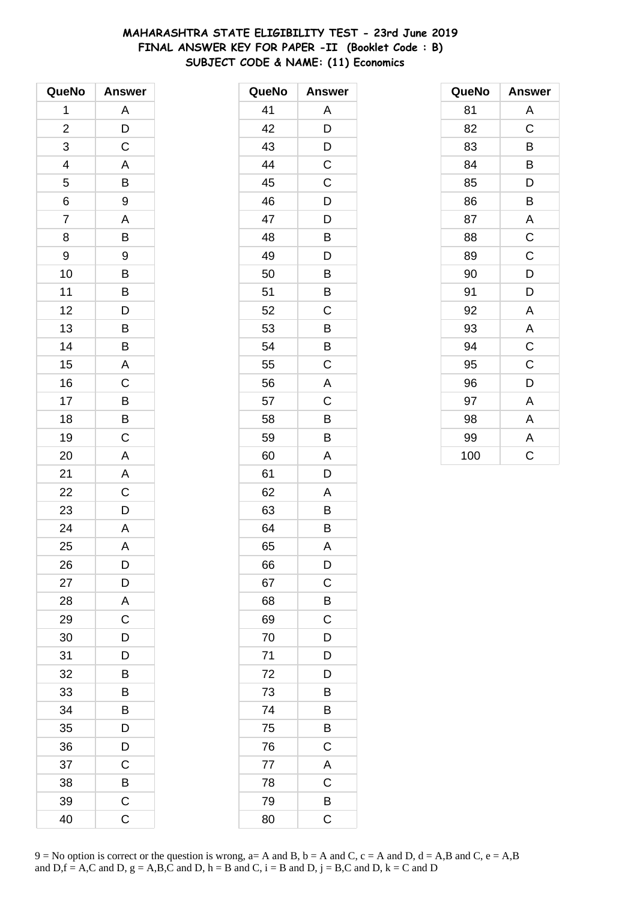# **MAHARASHTRA STATE ELIGIBILITY TEST - 23rd June 2019 FINAL ANSWER KEY FOR PAPER -II (Booklet Code : B) SUBJECT CODE & NAME: (11) Economics**

| QueNo          | <b>Answer</b>           |
|----------------|-------------------------|
| 1              | A                       |
| $\overline{c}$ | D                       |
| 3              | $\mathsf C$             |
| 4              | A                       |
| 5              | B                       |
| 6              | 9                       |
| $\overline{7}$ | A                       |
| 8              | B                       |
| 9              | 9                       |
| 10             | B                       |
| 11             | $\overline{B}$          |
| 12             | $\overline{D}$          |
| 13             | B                       |
| 14             | B                       |
| 15             | A                       |
| 16             | $\mathsf C$             |
| 17             | $\overline{B}$          |
| 18             | $\overline{B}$          |
| 19             | $\overline{\mathrm{C}}$ |
| 20             | A                       |
| 21             | A                       |
| 22             | $\overline{\mathsf{C}}$ |
| 23             | D                       |
| 24             | $\overline{A}$          |
| 25             | A                       |
| 26             | D                       |
| 27             | D                       |
| 28             | A                       |
| 29             | $\mathsf C$             |
| 30             | D                       |
| 31             | D                       |
| 32             | B                       |
| 33             | B                       |
| 34             | B                       |
| 35             | D                       |
| 36             | D                       |
| 37             | $\mathsf C$             |
| 38             | B                       |
| 39             | $\mathsf C$             |
| 40             | C                       |

| QueNo | <b>Answer</b>  |
|-------|----------------|
| 41    | Α              |
| 42    | D              |
| 43    | D              |
| 44    | C              |
| 45    | C              |
| 46    | D              |
| 47    | D              |
| 48    | B              |
| 49    | D              |
| 50    | B              |
| 51    | Β              |
| 52    | Ċ              |
| 53    | B              |
| 54    | B              |
| 55    | C              |
| 56    | A              |
| 57    | Ċ              |
| 58    | B              |
| 59    | B              |
| 60    | A              |
| 61    | D              |
| 62    | A              |
| 63    | B              |
| 64    | B              |
| 65    | A              |
| 66    | D              |
| 67    | $\overline{C}$ |
| 68    | B              |
| 69    | $\mathsf C$    |
| 70    | D              |
| 71    | D              |
| 72    | D              |
| 73    | B              |
| 74    | B              |
| 75    | B              |
| 76    | C              |
| 77    | A              |
| 78    | C              |
| 79    | B              |
| 80    | C              |

| QueNo | <b>Answer</b> |
|-------|---------------|
| 81    | Α             |
| 82    | C             |
| 83    | B             |
| 84    | B             |
| 85    | D             |
| 86    | B             |
| 87    | A             |
| 88    | $\mathsf C$   |
| 89    | $\mathsf C$   |
| 90    | D             |
| 91    | D             |
| 92    | A             |
| 93    | A             |
| 94    | $\mathsf C$   |
| 95    | $\mathsf C$   |
| 96    | D             |
| 97    | A             |
| 98    | A             |
| 99    | A             |
| 100   | Ċ             |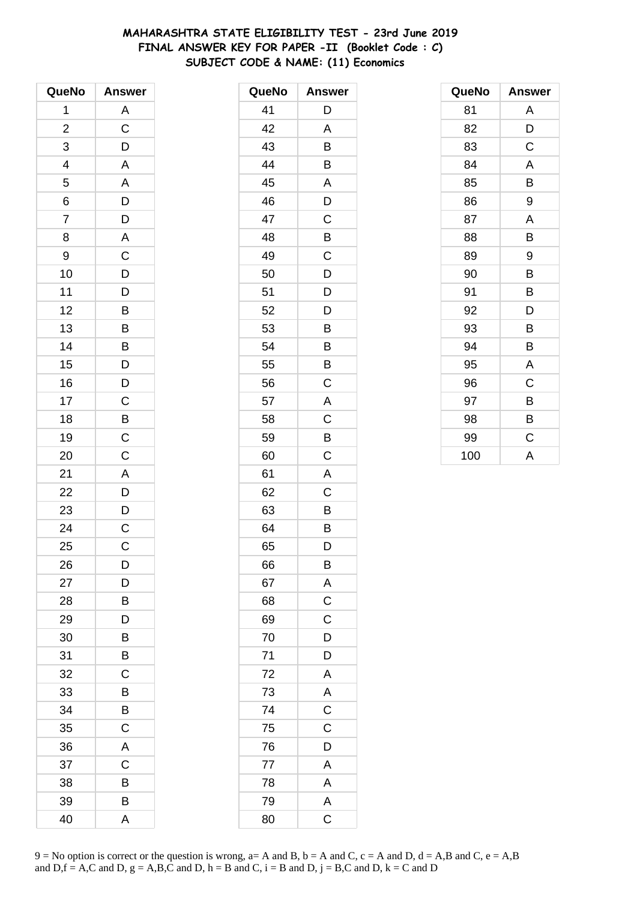# **MAHARASHTRA STATE ELIGIBILITY TEST - 23rd June 2019 FINAL ANSWER KEY FOR PAPER -II (Booklet Code : C) SUBJECT CODE & NAME: (11) Economics**

| QueNo                    | <b>Answer</b>                                                        |
|--------------------------|----------------------------------------------------------------------|
| 1                        | A                                                                    |
| $\overline{c}$           | $\overline{C}$                                                       |
| 3                        | $\mathsf{D}$                                                         |
| $\overline{\mathcal{A}}$ | A                                                                    |
| 5                        | $\mathsf{A}$                                                         |
| 6                        |                                                                      |
| $\overline{7}$           | $\overline{D}$<br>$\overline{D}$<br>$\overline{A}$<br>$\overline{C}$ |
| 8                        |                                                                      |
| 9                        |                                                                      |
| 10                       | D                                                                    |
| 11                       | $\overline{D}$                                                       |
| 12                       | $\overline{B}$                                                       |
| 13                       | $\overline{B}$                                                       |
| 14                       |                                                                      |
| 15                       | $\overline{B}$<br>$D$                                                |
| 16                       | D                                                                    |
| 17                       |                                                                      |
| 18                       |                                                                      |
| 19                       | $\overline{C}$<br>$\overline{B}$<br>$\overline{C}$                   |
| 20                       | $\overline{C}$                                                       |
| 21                       |                                                                      |
| 22                       | $rac{A}{D}$                                                          |
| 23                       | $\mathsf{D}$                                                         |
| 24                       | $\overline{\mathsf{C}}$                                              |
| 25                       | $\mathsf{C}$                                                         |
| 26                       | D                                                                    |
| 27                       | D                                                                    |
| 28                       | B                                                                    |
| 29                       | D                                                                    |
| 30                       | B                                                                    |
| 31                       | B                                                                    |
| 32                       | C                                                                    |
| 33                       | B                                                                    |
| 34                       | B                                                                    |
| 35                       | $\overline{C}$                                                       |
| 36                       | A                                                                    |
| 37                       | $\mathsf C$                                                          |
| 38                       | B                                                                    |
| 39                       | B                                                                    |
| 40                       | A                                                                    |

| QueNo | <b>Answer</b>           |
|-------|-------------------------|
| 41    | D                       |
| 42    | A                       |
| 43    | B                       |
| 44    | B                       |
| 45    | A                       |
| 46    | D                       |
| 47    | C                       |
| 48    | B                       |
| 49    | C                       |
| 50    | D                       |
| 51    | D                       |
| 52    | D                       |
| 53    | B                       |
| 54    | B                       |
| 55    | B                       |
| 56    | C                       |
| 57    | A                       |
| 58    | C                       |
| 59    | B                       |
| 60    | Ċ                       |
| 61    | A                       |
| 62    | Ċ                       |
| 63    | Β                       |
| 64    | B                       |
| 65    | D                       |
| 66    | B                       |
| 67    | A                       |
| 68    | $\mathsf C$             |
| 69    | $\mathsf C$             |
| 70    | D                       |
| 71    | D                       |
| 72    | A                       |
| 73    | A                       |
| 74    | $\overline{C}$          |
| 75    | C                       |
| 76    | D                       |
| 77    | $\overline{A}$          |
| 78    | A                       |
| 79    | A                       |
| 80    | $\overline{\mathrm{c}}$ |

| QueNo | <b>Answer</b> |
|-------|---------------|
| 81    | A             |
| 82    | D             |
| 83    | С             |
| 84    | A             |
| 85    | B             |
| 86    | 9             |
| 87    | A             |
| 88    | B             |
| 89    | 9             |
| 90    | B             |
| 91    | B             |
| 92    | D             |
| 93    | В             |
| 94    | В             |
| 95    | A             |
| 96    | C             |
| 97    | В             |
| 98    | B             |
| 99    | C             |
| 100   | A             |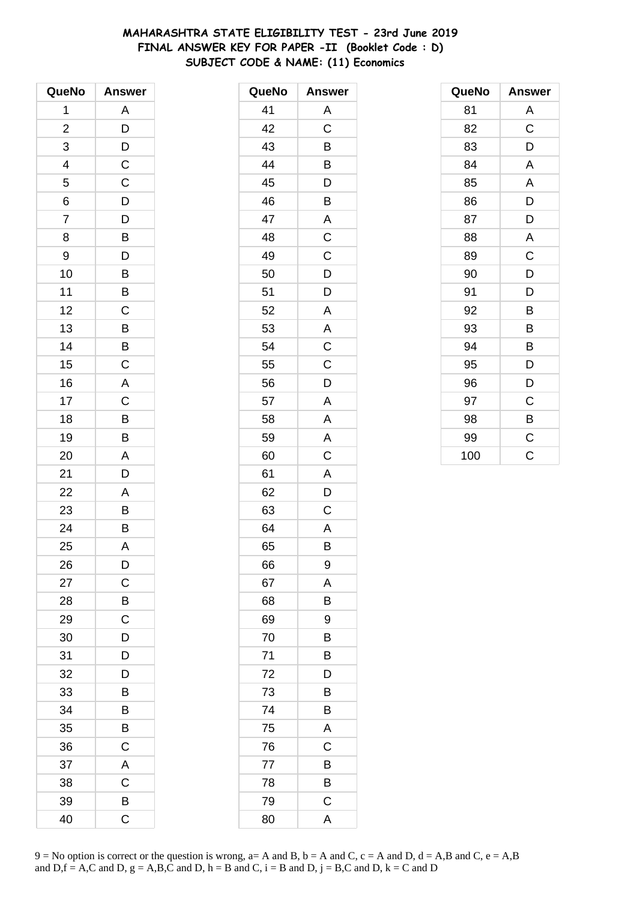# **MAHARASHTRA STATE ELIGIBILITY TEST - 23rd June 2019 FINAL ANSWER KEY FOR PAPER -II (Booklet Code : D) SUBJECT CODE & NAME: (11) Economics**

| QueNo          | <b>Answer</b>           |
|----------------|-------------------------|
| 1              | A                       |
| $\overline{c}$ | D                       |
| 3              | D                       |
| 4              | $\mathsf C$             |
| 5              | $\mathsf C$             |
| 6              | $\overline{D}$          |
| $\overline{7}$ | D                       |
| 8              | B                       |
| 9              | D                       |
| 10             | B                       |
| 11             | B                       |
| 12             | $\mathsf C$             |
| 13             | $\overline{B}$          |
| 14             | B                       |
| 15             | $\mathsf C$             |
| 16             | A                       |
| 17             | C                       |
| 18             | $\overline{B}$          |
| 19             | $\overline{\mathsf{B}}$ |
| 20             | A                       |
| 21             | D                       |
| 22             | Α                       |
| 23             | B                       |
| 24             | $\bar{B}$               |
| 25             | A                       |
| 26             | D                       |
| 27             | C                       |
| 28             | B                       |
| 29             | $\mathsf{C}$            |
| 30             | D                       |
| 31             | D                       |
| 32             | D                       |
| 33             | B                       |
| 34             | B                       |
| 35             | В                       |
| 36             | $\mathsf C$             |
| 37             | $\mathsf{A}$            |
| 38             | $\mathsf C$             |
| 39             | B                       |
| 40             | C                       |

| QueNo | <b>Answer</b>           |
|-------|-------------------------|
| 41    | Α                       |
| 42    | C                       |
| 43    | B                       |
| 44    | B                       |
| 45    | D                       |
| 46    | B                       |
| 47    | A                       |
| 48    | $\mathsf C$             |
| 49    | C                       |
| 50    | D                       |
| 51    | D                       |
| 52    | A                       |
| 53    | A                       |
| 54    | $\mathsf C$             |
| 55    | C                       |
| 56    | D                       |
| 57    | Α                       |
| 58    | A                       |
| 59    | $\overline{\mathsf{A}}$ |
| 60    | $\mathsf C$             |
| 61    | A                       |
| 62    | D                       |
| 63    | C                       |
| 64    | A                       |
| 65    | B                       |
| 66    | 9                       |
| 67    | A                       |
| 68    | B                       |
| 69    | 9                       |
| 70    | В                       |
| 71    | B                       |
| 72    | D                       |
| 73    | B                       |
| 74    | B                       |
| 75    | A                       |
| 76    | C                       |
| 77    | B                       |
| 78    | B                       |
| 79    | $\mathsf C$             |
| 80    | A                       |

| QueNo | <b>Answer</b> |
|-------|---------------|
| 81    | A             |
| 82    | $\mathsf C$   |
| 83    | D             |
| 84    | A             |
| 85    | A             |
| 86    | D             |
| 87    | D             |
| 88    | A             |
| 89    | C             |
| 90    | D             |
| 91    | D             |
| 92    | B             |
| 93    | B             |
| 94    | B             |
| 95    | D             |
| 96    | D             |
| 97    | C             |
| 98    | B             |
| 99    | $\mathsf C$   |
| 100   | Ċ             |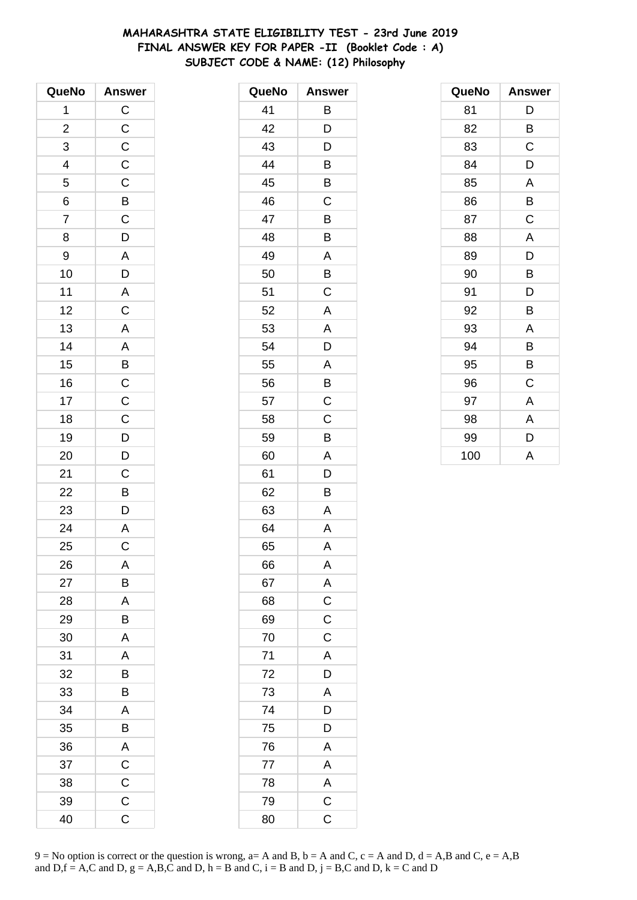# **MAHARASHTRA STATE ELIGIBILITY TEST - 23rd June 2019 FINAL ANSWER KEY FOR PAPER -II (Booklet Code : A) SUBJECT CODE & NAME: (12) Philosophy**

| QueNo          | <b>Answer</b>         |
|----------------|-----------------------|
| 1              | CCCCCBCD              |
| $\overline{c}$ |                       |
| 3              |                       |
| $\frac{4}{5}$  |                       |
|                |                       |
| $\overline{6}$ |                       |
| $\overline{7}$ |                       |
| 8              |                       |
| 9              |                       |
| 10             |                       |
| 11             | $\frac{A}{D}$         |
| 12             | $\overline{c}$        |
| 13             |                       |
| 14             |                       |
| 15             | A A B C C C D D       |
| 16             |                       |
| 17             |                       |
| 18             |                       |
| 19             |                       |
| 20             |                       |
| 21             |                       |
| 22             |                       |
| 23             | $rac{C}{D}$           |
| 24             | $\overline{A}$        |
| 25             | $\overline{\text{c}}$ |
| 26             | A                     |
| 27             | B                     |
| 28             | A                     |
| 29             | Β                     |
| 30             | A                     |
| 31             | A                     |
| 32             | B                     |
| 33             | B                     |
| 34             | A                     |
| 35             | B                     |
| 36             | A                     |
| 37             | $\overline{C}$        |
| 38             | $\mathsf C$           |
| 39             | $\mathsf C$           |
| 40             | C                     |

| QueNo | <b>Answer</b>           |
|-------|-------------------------|
| 41    | B                       |
| 42    | D                       |
| 43    | D                       |
| 44    | B                       |
| 45    | B                       |
| 46    | C                       |
| 47    | B                       |
| 48    | B                       |
| 49    | Α                       |
| 50    | B                       |
| 51    | C                       |
| 52    | A                       |
| 53    | A                       |
| 54    | D                       |
| 55    | A                       |
| 56    | B                       |
| 57    | C                       |
| 58    | C                       |
| 59    | B                       |
| 60    | A                       |
| 61    | D                       |
| 62    | B                       |
| 63    | Α                       |
| 64    | A                       |
| 65    | A                       |
| 66    | A                       |
| 67    | A                       |
| 68    | $\overline{c}$          |
| 69    | $\mathsf{C}$            |
| 70    | $\overline{\mathsf{C}}$ |
| 71    | A                       |
| 72    | D                       |
| 73    | $\overline{\mathsf{A}}$ |
| 74    | D                       |
| 75    | D                       |
| 76    | A                       |
| 77    | $\overline{A}$          |
| 78    | $rac{A}{C}$             |
| 79    |                         |
| 80    | $\mathsf C$             |

| QueNo | <b>Answer</b> |
|-------|---------------|
| 81    | D             |
| 82    | B             |
| 83    | C             |
| 84    | D             |
| 85    | A             |
| 86    | B             |
| 87    | C             |
| 88    | A             |
| 89    | D             |
| 90    | B             |
| 91    | D             |
| 92    | B             |
| 93    | Α             |
| 94    | B             |
| 95    | B             |
| 96    | C             |
| 97    | A             |
| 98    | A             |
| 99    | D             |
| 100   | A             |

 $9 = No$  option is correct or the question is wrong,  $a = A$  and B,  $b = A$  and C,  $c = A$  and D,  $d = A$ ,B and C,  $e = A$ ,B and  $D,f = A,C$  and  $D, g = A,B,C$  and  $D, h = B$  and  $C, i = B$  and  $D, j = B,C$  and  $D, k = C$  and  $D$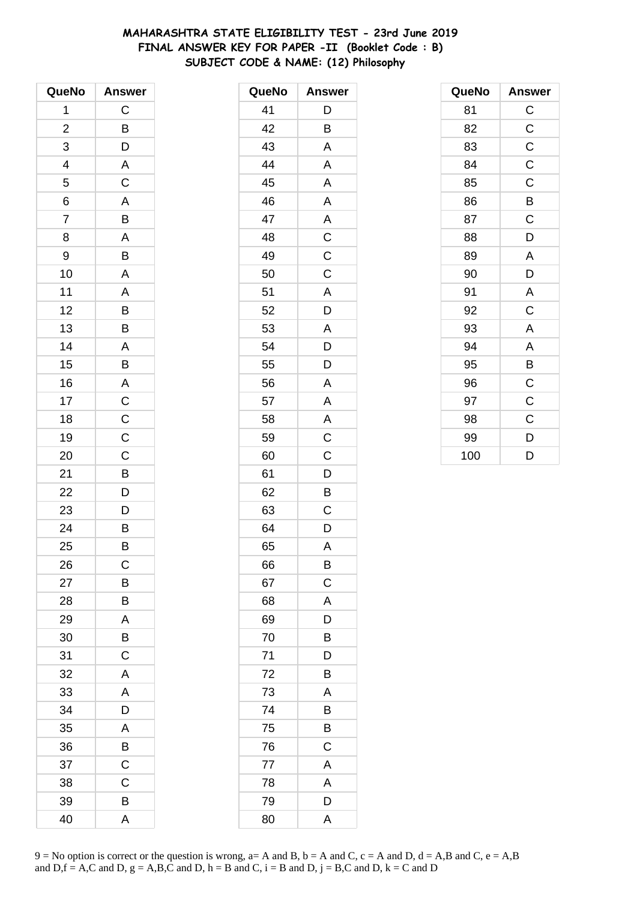# **MAHARASHTRA STATE ELIGIBILITY TEST - 23rd June 2019 FINAL ANSWER KEY FOR PAPER -II (Booklet Code : B) SUBJECT CODE & NAME: (12) Philosophy**

| QueNo                    | <b>Answer</b>           |
|--------------------------|-------------------------|
| 1                        | $\mathsf C$             |
| $\overline{\mathbf{c}}$  | B                       |
| 3                        | D                       |
| $\overline{\mathcal{A}}$ | $\overline{A}$          |
| $\overline{5}$           | $\overline{C}$          |
| 6                        | $\overline{A}$          |
| $\overline{7}$           | B                       |
| 8                        | $\overline{\mathsf{A}}$ |
| 9                        | B                       |
| 10                       | $\overline{\mathsf{A}}$ |
| 11                       | $\mathsf{A}$            |
| 12                       | $\overline{B}$          |
| 13                       | B                       |
| 14                       | $\mathsf{A}$            |
| 15                       | B                       |
| 16                       |                         |
| 17                       |                         |
| 18                       | $\frac{A}{C}$           |
| 19                       | $\overline{C}$          |
| 20                       | $\mathsf C$             |
| 21                       | B                       |
| 22                       | $\overline{D}$          |
| 23                       | D                       |
| 24                       | $\overline{B}$          |
| 25                       | B                       |
| 26                       | С                       |
| 27                       | B                       |
| 28                       | B                       |
| 29                       | $\mathsf{A}$            |
| 30                       | $\overline{B}$          |
| 31                       | $\overline{\text{c}}$   |
| 32                       | A                       |
| 33                       | A                       |
| 34                       | D                       |
| 35                       | A                       |
| 36                       | B                       |
| 37                       | $\mathsf C$             |
| 38                       | $\mathsf C$             |
| 39                       | B                       |
| 40                       | A                       |

| QueNo | <b>Answer</b>           |
|-------|-------------------------|
| 41    | D                       |
| 42    | В                       |
| 43    | A                       |
| 44    | A                       |
| 45    | A                       |
| 46    | A                       |
| 47    | A                       |
| 48    | $\overline{\mathsf{C}}$ |
| 49    | $\mathsf C$             |
| 50    | $\mathsf C$             |
| 51    | A                       |
| 52    | D                       |
| 53    | A                       |
| 54    | D                       |
| 55    | D                       |
| 56    | A                       |
| 57    | A                       |
| 58    | A                       |
| 59    | $\mathsf C$             |
| 60    | C                       |
| 61    | $\mathsf{D}$            |
| 62    | B                       |
| 63    | C                       |
| 64    | D                       |
| 65    | A                       |
| 66    | B                       |
| 67    | $\mathsf{C}$            |
| 68    | $\mathsf{A}$            |
| 69    | $\overline{D}$          |
| 70    | B                       |
| 71    | D                       |
| 72    | Β                       |
| 73    | Α                       |
| 74    | B                       |
| 75    | B                       |
| 76    | $\overline{C}$          |
| 77    | A                       |
| 78    | A                       |
| 79    | D                       |
| 80    | $\overline{\mathsf{A}}$ |

| QueNo | <b>Answer</b> |
|-------|---------------|
| 81    | $\mathsf C$   |
| 82    | $\mathsf C$   |
| 83    | $\mathsf C$   |
| 84    | $\mathsf C$   |
| 85    | $\mathsf C$   |
| 86    | B             |
| 87    | $\mathsf C$   |
| 88    | D             |
| 89    | A             |
| 90    | D             |
| 91    | A             |
| 92    | C             |
| 93    | A             |
| 94    | A             |
| 95    | B             |
| 96    | $\mathsf C$   |
| 97    | $\mathsf C$   |
| 98    | C             |
| 99    | D             |
| 100   | D             |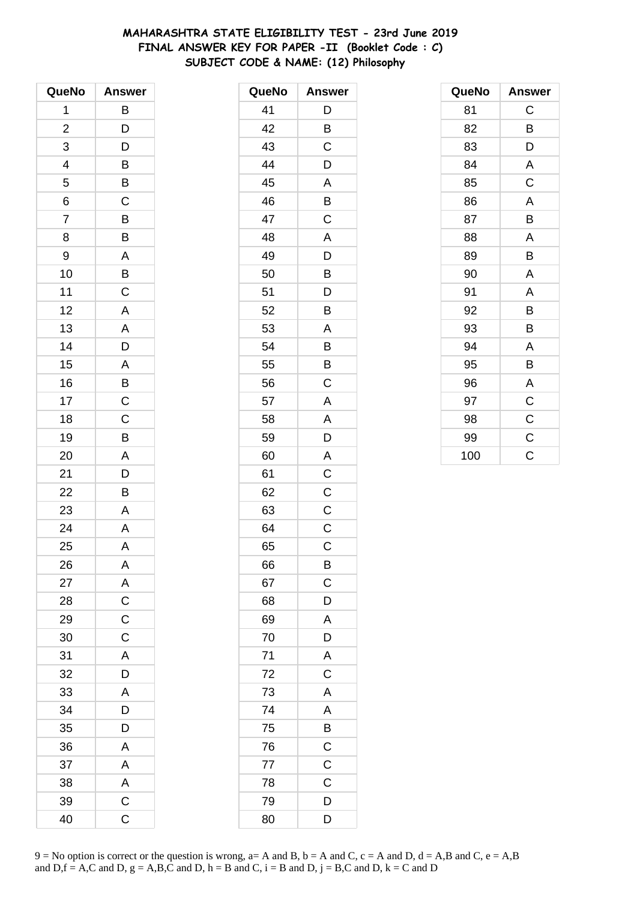# **MAHARASHTRA STATE ELIGIBILITY TEST - 23rd June 2019 FINAL ANSWER KEY FOR PAPER -II (Booklet Code : C) SUBJECT CODE & NAME: (12) Philosophy**

| QueNo                   | <b>Answer</b>           |
|-------------------------|-------------------------|
| 1                       | B                       |
| $\overline{\mathbf{c}}$ | D                       |
| 3                       | D                       |
| 4                       | B                       |
| 5                       | B                       |
| 6                       | $\mathsf{C}$            |
| $\overline{7}$          | B                       |
| 8                       | B                       |
| 9                       | A                       |
| 10                      | B                       |
| 11                      | $\mathsf C$             |
| 12                      | A                       |
| 13                      | A                       |
| 14                      | D                       |
| 15                      | A                       |
| 16                      | B                       |
| 17                      | $\mathsf C$             |
| 18                      | $\overline{C}$          |
| 19                      | $\overline{B}$          |
| 20                      | A                       |
| 21                      | D                       |
| 22                      | B                       |
| 23                      | A                       |
| 24                      | $\overline{\mathsf{A}}$ |
| 25                      | A                       |
| 26                      | A                       |
| 27                      | A                       |
| 28                      | $\mathsf C$             |
| 29                      | $\mathsf C$             |
| 30                      | $\overline{C}$          |
| 31                      | A                       |
| 32                      | D                       |
| 33                      | A                       |
| 34                      | D                       |
| 35                      | D                       |
| 36                      | $\overline{\mathsf{A}}$ |
| 37                      | $\overline{A}$          |
| 38                      | $rac{A}{C}$             |
| 39                      |                         |
| 40                      | C                       |

| QueNo | <b>Answer</b>           |
|-------|-------------------------|
| 41    | D                       |
| 42    | B                       |
| 43    | C                       |
| 44    | D                       |
| 45    | A                       |
| 46    | B                       |
| 47    | $\overline{C}$          |
| 48    | A                       |
| 49    | D                       |
| 50    | Β                       |
| 51    | D                       |
| 52    | B                       |
| 53    | A                       |
| 54    | B                       |
| 55    | B                       |
| 56    | C                       |
| 57    | A                       |
| 58    | A                       |
| 59    | D                       |
| 60    | A                       |
| 61    | $\mathsf C$             |
| 62    | C                       |
| 63    | $\mathsf C$             |
| 64    | C                       |
| 65    | $\mathsf C$             |
| 66    | B                       |
| 67    | C                       |
| 68    | D                       |
| 69    | A                       |
| 70    | D                       |
| 71    | $\overline{\mathsf{A}}$ |
| 72    | $\overline{C}$          |
| 73    | A                       |
| 74    | A                       |
| 75    | B                       |
| 76    | $\mathsf C$             |
| 77    | $\overline{C}$          |
| 78    | C                       |
| 79    | D                       |
| 80    | D                       |

| QueNo | <b>Answer</b> |
|-------|---------------|
| 81    | C             |
| 82    | B             |
| 83    | D             |
| 84    | A             |
| 85    | $\mathsf C$   |
| 86    | A             |
| 87    | B             |
| 88    | A             |
| 89    | B             |
| 90    | A             |
| 91    | A             |
| 92    | B             |
| 93    | В             |
| 94    | A             |
| 95    | B             |
| 96    | A             |
| 97    | $\mathsf C$   |
| 98    | $\mathsf C$   |
| 99    | $\mathsf C$   |
| 100   | C             |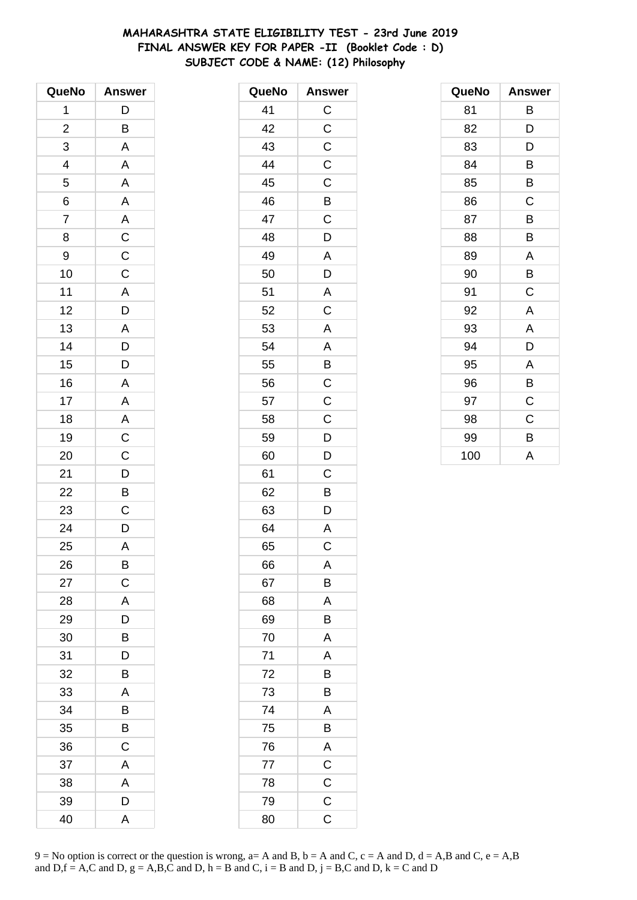# **MAHARASHTRA STATE ELIGIBILITY TEST - 23rd June 2019 FINAL ANSWER KEY FOR PAPER -II (Booklet Code : D) SUBJECT CODE & NAME: (12) Philosophy**

| QueNo                    | <b>Answer</b>                                       |
|--------------------------|-----------------------------------------------------|
| 1                        | $\mathsf{D}$                                        |
| $\overline{c}$           | B                                                   |
| 3                        | A                                                   |
| $\overline{\mathcal{L}}$ | A                                                   |
| 5                        | $\overline{A}$                                      |
| $\overline{6}$           | A                                                   |
| $\overline{7}$           |                                                     |
| 8                        |                                                     |
| 9                        |                                                     |
| 10                       | $\overline{AC}$<br>$\overline{C}$<br>$\overline{C}$ |
| 11                       |                                                     |
| 12                       |                                                     |
| 13                       | $\frac{A}{D}$                                       |
| 14                       | $\overline{D}$                                      |
| 15                       | D                                                   |
| 16                       | A                                                   |
| 17                       | $\mathsf{A}$                                        |
| 18                       | $\overline{A}$                                      |
| 19                       | $\frac{1}{C}$                                       |
| 20                       | $\overline{C}$                                      |
| 21                       |                                                     |
| 22                       | $\frac{D}{B}$                                       |
| 23                       | $\mathsf C$                                         |
| 24                       | $\overline{D}$                                      |
| 25                       | A                                                   |
| 26                       | B                                                   |
| 27                       | $\mathsf C$                                         |
| 28                       | A                                                   |
| 29                       | D                                                   |
| 30                       | $\overline{\mathsf{B}}$                             |
| 31                       | D                                                   |
| 32                       | B                                                   |
| 33                       | A                                                   |
| 34                       | B                                                   |
| 35                       | B                                                   |
| 36                       | $\mathsf C$                                         |
| 37                       | A                                                   |
| 38                       | A                                                   |
| 39                       | D                                                   |
| 40                       | A                                                   |

| QueNo | <b>Answer</b>  |
|-------|----------------|
| 41    | $\mathsf C$    |
| 42    | $\mathsf C$    |
| 43    | $\overline{C}$ |
| 44    | $\mathsf C$    |
| 45    | $\mathsf{C}$   |
| 46    | $\overline{B}$ |
| 47    | $\mathsf C$    |
| 48    | D              |
| 49    | A              |
| 50    | D              |
| 51    | A              |
| 52    | $\overline{C}$ |
| 53    | A              |
| 54    | A              |
| 55    | B              |
| 56    | $\mathsf{C}$   |
| 57    | $\overline{C}$ |
| 58    | $\overline{C}$ |
| 59    | $\mathsf{D}$   |
| 60    | D              |
| 61    | $\mathsf C$    |
| 62    | B              |
| 63    | D              |
| 64    | $\mathsf{A}$   |
| 65    | C              |
| 66    | Α              |
| 67    | B              |
| 68    | A              |
| 69    | B              |
| 70    | A              |
| 71    | A              |
| 72    | B              |
| 73    | B              |
| 74    | A              |
| 75    | $\overline{B}$ |
| 76    | $\overline{A}$ |
| 77    | $\overline{C}$ |
| 78    | $\overline{C}$ |
| 79    | $\mathsf C$    |
| 80    | C              |

| QueNo | <b>Answer</b> |
|-------|---------------|
| 81    | В             |
| 82    | D             |
| 83    | D             |
| 84    | B             |
| 85    | В             |
| 86    | C             |
| 87    | B             |
| 88    | B             |
| 89    | A             |
| 90    | B             |
| 91    | C             |
| 92    | A             |
| 93    | A             |
| 94    | D             |
| 95    | A             |
| 96    | B             |
| 97    | C             |
| 98    | C             |
| 99    | В             |
| 100   | A             |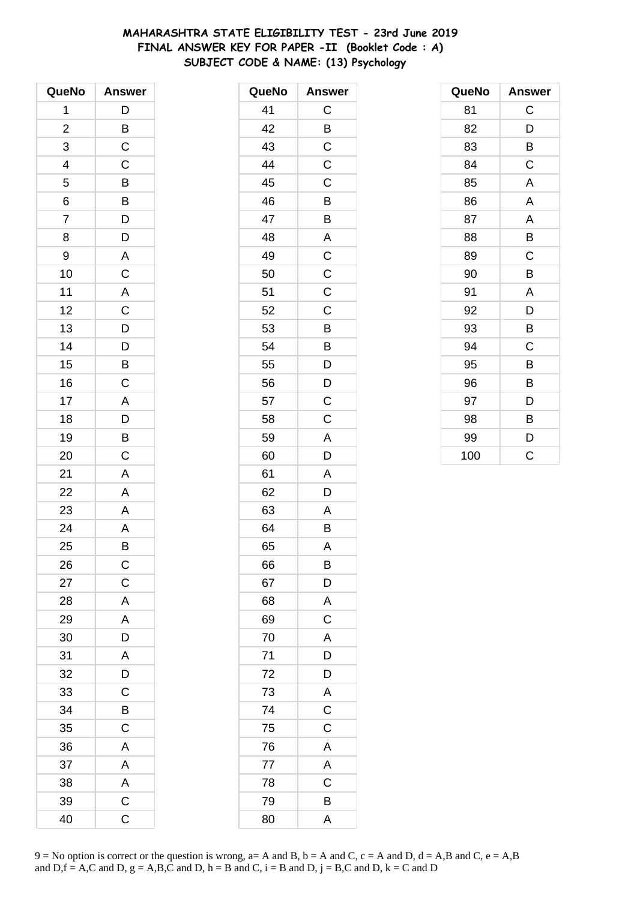# **MAHARASHTRA STATE ELIGIBILITY TEST - 23rd June 2019 FINAL ANSWER KEY FOR PAPER -II (Booklet Code : A) SUBJECT CODE & NAME: (13) Psychology**

| QueNo                    | <b>Answer</b>           |
|--------------------------|-------------------------|
| 1                        | D                       |
| $\overline{\mathbf{c}}$  | $rac{B}{C}$             |
| 3                        |                         |
| $\overline{\mathcal{L}}$ | $\mathsf C$             |
| 5                        | $\overline{B}$          |
| 6                        | $\overline{B}$          |
| $\overline{7}$           | $\overline{D}$          |
| 8                        | D                       |
| 9                        | A                       |
| 10                       | $\overline{C}$          |
| 11                       | $\overline{\mathsf{A}}$ |
| 12                       | $\overline{C}$          |
| 13                       | $\frac{1}{D}$           |
| 14                       |                         |
| 15                       | $\frac{D}{B}$           |
| 16                       | $\mathsf C$             |
| 17                       | $\mathsf{A}$            |
| 18                       | $\frac{1}{D}$           |
| 19                       | $\frac{1}{B}$           |
| 20                       | $\mathsf C$             |
| 21                       | A                       |
| 22                       | A                       |
| 23                       | A                       |
| 24                       | $\overline{\mathsf{A}}$ |
| 25                       | B                       |
| 26                       | $\mathsf{C}$            |
| 27                       | $\mathsf C$             |
| 28                       | A                       |
| 29                       | $\mathsf{A}$            |
| 30                       | $\overline{D}$          |
| 31                       | A                       |
| 32                       | D                       |
| 33                       | $\overline{C}$          |
| 34                       | B                       |
| 35                       | $\mathsf C$             |
| 36                       | A                       |
| 37                       | A                       |
| 38                       | $\overline{A}$          |
| 39                       | $\overline{\mathsf{C}}$ |
| 40                       | C                       |

| QueNo | <b>Answer</b>           |
|-------|-------------------------|
| 41    | C                       |
| 42    | B                       |
| 43    | $\mathsf C$             |
| 44    | C                       |
| 45    | C                       |
| 46    | $\overline{B}$          |
| 47    | $\overline{\mathsf{B}}$ |
| 48    | A                       |
| 49    | $\overline{\mathrm{c}}$ |
| 50    | $\mathsf C$             |
| 51    | C                       |
| 52    | C                       |
| 53    | B                       |
| 54    | B                       |
| 55    | D                       |
| 56    | D                       |
| 57    | C                       |
| 58    | C                       |
| 59    | A                       |
| 60    | D                       |
| 61    | A                       |
| 62    | D                       |
| 63    | Α                       |
| 64    | B                       |
| 65    | A                       |
| 66    | B                       |
| 67    | D                       |
| 68    | A                       |
| 69    | $\mathsf C$             |
| 70    | $\overline{A}$          |
| 71    | $\frac{1}{D}$           |
| 72    | $\overline{D}$          |
| 73    | $\overline{\mathsf{A}}$ |
| 74    | $\overline{\mathbf{C}}$ |
| 75    | $\overline{\mathbf{C}}$ |
| 76    | A                       |
| 77    | $\overline{A}$          |
| 78    | $\overline{\text{c}}$   |
| 79    | B                       |
| 80    | A                       |

| QueNo | <b>Answer</b> |
|-------|---------------|
| 81    | C             |
| 82    | D             |
| 83    | B             |
| 84    | $\mathsf C$   |
| 85    | A             |
| 86    | A             |
| 87    | A             |
| 88    | B             |
| 89    | $\mathsf C$   |
| 90    | B             |
| 91    | A             |
| 92    | D             |
| 93    | В             |
| 94    | C             |
| 95    | B             |
| 96    | B             |
| 97    | D             |
| 98    | B             |
| 99    | D             |
| 100   | C             |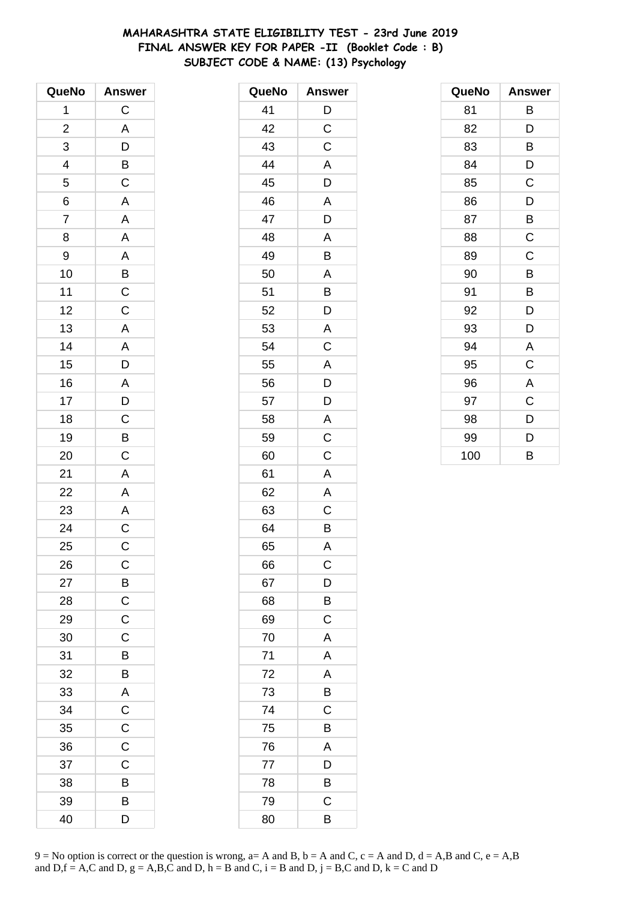# **MAHARASHTRA STATE ELIGIBILITY TEST - 23rd June 2019 FINAL ANSWER KEY FOR PAPER -II (Booklet Code : B) SUBJECT CODE & NAME: (13) Psychology**

| QueNo          | <b>Answer</b>                                |
|----------------|----------------------------------------------|
| 1              | $\mathsf C$                                  |
| $\overline{c}$ |                                              |
| 3              | $\frac{A}{D}$ $\frac{B}{C}$                  |
|                |                                              |
| $\frac{4}{5}$  |                                              |
| $\overline{6}$ | $\overline{\mathsf{A}}$                      |
| $\overline{7}$ | $\overline{\mathsf{A}}$                      |
| 8              | A                                            |
| 9              |                                              |
| 10             |                                              |
| 11             | $\frac{A}{B}$                                |
| 12             | $\overline{C}$                               |
| 13             |                                              |
| 14             |                                              |
| 15             | $\frac{A}{A}$                                |
| 16             |                                              |
| 17             |                                              |
| 18             |                                              |
| 19             | $\begin{array}{c}\nA \\ D \\ C\n\end{array}$ |
| 20             | $\mathsf C$                                  |
| 21             | $\overline{\mathsf{A}}$                      |
| 22             | A                                            |
| 23             | $\overline{A}$                               |
| 24             | $\overline{C}$                               |
| 25             | C                                            |
| 26             | $\mathsf C$                                  |
| 27             |                                              |
| 28             | $rac{B}{C}$                                  |
| 29             | $\mathsf{C}$                                 |
| 30             | $\mathsf{C}$                                 |
| 31             | B                                            |
| 32             | B                                            |
| 33             | A                                            |
| 34             | $\mathsf C$                                  |
| 35             | $\mathsf C$                                  |
| 36             | $\overline{C}$                               |
| 37             | C                                            |
| 38             | B                                            |
| 39             | B                                            |
| 40             | D                                            |

| QueNo | <b>Answer</b>           |
|-------|-------------------------|
| 41    | D                       |
| 42    | $\overline{C}$          |
| 43    | C                       |
| 44    | A                       |
| 45    | D                       |
| 46    | A                       |
| 47    | D                       |
| 48    | A                       |
| 49    | B                       |
| 50    | A                       |
| 51    | B                       |
| 52    | D                       |
| 53    | $\overline{\mathsf{A}}$ |
| 54    | $\overline{\mathrm{C}}$ |
| 55    | A                       |
| 56    | D                       |
| 57    | D                       |
| 58    | A                       |
| 59    | $\mathsf C$             |
| 60    | C                       |
| 61    | A                       |
| 62    | A                       |
| 63    | C                       |
| 64    | B                       |
| 65    | A                       |
| 66    | C                       |
| 67    | D                       |
| 68    | B                       |
| 69    | $\mathsf C$             |
| 70    | A                       |
| 71    | A                       |
| 72    | A                       |
| 73    | B                       |
| 74    | C                       |
| 75    | B                       |
| 76    | A                       |
| 77    | D                       |
| 78    | B                       |
| 79    | C                       |
| 80    | В                       |

| QueNo | <b>Answer</b> |
|-------|---------------|
| 81    | В             |
| 82    | D             |
| 83    | В             |
| 84    | D             |
| 85    | C             |
| 86    | D             |
| 87    | B             |
| 88    | $\mathsf C$   |
| 89    | $\mathsf C$   |
| 90    | B             |
| 91    | В             |
| 92    | D             |
| 93    | D             |
| 94    | A             |
| 95    | C             |
| 96    | A             |
| 97    | C             |
| 98    | D             |
| 99    | D             |
| 100   | B             |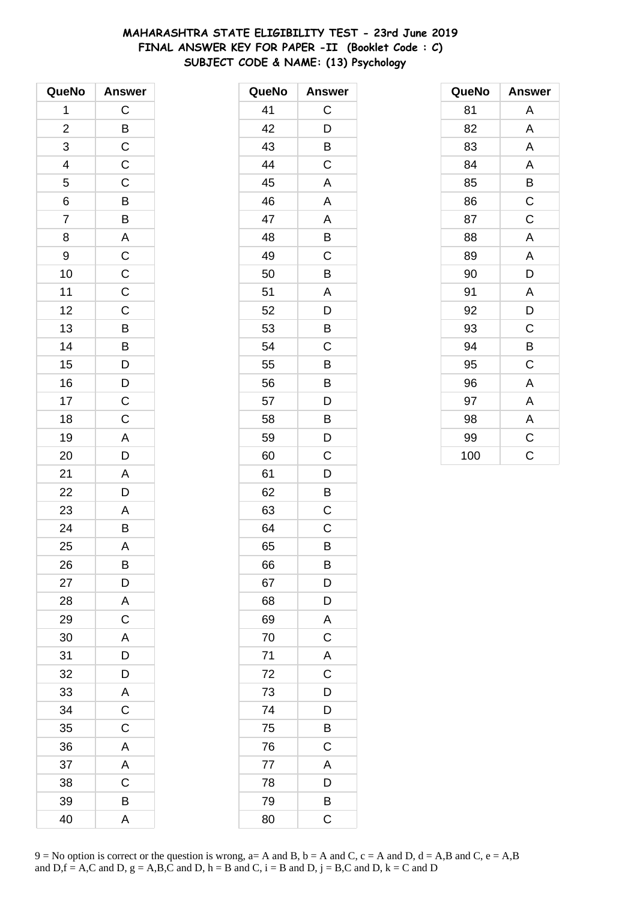# **MAHARASHTRA STATE ELIGIBILITY TEST - 23rd June 2019 FINAL ANSWER KEY FOR PAPER -II (Booklet Code : C) SUBJECT CODE & NAME: (13) Psychology**

| QueNo          | <b>Answer</b>           |
|----------------|-------------------------|
| 1              | $\mathsf C$             |
| $\overline{c}$ |                         |
| 3              | $rac{B}{C}$             |
| 4              | $\mathsf{C}$            |
| 5              | $\mathsf C$             |
| $\overline{6}$ |                         |
| $\overline{7}$ | B B A C C               |
| 8              |                         |
| 9              |                         |
| 10             |                         |
| 11             | $\overline{C}$          |
| 12             | $\overline{C}$          |
| 13             | $\frac{1}{B}$           |
| 14             |                         |
| 15             | B<br>D                  |
| 16             | $\mathsf{D}$            |
| 17             | $\overline{C}$          |
| 18             | $\overline{C}$          |
| 19             | $\overline{A}$          |
| 20             | $\overline{D}$          |
| 21             | A                       |
| 22             | D                       |
| 23             | $\mathsf{A}$            |
| 24             | $\frac{1}{B}$           |
| 25             | A                       |
| 26             | B                       |
| 27             | D                       |
| 28             | A                       |
| 29             | $\mathsf C$             |
| 30             | A                       |
| 31             | $\overline{D}$          |
| 32             | D                       |
| 33             | A                       |
| 34             | $\mathsf C$             |
| 35             | $\mathsf C$             |
| 36             | A                       |
| 37             | $\overline{\mathsf{A}}$ |
| 38             | $\overline{C}$          |
| 39             | B                       |
| 40             | A                       |

| QueNo | <b>Answer</b>           |
|-------|-------------------------|
| 41    | С                       |
| 42    | D                       |
| 43    | B                       |
| 44    | $\overline{C}$          |
| 45    | A                       |
| 46    | A                       |
| 47    | Α                       |
| 48    | B                       |
| 49    | C                       |
| 50    | B                       |
| 51    | A                       |
| 52    | D                       |
| 53    | B                       |
| 54    | $\mathsf C$             |
| 55    | B                       |
| 56    | B                       |
| 57    | D                       |
| 58    | B                       |
| 59    | D                       |
| 60    | C                       |
| 61    | D                       |
| 62    | B                       |
| 63    | C                       |
| 64    | $\mathsf C$             |
| 65    | B                       |
| 66    | B                       |
| 67    | $\overline{D}$          |
| 68    | $\overline{D}$          |
| 69    | $\overline{\mathsf{A}}$ |
| 70    | $\overline{\mathsf{C}}$ |
| 71    | $\mathsf{A}$            |
| 72    | $\mathsf{C}$            |
| 73    | $\frac{1}{D}$           |
| 74    | D                       |
| 75    | B                       |
| 76    | $\mathsf C$             |
| 77    | A                       |
| 78    | D                       |
| 79    | B                       |
| 80    | C                       |

| QueNo | <b>Answer</b> |
|-------|---------------|
| 81    | Α             |
| 82    | A             |
| 83    | A             |
| 84    | A             |
| 85    | B             |
| 86    | $\mathsf C$   |
| 87    | $\mathsf C$   |
| 88    | A             |
| 89    | A             |
| 90    | D             |
| 91    | A             |
| 92    | D             |
| 93    | C             |
| 94    | B             |
| 95    | C             |
| 96    | Α             |
| 97    | Α             |
| 98    | A             |
| 99    | $\mathsf C$   |
| 100   | Ć             |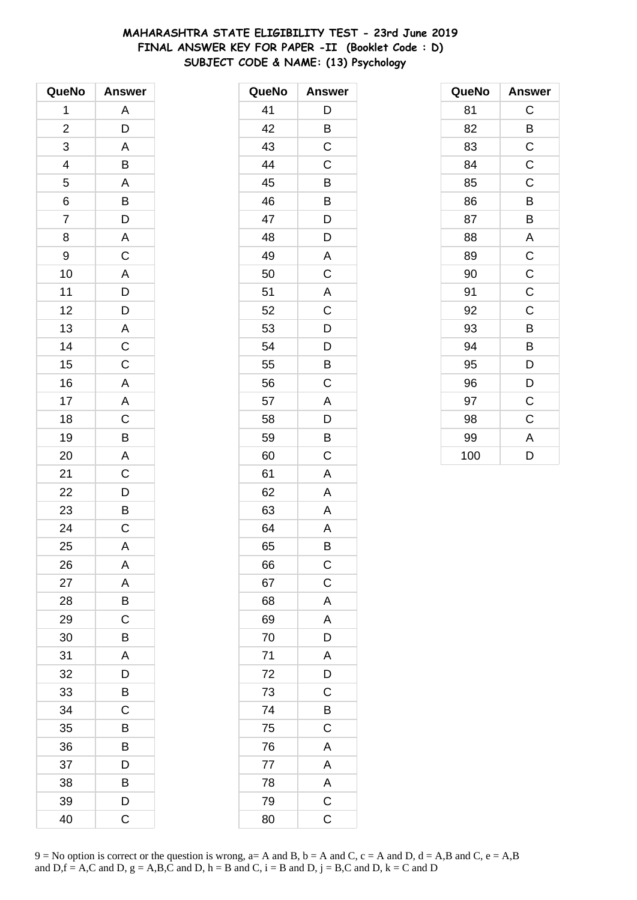# **MAHARASHTRA STATE ELIGIBILITY TEST - 23rd June 2019 FINAL ANSWER KEY FOR PAPER -II (Booklet Code : D) SUBJECT CODE & NAME: (13) Psychology**

| QueNo                    | <b>Answer</b>                                                        |
|--------------------------|----------------------------------------------------------------------|
| 1                        | A                                                                    |
| $\overline{2}$           | D                                                                    |
| 3                        | A                                                                    |
| $\overline{\mathcal{A}}$ | B                                                                    |
| 5                        | $\overline{\mathsf{A}}$                                              |
| 6                        |                                                                      |
| $\overline{7}$           | $\overline{B}$<br>$D$                                                |
| 8                        |                                                                      |
| 9                        | $rac{A}{C}$                                                          |
| 10                       | $\overline{A}$                                                       |
| 11                       |                                                                      |
| 12                       | $D$<br>$A$<br>$C$<br>$C$                                             |
| 13                       |                                                                      |
| 14                       |                                                                      |
| 15                       |                                                                      |
| 16                       | $\mathsf{A}$                                                         |
| 17                       | $\overline{A}$                                                       |
| 18                       |                                                                      |
| 19                       |                                                                      |
| 20                       | $\overline{C}$<br>$\overline{B}$<br>$\overline{A}$<br>$\overline{C}$ |
| 21                       |                                                                      |
| 22                       | D                                                                    |
| 23                       | $\overline{\mathsf{B}}$                                              |
| 24                       | $\overline{C}$                                                       |
| 25                       | A                                                                    |
| 26                       | Α                                                                    |
| 27                       | A                                                                    |
| 28                       | B                                                                    |
| 29                       | $\mathsf C$                                                          |
| 30                       | B                                                                    |
| 31                       | A                                                                    |
| 32                       | D                                                                    |
| 33                       | B                                                                    |
| 34                       | C                                                                    |
| 35                       | B                                                                    |
| 36                       | B                                                                    |
| 37                       | D                                                                    |
| 38                       | B                                                                    |
| 39                       | D                                                                    |
| 40                       | C                                                                    |

| QueNo | <b>Answer</b>  |
|-------|----------------|
| 41    | D              |
| 42    | B              |
| 43    | C              |
| 44    | C              |
| 45    | B              |
| 46    | B              |
| 47    | D              |
| 48    | D              |
| 49    | Α              |
| 50    | C              |
| 51    | A              |
| 52    | $\mathsf C$    |
| 53    | D              |
| 54    | D              |
| 55    | B              |
| 56    | С              |
| 57    | A              |
| 58    | D              |
| 59    | B              |
| 60    | C              |
| 61    | A              |
| 62    | Α              |
| 63    | Α              |
| 64    | A              |
| 65    | B              |
| 66    | C              |
| 67    | $\mathsf C$    |
| 68    | A              |
| 69    | $\mathsf{A}$   |
| 70    | $\frac{1}{D}$  |
| 71    | $\overline{A}$ |
| 72    | $\frac{1}{D}$  |
| 73    | $\mathsf C$    |
| 74    | B              |
| 75    | $\mathsf C$    |
| 76    | $\overline{A}$ |
| 77    | $\overline{A}$ |
| 78    | $rac{A}{C}$    |
| 79    |                |
| 80    | C              |

| QueNo | <b>Answer</b> |
|-------|---------------|
| 81    | С             |
| 82    | B             |
| 83    | C             |
| 84    | $\mathsf C$   |
| 85    | $\mathsf C$   |
| 86    | B             |
| 87    | B             |
| 88    | A             |
| 89    | $\mathsf{C}$  |
| 90    | $\mathsf C$   |
| 91    | $\mathsf C$   |
| 92    | C             |
| 93    | B             |
| 94    | B             |
| 95    | D             |
| 96    | D             |
| 97    | C             |
| 98    | C             |
| 99    | A             |
| 100   | D             |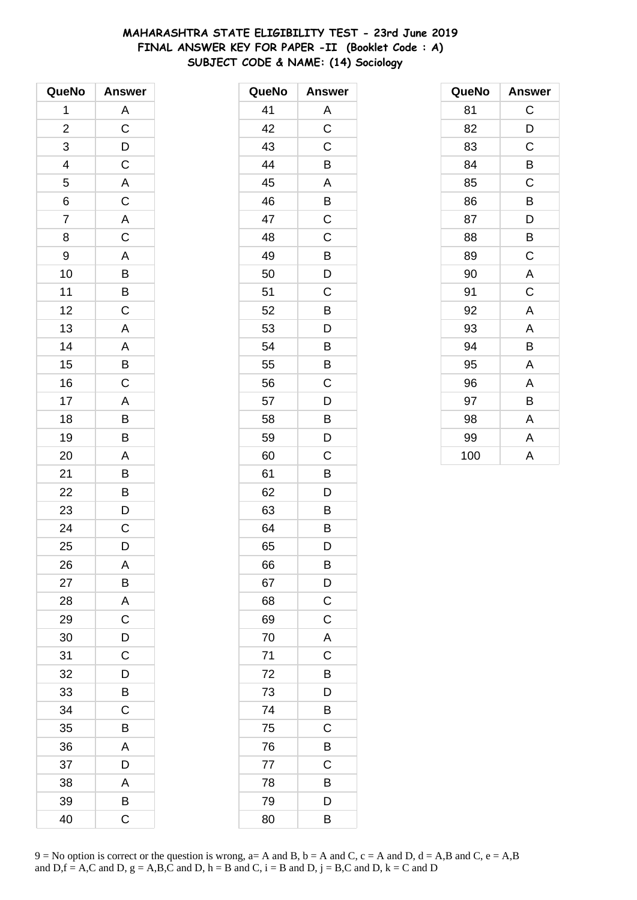# **MAHARASHTRA STATE ELIGIBILITY TEST - 23rd June 2019 FINAL ANSWER KEY FOR PAPER -II (Booklet Code : A) SUBJECT CODE & NAME: (14) Sociology**

| QueNo                   | <b>Answer</b>  |
|-------------------------|----------------|
| 1                       |                |
| $\overline{\mathbf{c}}$ | $\frac{A}{C}$  |
| 3                       |                |
|                         | $\frac{D}{C}$  |
| $\frac{4}{5}$           | $\overline{A}$ |
| $\overline{6}$          | $\overline{C}$ |
| $\overline{7}$          |                |
| 8                       | $rac{A}{C}$    |
| 9                       | $\mathsf{A}$   |
| 10                      | B              |
| 11                      |                |
| 12                      | $\frac{B}{C}$  |
| 13                      | $\overline{A}$ |
| 14                      |                |
| 15                      | $\frac{A}{B}$  |
| 16                      |                |
| 17                      | $\mathsf{A}$   |
| 18                      |                |
| 19                      | $\frac{B}{B}$  |
| 20                      | A              |
| 21                      | B              |
| 22                      | B              |
| 23                      | D              |
| 24                      | $\overline{C}$ |
| 25                      | D              |
| 26                      | A              |
| 27                      | B              |
| 28                      | A              |
| 29                      | $\mathsf C$    |
| 30                      | D              |
| 31                      | C              |
| 32                      | D              |
| 33                      | B              |
| 34                      | C              |
| 35                      | Β              |
| 36                      | A              |
| 37                      | D              |
| 38                      | A              |
| 39                      | В              |
| 40                      | C              |

| QueNo | <b>Answer</b>           |
|-------|-------------------------|
| 41    | Α                       |
| 42    | $\overline{\mathrm{c}}$ |
| 43    | C                       |
| 44    | B                       |
| 45    | A                       |
| 46    | B                       |
| 47    | C                       |
| 48    | C                       |
| 49    | B                       |
| 50    | D                       |
| 51    | С                       |
| 52    | B                       |
| 53    | D                       |
| 54    | B                       |
| 55    | B                       |
| 56    | C                       |
| 57    | D                       |
| 58    | Β                       |
| 59    | D                       |
| 60    | C                       |
| 61    | B                       |
| 62    | D                       |
| 63    | B                       |
| 64    | Β                       |
| 65    | D                       |
| 66    | B                       |
| 67    | D                       |
| 68    | C                       |
| 69    | C                       |
| 70    | A                       |
| 71    | C                       |
| 72    | B                       |
| 73    | D                       |
| 74    | B                       |
| 75    | C                       |
| 76    | B                       |
| 77    | C                       |
| 78    | B                       |
| 79    | D                       |
| 80    | B                       |

| QueNo | <b>Answer</b>           |
|-------|-------------------------|
| 81    | C                       |
| 82    | D                       |
| 83    | C                       |
| 84    | B                       |
| 85    | C                       |
| 86    | B                       |
| 87    | D                       |
| 88    | В                       |
| 89    | C                       |
| 90    | $\overline{\mathsf{A}}$ |
| 91    | C                       |
| 92    | A                       |
| 93    | A                       |
| 94    | B                       |
| 95    | A                       |
| 96    | A                       |
| 97    | В                       |
| 98    | A                       |
| 99    | Α                       |
| 100   | A                       |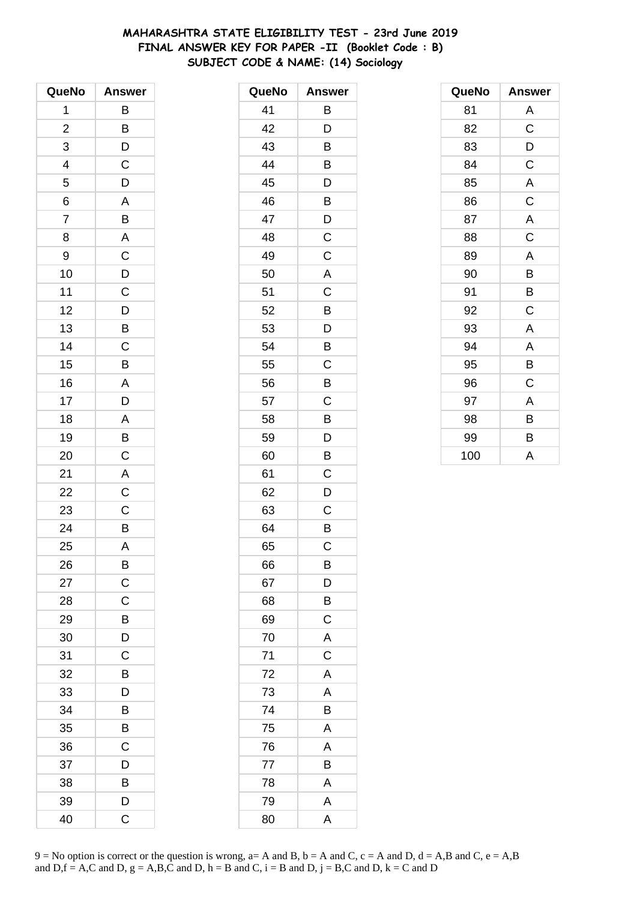# **MAHARASHTRA STATE ELIGIBILITY TEST - 23rd June 2019 FINAL ANSWER KEY FOR PAPER -II (Booklet Code : B) SUBJECT CODE & NAME: (14) Sociology**

| QueNo                    | <b>Answer</b>           |
|--------------------------|-------------------------|
| 1                        | B                       |
| $\overline{c}$           | B                       |
| 3                        | D                       |
| $\overline{\mathcal{A}}$ | $\mathsf{C}$            |
| 5                        | D                       |
| 6                        | A                       |
| $\overline{7}$           | B                       |
| 8                        | $\overline{\mathsf{A}}$ |
| 9                        | $\mathsf C$             |
| 10                       | D                       |
| 11                       | $\mathsf C$             |
| 12                       | $\frac{1}{D}$           |
| 13                       | $\overline{B}$          |
| 14                       | $\mathsf C$             |
| 15                       | B                       |
| 16                       | A                       |
| 17                       | D                       |
| 18                       | $\overline{A}$          |
| 19                       | $\overline{B}$          |
| 20                       | $\mathsf C$             |
| 21                       | A                       |
| 22                       | $\overline{C}$          |
| 23                       | $\mathsf C$             |
| 24                       | $\overline{B}$          |
| 25                       | A                       |
| 26                       | B                       |
| 27                       | $\mathsf C$             |
| 28                       | C                       |
| 29                       | B                       |
| 30                       | D                       |
| 31                       | C                       |
| 32                       | B                       |
| 33                       | D                       |
| 34                       | B                       |
| 35                       | Β                       |
| 36                       | $\mathsf C$             |
| 37                       | D                       |
| 38                       | B                       |
| 39                       | D                       |
| 40                       | C                       |

| QueNo | <b>Answer</b> |
|-------|---------------|
| 41    | B             |
| 42    | D             |
| 43    | B             |
| 44    | B             |
| 45    | D             |
| 46    | B             |
| 47    | D             |
| 48    | C             |
| 49    | C             |
| 50    | A             |
| 51    | C             |
| 52    | B             |
| 53    | D             |
| 54    | B             |
| 55    | C             |
| 56    | B             |
| 57    | C             |
| 58    | B             |
| 59    | D             |
| 60    | B             |
| 61    | C             |
| 62    | D             |
| 63    | С             |
| 64    | B             |
| 65    | C             |
| 66    | B             |
| 67    | D             |
| 68    | B             |
| 69    | $\mathsf C$   |
| 70    | A             |
| 71    | $\mathsf C$   |
| 72    | A             |
| 73    | A             |
| 74    | B             |
| 75    | Α             |
| 76    | A             |
| 77    | B             |
| 78    | A             |
| 79    | A             |
| 80    | A             |

| QueNo | Answer      |
|-------|-------------|
| 81    | Α           |
| 82    | $\mathsf C$ |
| 83    | D           |
| 84    | C           |
| 85    | A           |
| 86    | C           |
| 87    | A           |
| 88    | $\mathsf C$ |
| 89    | A           |
| 90    | B           |
| 91    | B           |
| 92    | C           |
| 93    | Α           |
| 94    | A           |
| 95    | B           |
| 96    | C           |
| 97    | Α           |
| 98    | B           |
| 99    | B           |
| 100   | A           |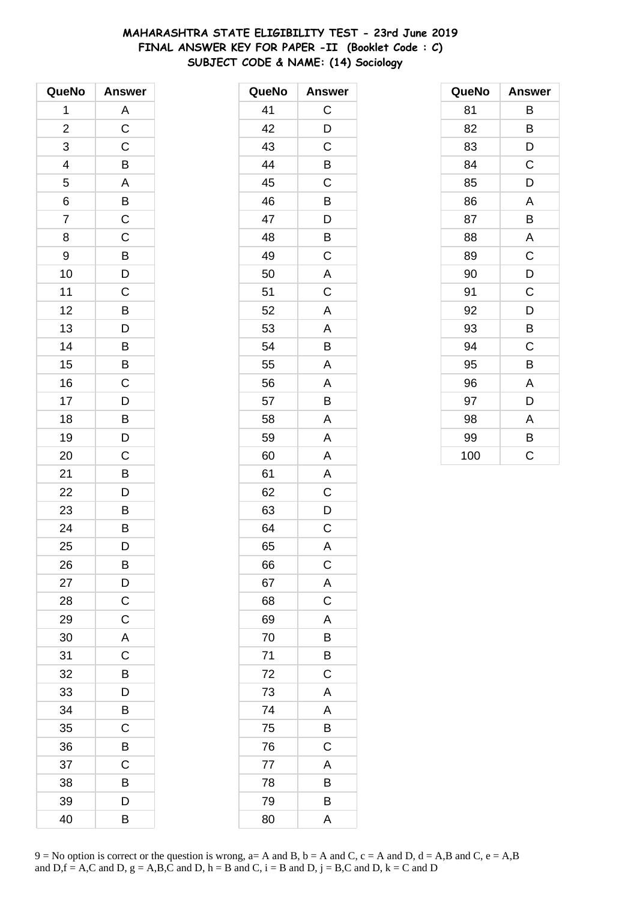# **MAHARASHTRA STATE ELIGIBILITY TEST - 23rd June 2019 FINAL ANSWER KEY FOR PAPER -II (Booklet Code : C) SUBJECT CODE & NAME: (14) Sociology**

| QueNo                    | <b>Answer</b>           |
|--------------------------|-------------------------|
| 1                        | A                       |
| $\overline{c}$           | $\overline{\mathrm{C}}$ |
| 3                        | $\mathsf C$             |
| $\overline{\mathcal{A}}$ | B                       |
| 5                        | $\overline{\mathsf{A}}$ |
| 6                        | $\overline{B}$          |
| $\overline{7}$           | $\overline{\mathrm{c}}$ |
| 8                        | $\mathsf C$             |
| 9                        | B                       |
| 10                       | D                       |
| 11                       | $\mathsf C$             |
| 12                       | $\overline{B}$          |
| 13                       | $\overline{D}$          |
| 14                       | B                       |
| 15                       | B                       |
| 16                       | $\mathsf C$             |
| 17                       | D                       |
| 18                       | $\overline{B}$          |
| 19                       | $\overline{D}$          |
| 20                       | C                       |
| 21                       | B                       |
| 22                       | D                       |
| 23                       | B                       |
| 24                       | $\overline{B}$          |
| 25                       | D                       |
| 26                       | B                       |
| 27                       | D                       |
| 28                       | $\mathsf C$             |
| 29                       | $\mathsf C$             |
| 30                       | $\overline{\mathsf{A}}$ |
| 31                       | C                       |
| 32                       | B                       |
| 33                       | D                       |
| 34                       | B                       |
| 35                       | C                       |
| 36                       | B                       |
| 37                       | C                       |
| 38                       | B                       |
| 39                       | D                       |
| 40                       | B                       |

| QueNo | <b>Answer</b>           |
|-------|-------------------------|
| 41    | C                       |
| 42    | D                       |
| 43    | C                       |
| 44    | B                       |
| 45    | C                       |
| 46    | Β                       |
| 47    | D                       |
| 48    | B                       |
| 49    | C                       |
| 50    | A                       |
| 51    | C                       |
| 52    | A                       |
| 53    | A                       |
| 54    | B                       |
| 55    | A                       |
| 56    | A                       |
| 57    | B                       |
| 58    | A                       |
| 59    | A                       |
| 60    | A                       |
| 61    | A                       |
| 62    | C                       |
| 63    | D                       |
| 64    | $\overline{C}$          |
| 65    | A                       |
| 66    | $\mathsf C$             |
| 67    | A                       |
| 68    | $\mathsf C$             |
| 69    | A                       |
| 70    | B                       |
| 71    | B                       |
| 72    | $\overline{\mathrm{c}}$ |
| 73    | A                       |
| 74    | A                       |
| 75    | B                       |
| 76    | C                       |
| 77    | A                       |
| 78    | $\overline{B}$          |
| 79    | B                       |
| 80    | A                       |

| QueNo | <b>Answer</b> |
|-------|---------------|
| 81    | В             |
| 82    | B             |
| 83    | D             |
| 84    | C             |
| 85    | D             |
| 86    | A             |
| 87    | B             |
| 88    | A             |
| 89    | C             |
| 90    | D             |
| 91    | C             |
| 92    | D             |
| 93    | В             |
| 94    | C             |
| 95    | B             |
| 96    | A             |
| 97    | D             |
| 98    | A             |
| 99    | B             |
| 100   | C             |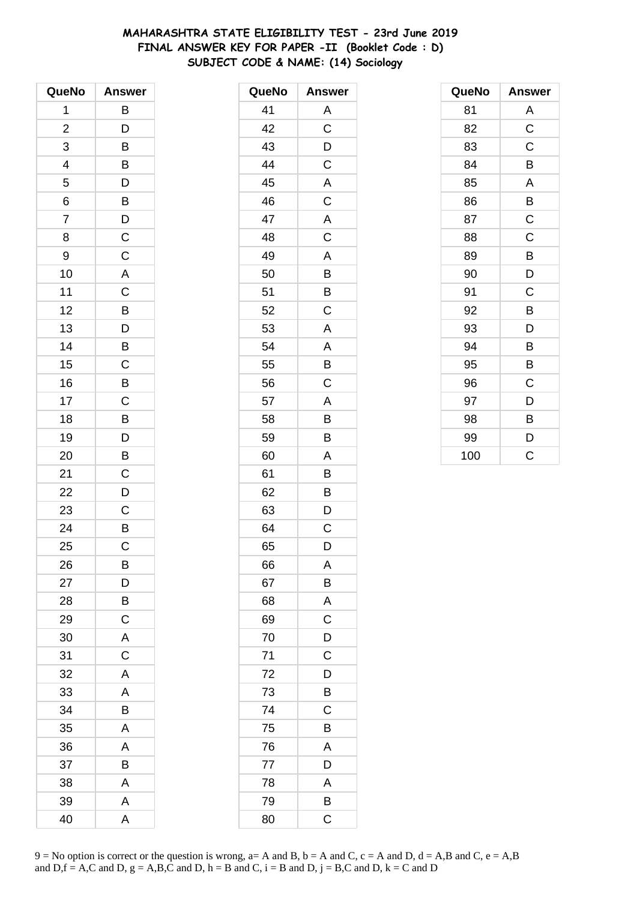# **MAHARASHTRA STATE ELIGIBILITY TEST - 23rd June 2019 FINAL ANSWER KEY FOR PAPER -II (Booklet Code : D) SUBJECT CODE & NAME: (14) Sociology**

| QueNo                   | <b>Answer</b>  |
|-------------------------|----------------|
| 1                       | В              |
| $\overline{\mathbf{c}}$ | D              |
| 3                       | B              |
| 4                       | B              |
| 5                       | D              |
| 6                       | $\overline{B}$ |
| $\overline{7}$          | $\overline{D}$ |
| 8                       | $\mathsf C$    |
| 9                       | $\mathsf C$    |
| 10                      | A              |
| 11                      | $\mathsf C$    |
| 12                      | $\overline{B}$ |
| 13                      | $\overline{D}$ |
| 14                      | B              |
| 15                      | C              |
| 16                      | B              |
| 17                      | $\mathsf C$    |
| 18                      | $\overline{B}$ |
| 19                      | D              |
| 20                      | B              |
| 21                      | C              |
| 22                      | D              |
| 23                      | C              |
| 24                      | B              |
| 25                      | C              |
| 26                      | B              |
| 27                      | D              |
| 28                      | В              |
| 29                      | $\mathsf C$    |
| 30                      | A              |
| 31                      | $\mathsf C$    |
| 32                      | A              |
| 33                      | A              |
| 34                      | B              |
| 35                      | A              |
| 36                      | A              |
| 37                      | B              |
| 38                      | A              |
| 39                      | A              |
| 40                      | A              |

| QueNo | <b>Answer</b>  |
|-------|----------------|
| 41    | Α              |
| 42    | $\overline{C}$ |
| 43    | $\mathsf{D}$   |
| 44    | $\mathsf C$    |
| 45    | A              |
| 46    | C              |
| 47    | A              |
| 48    | $\mathsf C$    |
| 49    | A              |
| 50    | B              |
| 51    | B              |
| 52    | C              |
| 53    | A              |
| 54    | A              |
| 55    | B              |
| 56    | C              |
| 57    | A              |
| 58    | B              |
| 59    | B              |
| 60    | A              |
| 61    | B              |
| 62    | B              |
| 63    | D              |
| 64    | C              |
| 65    | D              |
| 66    | Α              |
| 67    | B              |
| 68    | A              |
| 69    | C              |
| 70    | D              |
| 71    | $\mathsf C$    |
| 72    | D              |
| 73    | B              |
| 74    | C              |
| 75    | B              |
| 76    | A              |
| 77    | D              |
| 78    | A              |
| 79    | $\overline{B}$ |
| 80    | C              |

| QueNo | <b>Answer</b> |
|-------|---------------|
| 81    | A             |
| 82    | $\mathsf C$   |
| 83    | C             |
| 84    | B             |
| 85    | A             |
| 86    | B             |
| 87    | C             |
| 88    | C             |
| 89    | B             |
| 90    | D             |
| 91    | C             |
| 92    | B             |
| 93    | D             |
| 94    | B             |
| 95    | B             |
| 96    | C             |
| 97    | D             |
| 98    | B             |
| 99    | D             |
| 100   | C             |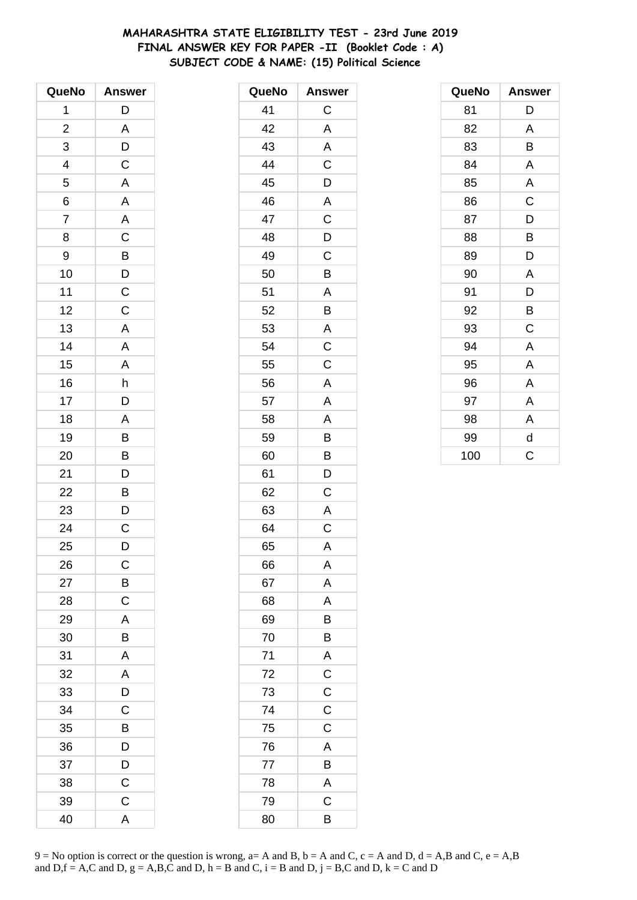# MAHARASHTRA STATE ELIGIBILITY TEST - 23rd June 2019 FINAL ANSWER KEY FOR PAPER -II (Booklet Code: A) SUBJECT CODE & NAME: (15) Political Science

| QueNo                   | <b>Answer</b>           |
|-------------------------|-------------------------|
| 1                       | D                       |
| $\overline{\mathbf{c}}$ | A                       |
| 3                       | D                       |
| 4                       | $\mathsf C$             |
| 5                       | $\overline{\mathsf{A}}$ |
| 6                       | A                       |
| $\overline{7}$          | A                       |
| 8                       | C                       |
| 9                       | $\overline{B}$          |
| 10                      | D                       |
| 11                      | $\overline{C}$          |
| 12                      | $\mathsf C$             |
| 13                      | A                       |
| 14                      | A                       |
| 15                      | A                       |
| 16                      | h                       |
| 17                      | D                       |
| 18                      | A                       |
| 19                      | B                       |
| 20                      | B                       |
| 21                      | D                       |
| 22                      | B                       |
| 23                      | D                       |
| 24                      | C                       |
| 25                      | D                       |
| 26                      | C                       |
| 27                      | B                       |
| 28                      | $\mathsf C$             |
| 29                      | A                       |
| 30                      | B                       |
| 31                      | A                       |
| 32                      | A                       |
| 33                      | D                       |
| 34                      | C                       |
| 35                      | В                       |
| 36                      | D                       |
| 37                      | D                       |
| 38                      | C                       |
| 39                      | C                       |
| 40                      | A                       |

| QueNo | <b>Answer</b>  |
|-------|----------------|
| 41    | C              |
| 42    | A              |
| 43    | A              |
| 44    | C              |
| 45    | D              |
| 46    | A              |
| 47    | $\mathsf C$    |
| 48    | D              |
| 49    | C              |
| 50    | B              |
| 51    | Α              |
| 52    | B              |
| 53    | A              |
| 54    | $\mathsf C$    |
| 55    | C              |
| 56    | A              |
| 57    | A              |
| 58    | A              |
| 59    | B              |
| 60    | B              |
| 61    | D              |
| 62    | C              |
| 63    | A              |
| 64    | C              |
| 65    | A              |
| 66    | A              |
| 67    | A              |
| 68    | A              |
| 69    | B              |
| 70    | B              |
| 71    | $rac{A}{C}$    |
| 72    |                |
| 73    | $\overline{C}$ |
| 74    | $\overline{C}$ |
| 75    | $\mathsf C$    |
| 76    | A              |
| 77    | B              |
| 78    | $\overline{A}$ |
| 79    | $\mathsf C$    |
| 80    | B              |

| QueNo | <b>Answer</b> |
|-------|---------------|
| 81    | D             |
| 82    | A             |
| 83    | B             |
| 84    | A             |
| 85    | A             |
| 86    | C             |
| 87    | D             |
| 88    | В             |
| 89    | D             |
| 90    | A             |
| 91    | D             |
| 92    | B             |
| 93    | C             |
| 94    | A             |
| 95    | A             |
| 96    | A             |
| 97    | Α             |
| 98    | A             |
| 99    | d             |
| 100   | C             |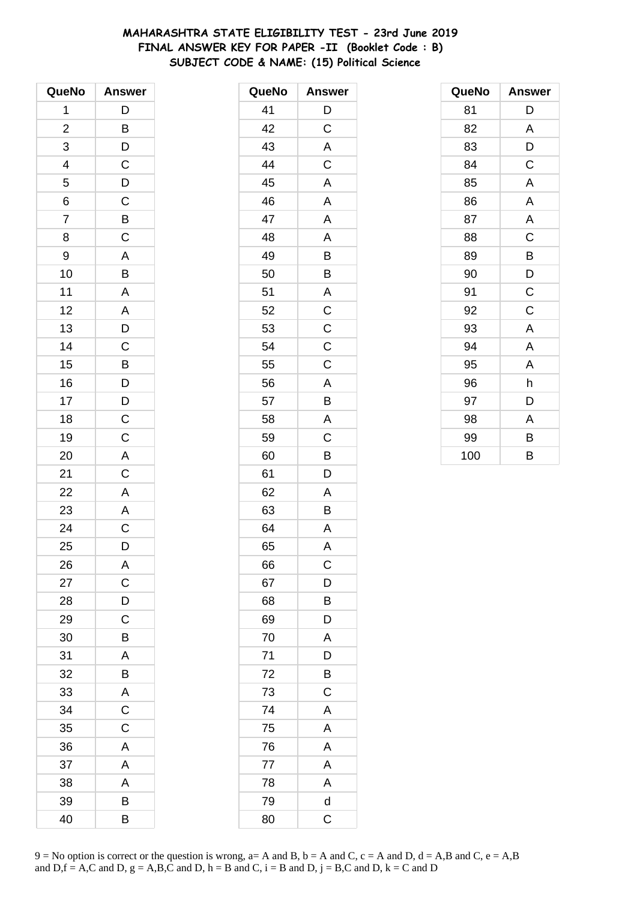# MAHARASHTRA STATE ELIGIBILITY TEST - 23rd June 2019 FINAL ANSWER KEY FOR PAPER -II (Booklet Code: B) SUBJECT CODE & NAME: (15) Political Science

| QueNo                   | <b>Answer</b>         |
|-------------------------|-----------------------|
| 1                       | D                     |
| $\overline{\mathbf{c}}$ | $\overline{B}$        |
| 3                       | D                     |
| $\overline{a}$          | $\mathsf{C}$          |
| $\overline{5}$          | $\overline{D}$        |
| 6                       | $\overline{C}$        |
| $\overline{7}$          | $\overline{B}$        |
| 8                       | $\overline{C}$        |
| 9                       | A                     |
| 10                      | $\overline{B}$        |
| 11                      | A                     |
| 12                      | $\overline{A}$        |
| 13                      | $\overline{D}$        |
| 14                      | $\mathsf C$           |
| 15                      | B                     |
| 16                      |                       |
| 17                      |                       |
| 18                      | $\frac{D}{D}$         |
| 19                      |                       |
| 20                      | $\frac{C}{A}$         |
| 21                      | $\mathsf C$           |
| 22                      | $\overline{A}$        |
| 23                      | $\overline{A}$        |
| 24                      | $\overline{\text{c}}$ |
| 25                      | D                     |
| 26                      | A                     |
| 27                      | C                     |
| 28                      | D                     |
| 29                      | C                     |
| 30                      | B                     |
| 31                      | A                     |
| 32                      | В                     |
| 33                      | A                     |
| 34                      | C                     |
| 35                      | C                     |
| 36                      | A                     |
| 37                      | A                     |
| 38                      | A                     |
| 39                      | В                     |
| 40                      | B                     |

| QueNo | <b>Answer</b>           |
|-------|-------------------------|
| 41    | D                       |
| 42    | $\overline{\mathrm{C}}$ |
| 43    | A                       |
| 44    | C                       |
| 45    | A                       |
| 46    | A                       |
| 47    | A                       |
| 48    | A                       |
| 49    | B                       |
| 50    | B                       |
| 51    | A                       |
| 52    | $\mathsf C$             |
| 53    | $\overline{C}$          |
| 54    | $\mathsf C$             |
| 55    | C                       |
| 56    | A                       |
| 57    | B                       |
| 58    | A                       |
| 59    | $\mathsf C$             |
| 60    | B                       |
| 61    | D                       |
| 62    | A                       |
| 63    | B                       |
| 64    | A                       |
| 65    | A                       |
| 66    | C                       |
| 67    | D                       |
| 68    | B                       |
| 69    | D                       |
| 70    | A                       |
| 71    | D                       |
| 72    | B                       |
| 73    | C                       |
| 74    | A                       |
| 75    | A                       |
| 76    | A                       |
| 77    | A                       |
| 78    | A                       |
| 79    | $\overline{\mathsf{d}}$ |
| 80    | $\mathsf C$             |

| QueNo | <b>Answer</b>           |
|-------|-------------------------|
| 81    | D                       |
| 82    | A                       |
| 83    | D                       |
| 84    | C                       |
| 85    | A                       |
| 86    | A                       |
| 87    | $\overline{\mathsf{A}}$ |
| 88    | C                       |
| 89    | В                       |
| 90    | D                       |
| 91    | C                       |
| 92    | C                       |
| 93    | A                       |
| 94    | A                       |
| 95    | A                       |
| 96    | h                       |
| 97    | D                       |
| 98    | Α                       |
| 99    | B                       |
| 100   | B                       |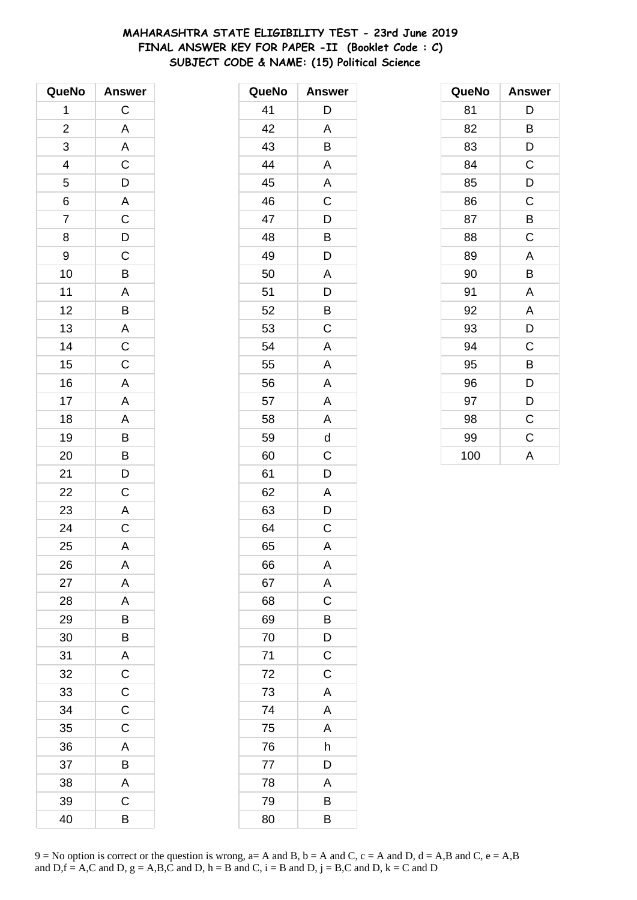# MAHARASHTRA STATE ELIGIBILITY TEST - 23rd June 2019 FINAL ANSWER KEY FOR PAPER -II (Booklet Code : C) SUBJECT CODE & NAME: (15) Political Science

| QueNo          | <b>Answer</b>           |
|----------------|-------------------------|
| 1              | $\mathsf C$             |
| $\overline{c}$ | $\overline{\mathsf{A}}$ |
| 3              | $\overline{A}$          |
| $\overline{a}$ | $\overline{C}$          |
| $\overline{5}$ | $\frac{D}{A}$           |
| 6              |                         |
| $\overline{7}$ | $\frac{1}{C}$           |
| 8              | $\overline{D}$          |
| 9              | $\mathsf{C}$            |
| 10             | $\overline{B}$          |
| 11             | $\overline{A}$          |
| 12             | $\overline{B}$          |
| 13             | $\frac{A}{C}$           |
| 14             |                         |
| 15             |                         |
| 16             | $\overline{A}$          |
| 17             | $\overline{A}$          |
| 18             | A                       |
| 19             | $\overline{B}$          |
| 20             | B                       |
| 21             | $\overline{D}$          |
| 22             | $\overline{\text{c}}$   |
| 23             | $\overline{\mathsf{A}}$ |
| 24             | $\overline{C}$          |
| 25             | A                       |
| 26             | A                       |
| 27             | A                       |
| 28             | A                       |
| 29             | B                       |
| 30             | B                       |
| 31             | A                       |
| 32             | C                       |
| 33             | C                       |
| 34             | $\mathsf C$             |
| 35             | C                       |
| 36             | A                       |
| 37             | B                       |
| 38             | A                       |
| 39             | C                       |
| 40             | B                       |

| QueNo | <b>Answer</b> |
|-------|---------------|
| 41    | D             |
| 42    | A             |
| 43    | B             |
| 44    | A             |
| 45    | A             |
| 46    | C             |
| 47    | D             |
| 48    | B             |
| 49    | D             |
| 50    | A             |
| 51    | D             |
| 52    | B             |
| 53    | C             |
| 54    | A             |
| 55    | A             |
| 56    | A             |
| 57    | A             |
| 58    | A             |
| 59    | d             |
| 60    | C             |
| 61    | D             |
| 62    | Α             |
| 63    | D             |
| 64    | C             |
| 65    | A             |
| 66    | A             |
| 67    | A             |
| 68    | C             |
| 69    | B             |
| 70    | D             |
| 71    | $\mathsf C$   |
| 72    | $\mathsf C$   |
| 73    | A             |
| 74    | A             |
| 75    | A             |
| 76    | h             |
| 77    | D             |
| 78    | Α             |
| 79    | B             |
| 80    | B             |

| QueNo | <b>Answer</b> |
|-------|---------------|
| 81    | D             |
| 82    | B             |
| 83    | D             |
| 84    | C             |
| 85    | D             |
| 86    | C             |
| 87    | B             |
| 88    | $\mathsf C$   |
| 89    | A             |
| 90    | B             |
| 91    | A             |
| 92    | A             |
| 93    | D             |
| 94    | C             |
| 95    | B             |
| 96    | D             |
| 97    | D             |
| 98    | $\mathsf C$   |
| 99    | $\mathsf C$   |
| 100   | A             |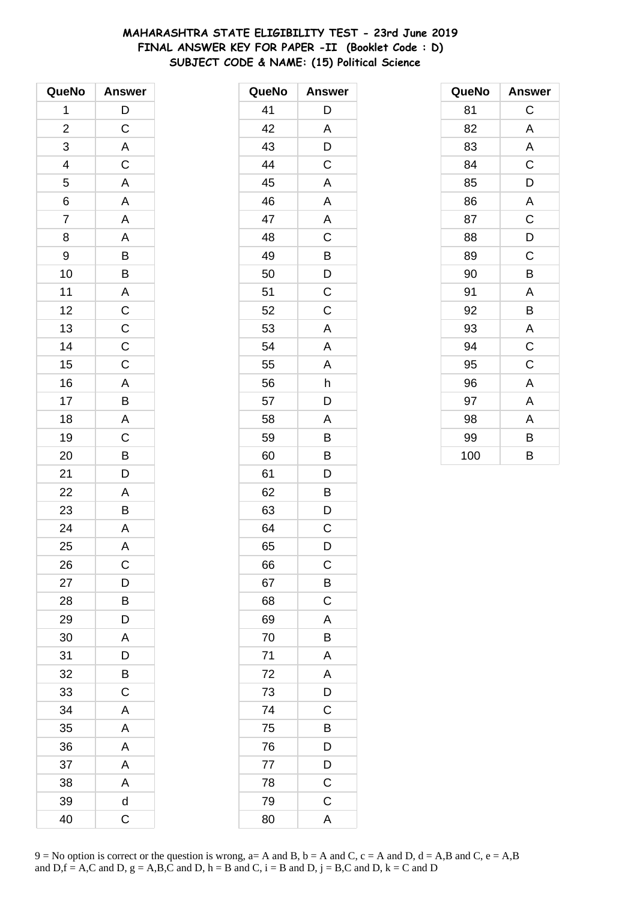# MAHARASHTRA STATE ELIGIBILITY TEST - 23rd June 2019 FINAL ANSWER KEY FOR PAPER -II (Booklet Code: D) SUBJECT CODE & NAME: (15) Political Science

| QueNo                    | <b>Answer</b>  |
|--------------------------|----------------|
| 1                        | D              |
| $\overline{c}$           | $\mathsf C$    |
| 3                        | $\mathsf{A}$   |
| $\overline{\mathcal{L}}$ | $\mathsf{C}$   |
| $\overline{5}$           | $\overline{A}$ |
| 6                        | A              |
| $\overline{7}$           | A              |
| 8                        | A              |
| 9                        | B              |
| 10                       | $\overline{B}$ |
| 11                       | $\overline{A}$ |
| 12                       | $\overline{c}$ |
| 13                       |                |
| 14                       | $\frac{C}{C}$  |
| 15                       |                |
| 16                       |                |
| 17                       | $rac{A}{B}$    |
| 18                       | A              |
| 19                       | $\overline{C}$ |
| 20                       | B              |
| 21                       | D              |
| 22                       | A              |
| 23                       | B              |
| 24                       | A              |
| 25                       | A              |
| 26                       | $\mathsf C$    |
| 27                       | D              |
| 28                       | В              |
| 29                       | D              |
| 30                       | A              |
| 31                       | D              |
| 32                       | В              |
| 33                       | C              |
| 34                       | A              |
| 35                       | A              |
| 36                       | A              |
| 37                       | A              |
| 38                       | A              |
| 39                       | d              |
| 40                       | C              |

| QueNo | <b>Answer</b>  |
|-------|----------------|
| 41    | D              |
| 42    | A              |
| 43    | D              |
| 44    | C              |
| 45    | A              |
| 46    | Α              |
| 47    | A              |
| 48    | C              |
| 49    | B              |
| 50    | D              |
| 51    | C              |
| 52    | C              |
| 53    | A              |
| 54    | A              |
| 55    | A              |
| 56    | h              |
| 57    | D              |
| 58    | A              |
| 59    | B              |
| 60    | B              |
| 61    | D              |
| 62    | B              |
| 63    | D              |
| 64    | $\mathsf C$    |
| 65    | D              |
| 66    | $\mathsf C$    |
| 67    | $\overline{B}$ |
| 68    | $\mathsf C$    |
| 69    | A              |
| 70    | B              |
| 71    | A              |
| 72    | $\overline{A}$ |
| 73    | D              |
| 74    | C              |
| 75    | B              |
| 76    | $\mathsf{D}$   |
| 77    | D              |
| 78    | $\overline{C}$ |
| 79    | $\mathsf{C}$   |
| 80    | A              |

| QueNo | <b>Answer</b> |
|-------|---------------|
| 81    | C             |
| 82    | A             |
| 83    | A             |
| 84    | $\mathsf C$   |
| 85    | D             |
| 86    | A             |
| 87    | C             |
| 88    | D             |
| 89    | C             |
| 90    | B             |
| 91    | A             |
| 92    | B             |
| 93    | A             |
| 94    | $\mathsf C$   |
| 95    | C             |
| 96    | A             |
| 97    | Α             |
| 98    | A             |
| 99    | В             |
| 100   | B             |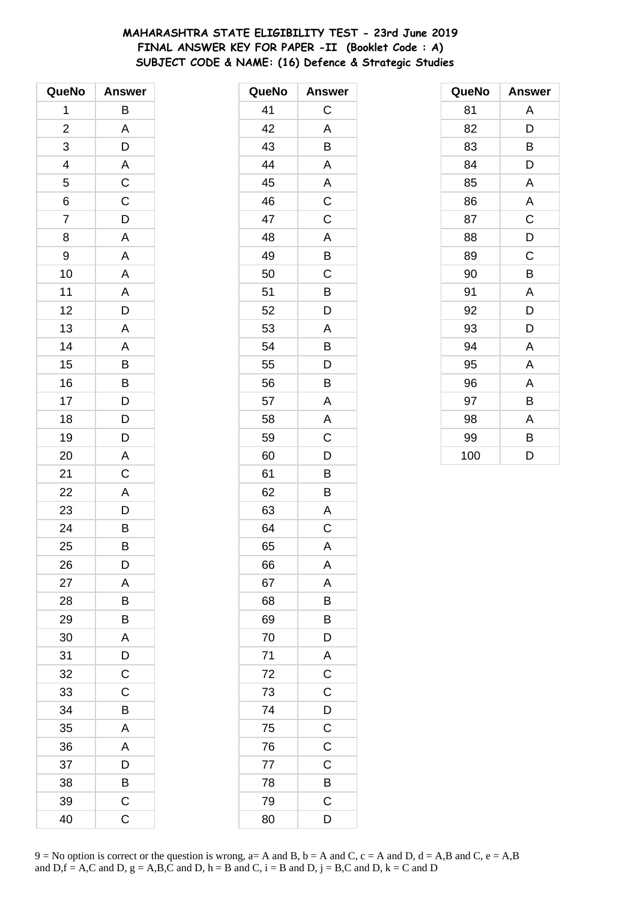# MAHARASHTRA STATE ELIGIBILITY TEST - 23rd June 2019 FINAL ANSWER KEY FOR PAPER -II (Booklet Code: A) SUBJECT CODE & NAME: (16) Defence & Strategic Studies

| QueNo                   | <b>Answer</b>                                                           |
|-------------------------|-------------------------------------------------------------------------|
| 1                       | В                                                                       |
| $\overline{\mathbf{c}}$ | A                                                                       |
| 3                       |                                                                         |
| 4                       | $\frac{D}{A}$                                                           |
| 5                       | $\overline{c}$                                                          |
| 6                       | $\overline{C}$                                                          |
| $\overline{7}$          | D                                                                       |
| 8                       | A                                                                       |
| 9                       | A                                                                       |
| 10                      | $\overline{\mathsf{A}}$                                                 |
| 11                      | $\overline{A}$                                                          |
| 12                      | $\overline{D}$                                                          |
| 13                      | A                                                                       |
| 14                      | A                                                                       |
| 15                      | B                                                                       |
| 16                      |                                                                         |
| 17                      | $\begin{array}{c}\n\mathbf{B} \\ \mathbf{D} \\ \mathbf{D}\n\end{array}$ |
| 18                      |                                                                         |
| 19                      | D                                                                       |
| 20                      | A                                                                       |
| 21                      | $\mathsf C$                                                             |
| 22                      | A                                                                       |
| 23                      | $\frac{1}{D}$                                                           |
| 24                      | $\overline{B}$                                                          |
| 25                      | B                                                                       |
| 26                      | D                                                                       |
| 27                      | A                                                                       |
| 28                      | В                                                                       |
| 29                      | B                                                                       |
| 30                      | A                                                                       |
| 31                      | D                                                                       |
| 32                      | $\mathsf C$                                                             |
| 33                      | $\mathsf C$                                                             |
| 34                      | B                                                                       |
| 35                      | A                                                                       |
| 36                      | A                                                                       |
| 37                      | D                                                                       |
| 38                      | B                                                                       |
| 39                      | C                                                                       |
| 40                      | Ċ                                                                       |

| QueNo | <b>Answer</b>  |
|-------|----------------|
| 41    | C              |
| 42    | A              |
| 43    | B              |
| 44    | Α              |
| 45    | Α              |
| 46    | C              |
| 47    | $\mathsf C$    |
| 48    | A              |
| 49    | B              |
| 50    | C              |
| 51    | B              |
| 52    | D              |
| 53    | A              |
| 54    | B              |
| 55    | D              |
| 56    | B              |
| 57    | A              |
| 58    | A              |
| 59    | $\mathsf C$    |
| 60    | D              |
| 61    | B              |
| 62    | B              |
| 63    | Α              |
| 64    | C              |
| 65    | A              |
| 66    | Α              |
| 67    | A              |
| 68    | B              |
| 69    | B              |
| 70    | D              |
| 71    | $\overline{A}$ |
| 72    | $\overline{C}$ |
| 73    | $\mathsf C$    |
| 74    | D              |
| 75    | $\mathsf C$    |
| 76    | $\mathsf C$    |
| 77    | $\mathsf C$    |
| 78    | B              |
| 79    | $\mathsf C$    |
| 80    | D              |

| QueNo | <b>Answer</b> |
|-------|---------------|
| 81    | A             |
| 82    | D             |
| 83    | В             |
| 84    | D             |
| 85    | Α             |
| 86    | A             |
| 87    | $\mathsf C$   |
| 88    | D             |
| 89    | C             |
| 90    | B             |
| 91    | Α             |
| 92    | D             |
| 93    | D             |
| 94    | A             |
| 95    | Α             |
| 96    | A             |
| 97    | В             |
| 98    | A             |
| 99    | В             |
| 100   | D             |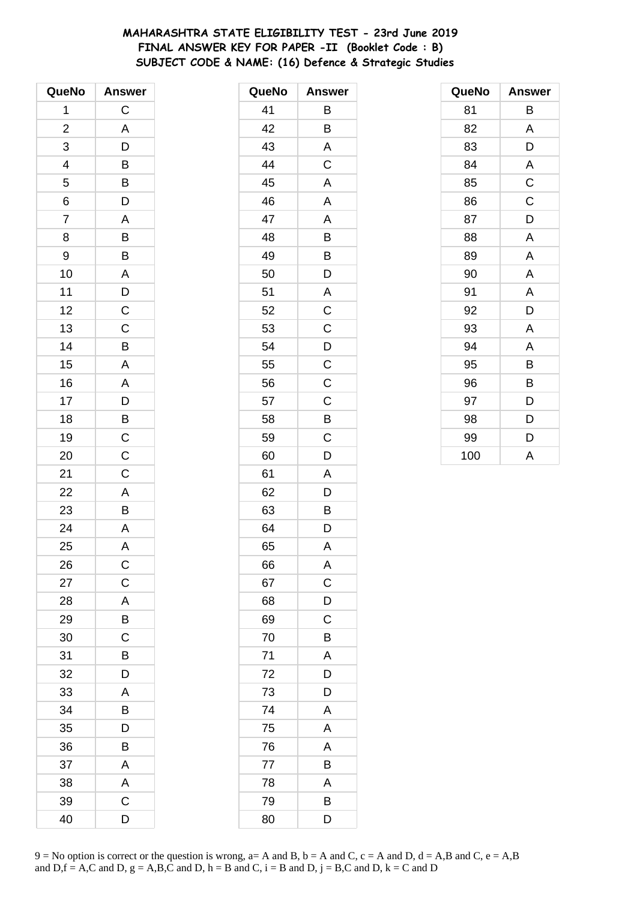# **MAHARASHTRA STATE ELIGIBILITY TEST - 23rd June 2019 FINAL ANSWER KEY FOR PAPER -II (Booklet Code : B) SUBJECT CODE & NAME: (16) Defence & Strategic Studies**

| QueNo                   | <b>Answer</b>           |
|-------------------------|-------------------------|
| 1                       | $\mathsf C$             |
| $\overline{\mathbf{c}}$ | A                       |
| 3                       | D                       |
| 4                       |                         |
| 5                       | $\overline{B}$          |
| 6                       | $\overline{\mathsf{D}}$ |
| $\overline{7}$          | A                       |
| 8                       | B                       |
| 9                       | B                       |
| 10                      | $\overline{\mathsf{A}}$ |
| 11                      | $\overline{D}$          |
| 12                      | $\overline{C}$          |
| 13                      | $\overline{\mathrm{c}}$ |
| 14                      | B                       |
| 15                      | $\overline{\mathsf{A}}$ |
| 16                      | A                       |
| 17                      | $\frac{1}{D}$           |
| 18                      | $\overline{B}$          |
| 19                      | $\overline{C}$          |
| 20                      | $\mathsf C$             |
| 21                      | $\mathsf C$             |
| 22                      | $\overline{A}$          |
| 23                      | $\overline{\mathsf{B}}$ |
| 24                      | $\overline{\mathsf{A}}$ |
| 25                      | A                       |
| 26                      | С                       |
| 27                      | $\mathsf C$             |
| 28                      | A                       |
| 29                      | B                       |
| 30                      | $\mathsf C$             |
| 31                      | B                       |
| 32                      | D                       |
| 33                      | Α                       |
| 34                      | B                       |
| 35                      | D                       |
| 36                      | B                       |
| 37                      | A                       |
| 38                      | A                       |
| 39                      | C                       |
| 40                      | D                       |

| QueNo | <b>Answer</b>  |
|-------|----------------|
| 41    | Β              |
| 42    | B              |
| 43    | A              |
| 44    | C              |
| 45    | A              |
| 46    | A              |
| 47    | A              |
| 48    | B              |
| 49    | B              |
| 50    | D              |
| 51    | A              |
| 52    | $\mathsf C$    |
| 53    | $\overline{C}$ |
| 54    | $\overline{D}$ |
| 55    | $\mathsf C$    |
| 56    | C              |
| 57    | C              |
| 58    | B              |
| 59    | $\mathsf C$    |
| 60    | D              |
| 61    | A              |
| 62    | D              |
| 63    | B              |
| 64    | D              |
| 65    | A              |
| 66    | A              |
| 67    | $\mathsf C$    |
| 68    | D              |
| 69    | $\mathsf C$    |
| 70    | B              |
| 71    | A              |
| 72    | D              |
| 73    | D              |
| 74    | A              |
| 75    | Α              |
| 76    | A              |
| 77    | B              |
| 78    | A              |
| 79    | B              |
| 80    | D              |

| QueNo | <b>Answer</b> |
|-------|---------------|
| 81    | В             |
| 82    | A             |
| 83    | D             |
| 84    | A             |
| 85    | C             |
| 86    | $\mathsf C$   |
| 87    | D             |
| 88    | Α             |
| 89    | A             |
| 90    | A             |
| 91    | A             |
| 92    | D             |
| 93    | Α             |
| 94    | Α             |
| 95    | B             |
| 96    | B             |
| 97    | D             |
| 98    | D             |
| 99    | D             |
| 100   | A             |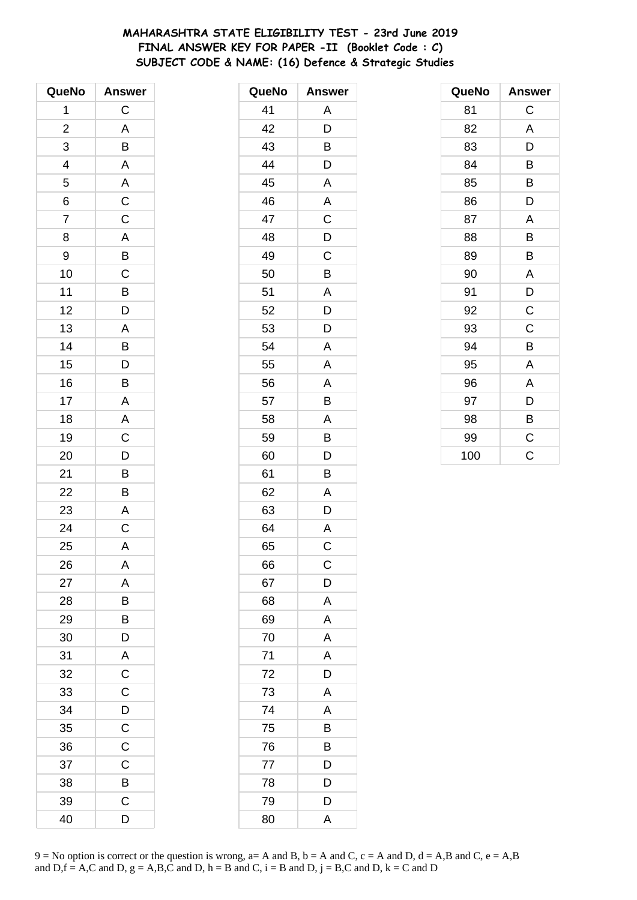# MAHARASHTRA STATE ELIGIBILITY TEST - 23rd June 2019 FINAL ANSWER KEY FOR PAPER -II (Booklet Code : C) SUBJECT CODE & NAME: (16) Defence & Strategic Studies

| QueNo                   | <b>Answer</b>            |
|-------------------------|--------------------------|
| 1                       | C                        |
| $\overline{\mathbf{c}}$ | A                        |
| 3                       | $\overline{B}$           |
| $\overline{\mathbf{r}}$ |                          |
| 5                       | $A$<br>$A$<br>$C$<br>$C$ |
| 6                       |                          |
| $\overline{7}$          |                          |
| 8                       | $\overline{A}$           |
| 9                       |                          |
| 10                      |                          |
| 11                      | B C B D                  |
| 12                      |                          |
| 13                      | A                        |
| 14                      | B                        |
| 15                      | D                        |
| 16                      | B                        |
| 17                      | A                        |
| 18                      | $rac{A}{C}$              |
| 19                      |                          |
| 20                      | $\overline{D}$           |
| 21                      |                          |
| 22                      | $\frac{B}{B}$            |
| 23                      | A                        |
| 24                      | $\overline{C}$           |
| 25                      | A                        |
| 26                      | Α                        |
| 27                      | A                        |
| 28                      | B                        |
| 29                      | B                        |
| 30                      | D                        |
| 31                      | A                        |
| 32                      | $\overline{C}$           |
| 33                      | $\overline{\text{c}}$    |
| 34                      | $\mathsf{D}$             |
| 35                      | $\overline{C}$           |
| 36                      | $\overline{C}$           |
| 37                      | C                        |
| 38                      | B                        |
| 39                      | С                        |
| 40                      | D                        |

| QueNo | <b>Answer</b>           |
|-------|-------------------------|
| 41    | Α                       |
| 42    | D                       |
| 43    | Β                       |
| 44    | D                       |
| 45    | A                       |
| 46    | A                       |
| 47    | $\overline{C}$          |
| 48    | $\overline{D}$          |
| 49    | $\mathsf C$             |
| 50    | B                       |
| 51    | A                       |
| 52    | D                       |
| 53    | $\overline{D}$          |
| 54    | A                       |
| 55    | A                       |
| 56    | A                       |
| 57    | B                       |
| 58    | A                       |
| 59    | B                       |
| 60    | D                       |
| 61    | B                       |
| 62    | Α                       |
| 63    | D                       |
| 64    | A                       |
| 65    | $\mathsf C$             |
| 66    | C                       |
| 67    | D                       |
| 68    | A                       |
| 69    | A                       |
| 70    | $\overline{\mathsf{A}}$ |
| 71    | A                       |
| 72    | D                       |
| 73    | A                       |
| 74    | A                       |
| 75    | Β                       |
| 76    | B                       |
| 77    | D                       |
| 78    | D                       |
| 79    | D                       |
| 80    | A                       |

| QueNo | <b>Answer</b> |
|-------|---------------|
| 81    | C             |
| 82    | A             |
| 83    | D             |
| 84    | B             |
| 85    | В             |
| 86    | D             |
| 87    | A             |
| 88    | B             |
| 89    | В             |
| 90    | A             |
| 91    | D             |
| 92    | $\mathsf C$   |
| 93    | $\mathsf C$   |
| 94    | B             |
| 95    | A             |
| 96    | A             |
| 97    | D             |
| 98    | B             |
| 99    | C             |
| 100   | Ċ             |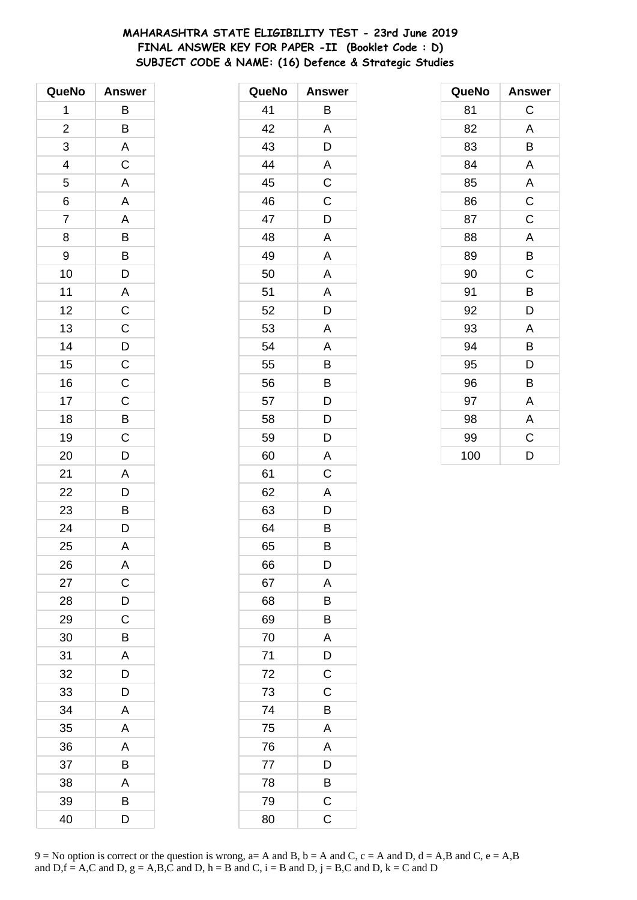# **MAHARASHTRA STATE ELIGIBILITY TEST - 23rd June 2019 FINAL ANSWER KEY FOR PAPER -II (Booklet Code : D) SUBJECT CODE & NAME: (16) Defence & Strategic Studies**

| QueNo                   | <b>Answer</b>           |
|-------------------------|-------------------------|
| 1                       | В                       |
| $\overline{\mathbf{c}}$ | B                       |
| 3                       | $\overline{\mathsf{A}}$ |
| 4                       | $\overline{C}$          |
| 5                       | $\overline{\mathsf{A}}$ |
| 6                       | $\mathsf{A}$            |
| $\overline{7}$          | A                       |
| 8                       | B                       |
| 9                       |                         |
| 10                      | $\frac{B}{D}$           |
| 11                      |                         |
| 12                      | $\frac{C}{C}$           |
| 13                      |                         |
| 14                      | $\overline{D}$          |
| 15                      | $\overline{C}$          |
| 16                      | $\overline{C}$          |
| 17                      | $\overline{C}$          |
| 18                      | $\frac{B}{C}$           |
| 19                      |                         |
| 20                      | D                       |
| 21                      | $\mathsf{A}$            |
| 22                      | $\overline{D}$<br>B     |
| 23                      |                         |
| 24                      | $\overline{D}$          |
| 25                      | A                       |
| 26                      | Α                       |
| 27                      | $\mathsf C$             |
| 28                      | D                       |
| 29                      | $\mathsf C$             |
| 30                      | B                       |
| 31                      | A                       |
| 32                      | D                       |
| 33                      | D                       |
| 34                      | A                       |
| 35                      | A                       |
| 36                      | A                       |
| 37                      | B                       |
| 38                      | A                       |
| 39                      | В                       |
| 40                      | D                       |

| QueNo | <b>Answer</b>  |
|-------|----------------|
| 41    | B              |
| 42    | A              |
| 43    | D              |
| 44    | Α              |
| 45    | C              |
| 46    | $\mathsf C$    |
| 47    | D              |
| 48    | A              |
| 49    | A              |
| 50    | A              |
| 51    | A              |
| 52    | D              |
| 53    | A              |
| 54    | A              |
| 55    | B              |
| 56    | B              |
| 57    | D              |
| 58    | D              |
| 59    | D              |
| 60    | A              |
| 61    | C              |
| 62    | A              |
| 63    | D              |
| 64    | B              |
| 65    | B              |
| 66    | D              |
| 67    | A              |
| 68    | B              |
| 69    | B              |
| 70    | A              |
| 71    | D              |
| 72    | $\overline{C}$ |
| 73    | C              |
| 74    | B              |
| 75    | Α              |
| 76    | A              |
| 77    | D              |
| 78    | B              |
| 79    | $\mathsf C$    |
| 80    | C              |

| QueNo | <b>Answer</b> |
|-------|---------------|
| 81    | С             |
| 82    | A             |
| 83    | В             |
| 84    | A             |
| 85    | A             |
| 86    | $\mathsf C$   |
| 87    | C             |
| 88    | A             |
| 89    | B             |
| 90    | C             |
| 91    | B             |
| 92    | D             |
| 93    | Α             |
| 94    | B             |
| 95    | D             |
| 96    | В             |
| 97    | Α             |
| 98    | A             |
| 99    | C             |
| 100   | D             |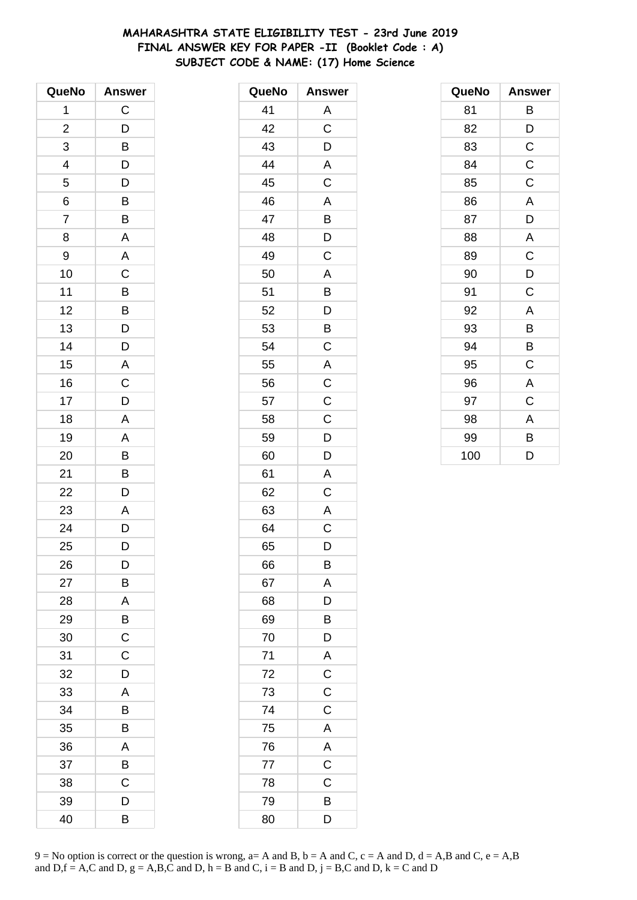# **MAHARASHTRA STATE ELIGIBILITY TEST - 23rd June 2019 FINAL ANSWER KEY FOR PAPER -II (Booklet Code : A) SUBJECT CODE & NAME: (17) Home Science**

| QueNo          | <b>Answer</b>           |
|----------------|-------------------------|
| 1              | C                       |
| $\overline{c}$ | D                       |
| 3              | B                       |
| 4              | D                       |
| 5              | D                       |
| 6              | B                       |
| $\overline{7}$ | B                       |
| 8              | A                       |
| 9              | A                       |
| 10             | C                       |
| 11             | B                       |
| 12             | B                       |
| 13             | D                       |
| 14             | D                       |
| 15             | $\overline{\mathsf{A}}$ |
| 16             | $\mathsf C$             |
| 17             | D                       |
| 18             | A                       |
| 19             | A                       |
| 20             | B                       |
| 21             | B                       |
| 22             | D                       |
| 23             | A                       |
| 24             | D                       |
| 25             | D                       |
| 26             | D                       |
| 27             | В                       |
| 28             | Α                       |
| 29             | B                       |
| 30             | C                       |
| 31             | C                       |
| 32             | D                       |
| 33             | A                       |
| 34             | B                       |
| 35             | В                       |
| 36             | A                       |
| 37             | B                       |
| 38             | C                       |
| 39             | D                       |
| 40             | В                       |

| QueNo | <b>Answer</b>           |
|-------|-------------------------|
| 41    | A                       |
| 42    | $\overline{\mathrm{C}}$ |
| 43    | D                       |
| 44    | A                       |
| 45    | $\overline{C}$          |
| 46    | Α                       |
| 47    | B                       |
| 48    | D                       |
| 49    | $\mathsf C$             |
| 50    | A                       |
| 51    | B                       |
| 52    | D                       |
| 53    | B                       |
| 54    | $\mathsf C$             |
| 55    | $\overline{A}$          |
| 56    | $\mathsf{C}$            |
| 57    | $\overline{\mathsf{C}}$ |
| 58    | $\mathsf C$             |
| 59    | D                       |
| 60    | D                       |
| 61    | A                       |
| 62    | C                       |
| 63    | A                       |
| 64    | C                       |
| 65    | D                       |
| 66    | B                       |
| 67    | A                       |
| 68    | D                       |
| 69    | B                       |
| 70    | D                       |
| 71    | $\overline{A}$          |
| 72    | $\overline{C}$          |
| 73    | $\overline{C}$          |
| 74    | $\mathsf C$             |
| 75    | A                       |
| 76    | A                       |
| 77    | $\mathsf C$             |
| 78    | $\mathsf C$             |
| 79    | B                       |
| 80    | D                       |

| QueNo | <b>Answer</b> |
|-------|---------------|
| 81    | В             |
| 82    | D             |
| 83    | $\mathsf C$   |
| 84    | $\mathsf C$   |
| 85    | C             |
| 86    | A             |
| 87    | D             |
| 88    | A             |
| 89    | $\mathsf C$   |
| 90    | D             |
| 91    | C             |
| 92    | A             |
| 93    | В             |
| 94    | B             |
| 95    | C             |
| 96    | A             |
| 97    | C             |
| 98    | A             |
| 99    | В             |
| 100   | D             |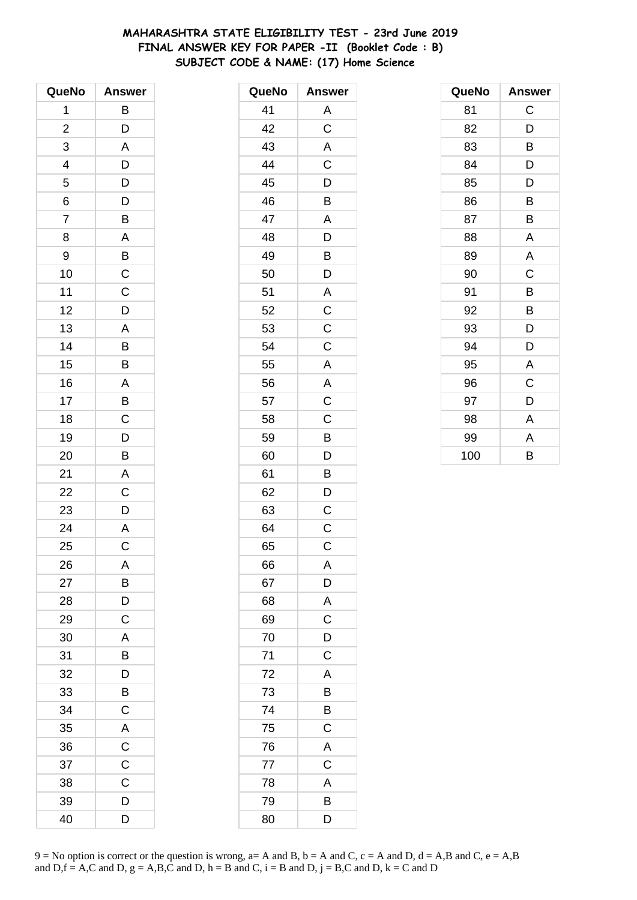# **MAHARASHTRA STATE ELIGIBILITY TEST - 23rd June 2019 FINAL ANSWER KEY FOR PAPER -II (Booklet Code : B) SUBJECT CODE & NAME: (17) Home Science**

| QueNo          | <b>Answer</b>  |
|----------------|----------------|
| 1              | B              |
| $\overline{c}$ | D              |
| 3              | A              |
| 4              | D              |
| 5              | D              |
| 6              | $\overline{D}$ |
| $\overline{7}$ | B              |
| 8              | A              |
| 9              | B              |
| 10             | $\mathsf{C}$   |
| 11             | $\mathsf{C}$   |
| 12             | D              |
| 13             | A              |
| 14             | B              |
| 15             | B              |
| 16             | A              |
| 17             | B              |
| 18             | $\mathsf C$    |
| 19             | D              |
| 20             | B              |
| 21             | A              |
| 22             | C              |
| 23             | D              |
| 24             | A              |
| 25             | C              |
| 26             | A              |
| 27             | B              |
| 28             | D              |
| 29             | $\mathsf C$    |
| 30             | A              |
| 31             | B              |
| 32             | D              |
| 33             | B              |
| 34             | C              |
| 35             | A              |
| 36             | $\mathsf C$    |
| 37             | $\mathsf C$    |
| 38             | C              |
| 39             | D              |
| 40             | D              |

| QueNo | <b>Answer</b>           |
|-------|-------------------------|
| 41    | Α                       |
| 42    | $\mathsf C$             |
| 43    | A                       |
| 44    | $\overline{\text{C}}$   |
| 45    | D                       |
| 46    | B                       |
| 47    | A                       |
| 48    | D                       |
| 49    | B                       |
| 50    | D                       |
| 51    | A                       |
| 52    | $\mathsf C$             |
| 53    | $\overline{\mathrm{c}}$ |
| 54    | $\mathsf C$             |
| 55    | A                       |
| 56    | A                       |
| 57    | $\overline{C}$          |
| 58    | C                       |
| 59    | B                       |
| 60    | D                       |
| 61    | B                       |
| 62    | D                       |
| 63    | C                       |
| 64    | C                       |
| 65    | $\mathsf C$             |
| 66    | A                       |
| 67    | $\mathsf{D}$            |
| 68    | A                       |
| 69    | C                       |
| 70    | D                       |
| 71    | $\mathsf C$             |
| 72    | A                       |
| 73    | B                       |
| 74    | B                       |
| 75    | $\mathsf C$             |
| 76    | A                       |
| 77    | $\mathsf C$             |
| 78    | A                       |
| 79    | B                       |
| 80    | D                       |

| QueNo | <b>Answer</b> |
|-------|---------------|
| 81    | C             |
| 82    | D             |
| 83    | В             |
| 84    | D             |
| 85    | D             |
| 86    | B             |
| 87    | B             |
| 88    | A             |
| 89    | A             |
| 90    | C             |
| 91    | B             |
| 92    | B             |
| 93    | D             |
| 94    | D             |
| 95    | A             |
| 96    | C             |
| 97    | D             |
| 98    | A             |
| 99    | A             |
| 100   | B             |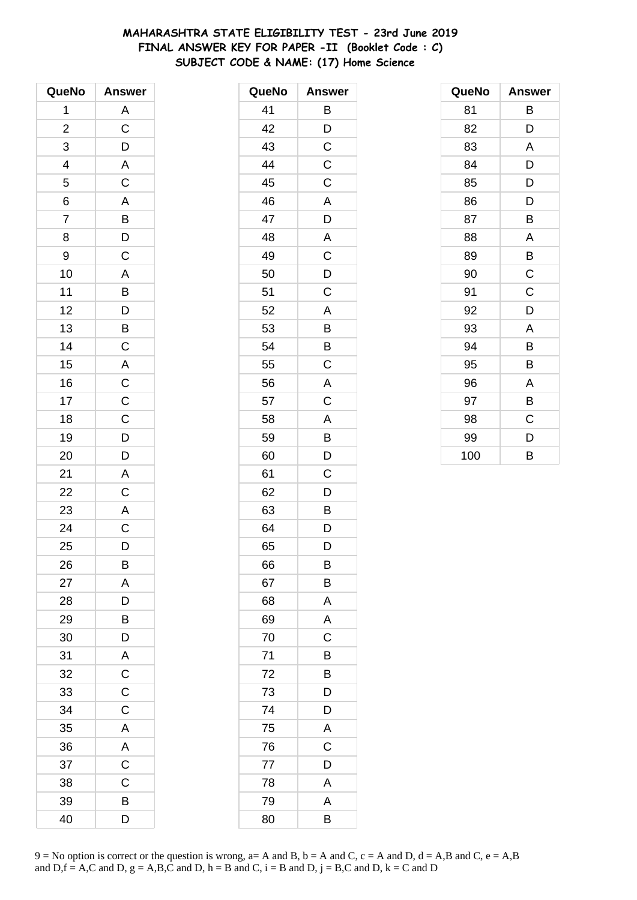# **MAHARASHTRA STATE ELIGIBILITY TEST - 23rd June 2019 FINAL ANSWER KEY FOR PAPER -II (Booklet Code : C) SUBJECT CODE & NAME: (17) Home Science**

| QueNo          | <b>Answer</b>           |
|----------------|-------------------------|
| 1              | A                       |
| $\overline{c}$ | $\overline{\text{c}}$   |
| 3              | D                       |
| $\overline{a}$ | $\overline{\mathsf{A}}$ |
| 5              | $\overline{\mathbf{C}}$ |
| $\overline{6}$ | $\overline{A}$          |
| $\overline{7}$ | $\overline{B}$          |
| 8              | D                       |
| 9              | $\mathsf C$             |
| 10             | A                       |
| 11             | $\overline{B}$          |
| 12             |                         |
| 13             | $\overline{D}$<br>B     |
| 14             | $\mathsf C$             |
| 15             | A                       |
| 16             | $\overline{C}$          |
| 17             | $\mathsf{C}$            |
| 18             | $\overline{C}$          |
| 19             | $\overline{D}$          |
| 20             | D                       |
| 21             | A                       |
| 22             | $\overline{C}$          |
| 23             | A                       |
| 24             | $\overline{C}$          |
| 25             | D                       |
| 26             | B                       |
| 27             | Α                       |
| 28             | D                       |
| 29             | B                       |
| 30             | D                       |
| 31             | A                       |
| 32             | $\mathsf C$             |
| 33             | C                       |
| 34             | C                       |
| 35             | A                       |
| 36             | A                       |
| 37             | $\mathsf C$             |
| 38             | C                       |
| 39             | В                       |
| 40             | D                       |

| QueNo | <b>Answer</b> |
|-------|---------------|
| 41    | B             |
| 42    | D             |
| 43    | C             |
| 44    | C             |
| 45    | C             |
| 46    | A             |
| 47    | D             |
| 48    | A             |
| 49    | C             |
| 50    | D             |
| 51    | C             |
| 52    | A             |
| 53    | B             |
| 54    | B             |
| 55    | C             |
| 56    | A             |
| 57    | C             |
| 58    | A             |
| 59    | B             |
| 60    | D             |
| 61    | C             |
| 62    | D             |
| 63    | B             |
| 64    | D             |
| 65    | D             |
| 66    | B             |
| 67    | Β             |
| 68    | A             |
| 69    | A             |
| 70    | C             |
| 71    | B             |
| 72    | B             |
| 73    | D             |
| 74    | D             |
| 75    | Α             |
| 76    | C             |
| 77    | D             |
| 78    | A             |
| 79    | A             |
| 80    | B             |

| QueNo | <b>Answer</b> |
|-------|---------------|
| 81    | В             |
| 82    | D             |
| 83    | A             |
| 84    | D             |
| 85    | D             |
| 86    | D             |
| 87    | B             |
| 88    | Α             |
| 89    | В             |
| 90    | C             |
| 91    | C             |
| 92    | D             |
| 93    | A             |
| 94    | B             |
| 95    | B             |
| 96    | Α             |
| 97    | В             |
| 98    | C             |
| 99    | D             |
| 100   | B             |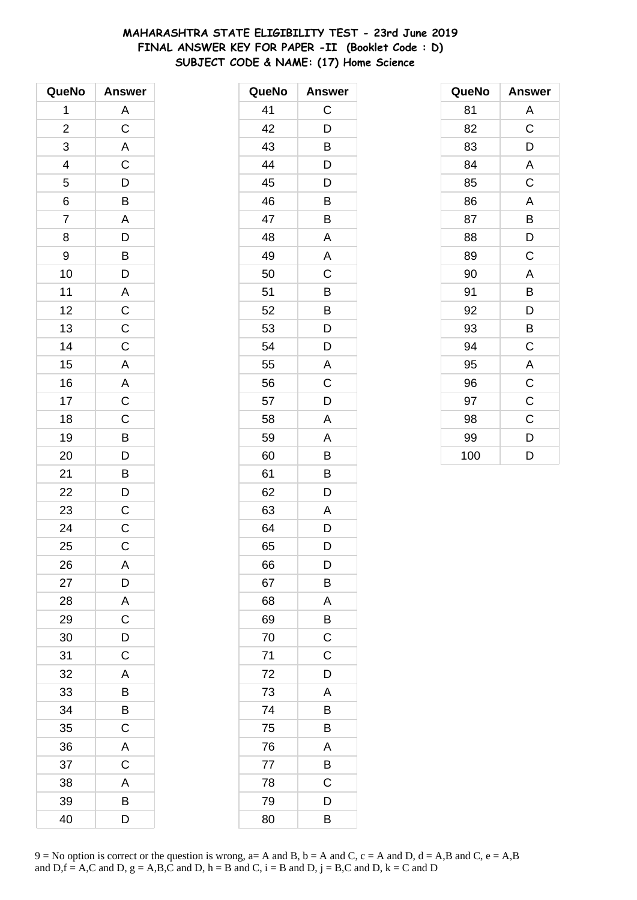# **MAHARASHTRA STATE ELIGIBILITY TEST - 23rd June 2019 FINAL ANSWER KEY FOR PAPER -II (Booklet Code : D) SUBJECT CODE & NAME: (17) Home Science**

| QueNo                   | <b>Answer</b>           |
|-------------------------|-------------------------|
| 1                       | A                       |
| $\overline{\mathbf{c}}$ | $\overline{C}$          |
| 3                       | $\overline{A}$          |
|                         | $\overline{C}$          |
| $\frac{4}{5}$           |                         |
| 6                       | $\frac{D}{B}$           |
| $\overline{7}$          | $\overline{A}$          |
| 8                       | $\overline{D}$          |
| 9                       | $\overline{B}$          |
| 10                      | $\bar{D}$               |
| 11                      |                         |
| 12                      | $rac{A}{C}$             |
| 13                      |                         |
| 14                      | $\frac{C}{C}$           |
| 15                      | $\overline{A}$          |
| 16                      |                         |
| 17                      | $rac{A}{C}$             |
| 18                      | $\frac{1}{C}$           |
| 19                      | $\overline{B}$          |
| 20                      | $\overline{D}$          |
| 21                      | $\overline{B}$          |
| 22                      | $\overline{\mathsf{D}}$ |
| 23                      | $\mathsf{C}$            |
| 24                      | $\overline{C}$          |
| 25                      | $\mathsf C$             |
| 26                      | A                       |
| 27                      | D                       |
| 28                      | A                       |
| 29                      | $\mathsf C$             |
| 30                      | D                       |
| 31                      | C                       |
| 32                      | A                       |
| 33                      | B                       |
| 34                      | B                       |
| 35                      | $\mathsf C$             |
| 36                      | A                       |
| 37                      | C                       |
| 38                      | A                       |
| 39                      | B                       |
| 40                      | D                       |

| QueNo | <b>Answer</b> |
|-------|---------------|
| 41    | C             |
| 42    | D             |
| 43    | B             |
| 44    | D             |
| 45    | D             |
| 46    | Β             |
| 47    | B             |
| 48    | A             |
| 49    | A             |
| 50    | C             |
| 51    | Β             |
| 52    | B             |
| 53    | D             |
| 54    | D             |
| 55    | A             |
| 56    | C             |
| 57    | D             |
| 58    | A             |
| 59    | A             |
| 60    | B             |
| 61    | B             |
| 62    | D             |
| 63    | Α             |
| 64    | D             |
| 65    | D             |
| 66    | D             |
| 67    | B             |
| 68    | A             |
| 69    | Β             |
| 70    | C             |
| 71    | C             |
| 72    | D             |
| 73    | A             |
| 74    | B             |
| 75    | B             |
| 76    | A             |
| 77    | B             |
| 78    | C             |
| 79    | D             |
| 80    | В             |

| QueNo | <b>Answer</b>           |
|-------|-------------------------|
| 81    | Α                       |
| 82    | $\mathsf C$             |
| 83    | D                       |
| 84    | A                       |
| 85    | C                       |
| 86    | A                       |
| 87    | В                       |
| 88    | D                       |
| 89    | C                       |
| 90    | $\overline{\mathsf{A}}$ |
| 91    | В                       |
| 92    | D                       |
| 93    | В                       |
| 94    | $\mathsf C$             |
| 95    | $\overline{\mathsf{A}}$ |
| 96    | $\mathsf C$             |
| 97    | $\mathsf C$             |
| 98    | C                       |
| 99    | D                       |
| 100   | D                       |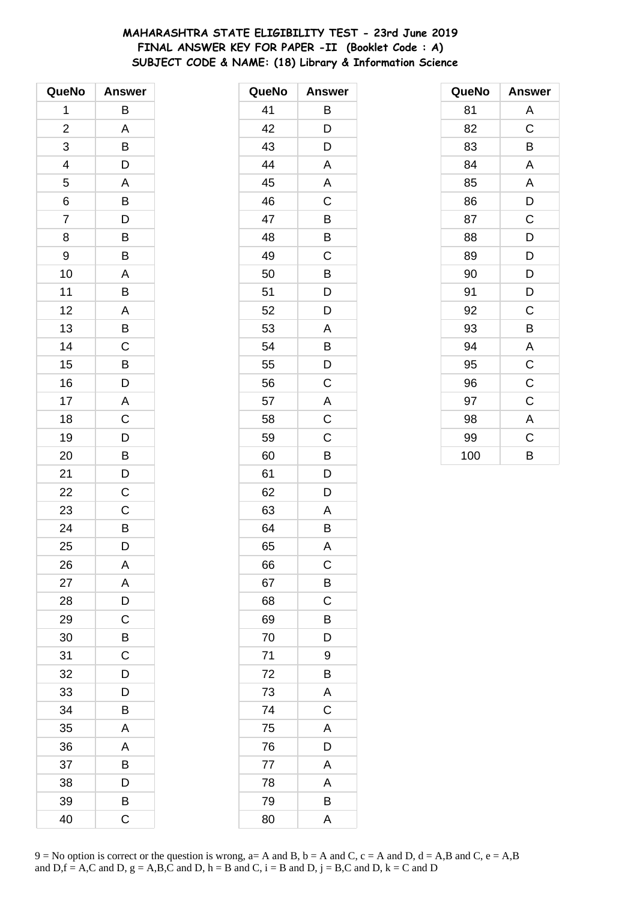# **MAHARASHTRA STATE ELIGIBILITY TEST - 23rd June 2019 FINAL ANSWER KEY FOR PAPER -II (Booklet Code : A) SUBJECT CODE & NAME: (18) Library & Information Science**

| QueNo                   | <b>Answer</b>  |
|-------------------------|----------------|
| 1                       | В              |
| $\overline{\mathbf{c}}$ | A              |
| 3                       | B              |
| 4                       | D              |
| 5                       | A              |
| 6                       | B              |
| 7                       | D              |
| 8                       | B              |
| 9                       | B              |
| 10                      | A              |
| 11                      | B              |
| 12                      | A              |
| 13                      | B              |
| 14                      | $\mathsf{C}$   |
| 15                      | B              |
| 16                      | D              |
| 17                      | A              |
| 18                      | C              |
| 19                      | D              |
| 20                      | B              |
| 21                      | D              |
| 22                      | $\overline{C}$ |
| 23                      | C              |
| 24                      | B              |
| 25                      | D              |
| 26                      | Α              |
| 27                      | A              |
| 28                      | D              |
| 29                      | $\mathsf C$    |
| 30                      | B              |
| 31                      | C              |
| 32                      | D              |
| 33                      | D              |
| 34                      | B              |
| 35                      | A              |
| 36                      | A              |
| 37                      | B              |
| 38                      | D              |
| 39                      | B              |
| 40                      | C              |

| QueNo | <b>Answer</b> |
|-------|---------------|
| 41    | В             |
| 42    | D             |
| 43    | D             |
| 44    | Α             |
| 45    | Α             |
| 46    | C             |
| 47    | B             |
| 48    | B             |
| 49    | C             |
| 50    | B             |
| 51    | D             |
| 52    | D             |
| 53    | A             |
| 54    | B             |
| 55    | D             |
| 56    | C             |
| 57    | A             |
| 58    | C             |
| 59    | $\mathsf C$   |
| 60    | B             |
| 61    | D             |
| 62    | D             |
| 63    | Α             |
| 64    | В             |
| 65    | A             |
| 66    | C             |
| 67    | B             |
| 68    | C             |
| 69    | B             |
| 70    | D             |
| 71    | 9             |
| 72    | B             |
| 73    | A             |
| 74    | $\mathsf C$   |
| 75    | A             |
| 76    | D             |
| 77    | A             |
| 78    | A             |
| 79    | B             |
| 80    | A             |

| QueNo | <b>Answer</b>           |
|-------|-------------------------|
| 81    | Α                       |
| 82    | $\mathsf C$             |
| 83    | B                       |
| 84    | A                       |
| 85    | A                       |
| 86    | D                       |
| 87    | C                       |
| 88    | D                       |
| 89    | D                       |
| 90    | D                       |
| 91    | D                       |
| 92    | C                       |
| 93    | В                       |
| 94    | A                       |
| 95    | C                       |
| 96    | C                       |
| 97    | C                       |
| 98    | $\overline{\mathsf{A}}$ |
| 99    | C                       |
| 100   | B                       |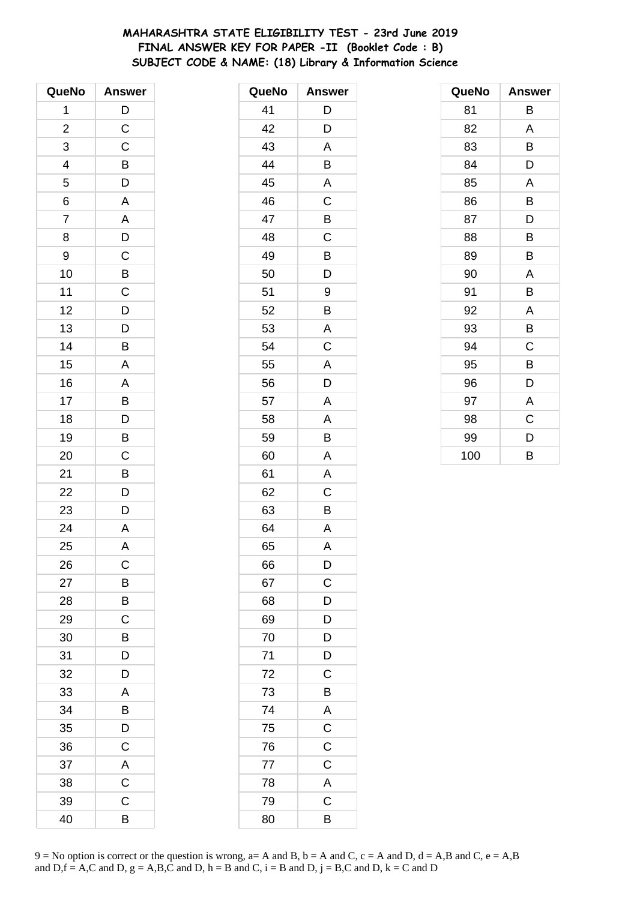# **MAHARASHTRA STATE ELIGIBILITY TEST - 23rd June 2019 FINAL ANSWER KEY FOR PAPER -II (Booklet Code : B) SUBJECT CODE & NAME: (18) Library & Information Science**

| QueNo                   | <b>Answer</b>         |
|-------------------------|-----------------------|
| 1                       | D                     |
| $\overline{\mathbf{c}}$ | $\mathsf{C}$          |
| 3                       | $\mathsf C$           |
| 4                       | $\frac{B}{D}$         |
| 5                       |                       |
| 6                       | A                     |
| 7                       | A                     |
| 8                       | D                     |
| 9                       |                       |
| 10                      |                       |
| 11                      | $rac{C}{C}$           |
| 12                      | $\overline{D}$        |
| 13                      | D                     |
| 14                      | B                     |
| 15                      | A                     |
| 16                      | $\overline{A}$        |
| 17                      | $\overline{B}$        |
| 18                      | $\overline{D}$        |
| 19                      | B                     |
| 20                      | $\overline{\text{c}}$ |
| 21                      | B                     |
| 22                      | $\overline{D}$        |
| 23                      | D                     |
| 24                      | A                     |
| 25                      | A                     |
| 26                      | С                     |
| 27                      | B                     |
| 28                      | B                     |
| 29                      | C                     |
| 30                      | B                     |
| 31                      | D                     |
| 32                      | D                     |
| 33                      | A                     |
| 34                      | B                     |
| 35                      | D                     |
| 36                      | C                     |
| 37                      | A                     |
| 38                      | $\overline{C}$        |
| 39                      | C                     |
| 40                      | B                     |

| QueNo | <b>Answer</b>  |
|-------|----------------|
| 41    | D              |
| 42    | D              |
| 43    | A              |
| 44    | B              |
| 45    | A              |
| 46    | C              |
| 47    | B              |
| 48    | C              |
| 49    | B              |
| 50    | D              |
| 51    | 9              |
| 52    | B              |
| 53    | A              |
| 54    | C              |
| 55    | A              |
| 56    | D              |
| 57    | A              |
| 58    | A              |
| 59    | B              |
| 60    | A              |
| 61    | A              |
| 62    | C              |
| 63    | Β              |
| 64    | A              |
| 65    | A              |
| 66    | D              |
| 67    | C              |
| 68    | D              |
| 69    | D              |
| 70    | D              |
| 71    | D              |
| 72    | C              |
| 73    | B              |
| 74    | A              |
| 75    | C              |
| 76    | C              |
| 77    | $\overline{C}$ |
| 78    | $\overline{A}$ |
| 79    | C              |
| 80    | B              |

| QueNo | <b>Answer</b> |
|-------|---------------|
| 81    | В             |
| 82    | A             |
| 83    | В             |
| 84    | D             |
| 85    | A             |
| 86    | B             |
| 87    | D             |
| 88    | B             |
| 89    | В             |
| 90    | A             |
| 91    | В             |
| 92    | A             |
| 93    | В             |
| 94    | C             |
| 95    | B             |
| 96    | D             |
| 97    | Α             |
| 98    | C             |
| 99    | D             |
| 100   | B             |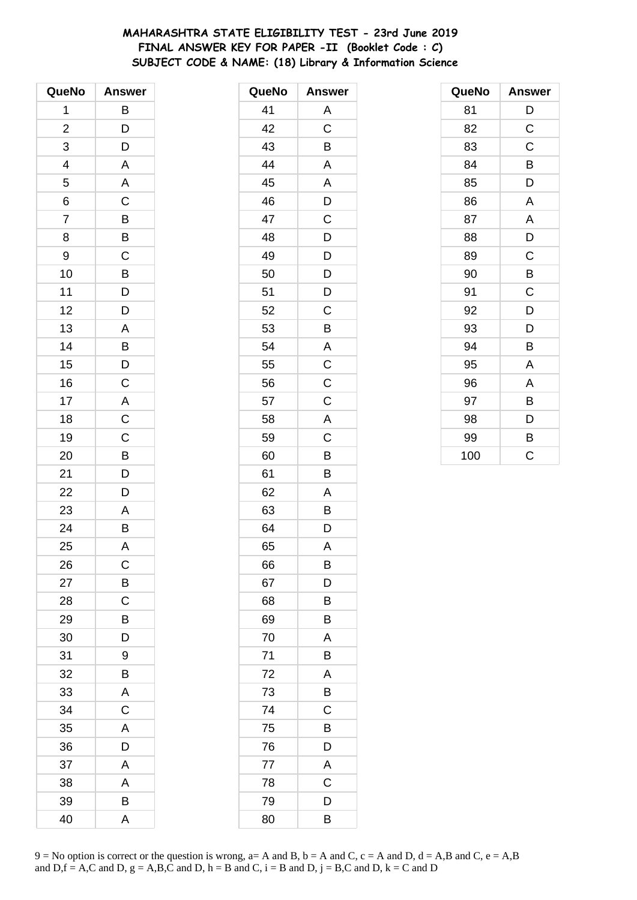# **MAHARASHTRA STATE ELIGIBILITY TEST - 23rd June 2019 FINAL ANSWER KEY FOR PAPER -II (Booklet Code : C) SUBJECT CODE & NAME: (18) Library & Information Science**

| QueNo                   | <b>Answer</b>           |
|-------------------------|-------------------------|
| 1                       | B                       |
| $\overline{\mathbf{c}}$ |                         |
| 3                       | $\frac{D}{D}$           |
| 4                       | $\overline{\mathsf{A}}$ |
| 5                       | $\overline{\mathsf{A}}$ |
| 6                       | $\overline{\mathrm{c}}$ |
| 7                       |                         |
| 8                       | $\frac{B}{B}$           |
| 9                       | $\overline{C}$          |
| 10                      | $\overline{B}$<br>$D$   |
| 11                      |                         |
| 12                      | D                       |
| 13                      | A                       |
| 14                      |                         |
| 15                      | B<br>D                  |
| 16                      | $\overline{C}$          |
| 17                      |                         |
| 18                      | $rac{A}{C}$             |
| 19                      | $\frac{C}{B}$           |
| 20                      |                         |
| 21                      | $\overline{D}$          |
| 22                      | $\overline{D}$          |
| 23                      | $\mathsf{A}$            |
| 24                      | B                       |
| 25                      | A                       |
| 26                      | С                       |
| 27                      | B                       |
| 28                      | $\mathsf C$             |
| 29                      | $\overline{B}$          |
| 30                      | D                       |
| 31                      | 9                       |
| 32                      | B                       |
| 33                      | A                       |
| 34                      | $\mathsf C$             |
| 35                      | A                       |
| 36                      | D                       |
| 37                      | Α                       |
| 38                      | Α                       |
| 39                      | B                       |
| 40                      | A                       |

| QueNo | <b>Answer</b>  |
|-------|----------------|
| 41    | A              |
| 42    | C              |
| 43    | B              |
| 44    | Α              |
| 45    | A              |
| 46    | D              |
| 47    | $\overline{C}$ |
| 48    | D              |
| 49    | D              |
| 50    | D              |
| 51    | D              |
| 52    | $\mathsf C$    |
| 53    | B              |
| 54    | A              |
| 55    | $\mathsf C$    |
| 56    | $\mathsf C$    |
| 57    | C              |
| 58    | A              |
| 59    | C              |
| 60    | B              |
| 61    | B              |
| 62    | A              |
| 63    | B              |
| 64    | D              |
| 65    | A              |
| 66    | B              |
| 67    | D              |
| 68    | Β              |
| 69    | Β              |
| 70    | A              |
| 71    | B              |
| 72    | A              |
| 73    | B              |
| 74    | С              |
| 75    | B              |
| 76    | D              |
| 77    | A              |
| 78    | C              |
| 79    | D              |
| 80    | Β              |

| QueNo | <b>Answer</b> |
|-------|---------------|
| 81    | $\mathsf{D}$  |
| 82    | $\mathsf C$   |
| 83    | $\mathsf C$   |
| 84    | B             |
| 85    | D             |
| 86    | A             |
| 87    | A             |
| 88    | D             |
| 89    | C             |
| 90    | B             |
| 91    | C             |
| 92    | D             |
| 93    | D             |
| 94    | B             |
| 95    | A             |
| 96    | A             |
| 97    | В             |
| 98    | D             |
| 99    | В             |
| 100   | Ć             |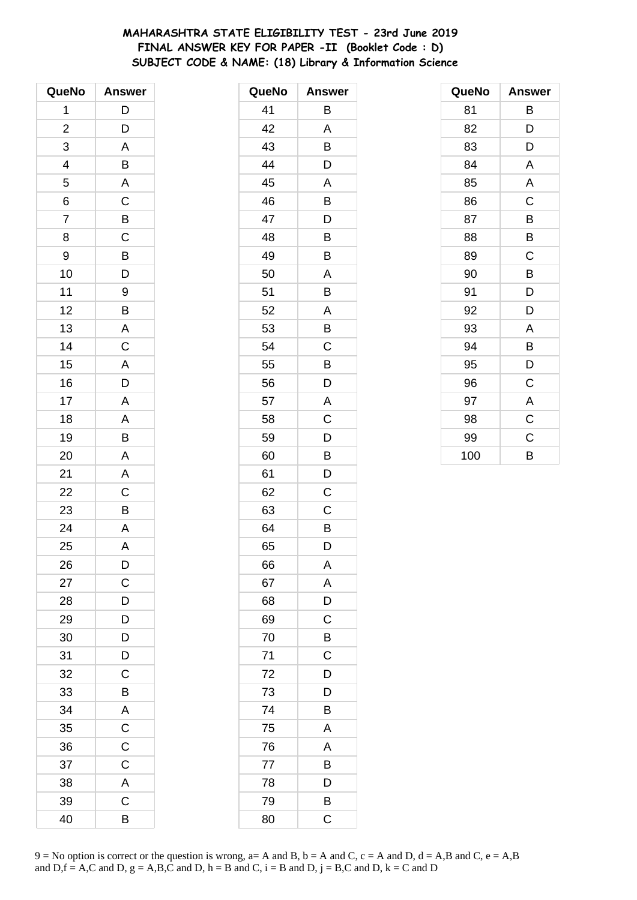# **MAHARASHTRA STATE ELIGIBILITY TEST - 23rd June 2019 FINAL ANSWER KEY FOR PAPER -II (Booklet Code : D) SUBJECT CODE & NAME: (18) Library & Information Science**

| QueNo                   | <b>Answer</b>           |
|-------------------------|-------------------------|
| 1                       | D                       |
| $\overline{\mathbf{c}}$ | D                       |
| 3                       | A                       |
| 4                       | B                       |
| 5                       | $\overline{\mathsf{A}}$ |
| 6                       | $\overline{\mathrm{c}}$ |
| 7                       |                         |
| 8                       | $rac{B}{C}$             |
| 9                       |                         |
| 10                      | B<br>D                  |
| 11                      | 9                       |
| 12                      | B                       |
| 13                      | A                       |
| 14                      | $\mathsf C$             |
| 15                      | A                       |
| 16                      | $\overline{\mathsf{D}}$ |
| 17                      | A                       |
| 18                      | A                       |
| 19                      | B                       |
| 20                      | A                       |
| 21                      | A                       |
| 22                      | $\overline{C}$          |
| 23                      | $\overline{B}$          |
| 24                      | A                       |
| 25                      | A                       |
| 26                      | D                       |
| 27                      | $\mathsf{C}$            |
| 28                      | $\overline{D}$          |
| 29                      | $\overline{D}$          |
| 30                      | D                       |
| 31                      | D                       |
| 32                      | C                       |
| 33                      | B                       |
| 34                      | A                       |
| 35                      | $\overline{C}$          |
| 36                      | $\mathsf{C}$            |
| 37                      | $\mathsf C$             |
| 38                      | A                       |
| 39                      | $\mathsf C$             |
| 40                      | B                       |

| QueNo | <b>Answer</b> |
|-------|---------------|
| 41    | Β             |
| 42    | A             |
| 43    | B             |
| 44    | D             |
| 45    | A             |
| 46    | B             |
| 47    | D             |
| 48    | B             |
| 49    | B             |
| 50    | A             |
| 51    | Β             |
| 52    | A             |
| 53    | B             |
| 54    | C             |
| 55    | B             |
| 56    | D             |
| 57    | A             |
| 58    | C             |
| 59    | D             |
| 60    | B             |
| 61    | D             |
| 62    | Ċ             |
| 63    | С             |
| 64    | B             |
| 65    | D             |
| 66    | A             |
| 67    | A             |
| 68    | D             |
| 69    | C             |
| 70    | B             |
| 71    | $\mathsf C$   |
| 72    | D             |
| 73    | D             |
| 74    | Β             |
| 75    | Α             |
| 76    | A             |
| 77    | B             |
| 78    | D             |
| 79    | B             |
| 80    | C             |

| QueNo | <b>Answer</b>  |
|-------|----------------|
| 81    | В              |
| 82    | D              |
| 83    | D              |
| 84    | A              |
| 85    | A              |
| 86    | $\mathsf C$    |
| 87    | B              |
| 88    | B              |
| 89    | C              |
| 90    | B              |
| 91    | D              |
| 92    | D              |
| 93    | A              |
| 94    | B              |
| 95    | D              |
| 96    | $\mathsf C$    |
| 97    | A              |
| 98    | $\overline{C}$ |
| 99    | C              |
| 100   | B              |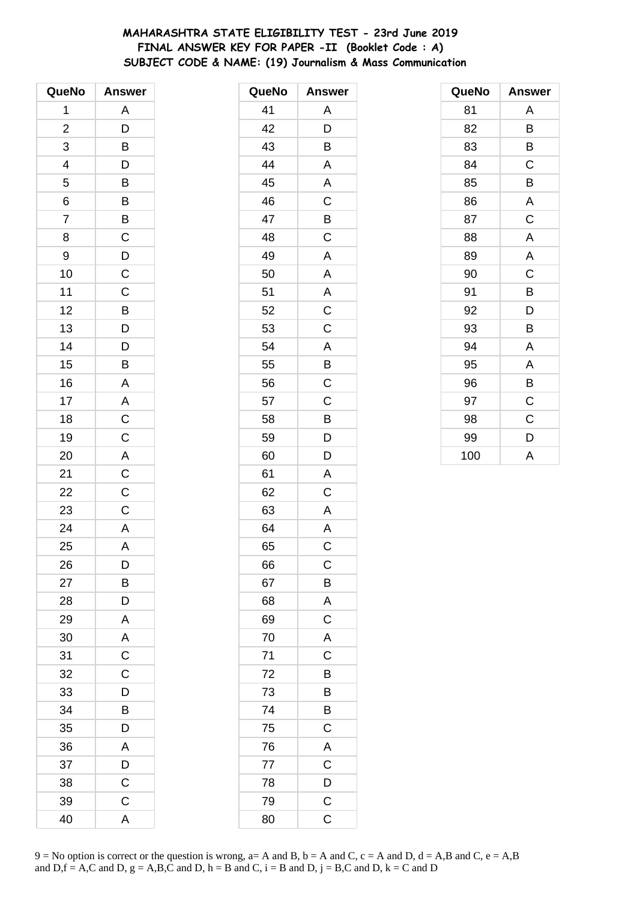# **MAHARASHTRA STATE ELIGIBILITY TEST - 23rd June 2019 FINAL ANSWER KEY FOR PAPER -II (Booklet Code : A) SUBJECT CODE & NAME: (19) Journalism & Mass Communication**

| QueNo                   | <b>Answer</b>           |
|-------------------------|-------------------------|
| 1                       | A                       |
| $\overline{\mathbf{c}}$ | D                       |
| 3                       | B                       |
| 4                       |                         |
| 5                       | $\frac{D}{B}$           |
| 6                       | $\overline{B}$          |
| $\overline{7}$          |                         |
| 8                       | $rac{B}{C}$             |
| 9                       |                         |
| 10                      | $\frac{D}{C}$           |
| 11                      | $\overline{C}$          |
| 12                      | $\frac{B}{D}$           |
| 13                      |                         |
| 14                      | D                       |
| 15                      | B                       |
| 16                      | $\overline{\mathsf{A}}$ |
| 17                      |                         |
| 18                      | $rac{A}{C}$             |
| 19                      |                         |
| 20                      | $\overline{\mathsf{A}}$ |
| 21                      | $\mathsf{C}$            |
| 22                      | $\overline{C}$          |
| 23                      | $\mathsf C$             |
| 24                      | $\mathsf{A}$            |
| 25                      | A                       |
| 26                      | D                       |
| 27                      | B                       |
| 28                      | D                       |
| 29                      | A                       |
| 30                      | $rac{A}{C}$             |
| 31                      |                         |
| 32                      | $\mathsf C$             |
| 33                      | D                       |
| 34                      | B                       |
| 35                      | D                       |
| 36                      | A                       |
| 37                      | D                       |
| 38                      | $\mathsf C$             |
| 39                      | $\mathsf{C}$            |
| 40                      | A                       |

| QueNo | <b>Answer</b>           |
|-------|-------------------------|
| 41    | Α                       |
| 42    | D                       |
| 43    | B                       |
| 44    | A                       |
| 45    | Α                       |
| 46    | $\mathsf C$             |
| 47    | B                       |
| 48    | C                       |
| 49    | A                       |
| 50    | A                       |
| 51    | Α                       |
| 52    | C                       |
| 53    | $\mathsf C$             |
| 54    | A                       |
| 55    | B                       |
| 56    | C                       |
| 57    | C                       |
| 58    | B                       |
| 59    | $\overline{D}$          |
| 60    | D                       |
| 61    | A                       |
| 62    | C                       |
| 63    | A                       |
| 64    | A                       |
| 65    | C                       |
| 66    | $\mathsf C$             |
| 67    | $\mathsf{B}$            |
| 68    | A                       |
| 69    | $\mathsf C$             |
| 70    | A                       |
| 71    | $\overline{\mathbf{C}}$ |
| 72    | $\overline{B}$          |
| 73    | B                       |
| 74    | B                       |
| 75    | $\mathsf C$             |
| 76    | A                       |
| 77    | $\overline{C}$          |
| 78    | $\overline{D}$          |
| 79    | $\overline{\text{c}}$   |
| 80    | C                       |

| QueNo | <b>Answer</b> |
|-------|---------------|
| 81    | Α             |
| 82    | B             |
| 83    | В             |
| 84    | C             |
| 85    | B             |
| 86    | A             |
| 87    | C             |
| 88    | A             |
| 89    | A             |
| 90    | C             |
| 91    | В             |
| 92    | D             |
| 93    | В             |
| 94    | A             |
| 95    | A             |
| 96    | B             |
| 97    | $\mathsf C$   |
| 98    | C             |
| 99    | D             |
| 100   | A             |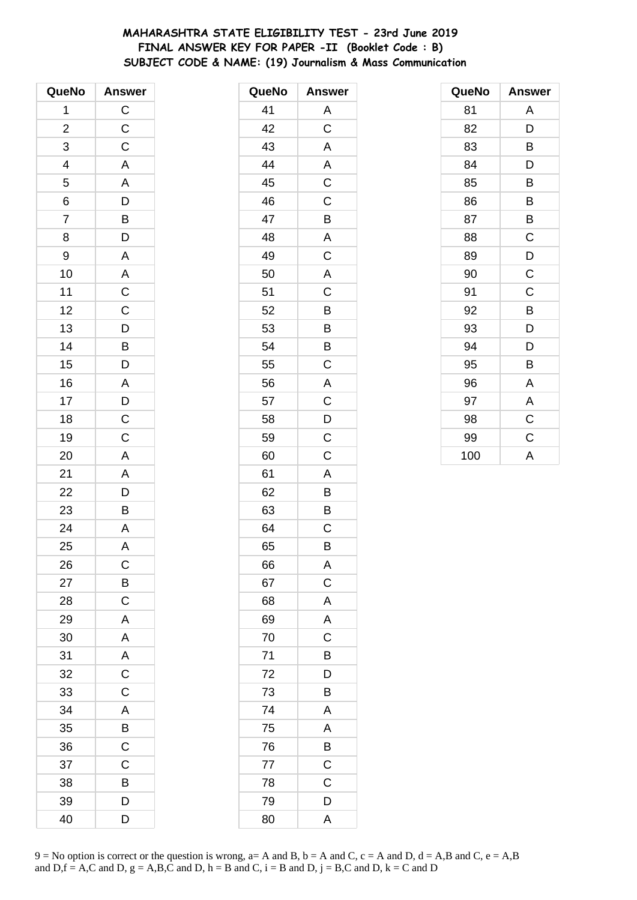# MAHARASHTRA STATE ELIGIBILITY TEST - 23rd June 2019 FINAL ANSWER KEY FOR PAPER -II (Booklet Code: B) SUBJECT CODE & NAME: (19) Journalism & Mass Communication

| QueNo                   | <b>Answer</b>           |
|-------------------------|-------------------------|
| 1                       | $\overline{C}$          |
| $\overline{\mathbf{c}}$ | $\mathsf{C}$            |
| 3                       | $\overline{C}$          |
| $\overline{4}$          | A                       |
| 5                       |                         |
| 6                       | $rac{A}{D}$             |
| $\overline{7}$          |                         |
| 8                       | $\frac{B}{D}$           |
| 9                       | $\overline{A}$          |
| 10                      | $rac{A}{C}$             |
| 11                      |                         |
| 12                      |                         |
| 13                      |                         |
| 14                      |                         |
| 15                      |                         |
| 16                      | CDBDADCC                |
| 17                      |                         |
| 18                      |                         |
| 19                      |                         |
| 20                      | $\overline{\mathsf{A}}$ |
| 21                      |                         |
| 22                      | $\frac{A}{D}$           |
| 23                      |                         |
| 24                      | $\overline{A}$          |
| 25                      | A                       |
| 26                      | С                       |
| 27                      | B                       |
| 28                      | $\mathsf C$             |
| 29                      | A                       |
| 30                      | $\mathsf{A}$            |
| 31                      | A                       |
| 32                      | $\overline{C}$          |
| 33                      | $\overline{C}$          |
| 34                      | A                       |
| 35                      | $\overline{B}$          |
| 36                      | $\overline{\mathsf{C}}$ |
| 37                      | C                       |
| 38                      | B                       |
| 39                      | D                       |
| 40                      | D                       |

| QueNo | <b>Answer</b>  |
|-------|----------------|
| 41    | A              |
| 42    | C              |
| 43    | A              |
| 44    | A              |
| 45    | C              |
| 46    | $\mathsf C$    |
| 47    | B              |
| 48    | A              |
| 49    | C              |
| 50    | A              |
| 51    | C              |
| 52    | B              |
| 53    | B              |
| 54    | $\overline{B}$ |
| 55    | C              |
| 56    | A              |
| 57    | C              |
| 58    | D              |
| 59    | $\overline{C}$ |
| 60    | C              |
| 61    | A              |
| 62    | B              |
| 63    | B              |
| 64    | C              |
| 65    | B              |
| 66    | A              |
| 67    | $\mathsf C$    |
| 68    | A              |
| 69    | A              |
| 70    | C              |
| 71    | B              |
| 72    | D              |
| 73    | B              |
| 74    | Α              |
| 75    | Α              |
| 76    | B              |
| 77    | $\overline{C}$ |
| 78    | C              |
| 79    | D              |
| 80    | A              |

| QueNo | <b>Answer</b> |
|-------|---------------|
| 81    | A             |
| 82    | D             |
| 83    | В             |
| 84    | D             |
| 85    | B             |
| 86    | B             |
| 87    | B             |
| 88    | C             |
| 89    | D             |
| 90    | C             |
| 91    | C             |
| 92    | B             |
| 93    | D             |
| 94    | D             |
| 95    | B             |
| 96    | Α             |
| 97    | A             |
| 98    | $\mathsf C$   |
| 99    | $\mathsf C$   |
| 100   | A             |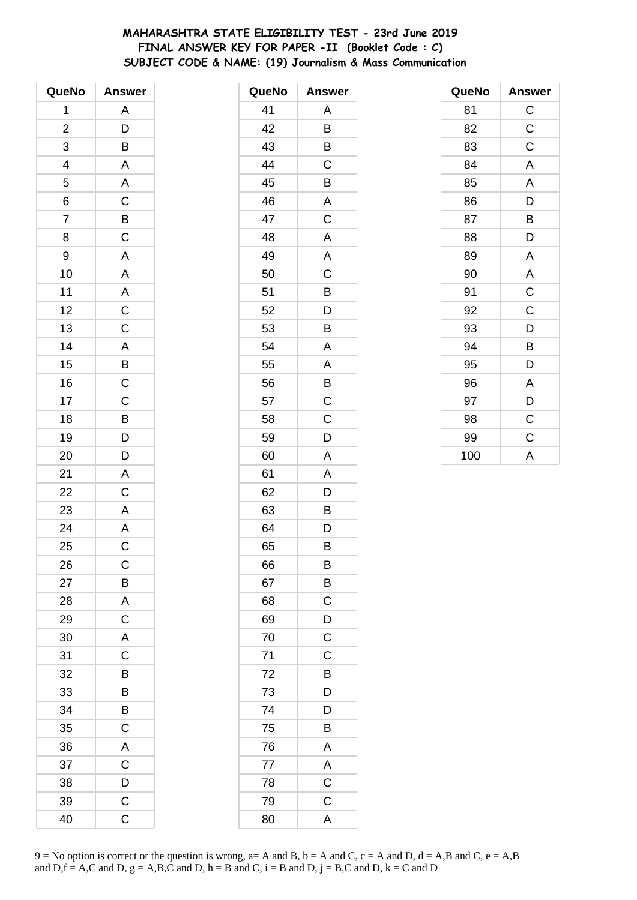# MAHARASHTRA STATE ELIGIBILITY TEST - 23rd June 2019 FINAL ANSWER KEY FOR PAPER -II (Booklet Code : C) SUBJECT CODE & NAME: (19) Journalism & Mass Communication

| QueNo                    | <b>Answer</b>                             |
|--------------------------|-------------------------------------------|
| 1                        | A                                         |
| $\overline{\mathbf{c}}$  | D                                         |
| 3                        | B                                         |
| $\overline{\mathcal{A}}$ | A                                         |
| 5                        |                                           |
| 6                        | $rac{A}{C}$                               |
| $\overline{7}$           | $rac{B}{C}$                               |
| 8                        |                                           |
| 9                        | $\mathsf{A}$                              |
| 10                       | $\overline{A}$                            |
| 11                       | $rac{A}{C}$                               |
| 12                       |                                           |
| 13                       |                                           |
| 14                       |                                           |
| 15                       | $\frac{A}{B}$ $\frac{B}{C}$ $\frac{C}{C}$ |
| 16                       |                                           |
| 17                       |                                           |
| 18                       | $\overline{\mathbf{B}}$                   |
| 19                       | $\overline{D}$                            |
| 20                       | D                                         |
| 21                       | $\mathsf{A}$                              |
| 22                       | $\overline{C}$                            |
| 23                       | $\overline{A}$                            |
| 24                       | $\frac{\overline{A}}{C}$                  |
| 25                       |                                           |
| 26                       | С                                         |
| 27                       | B                                         |
| 28                       | $\overline{A}$                            |
| 29                       | $\overline{C}$                            |
| 30                       | $\mathsf{A}$                              |
| 31                       | C                                         |
| 32                       | B                                         |
| 33                       | B                                         |
| 34                       | B                                         |
| 35                       | $\mathsf C$                               |
| 36                       | A                                         |
| 37                       | $\mathsf C$                               |
| 38                       | D                                         |
| 39                       | $\mathsf C$                               |
| 40                       | $\mathsf C$                               |

| QueNo | <b>Answer</b>  |
|-------|----------------|
| 41    | Α              |
| 42    | B              |
| 43    | В              |
| 44    | C              |
| 45    | B              |
| 46    | A              |
| 47    | C              |
| 48    | A              |
| 49    | A              |
| 50    | C              |
| 51    | B              |
| 52    | D              |
| 53    | B              |
| 54    | A              |
| 55    | A              |
| 56    | Β              |
| 57    | C              |
| 58    | $\mathsf C$    |
| 59    | D              |
| 60    | A              |
| 61    | Α              |
| 62    | D              |
| 63    | В              |
| 64    | D              |
| 65    | B              |
| 66    | B              |
| 67    | B              |
| 68    | C              |
| 69    | D              |
| 70    | $\overline{C}$ |
| 71    | C              |
| 72    | B              |
| 73    | D              |
| 74    | D              |
| 75    | Β              |
| 76    | $\mathsf{A}$   |
| 77    | A              |
| 78    | $\mathsf C$    |
| 79    | $\mathsf C$    |
| 80    | A              |

| QueNo | Answer                  |
|-------|-------------------------|
| 81    | $\mathsf{C}$            |
| 82    | $\mathsf C$             |
| 83    | $\mathsf C$             |
| 84    | A                       |
| 85    | A                       |
| 86    | D                       |
| 87    | B                       |
| 88    | D                       |
| 89    | A                       |
| 90    | $\overline{\mathsf{A}}$ |
| 91    | $\mathsf{C}$            |
| 92    | C                       |
| 93    | D                       |
| 94    | B                       |
| 95    | D                       |
| 96    | A                       |
| 97    | D                       |
| 98    | $\mathsf C$             |
| 99    | C                       |
| 100   | A                       |

9 = No option is correct or the question is wrong, a= A and B, b = A and C, c = A and D, d = A,B and C, e = A,B and D, f = A,C and D, g = A,B,C and D, h = B and C, i = B and D, j = B,C and D, k = C and D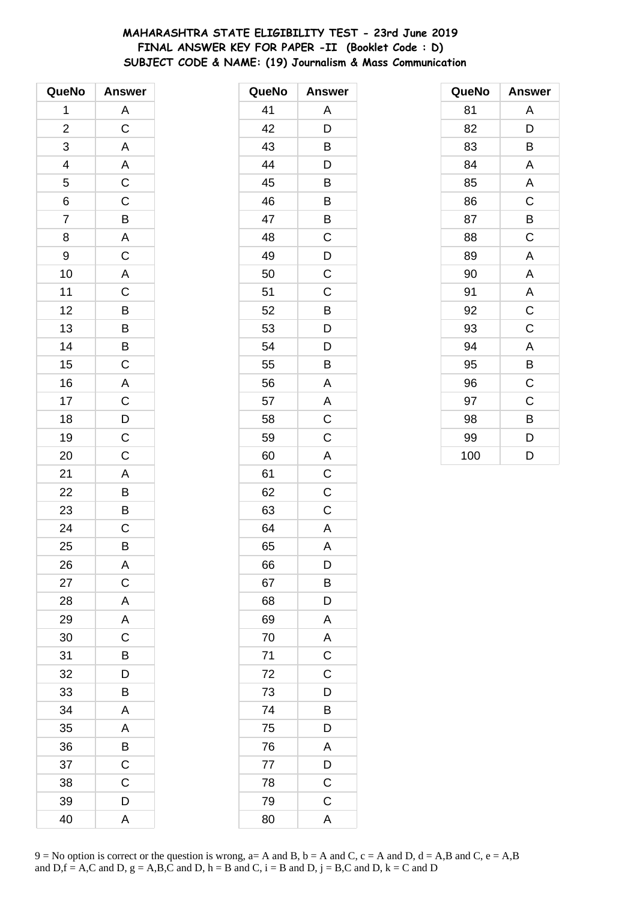# MAHARASHTRA STATE ELIGIBILITY TEST - 23rd June 2019 FINAL ANSWER KEY FOR PAPER -II (Booklet Code: D) SUBJECT CODE & NAME: (19) Journalism & Mass Communication

| QueNo                   | <b>Answer</b>            |
|-------------------------|--------------------------|
| 1                       | A                        |
| $\overline{\mathbf{c}}$ | $\mathsf C$              |
| 3                       | $\overline{\mathsf{A}}$  |
| 4                       | $\mathsf{A}$             |
| 5                       | $\overline{C}$           |
| 6                       | $\overline{C}$           |
| $\overline{7}$          |                          |
| 8                       | $rac{B}{A}$              |
| 9                       | $\mathsf{C}$             |
| 10                      | $\overline{\mathsf{A}}$  |
| 11                      | $\frac{1}{C}$            |
| 12                      | $\frac{1}{\overline{B}}$ |
| 13                      | B                        |
| 14                      |                          |
| 15                      | $rac{B}{C}$              |
| 16                      | $\overline{A}$           |
| 17                      | $\overline{C}$           |
| 18                      | $\frac{D}{C}$            |
| 19                      |                          |
| 20                      | $\overline{\mathbf{C}}$  |
| 21                      |                          |
| 22                      |                          |
| 23                      | $\frac{A}{B}$            |
| 24                      | $\overline{\text{c}}$    |
| 25                      | B                        |
| 26                      | Α                        |
| 27                      | $\mathsf{C}$             |
| 28                      | $\mathsf{A}$             |
| 29                      | A                        |
| 30                      | $\overline{C}$           |
| 31                      | B                        |
| 32                      | D                        |
| 33                      | B                        |
| 34                      | A                        |
| 35                      | A                        |
| 36                      | B                        |
| 37                      | $\mathsf C$              |
| 38                      | $\mathsf C$              |
| 39                      | D                        |
| 40                      | A                        |

| QueNo | <b>Answer</b>           |
|-------|-------------------------|
| 41    | Α                       |
| 42    | D                       |
| 43    | B                       |
| 44    | D                       |
| 45    | B                       |
| 46    | $\overline{B}$          |
| 47    | B                       |
| 48    | C                       |
| 49    | D                       |
| 50    | C                       |
| 51    | $\mathsf C$             |
| 52    | B                       |
| 53    | $\overline{D}$          |
| 54    | D                       |
| 55    | B                       |
| 56    | A                       |
| 57    | A                       |
| 58    | $\mathsf C$             |
| 59    | $\overline{C}$          |
| 60    | A                       |
| 61    | $\mathsf C$             |
| 62    | $\overline{\mathrm{C}}$ |
| 63    | $\mathsf C$             |
| 64    | $\overline{A}$          |
| 65    | A                       |
| 66    | D                       |
| 67    | B                       |
| 68    | D                       |
| 69    | A                       |
| 70    | A                       |
| 71    | $\overline{C}$          |
| 72    | $\overline{C}$          |
| 73    | D                       |
| 74    | B                       |
| 75    | D                       |
| 76    | A                       |
| 77    | D                       |
| 78    | $\mathsf C$             |
| 79    | $\mathsf C$             |
| 80    | $\overline{\mathsf{A}}$ |

| QueNo | <b>Answer</b> |
|-------|---------------|
| 81    | Α             |
| 82    | D             |
| 83    | B             |
| 84    | A             |
| 85    | A             |
| 86    | C             |
| 87    | B             |
| 88    | C             |
| 89    | A             |
| 90    | A             |
| 91    | A             |
| 92    | $\mathsf C$   |
| 93    | C             |
| 94    | A             |
| 95    | B             |
| 96    | $\mathsf C$   |
| 97    | C             |
| 98    | B             |
| 99    | D             |
| 100   | D             |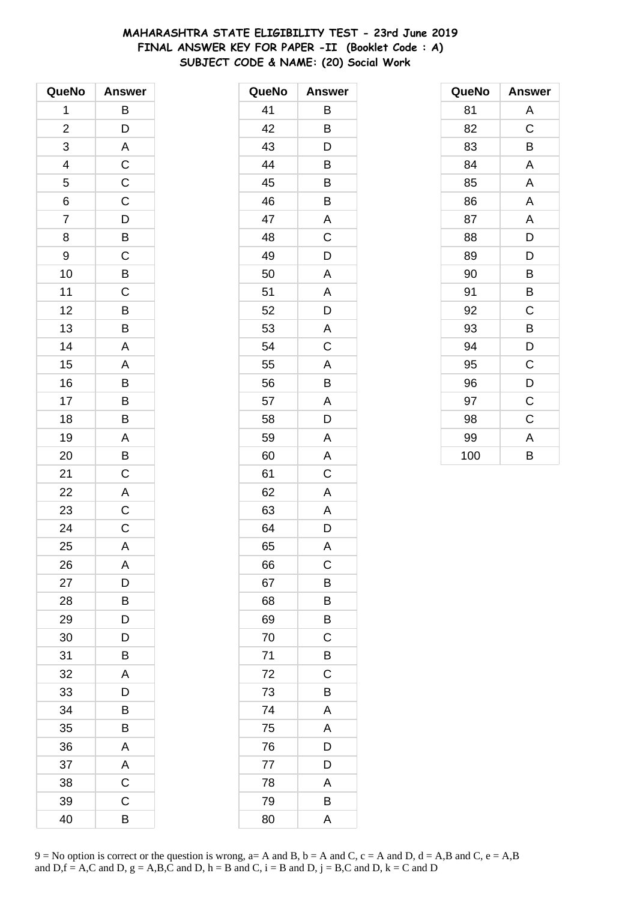# **MAHARASHTRA STATE ELIGIBILITY TEST - 23rd June 2019 FINAL ANSWER KEY FOR PAPER -II (Booklet Code : A) SUBJECT CODE & NAME: (20) Social Work**

| QueNo          | <b>Answer</b>  |
|----------------|----------------|
| 1              | B              |
| $\overline{c}$ | D              |
| 3              | A              |
| 4              | $\mathsf C$    |
| 5              | $\mathsf C$    |
| 6              | $\overline{C}$ |
| $\overline{7}$ | $\overline{D}$ |
| 8              | $\overline{B}$ |
| 9              | $\mathsf C$    |
| 10             | B              |
| 11             | $\mathsf C$    |
| 12             | $\overline{B}$ |
| 13             | B              |
| 14             | A              |
| 15             | A              |
| 16             | B              |
| 17             | B              |
| 18             | B              |
| 19             | A              |
| 20             | B              |
| 21             | $\mathsf C$    |
| 22             | A              |
| 23             | $\mathsf C$    |
| 24             | $\mathsf C$    |
| 25             | A              |
| 26             | A              |
| 27             | D              |
| 28             | В              |
| 29             | D              |
| 30             | D              |
| 31             | B              |
| 32             | A              |
| 33             | D              |
| 34             | B              |
| 35             | В              |
| 36             | A              |
| 37             | $\mathsf{A}$   |
| 38             | $\overline{C}$ |
| 39             | $\mathsf C$    |
| 40             | В              |

| QueNo | <b>Answer</b> |
|-------|---------------|
| 41    | В             |
| 42    | B             |
| 43    | D             |
| 44    | B             |
| 45    | B             |
| 46    | B             |
| 47    | A             |
| 48    | C             |
| 49    | D             |
| 50    | A             |
| 51    | Α             |
| 52    | D             |
| 53    | A             |
| 54    | C             |
| 55    | A             |
| 56    | B             |
| 57    | A             |
| 58    | D             |
| 59    | A             |
| 60    | A             |
| 61    | C             |
| 62    | A             |
| 63    | A             |
| 64    | D             |
| 65    | A             |
| 66    | C             |
| 67    | B             |
| 68    | B             |
| 69    | B             |
| 70    | C             |
| 71    | B             |
| 72    | C             |
| 73    | B             |
| 74    | Α             |
| 75    | A             |
| 76    | D             |
| 77    | D             |
| 78    | A             |
| 79    | B             |
| 80    | A             |

| QueNo | <b>Answer</b> |
|-------|---------------|
| 81    | A             |
| 82    | C             |
| 83    | B             |
| 84    | A             |
| 85    | A             |
| 86    | A             |
| 87    | A             |
| 88    | D             |
| 89    | D             |
| 90    | B             |
| 91    | В             |
| 92    | C             |
| 93    | B             |
| 94    | D             |
| 95    | C             |
| 96    | D             |
| 97    | C             |
| 98    | C             |
| 99    | A             |
| 100   | B             |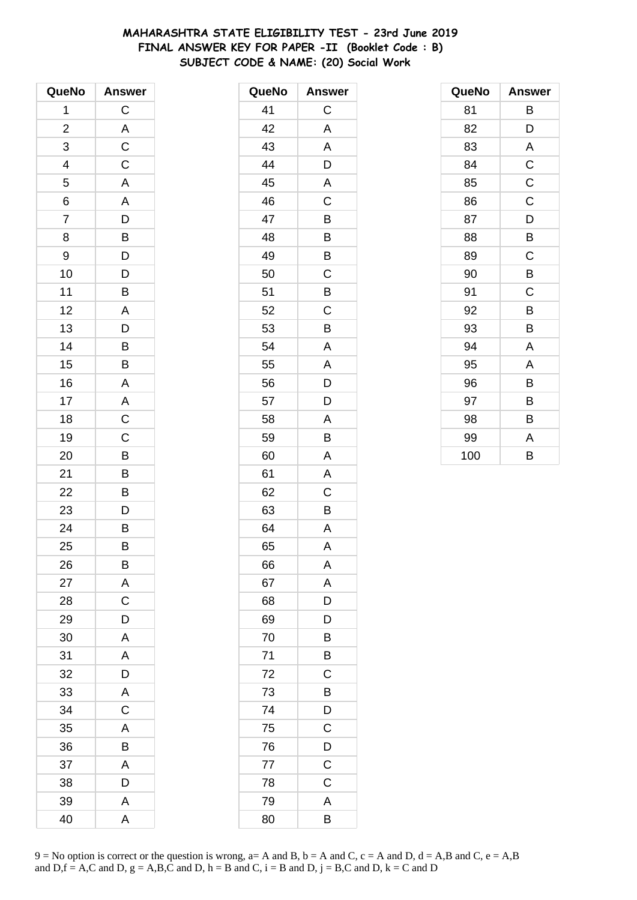# **MAHARASHTRA STATE ELIGIBILITY TEST - 23rd June 2019 FINAL ANSWER KEY FOR PAPER -II (Booklet Code : B) SUBJECT CODE & NAME: (20) Social Work**

| QueNo                    | <b>Answer</b>           |
|--------------------------|-------------------------|
| 1                        | $\mathsf C$             |
| $\overline{\mathbf{c}}$  | A                       |
| 3                        | $\overline{\text{c}}$   |
| $\overline{\mathcal{L}}$ | $\mathsf C$             |
| $\overline{5}$           | $\overline{\mathsf{A}}$ |
| 6                        | A                       |
| $\overline{7}$           | $\overline{D}$          |
| 8                        | $\overline{B}$          |
| 9                        | D                       |
| 10                       | D                       |
| 11                       | B                       |
| 12                       | $\overline{\mathsf{A}}$ |
| 13                       | $\overline{D}$          |
| 14                       | B                       |
| 15                       | B                       |
| 16                       | A                       |
| 17                       | $rac{A}{C}$             |
| 18                       |                         |
| 19                       | $\overline{C}$          |
| 20                       | B                       |
| 21                       | B                       |
| 22                       | B                       |
| 23                       | D                       |
| 24                       | $\overline{B}$          |
| 25                       | B                       |
| 26                       | B                       |
| 27                       | A                       |
| 28                       | C                       |
| 29                       | D                       |
| 30                       | A                       |
| 31                       | A                       |
| 32                       | D                       |
| 33                       | A                       |
| 34                       | $\mathsf C$             |
| 35                       | A                       |
| 36                       | B                       |
| 37                       | A                       |
| 38                       | D                       |
| 39                       | A                       |
| 40                       | A                       |

| QueNo | <b>Answer</b>  |
|-------|----------------|
| 41    | С              |
| 42    | Α              |
| 43    | Α              |
| 44    | D              |
| 45    | A              |
| 46    | C              |
| 47    | B              |
| 48    | B              |
| 49    | B              |
| 50    | $\mathsf C$    |
| 51    | B              |
| 52    | C              |
| 53    | B              |
| 54    | Α              |
| 55    | A              |
| 56    | $\mathsf{D}$   |
| 57    | $\overline{D}$ |
| 58    | A              |
| 59    | B              |
| 60    | A              |
| 61    | Α              |
| 62    | C              |
| 63    | B              |
| 64    | A              |
| 65    | A              |
| 66    | Α              |
| 67    | A              |
| 68    | D              |
| 69    | D              |
| 70    | B              |
| 71    | B              |
| 72    | C              |
| 73    | B              |
| 74    | $\overline{D}$ |
| 75    | $\overline{C}$ |
| 76    | $\overline{D}$ |
| 77    | $\mathsf C$    |
| 78    | C              |
| 79    | A              |
| 80    | B              |

| QueNo | <b>Answer</b> |
|-------|---------------|
| 81    | В             |
| 82    | D             |
| 83    | Α             |
| 84    | $\mathsf C$   |
| 85    | $\mathsf C$   |
| 86    | C             |
| 87    | D             |
| 88    | B             |
| 89    | C             |
| 90    | B             |
| 91    | C             |
| 92    | B             |
| 93    | В             |
| 94    | A             |
| 95    | A             |
| 96    | B             |
| 97    | В             |
| 98    | B             |
| 99    | Α             |
| 100   | B             |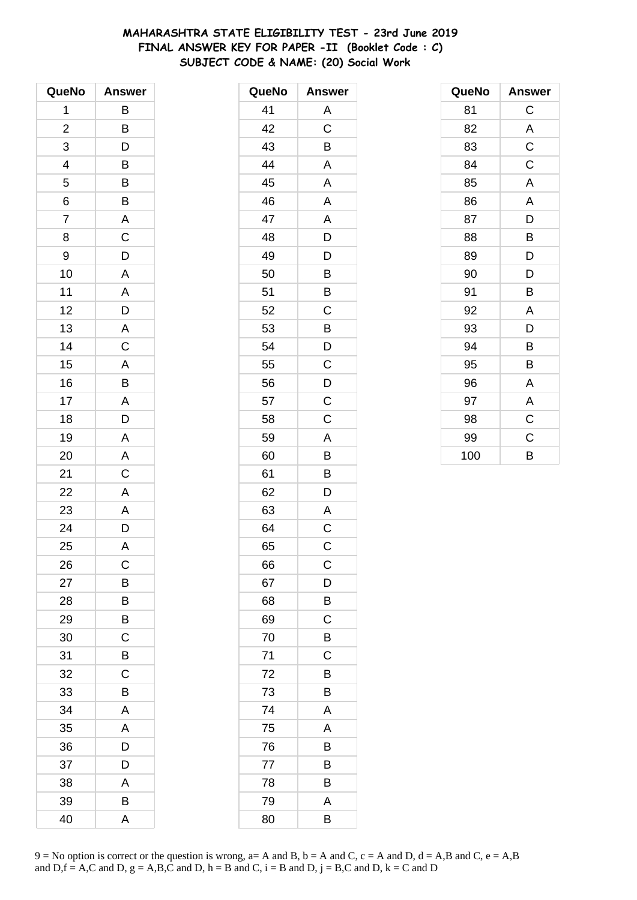# **MAHARASHTRA STATE ELIGIBILITY TEST - 23rd June 2019 FINAL ANSWER KEY FOR PAPER -II (Booklet Code : C) SUBJECT CODE & NAME: (20) Social Work**

| QueNo                   | <b>Answer</b>           |
|-------------------------|-------------------------|
| 1                       | B                       |
| $\overline{\mathbf{c}}$ | B                       |
| 3                       | D                       |
| 4                       | B                       |
| 5                       | B                       |
| 6                       | B                       |
| $\overline{7}$          | $\overline{\mathsf{A}}$ |
| 8                       | C                       |
| 9                       | D                       |
| 10                      | A                       |
| 11                      | A                       |
| 12                      | $\overline{D}$          |
| 13                      |                         |
| 14                      | $rac{A}{C}$             |
| 15                      | A                       |
| 16                      | B                       |
| 17                      | $\overline{A}$          |
| 18                      | D                       |
| 19                      | $\overline{\mathsf{A}}$ |
| 20                      | A                       |
| 21                      | $\mathsf C$             |
| 22                      | $\overline{\mathsf{A}}$ |
| 23                      | A                       |
| 24                      | D                       |
| 25                      | A                       |
| 26                      | C                       |
| 27                      | B                       |
| 28                      | В                       |
| 29                      | B                       |
| 30                      | $\mathsf C$             |
| 31                      | B                       |
| 32                      | $\mathsf C$             |
| 33                      | B                       |
| 34                      | A                       |
| 35                      | A                       |
| 36                      | D                       |
| 37                      | D                       |
| 38                      | Α                       |
| 39                      | B                       |
| 40                      | A                       |

| QueNo | <b>Answer</b> |
|-------|---------------|
| 41    | Α             |
| 42    | C             |
| 43    | B             |
| 44    | A             |
| 45    | A             |
| 46    | A             |
| 47    | A             |
| 48    | D             |
| 49    | D             |
| 50    | B             |
| 51    | B             |
| 52    | C             |
| 53    | B             |
| 54    | D             |
| 55    | C             |
| 56    | D             |
| 57    | C             |
| 58    | C             |
| 59    | A             |
| 60    | B             |
| 61    | B             |
| 62    | D             |
| 63    | Α             |
| 64    | C             |
| 65    | $\mathsf C$   |
| 66    | C             |
| 67    | D             |
| 68    | B             |
| 69    | C             |
| 70    | B             |
| 71    | C             |
| 72    | B             |
| 73    | B             |
| 74    | Α             |
| 75    | A             |
| 76    | Β             |
| 77    | B             |
| 78    | B             |
| 79    | A             |
| 80    | B             |

| QueNo | <b>Answer</b> |
|-------|---------------|
| 81    | C             |
| 82    | A             |
| 83    | C             |
| 84    | C             |
| 85    | A             |
| 86    | A             |
| 87    | D             |
| 88    | B             |
| 89    | D             |
| 90    | D             |
| 91    | B             |
| 92    | Α             |
| 93    | D             |
| 94    | B             |
| 95    | B             |
| 96    | Α             |
| 97    | Α             |
| 98    | $\mathsf C$   |
| 99    | $\mathsf C$   |
| 100   | B             |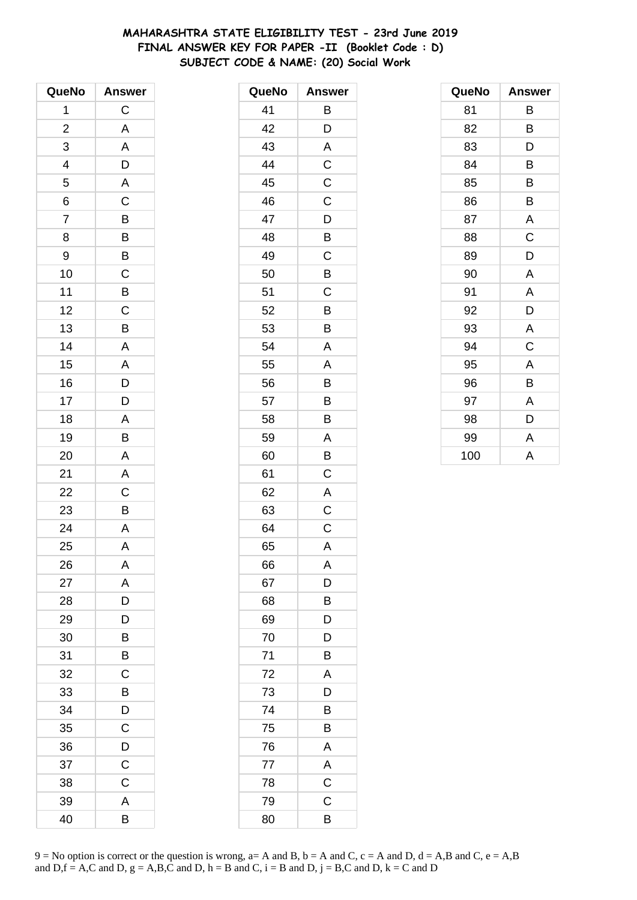# **MAHARASHTRA STATE ELIGIBILITY TEST - 23rd June 2019 FINAL ANSWER KEY FOR PAPER -II (Booklet Code : D) SUBJECT CODE & NAME: (20) Social Work**

| QueNo                    | <b>Answer</b>           |
|--------------------------|-------------------------|
| 1                        | $\mathsf C$             |
| $\overline{\mathbf{c}}$  | A                       |
| 3                        | A                       |
| $\overline{\mathcal{L}}$ | D                       |
| 5                        | $\overline{\mathsf{A}}$ |
| 6                        | $\overline{C}$          |
| $\overline{7}$           | $\overline{B}$          |
| 8                        | B                       |
| 9                        | $\overline{B}$          |
| 10                       | $\overline{\mathsf{C}}$ |
| 11                       | $\overline{B}$          |
| 12                       | $\overline{C}$          |
| 13                       | B                       |
| 14                       | A                       |
| 15                       | A                       |
| 16                       |                         |
| 17                       | $\frac{D}{D}$           |
| 18                       | A                       |
| 19                       | B                       |
| 20                       | A                       |
| 21                       | A                       |
| 22                       | $\overline{C}$          |
| 23                       | B                       |
| 24                       | $\overline{\mathsf{A}}$ |
| 25                       | A                       |
| 26                       | A                       |
| 27                       | A                       |
| 28                       | D                       |
| 29                       | D                       |
| 30                       | B                       |
| 31                       | B                       |
| 32                       | C                       |
| 33                       | B                       |
| 34                       | D                       |
| 35                       | C                       |
| 36                       | D                       |
| 37                       | $\mathsf C$             |
| 38                       | C                       |
| 39                       | A                       |
| 40                       | В                       |

| QueNo | <b>Answer</b>  |
|-------|----------------|
| 41    | Β              |
| 42    | D              |
| 43    | A              |
| 44    | C              |
| 45    | C              |
| 46    | $\mathsf C$    |
| 47    | D              |
| 48    | B              |
| 49    | C              |
| 50    | B              |
| 51    | C              |
| 52    | B              |
| 53    | B              |
| 54    | A              |
| 55    | A              |
| 56    | B              |
| 57    | B              |
| 58    | B              |
| 59    | A              |
| 60    | B              |
| 61    | C              |
| 62    | A              |
| 63    | C              |
| 64    | C              |
| 65    | A              |
| 66    | Α              |
| 67    | D              |
| 68    | B              |
| 69    | D              |
| 70    | D              |
| 71    | Β              |
| 72    | A              |
| 73    | D              |
| 74    | B              |
| 75    | B              |
| 76    | A              |
| 77    | A              |
| 78    | $\overline{C}$ |
| 79    | $\mathsf C$    |
| 80    | B              |

| QueNo | <b>Answer</b> |
|-------|---------------|
| 81    | В             |
| 82    | B             |
| 83    | D             |
| 84    | B             |
| 85    | B             |
| 86    | B             |
| 87    | A             |
| 88    | C             |
| 89    | D             |
| 90    | A             |
| 91    | A             |
| 92    | D             |
| 93    | A             |
| 94    | C             |
| 95    | A             |
| 96    | B             |
| 97    | A             |
| 98    | D             |
| 99    | A             |
| 100   | A             |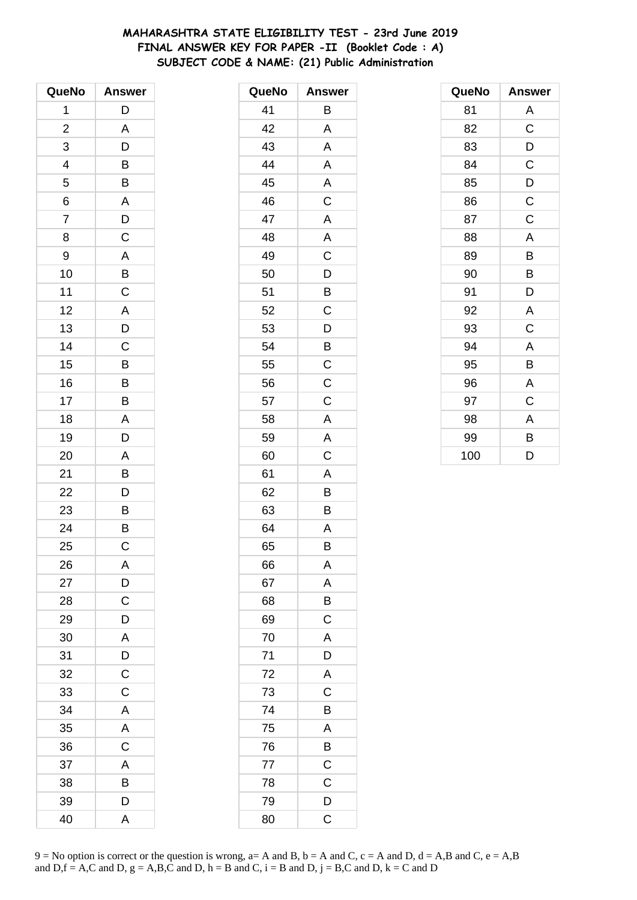# **MAHARASHTRA STATE ELIGIBILITY TEST - 23rd June 2019 FINAL ANSWER KEY FOR PAPER -II (Booklet Code : A) SUBJECT CODE & NAME: (21) Public Administration**

| QueNo                   | <b>Answer</b>  |
|-------------------------|----------------|
| 1                       | D              |
| $\overline{\mathbf{c}}$ | A              |
| 3                       | D              |
| 4                       | B              |
| 5                       | B              |
| 6                       | A              |
| 7                       | D              |
| 8                       | $\overline{c}$ |
| 9                       | $\overline{A}$ |
| 10                      | $\overline{B}$ |
| 11                      | $\mathsf{C}$   |
| 12                      | A              |
| 13                      | D              |
| 14                      | $\mathsf{C}$   |
| 15                      | B              |
| 16                      | B              |
| 17                      | B              |
| 18                      | A              |
| 19                      | D              |
| 20                      | A              |
| 21                      | B              |
| 22                      | D              |
| 23                      | B              |
| 24                      | B              |
| 25                      | C              |
| 26                      | A              |
| 27                      | $\mathsf{D}$   |
| 28                      | $\overline{C}$ |
| 29                      | D              |
| 30                      | A              |
| 31                      | D              |
| 32                      | $\mathsf C$    |
| 33                      | $\mathsf C$    |
| 34                      | A              |
| 35                      | A              |
| 36                      | $\mathsf C$    |
| 37                      | A              |
| 38                      | B              |
| 39                      | D              |
| 40                      | A              |

| QueNo | <b>Answer</b>  |
|-------|----------------|
| 41    | Β              |
| 42    | A              |
| 43    | Α              |
| 44    | Α              |
| 45    | A              |
| 46    | C              |
| 47    | A              |
| 48    | A              |
| 49    | $\mathsf C$    |
| 50    | D              |
| 51    | B              |
| 52    | C              |
| 53    | D              |
| 54    | B              |
| 55    | C              |
| 56    | $\mathsf C$    |
| 57    | $\overline{C}$ |
| 58    | A              |
| 59    | A              |
| 60    | C              |
| 61    | A              |
| 62    | B              |
| 63    | B              |
| 64    | A              |
| 65    | B              |
| 66    | A              |
| 67    | A              |
| 68    | Β              |
| 69    | $\mathsf C$    |
| 70    | A              |
| 71    | D              |
| 72    | A              |
| 73    | C              |
| 74    | B              |
| 75    | A              |
| 76    | $\overline{B}$ |
| 77    | $\overline{C}$ |
| 78    | C              |
| 79    | D              |
| 80    | C              |

| QueNo | <b>Answer</b>  |
|-------|----------------|
| 81    | Α              |
| 82    | $\mathsf C$    |
| 83    | D              |
| 84    | $\mathsf C$    |
| 85    | $\overline{D}$ |
| 86    | $\mathsf C$    |
| 87    | $\mathsf C$    |
| 88    | A              |
| 89    | В              |
| 90    | В              |
| 91    | D              |
| 92    | Α              |
| 93    | C              |
| 94    | A              |
| 95    | B              |
| 96    | A              |
| 97    | C              |
| 98    | A              |
| 99    | В              |
| 100   | D              |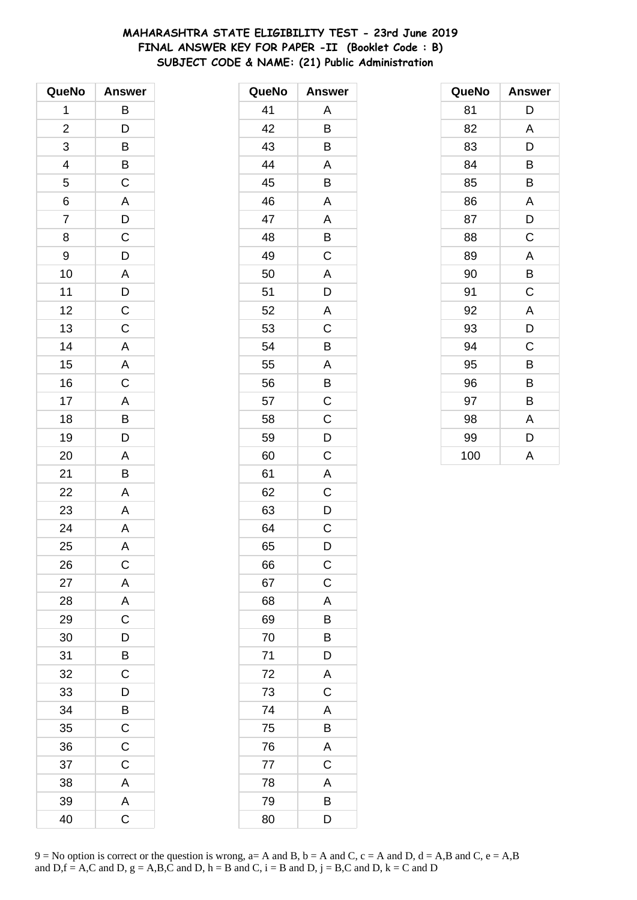# **MAHARASHTRA STATE ELIGIBILITY TEST - 23rd June 2019 FINAL ANSWER KEY FOR PAPER -II (Booklet Code : B) SUBJECT CODE & NAME: (21) Public Administration**

| QueNo                   | <b>Answer</b>           |
|-------------------------|-------------------------|
| 1                       | B                       |
| $\overline{\mathbf{c}}$ | $\overline{D}$          |
| 3                       | $\overline{B}$          |
| 4                       |                         |
| 5                       | $\overline{\mathrm{C}}$ |
| 6                       | $\overline{\mathsf{A}}$ |
| $\overline{7}$          | D                       |
| 8                       | $\overline{\mathrm{c}}$ |
| 9                       | $\overline{D}$          |
| 10                      |                         |
| 11                      | $rac{A}{D}$             |
| 12                      | $\overline{c}$          |
| 13                      | $\overline{\mathsf{C}}$ |
| 14                      |                         |
| 15                      | $\frac{A}{A}$           |
| 16                      | $\overline{\mathsf{C}}$ |
| 17                      |                         |
| 18                      | $\frac{A}{B}$           |
| 19                      | D                       |
| 20                      | A                       |
| 21                      | B                       |
| 22                      | $\overline{\mathsf{A}}$ |
| 23                      | A                       |
| 24                      | $\mathsf{A}$            |
| 25                      | A                       |
| 26                      | С                       |
| 27                      | $\overline{A}$          |
| 28                      | $\overline{A}$          |
| 29                      | $\overline{\mathbf{C}}$ |
| 30                      | $\overline{D}$          |
| 31                      | B                       |
| 32                      | $\mathsf{C}$            |
| 33                      | D                       |
| 34                      | $\overline{B}$          |
| 35                      | $\overline{C}$          |
| 36                      | $\mathsf C$             |
| 37                      | $\mathsf C$             |
| 38                      | A                       |
| 39                      | A                       |
| 40                      | $\overline{C}$          |

| QueNo | <b>Answer</b>           |
|-------|-------------------------|
| 41    | Α                       |
| 42    | B                       |
| 43    | B                       |
| 44    | Α                       |
| 45    | B                       |
| 46    | A                       |
| 47    | A                       |
| 48    | B                       |
| 49    | C                       |
| 50    | A                       |
| 51    | D                       |
| 52    | $\overline{\mathsf{A}}$ |
| 53    | C                       |
| 54    | B                       |
| 55    | A                       |
| 56    | Β                       |
| 57    | C                       |
| 58    | C                       |
| 59    | D                       |
| 60    | C                       |
| 61    | A                       |
| 62    | C                       |
| 63    | D                       |
| 64    | C                       |
| 65    | D                       |
| 66    | $\mathsf C$             |
| 67    | $\mathsf C$             |
| 68    | A                       |
| 69    | B                       |
| 70    | B                       |
| 71    | D                       |
| 72    | A                       |
| 73    | $\mathsf C$             |
| 74    | A                       |
| 75    | B                       |
| 76    | A                       |
| 77    | $\overline{C}$          |
| 78    | A                       |
| 79    | B                       |
| 80    | D                       |

| QueNo | <b>Answer</b> |
|-------|---------------|
| 81    | D             |
| 82    | A             |
| 83    | D             |
| 84    | B             |
| 85    | B             |
| 86    | A             |
| 87    | D             |
| 88    | $\mathsf C$   |
| 89    | A             |
| 90    | B             |
| 91    | C             |
| 92    | A             |
| 93    | D             |
| 94    | C             |
| 95    | B             |
| 96    | В             |
| 97    | В             |
| 98    | A             |
| 99    | D             |
| 100   | A             |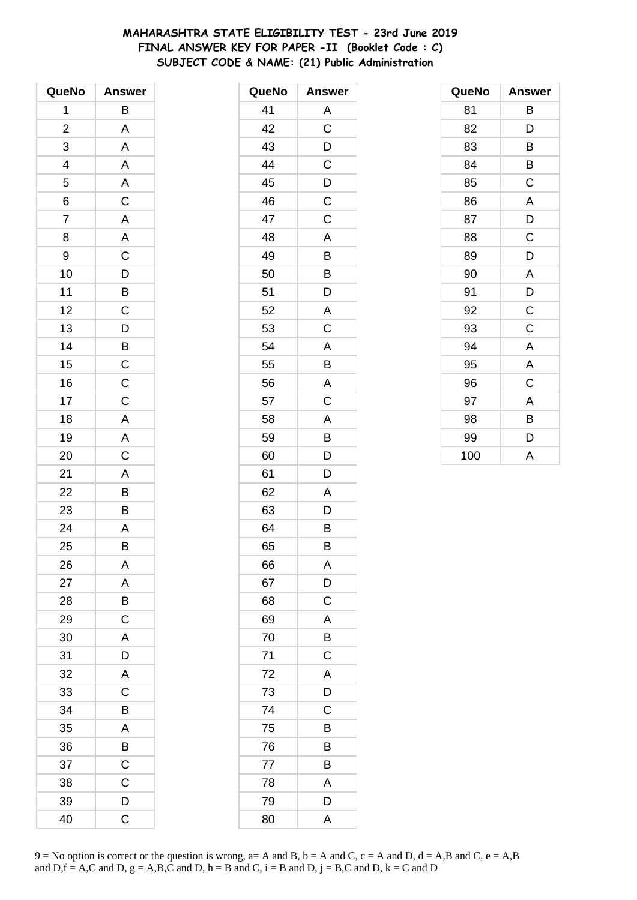# MAHARASHTRA STATE ELIGIBILITY TEST - 23rd June 2019 FINAL ANSWER KEY FOR PAPER -II (Booklet Code : C) SUBJECT CODE & NAME: (21) Public Administration

| QueNo                   | <b>Answer</b>  |
|-------------------------|----------------|
| 1                       | В              |
| $\overline{\mathbf{c}}$ | A              |
| 3                       | A              |
| 4                       | A              |
| 5                       | $rac{A}{C}$    |
| 6                       |                |
| 7                       | $\mathsf{A}$   |
| 8                       | $\overline{A}$ |
| 9                       | $\frac{C}{D}$  |
| 10                      |                |
| 11                      | $\overline{B}$ |
| 12                      | $\mathsf C$    |
| 13                      | D              |
| 14                      | $rac{B}{C}$    |
| 15                      |                |
| 16                      | $\overline{C}$ |
| 17                      | $\mathsf C$    |
| 18                      | A              |
| 19                      | $\mathsf{A}$   |
| 20                      | $\mathsf C$    |
| 21                      | $\overline{A}$ |
| 22                      | $\frac{1}{B}$  |
| 23                      | B              |
| 24                      | A              |
| 25                      | B              |
| 26                      | A              |
| 27                      | A              |
| 28                      | $\overline{B}$ |
| 29                      | $\overline{C}$ |
| 30                      | A              |
| 31                      | D              |
| 32                      | A              |
| 33                      | $\overline{C}$ |
| 34                      | B              |
| 35                      | A              |
| 36                      | B              |
| 37                      | $\mathsf C$    |
| 38                      | C              |
| 39                      | D              |
| 40                      | $\overline{C}$ |

| QueNo | <b>Answer</b> |
|-------|---------------|
| 41    | Α             |
| 42    | C             |
| 43    | D             |
| 44    | C             |
| 45    | D             |
| 46    | $\mathsf C$   |
| 47    | C             |
| 48    | A             |
| 49    | B             |
| 50    | B             |
| 51    | D             |
| 52    | A             |
| 53    | C             |
| 54    | A             |
| 55    | B             |
| 56    | A             |
| 57    | C             |
| 58    | A             |
| 59    | B             |
| 60    | D             |
| 61    | D             |
| 62    | A             |
| 63    | D             |
| 64    | B             |
| 65    | В             |
| 66    | A             |
| 67    | D             |
| 68    | C             |
| 69    | A             |
| 70    | B             |
| 71    | $\mathsf C$   |
| 72    | A             |
| 73    | D             |
| 74    | C             |
| 75    | B             |
| 76    | Β             |
| 77    | B             |
| 78    | A             |
| 79    | D             |
| 80    | A             |

| QueNo | Answer      |
|-------|-------------|
| 81    | В           |
| 82    | D           |
| 83    | В           |
| 84    | B           |
| 85    | C           |
| 86    | A           |
| 87    | D           |
| 88    | C           |
| 89    | D           |
| 90    | A           |
| 91    | D           |
| 92    | C           |
| 93    | $\mathsf C$ |
| 94    | A           |
| 95    | A           |
| 96    | C           |
| 97    | A           |
| 98    | B           |
| 99    | D           |
| 100   | A           |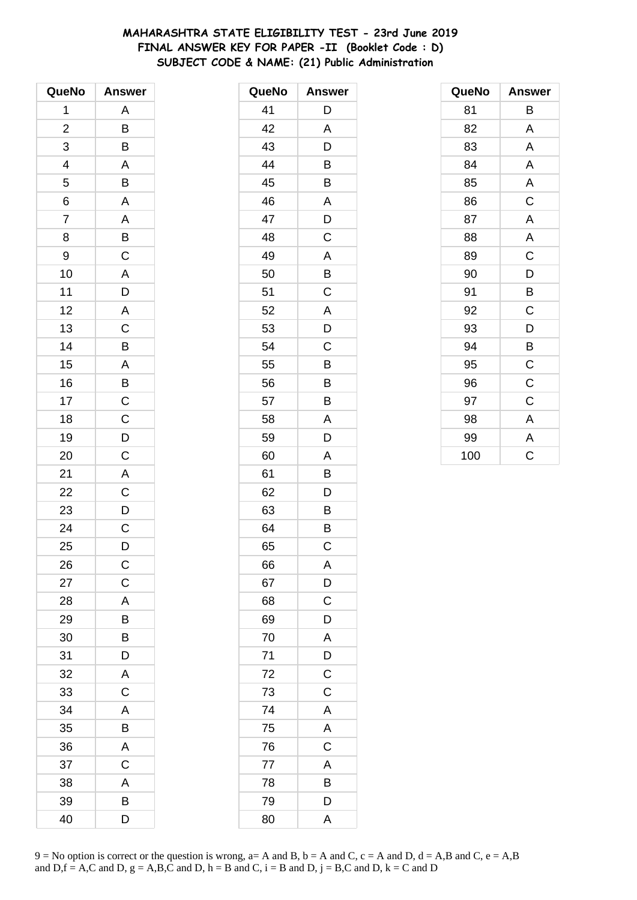# **MAHARASHTRA STATE ELIGIBILITY TEST - 23rd June 2019 FINAL ANSWER KEY FOR PAPER -II (Booklet Code : D) SUBJECT CODE & NAME: (21) Public Administration**

| QueNo                   | <b>Answer</b>         |
|-------------------------|-----------------------|
| 1                       | Α                     |
| $\overline{\mathbf{c}}$ | B                     |
| 3                       | B                     |
| 4                       | A                     |
| 5                       | B                     |
| 6                       | A                     |
| $\overline{7}$          | $\mathsf{A}$          |
| 8                       | B                     |
| 9                       | $\overline{C}$        |
| 10                      | A                     |
| 11                      | $\overline{D}$        |
| 12                      | A                     |
| 13                      | $\overline{\text{c}}$ |
| 14                      | B                     |
| 15                      | $\mathsf{A}$          |
| 16                      | $\overline{B}$        |
| 17                      | $\mathsf C$           |
| 18                      | $\mathsf C$           |
| 19                      |                       |
| 20                      | $\frac{D}{C}$         |
| 21                      | A                     |
| 22                      | $\overline{C}$        |
| 23                      | D                     |
| 24                      | C                     |
| 25                      | D                     |
| 26                      | $\mathsf{C}$          |
| 27                      | $\mathsf{C}$          |
| 28                      | A                     |
| 29                      | B                     |
| 30                      | B                     |
| 31                      | D                     |
| 32                      | A                     |
| 33                      | $\mathsf C$           |
| 34                      | A                     |
| 35                      | B                     |
| 36                      | A                     |
| 37                      | C                     |
| 38                      | A                     |
| 39                      | B                     |
| 40                      | D                     |

| QueNo | <b>Answer</b> |
|-------|---------------|
| 41    | D             |
| 42    | A             |
| 43    | D             |
| 44    | B             |
| 45    | B             |
| 46    | A             |
| 47    | D             |
| 48    | C             |
| 49    | Α             |
| 50    | B             |
| 51    | C             |
| 52    | A             |
| 53    | D             |
| 54    | C             |
| 55    | B             |
| 56    | B             |
| 57    | B             |
| 58    | A             |
| 59    | D             |
| 60    | A             |
| 61    | Β             |
| 62    | D             |
| 63    | B             |
| 64    | B             |
| 65    | C             |
| 66    | Α             |
| 67    | D             |
| 68    | C             |
| 69    | D             |
| 70    | A             |
| 71    | D             |
| 72    | $\mathsf C$   |
| 73    | C             |
| 74    | A             |
| 75    | A             |
| 76    | $\mathsf C$   |
| 77    | A             |
| 78    | B             |
| 79    | D             |
| 80    | A             |

| QueNo | <b>Answer</b>  |
|-------|----------------|
| 81    | В              |
| 82    | A              |
| 83    | Α              |
| 84    | A              |
| 85    | A              |
| 86    | $\overline{C}$ |
| 87    | A              |
| 88    | A              |
| 89    | $\mathsf C$    |
| 90    | D              |
| 91    | B              |
| 92    | $\mathsf C$    |
| 93    | D              |
| 94    | B              |
| 95    | $\mathsf C$    |
| 96    | $\mathsf C$    |
| 97    | C              |
| 98    | A              |
| 99    | A              |
| 100   | C              |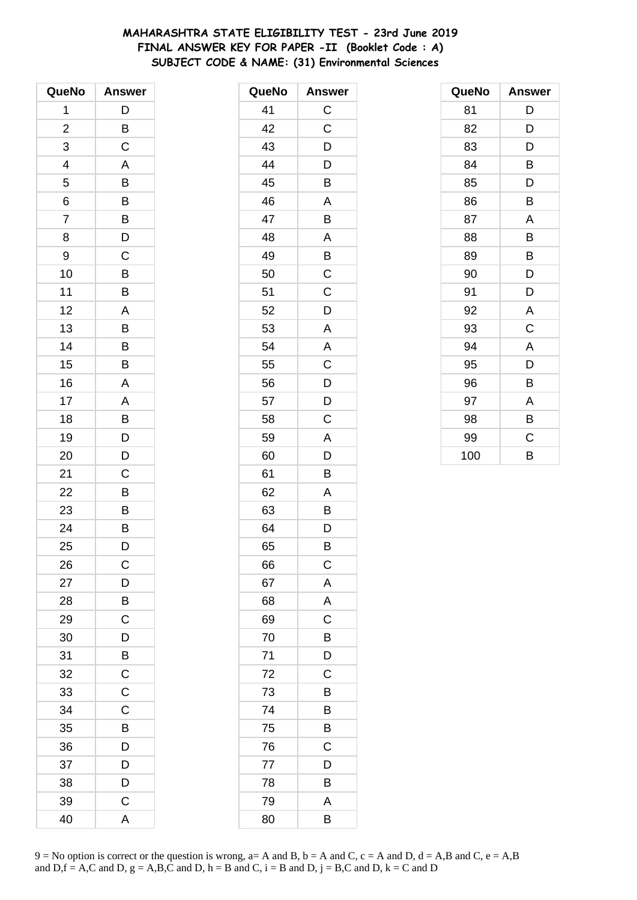# **MAHARASHTRA STATE ELIGIBILITY TEST - 23rd June 2019 FINAL ANSWER KEY FOR PAPER -II (Booklet Code : A) SUBJECT CODE & NAME: (31) Environmental Sciences**

| QueNo                   | <b>Answer</b>  |
|-------------------------|----------------|
| 1                       | D              |
| $\overline{\mathbf{c}}$ | B              |
| 3                       | $\overline{C}$ |
| 4                       | A              |
| 5                       | B              |
| 6                       | B              |
| 7                       | B              |
| 8                       | D              |
| 9                       | $\mathsf C$    |
| 10                      | B              |
| 11                      | B              |
| 12                      | A              |
| 13                      | B              |
| 14                      | B              |
| 15                      | B              |
| 16                      | A              |
| 17                      | A              |
| 18                      | B              |
| 19                      | D              |
| 20                      | D              |
| 21                      | С              |
| 22                      | В              |
| 23                      | B              |
| 24                      | B              |
| 25                      | D              |
| 26                      | C              |
| 27                      | D              |
| 28                      | B              |
| 29                      | $\mathsf C$    |
| 30                      | D              |
| 31                      | B              |
| 32                      | $\mathsf C$    |
| 33                      | $\mathsf C$    |
| 34                      | C              |
| 35                      | B              |
| 36                      | D              |
| 37                      | D              |
| 38                      | D              |
| 39                      | C              |
| 40                      | A              |

| QueNo | <b>Answer</b> |
|-------|---------------|
| 41    | $\mathsf{C}$  |
| 42    | C             |
| 43    | D             |
| 44    | D             |
| 45    | B             |
| 46    | A             |
| 47    | B             |
| 48    | A             |
| 49    | B             |
| 50    | C             |
| 51    | C             |
| 52    | D             |
| 53    | A             |
| 54    | A             |
| 55    | C             |
| 56    | D             |
| 57    | D             |
| 58    | C             |
| 59    | A             |
| 60    | D             |
| 61    | B             |
| 62    | A             |
| 63    | B             |
| 64    | D             |
| 65    | B             |
| 66    | $\mathsf C$   |
| 67    | A             |
| 68    | A             |
| 69    | C             |
| 70    | Β             |
| 71    | D             |
| 72    | $\mathsf C$   |
| 73    | B             |
| 74    | B             |
| 75    | Β             |
| 76    | С             |
| 77    | D             |
| 78    | B             |
| 79    | A             |
| 80    | B             |

| QueNo | <b>Answer</b> |
|-------|---------------|
| 81    | D             |
| 82    | D             |
| 83    | D             |
| 84    | B             |
| 85    | D             |
| 86    | B             |
| 87    | Α             |
| 88    | B             |
| 89    | B             |
| 90    | D             |
| 91    | D             |
| 92    | A             |
| 93    | C             |
| 94    | A             |
| 95    | D             |
| 96    | B             |
| 97    | A             |
| 98    | B             |
| 99    | C             |
| 100   | B             |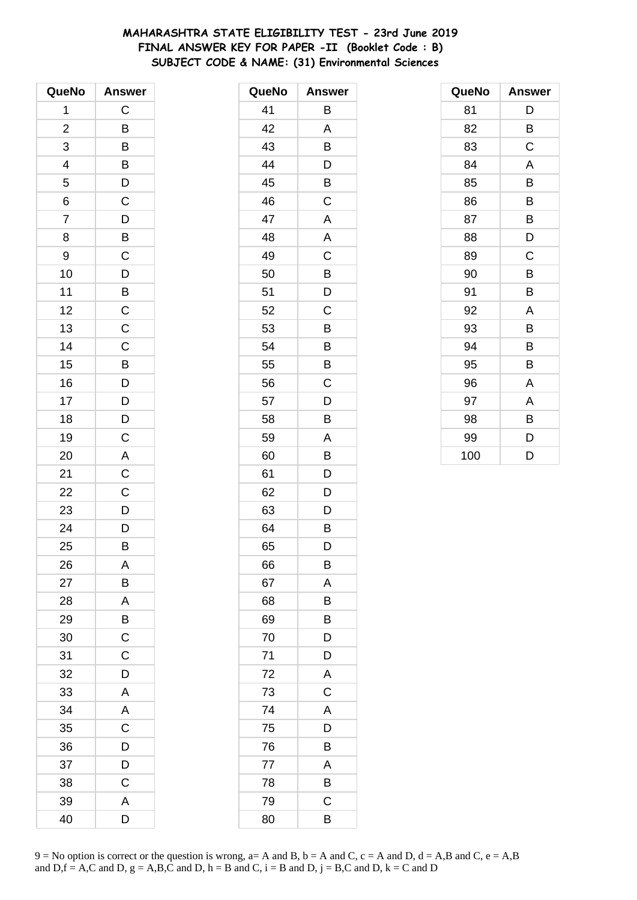# **MAHARASHTRA STATE ELIGIBILITY TEST - 23rd June 2019 FINAL ANSWER KEY FOR PAPER -II (Booklet Code : B) SUBJECT CODE & NAME: (31) Environmental Sciences**

| QueNo                   | <b>Answer</b>                                      |
|-------------------------|----------------------------------------------------|
| 1                       | C                                                  |
| $\overline{\mathbf{c}}$ | B                                                  |
| 3                       | B                                                  |
| 4                       |                                                    |
| 5                       |                                                    |
| 6                       | $\frac{B}{C}$                                      |
| $\overline{7}$          | $\mathsf{D}$                                       |
| 8                       | $\overline{B}$                                     |
| 9                       | $\mathsf C$                                        |
| 10                      | $\overline{D}$                                     |
| 11                      | $\overline{B}$ C                                   |
| 12                      |                                                    |
| 13                      | $\overline{C}$                                     |
| 14                      | $\mathsf C$                                        |
| 15                      | B                                                  |
| 16                      |                                                    |
| 17                      |                                                    |
| 18                      | $\overline{D}$<br>$\overline{D}$<br>$\overline{D}$ |
| 19                      | $\mathsf C$                                        |
| 20                      | A                                                  |
| 21                      | $\mathsf C$                                        |
| 22                      | $\mathsf{C}$                                       |
| 23                      |                                                    |
| 24                      | $\frac{D}{D}$                                      |
| 25                      | B                                                  |
| 26                      | Α                                                  |
| 27                      | B                                                  |
| 28                      | A                                                  |
| 29                      | B                                                  |
| 30                      | $\overline{\mathsf{C}}$                            |
| 31                      | C                                                  |
| 32                      | D                                                  |
| 33                      | A                                                  |
| 34                      | A                                                  |
| 35                      | $\mathsf C$                                        |
| 36                      | D                                                  |
| 37                      | D                                                  |
| 38                      | C                                                  |
| 39                      | A                                                  |
| 40                      | D                                                  |

| QueNo | <b>Answer</b> |
|-------|---------------|
| 41    | B             |
| 42    | A             |
| 43    | B             |
| 44    | D             |
| 45    | B             |
| 46    | C             |
| 47    | A             |
| 48    | A             |
| 49    | C             |
| 50    | B             |
| 51    | D             |
| 52    | C             |
| 53    | B             |
| 54    | B             |
| 55    | B             |
| 56    | С             |
| 57    | D             |
| 58    | B             |
| 59    | A             |
| 60    | B             |
| 61    | D             |
| 62    | D             |
| 63    | D             |
| 64    | B             |
| 65    | D             |
| 66    | B             |
| 67    | A             |
| 68    | B             |
| 69    | B             |
| 70    | D             |
| 71    | D             |
| 72    | A             |
| 73    | C             |
| 74    | A             |
| 75    | D             |
| 76    | Β             |
| 77    | A             |
| 78    | B             |
| 79    | C             |
| 80    | В             |

| QueNo | <b>Answer</b> |
|-------|---------------|
| 81    | D             |
| 82    | B             |
| 83    | C             |
| 84    | A             |
| 85    | B             |
| 86    | В             |
| 87    | B             |
| 88    | D             |
| 89    | C             |
| 90    | B             |
| 91    | B             |
| 92    | A             |
| 93    | B             |
| 94    | B             |
| 95    | B             |
| 96    | Α             |
| 97    | Α             |
| 98    | В             |
| 99    | D             |
| 100   | D             |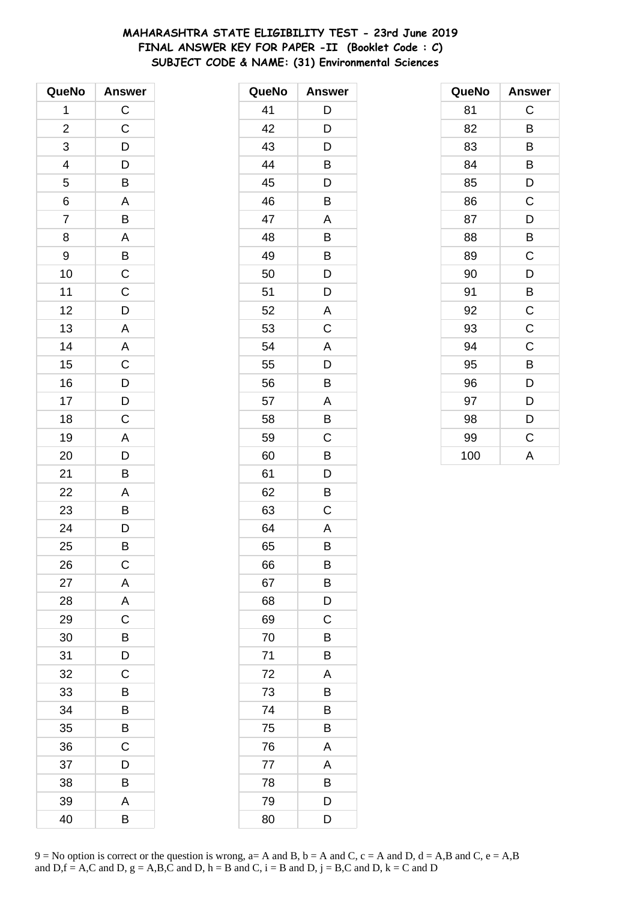# **MAHARASHTRA STATE ELIGIBILITY TEST - 23rd June 2019 FINAL ANSWER KEY FOR PAPER -II (Booklet Code : C) SUBJECT CODE & NAME: (31) Environmental Sciences**

| QueNo                   | <b>Answer</b>  |
|-------------------------|----------------|
| 1                       | $\mathsf C$    |
| $\overline{\mathbf{c}}$ | $\mathsf C$    |
| 3                       | D              |
| 4                       | $\mathsf{D}$   |
| 5                       | B              |
| 6                       | A              |
| $\overline{7}$          | B              |
| 8                       | A              |
| 9                       | $\overline{B}$ |
| 10                      | $\mathsf C$    |
| 11                      | $\overline{C}$ |
| 12                      | D              |
| 13                      | A              |
| 14                      | A              |
| 15                      | $\mathsf C$    |
| 16                      |                |
| 17                      | $\frac{D}{D}$  |
| 18                      | $\overline{C}$ |
| 19                      | $\mathsf{A}$   |
| 20                      | D              |
| 21                      | B              |
| 22                      | A              |
| 23                      | B              |
| 24                      | $\overline{D}$ |
| 25                      | B              |
| 26                      | $\mathsf{C}$   |
| 27                      | A              |
| 28                      | A              |
| 29                      | $\mathsf{C}$   |
| 30                      | B              |
| 31                      | D              |
| 32                      | C              |
| 33                      | В              |
| 34                      | B              |
| 35                      | B              |
| 36                      | C              |
| 37                      | D              |
| 38                      | В              |
| 39                      | A              |
| 40                      | В              |

| QueNo | <b>Answer</b> |
|-------|---------------|
| 41    | D             |
| 42    | D             |
| 43    | D             |
| 44    | B             |
| 45    | D             |
| 46    | Β             |
| 47    | A             |
| 48    | B             |
| 49    | B             |
| 50    | D             |
| 51    | D             |
| 52    | A             |
| 53    | C             |
| 54    | A             |
| 55    | D             |
| 56    | B             |
| 57    | A             |
| 58    | Β             |
| 59    | C             |
| 60    | B             |
| 61    | D             |
| 62    | B             |
| 63    | C             |
| 64    | Α             |
| 65    | В             |
| 66    | В             |
| 67    | B             |
| 68    | D             |
| 69    | C             |
| 70    | Β             |
| 71    | Β             |
| 72    | A             |
| 73    | B             |
| 74    | B             |
| 75    | Β             |
| 76    | Α             |
| 77    | A             |
| 78    | B             |
| 79    | D             |
| 80    | D             |

| QueNo | <b>Answer</b> |
|-------|---------------|
| 81    | C             |
| 82    | B             |
| 83    | В             |
| 84    | B             |
| 85    | D             |
| 86    | C             |
| 87    | D             |
| 88    | B             |
| 89    | C             |
| 90    | D             |
| 91    | B             |
| 92    | $\mathsf C$   |
| 93    | $\mathsf C$   |
| 94    | $\mathsf C$   |
| 95    | B             |
| 96    | D             |
| 97    | D             |
| 98    | D             |
| 99    | C             |
| 100   | A             |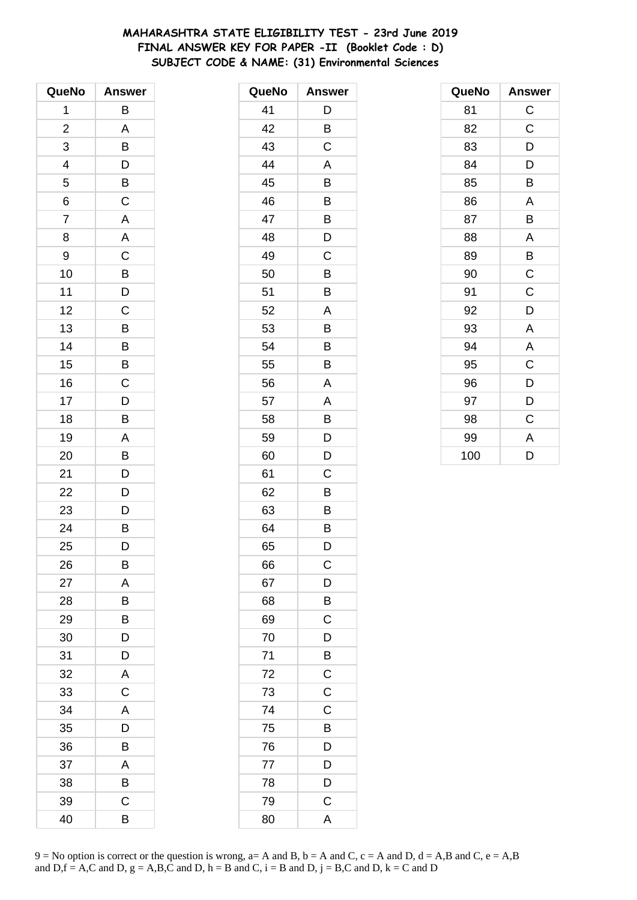# **MAHARASHTRA STATE ELIGIBILITY TEST - 23rd June 2019 FINAL ANSWER KEY FOR PAPER -II (Booklet Code : D) SUBJECT CODE & NAME: (31) Environmental Sciences**

| QueNo                   | <b>Answer</b>  |
|-------------------------|----------------|
| 1                       | B              |
| $\overline{\mathbf{c}}$ | A              |
| 3                       | B              |
| 4                       | $\mathsf{D}$   |
| 5                       | $\overline{B}$ |
| 6                       | $\overline{C}$ |
| 7                       | A              |
| 8                       | A              |
| 9                       | $\mathsf C$    |
| 10                      | B              |
| 11                      | D              |
| 12                      | C              |
| 13                      | B              |
| 14                      | B              |
| 15                      | B              |
| 16                      | $\mathsf C$    |
| 17                      | $\overline{D}$ |
| 18                      | $\overline{B}$ |
| 19                      | A              |
| 20                      | B              |
| 21                      | D              |
| 22                      | D              |
| 23                      | D              |
| 24                      | B              |
| 25                      | D              |
| 26                      | В              |
| 27                      | A              |
| 28                      | B              |
| 29                      | B              |
| 30                      | D              |
| 31                      | D              |
| 32                      | A              |
| 33                      | C              |
| 34                      | A              |
| 35                      | D              |
| 36                      | B              |
| 37                      | A              |
| 38                      | B              |
| 39                      | С              |
| 40                      | B              |

| QueNo | <b>Answer</b> |
|-------|---------------|
| 41    | D             |
| 42    | B             |
| 43    | C             |
| 44    | A             |
| 45    | B             |
| 46    | Β             |
| 47    | B             |
| 48    | D             |
| 49    | C             |
| 50    | B             |
| 51    | Β             |
| 52    | A             |
| 53    | B             |
| 54    | B             |
| 55    | B             |
| 56    | Α             |
| 57    | Α             |
| 58    | Β             |
| 59    | D             |
| 60    | D             |
| 61    | C             |
| 62    | B             |
| 63    | Β             |
| 64    | B             |
| 65    | D             |
| 66    | C             |
| 67    | D             |
| 68    | B             |
| 69    | C             |
| 70    | D             |
| 71    | B             |
| 72    | C             |
| 73    | C             |
| 74    | C             |
| 75    | Β             |
| 76    | D             |
| 77    | D             |
| 78    | D             |
| 79    | C             |
| 80    | A             |

| QueNo | <b>Answer</b> |
|-------|---------------|
| 81    | $\mathsf C$   |
| 82    | C             |
| 83    | D             |
| 84    | D             |
| 85    | B             |
| 86    | A             |
| 87    | B             |
| 88    | A             |
| 89    | В             |
| 90    | C             |
| 91    | C             |
| 92    | D             |
| 93    | A             |
| 94    | A             |
| 95    | C             |
| 96    | D             |
| 97    | D             |
| 98    | C             |
| 99    | A             |
| 100   | D             |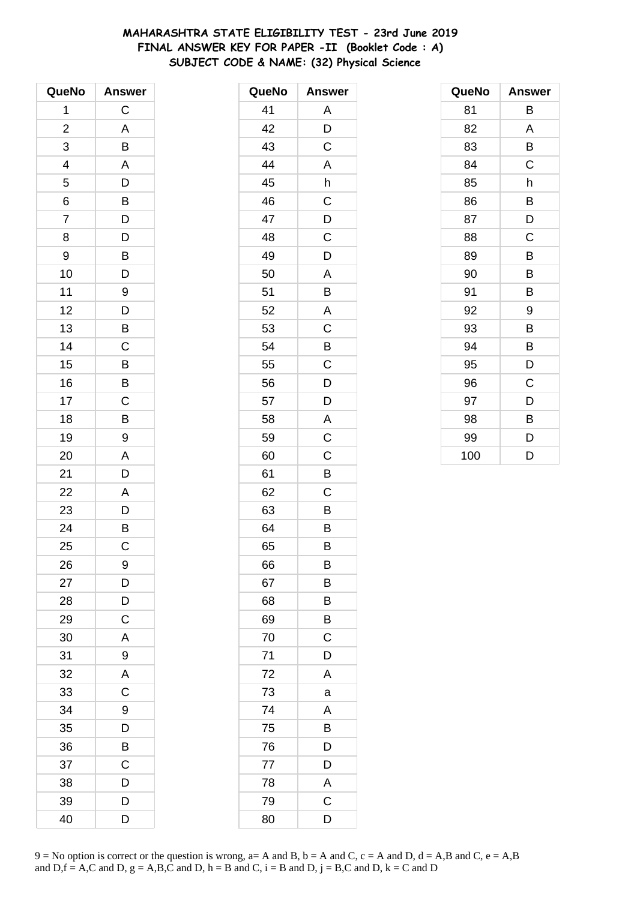# **MAHARASHTRA STATE ELIGIBILITY TEST - 23rd June 2019 FINAL ANSWER KEY FOR PAPER -II (Booklet Code : A) SUBJECT CODE & NAME: (32) Physical Science**

| QueNo          | <b>Answer</b>  |
|----------------|----------------|
| 1              | C              |
| $\overline{c}$ | A              |
| 3              | B              |
| 4              | A              |
| 5              | D              |
| 6              | B              |
| $\overline{7}$ | D              |
| 8              | $\overline{D}$ |
| 9              | B              |
| 10             | D              |
| 11             | 9              |
| 12             | D              |
| 13             | B              |
| 14             | C              |
| 15             | B              |
| 16             | B              |
| 17             | $\mathsf C$    |
| 18             | B              |
| 19             | 9              |
| 20             | A              |
| 21             | D              |
| 22             | A              |
| 23             | $\mathsf{D}$   |
| 24             | $\bar{B}$      |
| 25             | C              |
| 26             | 9              |
| 27             | D              |
| 28             | D              |
| 29             | C              |
| 30             | A              |
| 31             | 9              |
| 32             | A              |
| 33             | $\mathsf C$    |
| 34             | 9              |
| 35             | D              |
| 36             | B              |
| 37             | C              |
| 38             | D              |
| 39             | D              |
| 40             | D              |

| QueNo | <b>Answer</b> |
|-------|---------------|
| 41    | Α             |
| 42    | D             |
| 43    | C             |
| 44    | A             |
| 45    | h             |
| 46    | $\mathsf C$   |
| 47    | D             |
| 48    | C             |
| 49    | D             |
| 50    | A             |
| 51    | Β             |
| 52    | A             |
| 53    | C             |
| 54    | B             |
| 55    | C             |
| 56    | D             |
| 57    | D             |
| 58    | A             |
| 59    | C             |
| 60    | C             |
| 61    | B             |
| 62    | C             |
| 63    | B             |
| 64    | B             |
| 65    | B             |
| 66    | B             |
| 67    | B             |
| 68    | Β             |
| 69    | B             |
| 70    | C             |
| 71    | D             |
| 72    | A             |
| 73    | a             |
| 74    | Α             |
| 75    | B             |
| 76    | D             |
| 77    | D             |
| 78    | A             |
| 79    | C             |
| 80    | D             |

| QueNo | <b>Answer</b> |
|-------|---------------|
| 81    | В             |
| 82    | A             |
| 83    | В             |
| 84    | C             |
| 85    | h             |
| 86    | B             |
| 87    | D             |
| 88    | $\mathsf C$   |
| 89    | В             |
| 90    | B             |
| 91    | B             |
| 92    | 9             |
| 93    | B             |
| 94    | B             |
| 95    | D             |
| 96    | C             |
| 97    | D             |
| 98    | B             |
| 99    | D             |
| 100   | D             |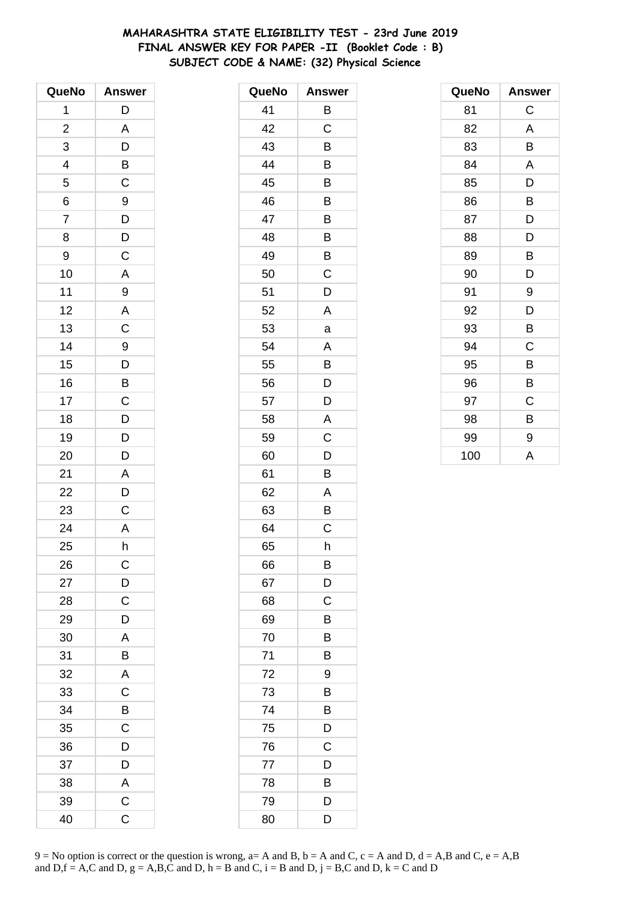# **MAHARASHTRA STATE ELIGIBILITY TEST - 23rd June 2019 FINAL ANSWER KEY FOR PAPER -II (Booklet Code : B) SUBJECT CODE & NAME: (32) Physical Science**

| QueNo          | <b>Answer</b>           |
|----------------|-------------------------|
| 1              | D                       |
| $\overline{c}$ | A                       |
| 3              | D                       |
| 4              | $\mathsf{B}$            |
| 5              | $\mathsf C$             |
| 6              | 9                       |
| $\overline{7}$ | $\overline{D}$          |
| 8              | D                       |
| 9              | $\mathsf C$             |
| 10             | A                       |
| 11             | 9                       |
| 12             | A                       |
| 13             | $\overline{\mathrm{c}}$ |
| 14             | 9                       |
| 15             | D                       |
| 16             | $\overline{B}$          |
| 17             | $\mathsf C$             |
| 18             | $\overline{D}$          |
| 19             | $\overline{D}$          |
| 20             | D                       |
| 21             | A                       |
| 22             | D                       |
| 23             | C                       |
| 24             | A                       |
| 25             | h                       |
| 26             | $\mathsf C$             |
| 27             | D                       |
| 28             | C                       |
| 29             | D                       |
| 30             | A                       |
| 31             | B                       |
| 32             | A                       |
| 33             | C                       |
| 34             | B                       |
| 35             | C                       |
| 36             | D                       |
| 37             | D                       |
| 38             | A                       |
| 39             | $\mathsf C$             |
| 40             | C                       |

| QueNo | <b>Answer</b> |
|-------|---------------|
| 41    | Β             |
| 42    | C             |
| 43    | B             |
| 44    | B             |
| 45    | Β             |
| 46    | Β             |
| 47    | B             |
| 48    | B             |
| 49    | B             |
| 50    | C             |
| 51    | D             |
| 52    | A             |
| 53    | a             |
| 54    | A             |
| 55    | B             |
| 56    | D             |
| 57    | D             |
| 58    | Α             |
| 59    | C             |
| 60    | D             |
| 61    | B             |
| 62    | A             |
| 63    | Β             |
| 64    | C             |
| 65    | h             |
| 66    | B             |
| 67    | D             |
| 68    | C             |
| 69    | B             |
| 70    | В             |
| 71    | Β             |
| 72    | 9             |
| 73    | B             |
| 74    | B             |
| 75    | D             |
| 76    | С             |
| 77    | D             |
| 78    | B             |
| 79    | D             |
| 80    | D             |

| QueNo | <b>Answer</b> |
|-------|---------------|
| 81    | C             |
| 82    | A             |
| 83    | В             |
| 84    | Α             |
| 85    | D             |
| 86    | B             |
| 87    | D             |
| 88    | D             |
| 89    | В             |
| 90    | D             |
| 91    | 9             |
| 92    | D             |
| 93    | В             |
| 94    | C             |
| 95    | B             |
| 96    | B             |
| 97    | C             |
| 98    | B             |
| 99    | 9             |
| 100   | A             |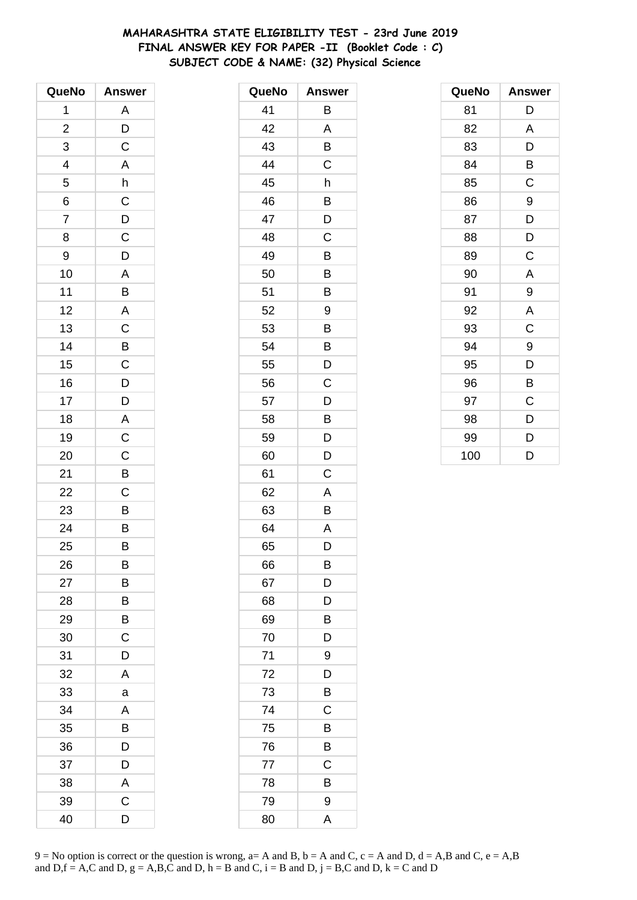# **MAHARASHTRA STATE ELIGIBILITY TEST - 23rd June 2019 FINAL ANSWER KEY FOR PAPER -II (Booklet Code : C) SUBJECT CODE & NAME: (32) Physical Science**

| QueNo                   | <b>Answer</b>           |
|-------------------------|-------------------------|
| 1                       | A                       |
| $\overline{\mathbf{c}}$ | D                       |
| 3                       | C                       |
| 4                       | $\overline{A}$          |
| 5                       | h                       |
| 6                       | $\overline{C}$          |
| $\overline{7}$          | $\overline{D}$          |
| 8                       | C                       |
| 9                       | D                       |
| 10                      | A                       |
| 11                      | B                       |
| 12                      | A                       |
| 13                      | $\frac{1}{C}$           |
| 14                      | B                       |
| 15                      | C                       |
| 16                      | $\overline{D}$          |
| 17                      | D                       |
| 18                      | A                       |
| 19                      | $\overline{\mathrm{c}}$ |
| 20                      | $\mathsf{C}$            |
| 21                      | B                       |
| 22                      | C                       |
| 23                      | $\overline{B}$          |
| 24                      | $\overline{B}$          |
| 25                      | B                       |
| 26                      | B                       |
| 27                      | В                       |
| 28                      | В                       |
| 29                      | В                       |
| 30                      | C                       |
| 31                      | D                       |
| 32                      | A                       |
| 33                      | a                       |
| 34                      | Α                       |
| 35                      | В                       |
| 36                      | D                       |
| 37                      | D                       |
| 38                      | A                       |
| 39                      | C                       |
| 40                      | D                       |

| QueNo | <b>Answer</b> |
|-------|---------------|
| 41    | Β             |
| 42    | A             |
| 43    | B             |
| 44    | C             |
| 45    | h             |
| 46    | Β             |
| 47    | D             |
| 48    | C             |
| 49    | B             |
| 50    | B             |
| 51    | В             |
| 52    | 9             |
| 53    | B             |
| 54    | B             |
| 55    | D             |
| 56    | C             |
| 57    | D             |
| 58    | Β             |
| 59    | D             |
| 60    | D             |
| 61    | C             |
| 62    | A             |
| 63    | B             |
| 64    | A             |
| 65    | D             |
| 66    | Β             |
| 67    | D             |
| 68    | D             |
| 69    | B             |
| 70    | D             |
| 71    | 9             |
| 72    | D             |
| 73    | B             |
| 74    | C             |
| 75    | B             |
| 76    | Β             |
| 77    | C             |
| 78    | B             |
| 79    | 9             |
| 80    | A             |

| QueNo | <b>Answer</b> |
|-------|---------------|
| 81    | D             |
| 82    | A             |
| 83    | D             |
| 84    | B             |
| 85    | C             |
| 86    | 9             |
| 87    | D             |
| 88    | D             |
| 89    | C             |
| 90    | A             |
| 91    | 9             |
| 92    | A             |
| 93    | C             |
| 94    | 9             |
| 95    | D             |
| 96    | B             |
| 97    | C             |
| 98    | D             |
| 99    | D             |
| 100   | D             |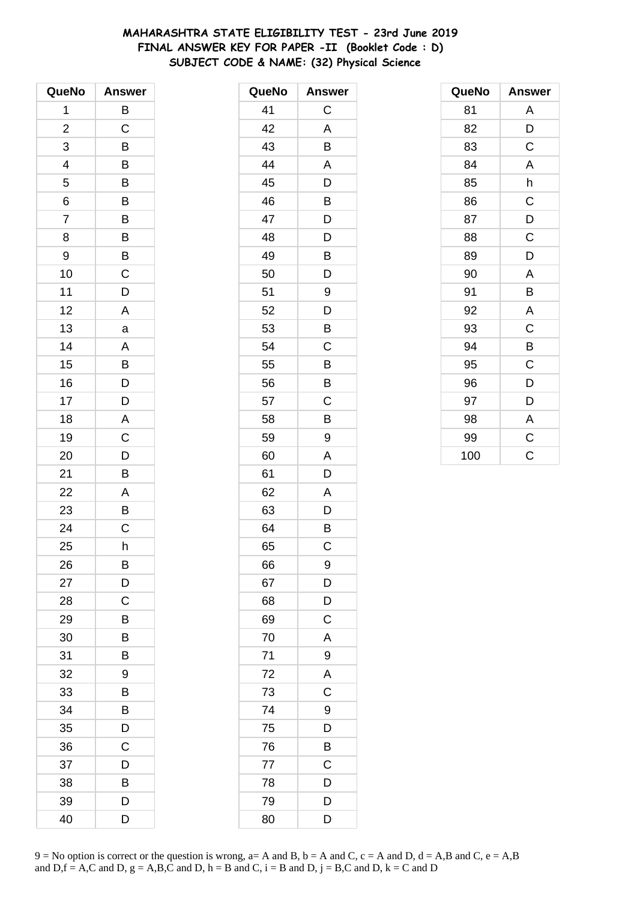# **MAHARASHTRA STATE ELIGIBILITY TEST - 23rd June 2019 FINAL ANSWER KEY FOR PAPER -II (Booklet Code : D) SUBJECT CODE & NAME: (32) Physical Science**

| QueNo          | <b>Answer</b>           |
|----------------|-------------------------|
| 1              | B                       |
| $\overline{c}$ | C                       |
| 3              | B                       |
| 4              | B                       |
| 5              | B                       |
| 6              | B                       |
| $\overline{7}$ | B                       |
| 8              | B                       |
| 9              | B                       |
| 10             | C                       |
| 11             | D                       |
| 12             | A                       |
| 13             | a                       |
| 14             | A                       |
| 15             | B                       |
| 16             | D                       |
| 17             | D                       |
| 18             | $\overline{\mathsf{A}}$ |
| 19             | $\overline{\mathrm{C}}$ |
| 20             | D                       |
| 21             | B                       |
| 22             | A                       |
| 23             | В                       |
| 24             | $\mathsf C$             |
| 25             | h                       |
| 26             | B                       |
| 27             | D                       |
| 28             | С                       |
| 29             | В                       |
| 30             | B                       |
| 31             | B                       |
| 32             | 9                       |
| 33             | B                       |
| 34             | B                       |
| 35             | D                       |
| 36             | C                       |
| 37             | D                       |
| 38             | B                       |
| 39             | D                       |
| 40             | D                       |

| QueNo | <b>Answer</b> |
|-------|---------------|
| 41    | C             |
| 42    | A             |
| 43    | B             |
| 44    | A             |
| 45    | D             |
| 46    | B             |
| 47    | D             |
| 48    | D             |
| 49    | B             |
| 50    | D             |
| 51    | 9             |
| 52    | D             |
| 53    | B             |
| 54    | C             |
| 55    | B             |
| 56    | В             |
| 57    | C             |
| 58    | Β             |
| 59    | 9             |
| 60    | A             |
| 61    | D             |
| 62    | Α             |
| 63    | D             |
| 64    | B             |
| 65    | C             |
| 66    | 9             |
| 67    | D             |
| 68    | D             |
| 69    | $\mathsf C$   |
| 70    | A             |
| 71    | 9             |
| 72    | A             |
| 73    | $\mathsf C$   |
| 74    | 9             |
| 75    | D             |
| 76    | B             |
| 77    | $\mathsf C$   |
| 78    | D             |
| 79    | D             |
| 80    | D             |

| QueNo | <b>Answer</b> |
|-------|---------------|
| 81    | A             |
| 82    | D             |
| 83    | C             |
| 84    | A             |
| 85    | h             |
| 86    | $\mathsf C$   |
| 87    | D             |
| 88    | $\mathsf C$   |
| 89    | D             |
| 90    | A             |
| 91    | В             |
| 92    | A             |
| 93    | C             |
| 94    | B             |
| 95    | C             |
| 96    | D             |
| 97    | D             |
| 98    | A             |
| 99    | $\mathsf C$   |
| 100   | C             |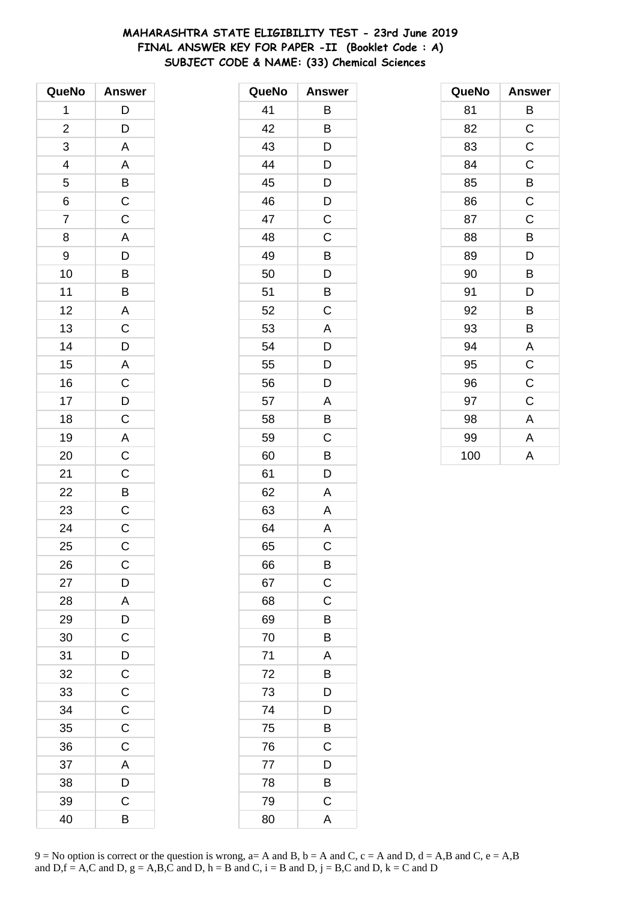# **MAHARASHTRA STATE ELIGIBILITY TEST - 23rd June 2019 FINAL ANSWER KEY FOR PAPER -II (Booklet Code : A) SUBJECT CODE & NAME: (33) Chemical Sciences**

| QueNo                   | <b>Answer</b>                                                                    |
|-------------------------|----------------------------------------------------------------------------------|
| 1                       | D                                                                                |
| $\overline{\mathbf{c}}$ | $\mathsf{D}$                                                                     |
| 3                       | $\overline{\mathsf{A}}$                                                          |
| $\overline{4}$          |                                                                                  |
| 5                       |                                                                                  |
| 6                       | $\frac{A}{B}$ $\frac{B}{C}$                                                      |
| $\overline{7}$          |                                                                                  |
| 8                       |                                                                                  |
| 9                       |                                                                                  |
| 10                      | $\begin{array}{c c} A & D & B & B \\ \hline B & B & A & C \\ \hline \end{array}$ |
| 11                      |                                                                                  |
| 12                      |                                                                                  |
| 13                      |                                                                                  |
| 14                      |                                                                                  |
| 15                      |                                                                                  |
| 16                      |                                                                                  |
| 17                      | $D$ $A$ $C$ $D$ $C$                                                              |
| 18                      |                                                                                  |
| 19                      | $rac{A}{C}$                                                                      |
| 20                      |                                                                                  |
| 21                      |                                                                                  |
| 22                      | $rac{C}{C}$                                                                      |
| 23                      |                                                                                  |
| 24                      | $\overline{C}$                                                                   |
| 25                      | $\mathsf C$                                                                      |
| 26                      | С                                                                                |
| 27                      | D                                                                                |
| 28                      | $\mathsf{A}$                                                                     |
| 29                      | $\overline{D}$                                                                   |
| 30                      | $\mathsf C$                                                                      |
| 31                      | D                                                                                |
| 32                      | $\mathsf{C}$                                                                     |
| 33                      | $\mathsf C$                                                                      |
| 34                      | $\overline{C}$                                                                   |
| 35                      | $\mathsf C$                                                                      |
| 36                      | $\mathsf C$                                                                      |
| 37                      | A                                                                                |
| 38                      | D                                                                                |
| 39                      | $\mathsf C$                                                                      |
| 40                      | B                                                                                |

| QueNo | <b>Answer</b> |
|-------|---------------|
| 41    | Β             |
| 42    | B             |
| 43    | D             |
| 44    | D             |
| 45    | D             |
| 46    | D             |
| 47    | $\mathsf C$   |
| 48    | C             |
| 49    | B             |
| 50    | D             |
| 51    | B             |
| 52    | C             |
| 53    | A             |
| 54    | D             |
| 55    | D             |
| 56    | D             |
| 57    | Α             |
| 58    | B             |
| 59    | C             |
| 60    | B             |
| 61    | D             |
| 62    | A             |
| 63    | A             |
| 64    | A             |
| 65    | C             |
| 66    | B             |
| 67    | $\mathsf C$   |
| 68    | C             |
| 69    | B             |
| 70    | B             |
| 71    | A             |
| 72    | B             |
| 73    | D             |
| 74    | D             |
| 75    | B             |
| 76    | C             |
| 77    | D             |
| 78    | B             |
| 79    | C             |
| 80    | A             |

| QueNo | <b>Answer</b> |
|-------|---------------|
| 81    | В             |
| 82    | C             |
| 83    | C             |
| 84    | $\mathsf C$   |
| 85    | В             |
| 86    | $\mathsf C$   |
| 87    | $\mathsf C$   |
| 88    | B             |
| 89    | D             |
| 90    | B             |
| 91    | D             |
| 92    | B             |
| 93    | B             |
| 94    | A             |
| 95    | $\mathsf C$   |
| 96    | $\mathsf C$   |
| 97    | C             |
| 98    | A             |
| 99    | A             |
| 100   | A             |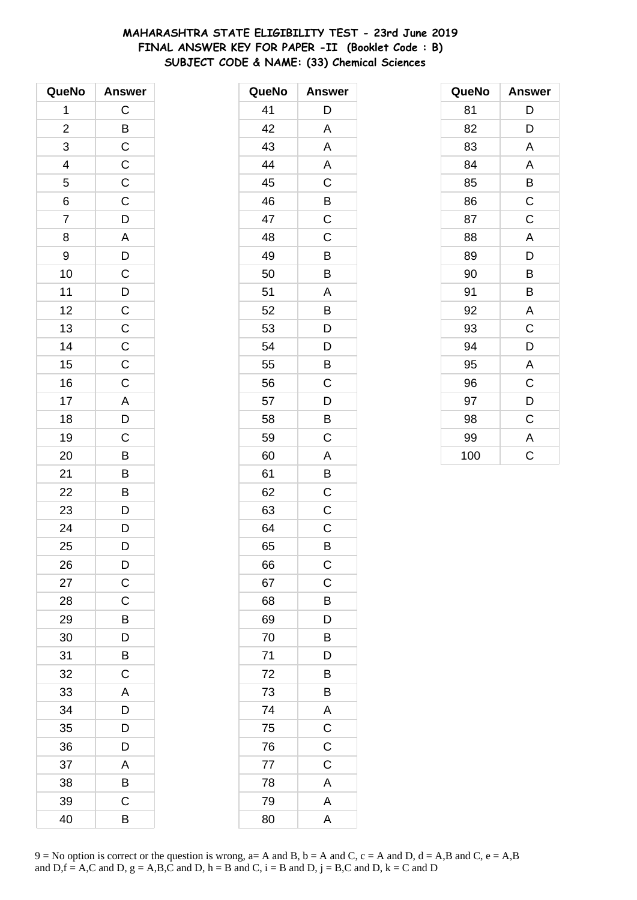# **MAHARASHTRA STATE ELIGIBILITY TEST - 23rd June 2019 FINAL ANSWER KEY FOR PAPER -II (Booklet Code : B) SUBJECT CODE & NAME: (33) Chemical Sciences**

| QueNo                    | <b>Answer</b>           |
|--------------------------|-------------------------|
| 1                        | $\mathsf C$             |
| $\overline{\mathbf{c}}$  |                         |
| 3                        | $rac{B}{C}$             |
| $\overline{\mathcal{L}}$ |                         |
| $\overline{5}$           | $\frac{C}{C}$           |
| 6                        | $\overline{C}$          |
| $\overline{7}$           | $\overline{D}$          |
| 8                        | $\overline{\mathsf{A}}$ |
| 9                        | D                       |
| 10                       | $\overline{C}$          |
| 11                       |                         |
| 12                       | $\frac{D}{C}$           |
| 13                       |                         |
| 14                       |                         |
| 15                       | $\frac{C}{C}$           |
| 16                       | $\mathsf C$             |
| 17                       |                         |
| 18                       | $\frac{A}{D}$           |
| 19                       | $\overline{C}$          |
| 20                       | B                       |
| 21                       | B                       |
| 22                       | B                       |
| 23                       | $\mathsf{D}$            |
| 24                       | $\overline{D}$          |
| 25                       | D                       |
| 26                       | D                       |
| 27                       | $\mathsf C$             |
| 28                       | C                       |
| 29                       | В                       |
| 30                       | D                       |
| 31                       | B                       |
| 32                       | $\mathsf C$             |
| 33                       | A                       |
| 34                       | D                       |
| 35                       | D                       |
| 36                       | D                       |
| 37                       | A                       |
| 38                       | B                       |
| 39                       | С                       |
| 40                       | B                       |

| QueNo | <b>Answer</b>  |
|-------|----------------|
| 41    | D              |
| 42    | A              |
| 43    | A              |
| 44    | A              |
| 45    | C              |
| 46    | B              |
| 47    | $\mathsf C$    |
| 48    | Ċ              |
| 49    | B              |
| 50    | B              |
| 51    | Α              |
| 52    | B              |
| 53    | D              |
| 54    | D              |
| 55    | B              |
| 56    | C              |
| 57    | D              |
| 58    | Β              |
| 59    | C              |
| 60    | Α              |
| 61    | B              |
| 62    | C              |
| 63    | C              |
| 64    | C              |
| 65    | B              |
| 66    | $\mathsf{C}$   |
| 67    | $\overline{C}$ |
| 68    | B              |
| 69    | D              |
| 70    | Β              |
| 71    | D              |
| 72    | B              |
| 73    | B              |
| 74    | A              |
| 75    | $\mathsf C$    |
| 76    | $\mathsf C$    |
| 77    | $\mathsf C$    |
| 78    | A              |
| 79    | A              |
| 80    | A              |

| QueNo | <b>Answer</b> |
|-------|---------------|
| 81    | D             |
| 82    | D             |
| 83    | A             |
| 84    | A             |
| 85    | B             |
| 86    | $\mathsf C$   |
| 87    | $\mathsf C$   |
| 88    | A             |
| 89    | D             |
| 90    | B             |
| 91    | В             |
| 92    | A             |
| 93    | $\mathsf C$   |
| 94    | D             |
| 95    | A             |
| 96    | C             |
| 97    | D             |
| 98    | C             |
| 99    | A             |
| 100   | Ċ             |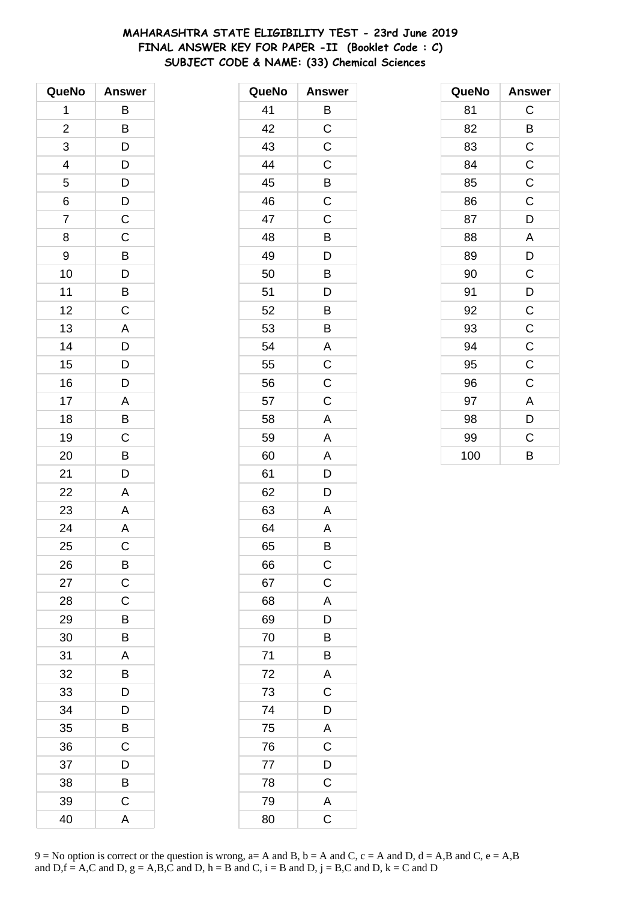# **MAHARASHTRA STATE ELIGIBILITY TEST - 23rd June 2019 FINAL ANSWER KEY FOR PAPER -II (Booklet Code : C) SUBJECT CODE & NAME: (33) Chemical Sciences**

| QueNo                    | <b>Answer</b>                                |
|--------------------------|----------------------------------------------|
| 1                        | B                                            |
| $\overline{\mathbf{c}}$  | B                                            |
| 3                        | D                                            |
| $\overline{\mathcal{L}}$ |                                              |
| 5                        |                                              |
| 6                        |                                              |
| $\overline{7}$           | $\begin{array}{c}\nD \\ D \\ C\n\end{array}$ |
| 8                        | $\mathsf C$                                  |
| 9                        | B                                            |
| 10                       | D                                            |
| 11                       | $\overline{B}$                               |
| 12                       | $\overline{C}$                               |
| 13                       | A                                            |
| 14                       | D                                            |
| 15                       | D                                            |
| 16                       | D                                            |
| 17                       | $\mathsf{A}$                                 |
| 18                       | $\overline{B}$                               |
| 19                       | $\overline{C}$                               |
| 20                       | B                                            |
| 21                       | D                                            |
| 22                       | A                                            |
| 23                       | A                                            |
| 24                       | $\overline{A}$                               |
| 25                       | C                                            |
| 26                       | B                                            |
| 27                       | $\mathsf{C}$                                 |
| 28                       | C                                            |
| 29                       | B                                            |
| 30                       | B                                            |
| 31                       | A                                            |
| 32                       | B                                            |
| 33                       | D                                            |
| 34                       | D                                            |
| 35                       | Β                                            |
| 36                       | $\mathsf C$                                  |
| 37                       | D                                            |
| 38                       | B                                            |
| 39                       | $\mathsf C$                                  |
| 40                       | A                                            |

| QueNo | <b>Answer</b>           |
|-------|-------------------------|
| 41    | B                       |
| 42    | $\overline{C}$          |
| 43    | C                       |
| 44    | C                       |
| 45    | B                       |
| 46    | $\mathsf C$             |
| 47    | C                       |
| 48    | B                       |
| 49    | D                       |
| 50    | B                       |
| 51    | D                       |
| 52    | B                       |
| 53    | B                       |
| 54    | A                       |
| 55    | C                       |
| 56    | C                       |
| 57    | C                       |
| 58    | A                       |
| 59    | A                       |
| 60    | A                       |
| 61    | D                       |
| 62    | D                       |
| 63    | Α                       |
| 64    | A                       |
| 65    | В                       |
| 66    | $\mathsf{C}$            |
| 67    | $\overline{C}$          |
| 68    | A                       |
| 69    | D                       |
| 70    | Β                       |
| 71    | B                       |
| 72    | A                       |
| 73    | $\overline{\mathrm{C}}$ |
| 74    | D                       |
| 75    | A                       |
| 76    | $\mathsf C$             |
| 77    | D                       |
| 78    | $\mathsf C$             |
| 79    | A                       |
| 80    | $\mathsf C$             |

| QueNo | <b>Answer</b>  |
|-------|----------------|
| 81    | C              |
| 82    | B              |
| 83    | $\mathsf C$    |
| 84    | $\mathsf{C}$   |
| 85    | $\overline{C}$ |
| 86    | $\mathsf C$    |
| 87    | D              |
| 88    | A              |
| 89    | D              |
| 90    | $\mathsf C$    |
| 91    | D              |
| 92    | $\mathsf C$    |
| 93    | $\overline{C}$ |
| 94    | $\mathsf{C}$   |
| 95    | $\mathsf C$    |
| 96    | $\mathsf C$    |
| 97    | A              |
| 98    | D              |
| 99    | C              |
| 100   | B              |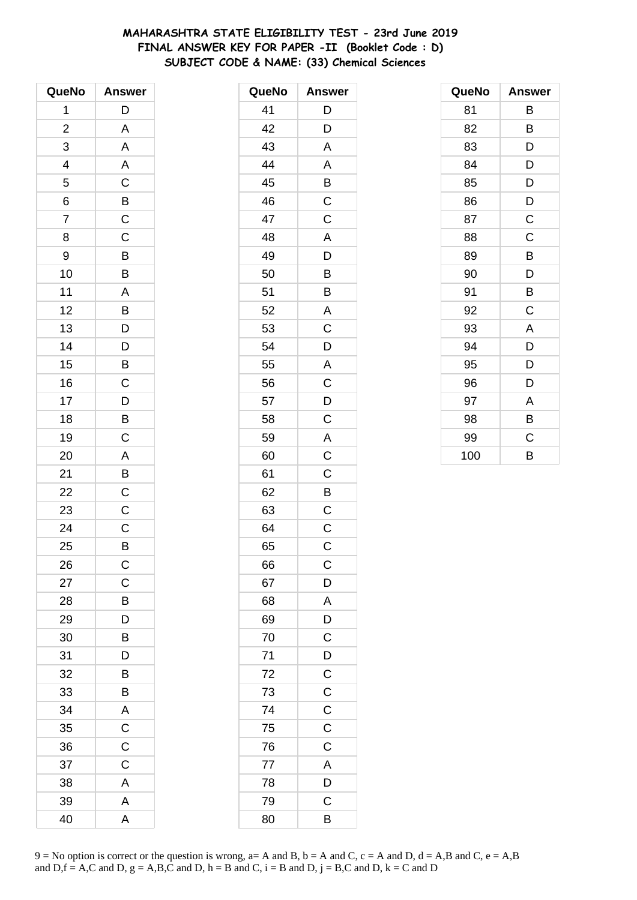# **MAHARASHTRA STATE ELIGIBILITY TEST - 23rd June 2019 FINAL ANSWER KEY FOR PAPER -II (Booklet Code : D) SUBJECT CODE & NAME: (33) Chemical Sciences**

| QueNo                   | <b>Answer</b>           |
|-------------------------|-------------------------|
| 1                       | D                       |
| $\overline{\mathbf{c}}$ | A                       |
| 3                       | A                       |
| 4                       | A                       |
| 5                       | $\mathsf C$             |
| 6                       | $\overline{B}$          |
| $\overline{7}$          | $\overline{\mathrm{c}}$ |
| 8                       | C                       |
| 9                       | B                       |
| 10                      | B                       |
| 11                      | A                       |
| 12                      | B                       |
| 13                      | $\overline{D}$          |
| 14                      | $\mathsf{D}$            |
| 15                      | B                       |
| 16                      | $\mathsf{C}$            |
| 17                      | $\overline{D}$          |
| 18                      | $\overline{B}$          |
| 19                      | $\overline{C}$          |
| 20                      | A                       |
| 21                      | B                       |
| 22                      | C                       |
| 23                      | C                       |
| 24                      | $\mathsf{C}$            |
| 25                      | B                       |
| 26                      | $\mathsf{C}$            |
| 27                      | C                       |
| 28                      | B                       |
| 29                      | D                       |
| 30                      | B                       |
| 31                      | D                       |
| 32                      | B                       |
| 33                      | B                       |
| 34                      | A                       |
| 35                      | $\mathsf C$             |
| 36                      | $\mathsf C$             |
| 37                      | $\mathsf C$             |
| 38                      | A                       |
| 39                      | A                       |
| 40                      | A                       |

| QueNo | <b>Answer</b>           |
|-------|-------------------------|
| 41    | $\mathsf{D}$            |
| 42    | D                       |
| 43    | A                       |
| 44    | A                       |
| 45    | B                       |
| 46    | C                       |
| 47    | $\mathsf C$             |
| 48    | A                       |
| 49    | D                       |
| 50    | B                       |
| 51    | B                       |
| 52    | A                       |
| 53    | C                       |
| 54    | D                       |
| 55    | A                       |
| 56    | $\mathsf C$             |
| 57    | D                       |
| 58    | $\mathsf C$             |
| 59    | $\mathsf{A}$            |
| 60    | $\overline{C}$          |
| 61    | $\mathsf C$             |
| 62    | B                       |
| 63    | C                       |
| 64    | $\mathsf C$             |
| 65    | C                       |
| 66    | $\mathsf{C}$            |
| 67    | $\mathsf{D}$            |
| 68    | A                       |
| 69    | D                       |
| 70    | $\overline{\mathrm{C}}$ |
| 71    |                         |
| 72    | $\frac{D}{C}$           |
| 73    | $\overline{C}$          |
| 74    | $\frac{C}{C}$           |
| 75    |                         |
| 76    | $\mathsf C$             |
| 77    | A                       |
| 78    | $\overline{\mathsf{D}}$ |
| 79    | C                       |
| 80    | B                       |

| QueNo | <b>Answer</b> |
|-------|---------------|
| 81    | В             |
| 82    | В             |
| 83    | D             |
| 84    | D             |
| 85    | D             |
| 86    | D             |
| 87    | C             |
| 88    | C             |
| 89    | B             |
| 90    | D             |
| 91    | B             |
| 92    | C             |
| 93    | A             |
| 94    | D             |
| 95    | D             |
| 96    | D             |
| 97    | A             |
| 98    | B             |
| 99    | C             |
| 100   | B             |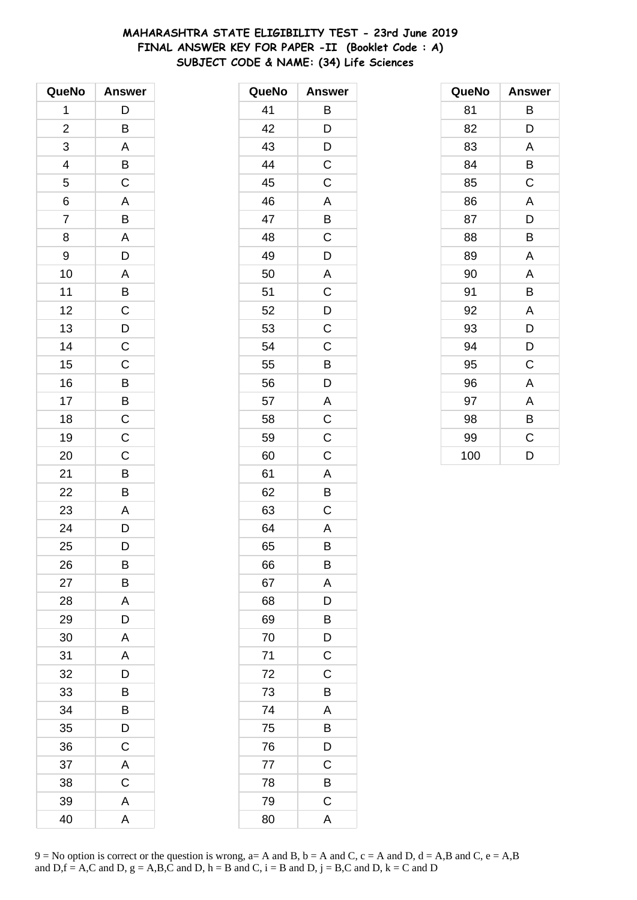# **MAHARASHTRA STATE ELIGIBILITY TEST - 23rd June 2019 FINAL ANSWER KEY FOR PAPER -II (Booklet Code : A) SUBJECT CODE & NAME: (34) Life Sciences**

| QueNo          | <b>Answer</b>  |
|----------------|----------------|
| 1              | D              |
| $\overline{c}$ | B              |
| 3              | A              |
| 4              | B              |
| 5              | $\mathsf C$    |
| 6              | A              |
| $\overline{7}$ | B              |
| 8              | A              |
| 9              | D              |
| 10             | A              |
| 11             | $\overline{B}$ |
| 12             | $\overline{C}$ |
| 13             | $\overline{D}$ |
| 14             | $\mathsf{C}$   |
| 15             | C              |
| 16             | $\overline{B}$ |
| 17             | B              |
| 18             | $\overline{C}$ |
| 19             | $\overline{C}$ |
| 20             | C              |
| 21             | B              |
| 22             | B              |
| 23             | A              |
| 24             | D              |
| 25             | D              |
| 26             | B              |
| 27             | В              |
| 28             | A              |
| 29             | D              |
| 30             | A              |
| 31             | A              |
| 32             | D              |
| 33             | В              |
| 34             | B              |
| 35             | D              |
| 36             | $\mathsf C$    |
| 37             | A              |
| 38             | C              |
| 39             | A              |
| 40             | A              |

| QueNo | <b>Answer</b>  |
|-------|----------------|
| 41    | Β              |
| 42    | D              |
| 43    | D              |
| 44    | C              |
| 45    | C              |
| 46    | A              |
| 47    | B              |
| 48    | $\mathsf C$    |
| 49    | $\overline{D}$ |
| 50    | A              |
| 51    | C              |
| 52    | D              |
| 53    | C              |
| 54    | $\mathsf C$    |
| 55    | B              |
| 56    | D              |
| 57    | A              |
| 58    | $\mathsf C$    |
| 59    | C              |
| 60    | C              |
| 61    | A              |
| 62    | B              |
| 63    | C              |
| 64    | A              |
| 65    | В              |
| 66    | Β              |
| 67    | A              |
| 68    | D              |
| 69    | B              |
| 70    | D              |
| 71    | $\mathsf C$    |
| 72    | $\mathsf C$    |
| 73    | B              |
| 74    | A              |
| 75    | B              |
| 76    | D              |
| 77    | C              |
| 78    | B              |
| 79    | $\mathsf C$    |
| 80    | A              |

| QueNo | <b>Answer</b> |
|-------|---------------|
| 81    | В             |
| 82    | D             |
| 83    | A             |
| 84    | B             |
| 85    | C             |
| 86    | A             |
| 87    | D             |
| 88    | B             |
| 89    | Α             |
| 90    | A             |
| 91    | В             |
| 92    | Α             |
| 93    | D             |
| 94    | D             |
| 95    | C             |
| 96    | Α             |
| 97    | A             |
| 98    | B             |
| 99    | C             |
| 100   | D             |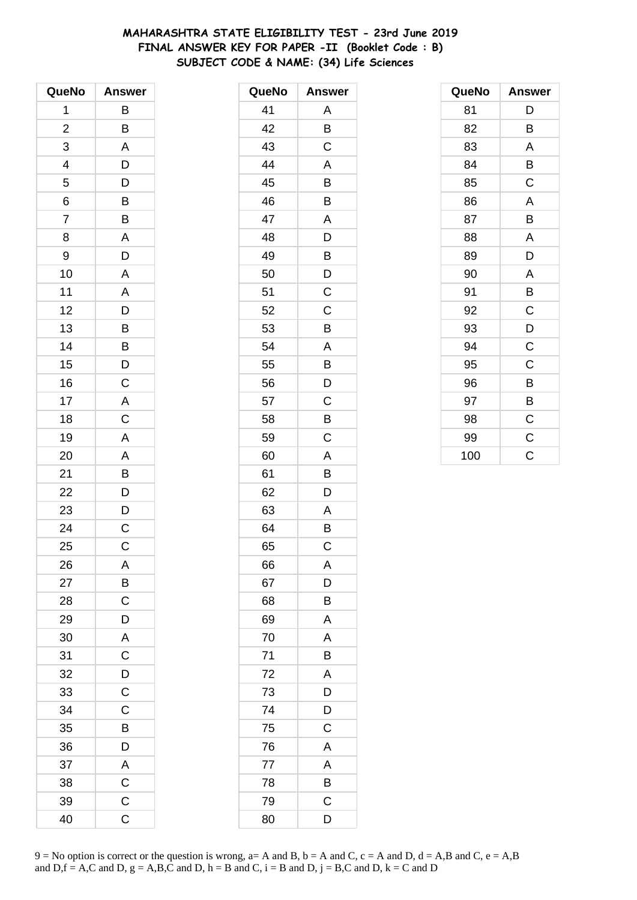# **MAHARASHTRA STATE ELIGIBILITY TEST - 23rd June 2019 FINAL ANSWER KEY FOR PAPER -II (Booklet Code : B) SUBJECT CODE & NAME: (34) Life Sciences**

| QueNo          | <b>Answer</b>           |
|----------------|-------------------------|
| 1              | B                       |
| $\overline{c}$ | B                       |
| 3              | A                       |
| 4              | D                       |
| 5              | $\overline{D}$          |
| 6              | $\overline{B}$          |
| $\overline{7}$ | $\overline{B}$          |
| 8              | $\overline{\mathsf{A}}$ |
| 9              | D                       |
| 10             | A                       |
| 11             | $\overline{A}$          |
| 12             | $\overline{D}$          |
| 13             | $\overline{B}$          |
| 14             |                         |
| 15             | B<br>D                  |
| 16             | $\mathsf C$             |
| 17             | $\mathsf{A}$            |
| 18             | $\overline{C}$          |
| 19             | $\mathsf{A}$            |
| 20             | $\mathsf{A}$            |
| 21             | B                       |
| 22             | D                       |
| 23             | D                       |
| 24             | $\overline{C}$          |
| 25             | C                       |
| 26             | A                       |
| 27             | B                       |
| 28             | $\mathsf C$             |
| 29             | D                       |
| 30             | $\overline{A}$          |
| 31             | $\overline{C}$          |
| 32             | $\overline{D}$          |
| 33             | $\overline{c}$          |
| 34             | $\mathsf C$             |
| 35             | В                       |
| 36             | D                       |
| 37             | A                       |
| 38             | $\mathsf C$             |
| 39             | $\mathsf C$             |
| 40             | C                       |

| QueNo | <b>Answer</b> |
|-------|---------------|
| 41    | Α             |
| 42    | B             |
| 43    | C             |
| 44    | A             |
| 45    | B             |
| 46    | Β             |
| 47    | A             |
| 48    | D             |
| 49    | B             |
| 50    | D             |
| 51    | C             |
| 52    | Ċ             |
| 53    | B             |
| 54    | A             |
| 55    | B             |
| 56    | D             |
| 57    | C             |
| 58    | Β             |
| 59    | C             |
| 60    | A             |
| 61    | B             |
| 62    | D             |
| 63    | A             |
| 64    | B             |
| 65    | C             |
| 66    | Α             |
| 67    | D             |
| 68    | B             |
| 69    | Α             |
| 70    | Α             |
| 71    | B             |
| 72    | A             |
| 73    | D             |
| 74    | D             |
| 75    | C             |
| 76    | A             |
| 77    | A             |
| 78    | B             |
| 79    | C             |
| 80    | D             |

| QueNo | <b>Answer</b> |
|-------|---------------|
| 81    | D             |
| 82    | B             |
| 83    | Α             |
| 84    | B             |
| 85    | C             |
| 86    | A             |
| 87    | B             |
| 88    | Α             |
| 89    | D             |
| 90    | A             |
| 91    | B             |
| 92    | C             |
| 93    | D             |
| 94    | $\mathsf C$   |
| 95    | C             |
| 96    | B             |
| 97    | B             |
| 98    | $\mathsf C$   |
| 99    | $\mathsf C$   |
| 100   | C             |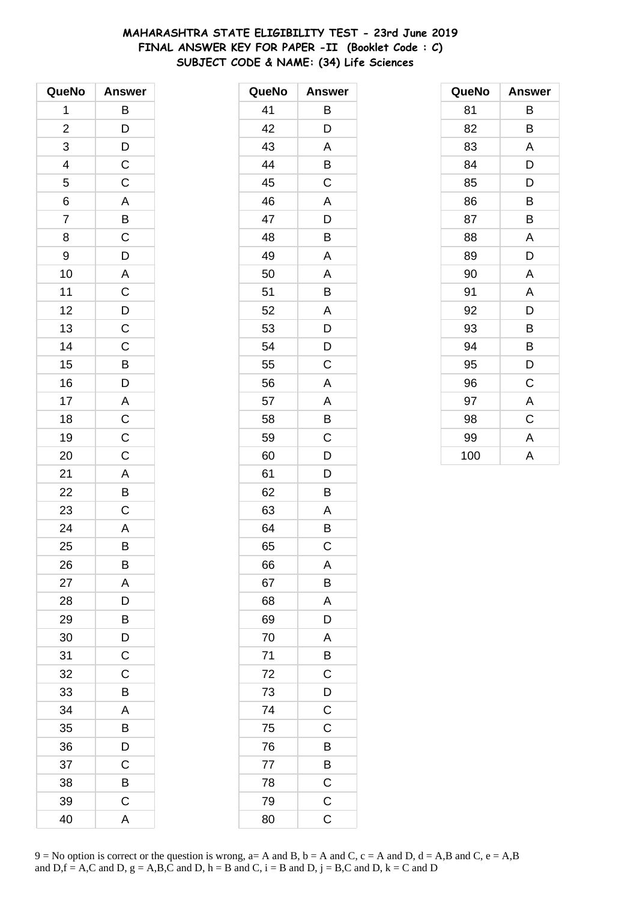# **MAHARASHTRA STATE ELIGIBILITY TEST - 23rd June 2019 FINAL ANSWER KEY FOR PAPER -II (Booklet Code : C) SUBJECT CODE & NAME: (34) Life Sciences**

| QueNo          | <b>Answer</b>  |
|----------------|----------------|
| 1              | B              |
| $\overline{c}$ | $\overline{D}$ |
| 3              | $\overline{D}$ |
| 4              | $\mathsf C$    |
| 5              | $\mathsf{C}$   |
| 6              | $\overline{A}$ |
| $\overline{7}$ | $\overline{B}$ |
| 8              | $\mathsf C$    |
| 9              | D              |
| 10             | A              |
| 11             | $\mathsf{C}$   |
| 12             | D              |
| 13             | $\overline{C}$ |
| 14             | $\mathsf C$    |
| 15             | B              |
| 16             | D              |
| 17             | A              |
| 18             | $\overline{C}$ |
| 19             | $\overline{C}$ |
| 20             | $\mathsf{C}$   |
| 21             | A              |
| 22             | B              |
| 23             | C              |
| 24             | A              |
| 25             | B              |
| 26             | B              |
| 27             | A              |
| 28             | D              |
| 29             | B              |
| 30             | D              |
| 31             | $\mathsf C$    |
| 32             | C              |
| 33             | B              |
| 34             | A              |
| 35             | В              |
| 36             | D              |
| 37             | C              |
| 38             | B              |
| 39             | C              |
| 40             | A              |

| QueNo | <b>Answer</b>           |
|-------|-------------------------|
| 41    | Β                       |
| 42    | D                       |
| 43    | A                       |
| 44    | B                       |
| 45    | C                       |
| 46    | A                       |
| 47    | D                       |
| 48    | B                       |
| 49    | A                       |
| 50    | A                       |
| 51    | B                       |
| 52    | A                       |
| 53    | D                       |
| 54    | D                       |
| 55    | C                       |
| 56    | A                       |
| 57    | A                       |
| 58    | Β                       |
| 59    | C                       |
| 60    | D                       |
| 61    | D                       |
| 62    | B                       |
| 63    | Α                       |
| 64    | B                       |
| 65    | C                       |
| 66    | A                       |
| 67    | B                       |
| 68    | A                       |
| 69    | D                       |
| 70    | A                       |
| 71    | $\overline{B}$          |
| 72    | $\overline{\mathsf{C}}$ |
| 73    | $\overline{D}$          |
| 74    | $\mathsf C$             |
| 75    | C                       |
| 76    | B                       |
| 77    | B                       |
| 78    | $\mathsf C$             |
| 79    | $\mathsf{C}$            |
| 80    | C                       |

| QueNo | <b>Answer</b> |
|-------|---------------|
| 81    | В             |
| 82    | B             |
| 83    | A             |
| 84    | D             |
| 85    | D             |
| 86    | B             |
| 87    | B             |
| 88    | A             |
| 89    | D             |
| 90    | A             |
| 91    | Α             |
| 92    | D             |
| 93    | В             |
| 94    | В             |
| 95    | D             |
| 96    | $\mathsf C$   |
| 97    | A             |
| 98    | $\mathsf C$   |
| 99    | A             |
| 100   | A             |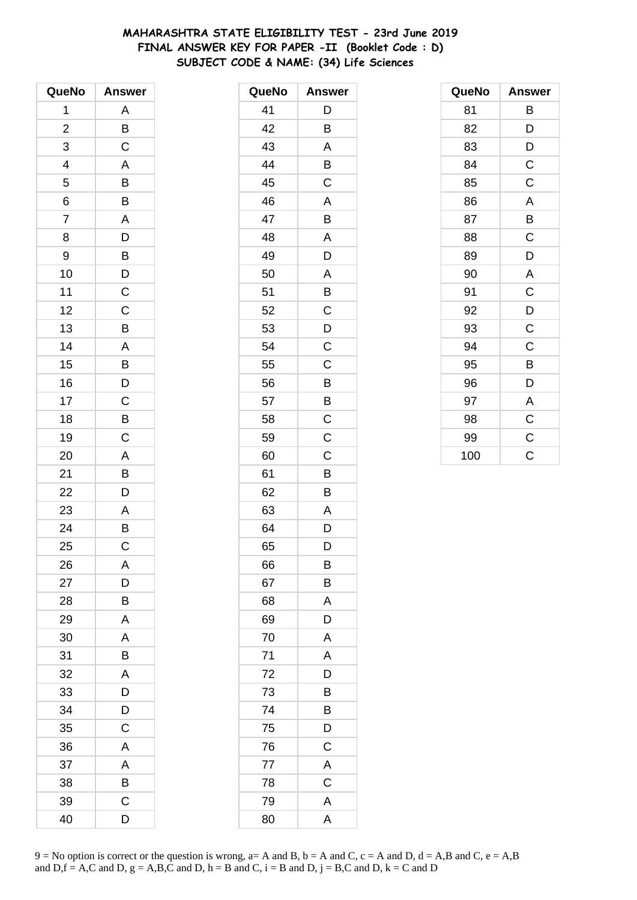# **MAHARASHTRA STATE ELIGIBILITY TEST - 23rd June 2019 FINAL ANSWER KEY FOR PAPER -II (Booklet Code : D) SUBJECT CODE & NAME: (34) Life Sciences**

| QueNo                   | <b>Answer</b>         |
|-------------------------|-----------------------|
| 1                       | A                     |
| $\overline{\mathbf{c}}$ | B                     |
| 3                       | C                     |
| 4                       | A                     |
| 5                       | B                     |
| 6                       | B                     |
| $\overline{7}$          | A                     |
| 8                       | D                     |
| 9                       | B                     |
| 10                      | D                     |
| 11                      | $\mathsf C$           |
| 12                      | $\mathsf{C}$          |
| 13                      | B                     |
| 14                      | A                     |
| 15                      | B                     |
| 16                      | $\mathsf{D}$          |
| 17                      | $\mathsf{C}$          |
| 18                      | $\overline{B}$        |
| 19                      | $\overline{\text{c}}$ |
| 20                      | A                     |
| 21                      | B                     |
| 22                      | D                     |
| 23                      | A                     |
| 24                      | B                     |
| 25                      | C                     |
| 26                      | A                     |
| 27                      | D                     |
| 28                      | В                     |
| 29                      | A                     |
| 30                      | A                     |
| 31                      | B                     |
| 32                      | A                     |
| 33                      | D                     |
| 34                      | D                     |
| 35                      | C                     |
| 36                      | A                     |
| 37                      | A                     |
| 38                      | B                     |
| 39                      | C                     |
| 40                      | D                     |

| QueNo | <b>Answer</b> |
|-------|---------------|
| 41    | D             |
| 42    | B             |
| 43    | A             |
| 44    | Β             |
| 45    | C             |
| 46    | A             |
| 47    | B             |
| 48    | A             |
| 49    | D             |
| 50    | A             |
| 51    | B             |
| 52    | $\mathsf C$   |
| 53    | D             |
| 54    | C             |
| 55    | C             |
| 56    | B             |
| 57    | B             |
| 58    | $\mathsf C$   |
| 59    | $\mathsf C$   |
| 60    | C             |
| 61    | B             |
| 62    | B             |
| 63    | A             |
| 64    | D             |
| 65    | D             |
| 66    | B             |
| 67    | B             |
| 68    | A             |
| 69    | D             |
| 70    | A             |
| 71    | A             |
| 72    | D             |
| 73    | Β             |
| 74    | B             |
| 75    | D             |
| 76    | $\mathsf C$   |
| 77    | A             |
| 78    | $\mathsf C$   |
| 79    | A             |
| 80    | A             |

| QueNo | <b>Answer</b>           |
|-------|-------------------------|
| 81    | В                       |
| 82    | D                       |
| 83    | D                       |
| 84    | $\mathsf C$             |
| 85    | C                       |
| 86    | $\overline{\mathsf{A}}$ |
| 87    | B                       |
| 88    | $\mathsf C$             |
| 89    | D                       |
| 90    | $\overline{\mathsf{A}}$ |
| 91    | $\mathsf C$             |
| 92    | D                       |
| 93    | $\mathsf C$             |
| 94    | C                       |
| 95    | B                       |
| 96    | D                       |
| 97    | A                       |
| 98    | $\mathsf C$             |
| 99    | $\mathsf C$             |
| 100   | C                       |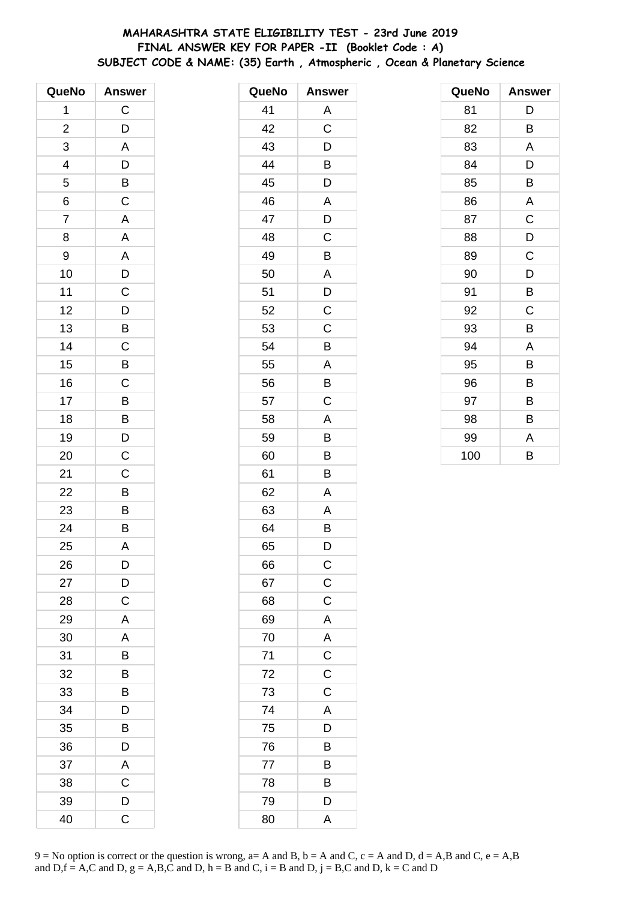# **MAHARASHTRA STATE ELIGIBILITY TEST - 23rd June 2019 FINAL ANSWER KEY FOR PAPER -II (Booklet Code : A) SUBJECT CODE & NAME: (35) Earth , Atmospheric , Ocean & Planetary Science**

| QueNo          | <b>Answer</b>  |
|----------------|----------------|
| 1              | $\mathsf C$    |
| $\overline{c}$ | D              |
| 3              | A              |
| 4              | D              |
| 5              | B              |
| 6              | $\mathsf C$    |
| $\overline{7}$ | A              |
| 8              | A              |
| 9              | A              |
| 10             | D              |
| 11             | $\mathsf C$    |
| 12             | $\overline{D}$ |
| 13             | $\overline{B}$ |
| 14             | $\mathsf C$    |
| 15             | B              |
| 16             | $\mathsf C$    |
| 17             | B              |
| 18             | $\overline{B}$ |
| 19             | $\overline{D}$ |
| 20             | $\mathsf C$    |
| 21             | $\mathsf C$    |
| 22             | B              |
| 23             | $\overline{B}$ |
| 24             | $\overline{B}$ |
| 25             | A              |
| 26             | D              |
| 27             | D              |
| 28             | C              |
| 29             | A              |
| 30             | A              |
| 31             | B              |
| 32             | B              |
| 33             | B              |
| 34             | D              |
| 35             | В              |
| 36             | D              |
| 37             | A              |
| 38             | $\mathsf C$    |
| 39             | D              |
| 40             | C              |

| QueNo | <b>Answer</b>  |
|-------|----------------|
| 41    | Α              |
| 42    | C              |
| 43    | D              |
| 44    | Β              |
| 45    | D              |
| 46    | A              |
| 47    | D              |
| 48    | C              |
| 49    | Β              |
| 50    | A              |
| 51    | D              |
| 52    | C              |
| 53    | C              |
| 54    | B              |
| 55    | Α              |
| 56    | B              |
| 57    | $\mathsf C$    |
| 58    | A              |
| 59    | B              |
| 60    | B              |
| 61    | Β              |
| 62    | A              |
| 63    | A              |
| 64    | B              |
| 65    | D              |
| 66    | $\mathsf{C}$   |
| 67    | $\mathsf{C}$   |
| 68    | $\mathsf C$    |
| 69    | $\overline{A}$ |
| 70    | $\overline{A}$ |
| 71    | $\frac{C}{C}$  |
| 72    |                |
| 73    | $\mathsf C$    |
| 74    | $\mathsf{A}$   |
| 75    | D              |
| 76    | B              |
| 77    | B              |
| 78    | B              |
| 79    | D              |
| 80    | A              |

| QueNo | <b>Answer</b> |
|-------|---------------|
| 81    | D             |
| 82    | B             |
| 83    | A             |
| 84    | D             |
| 85    | B             |
| 86    | A             |
| 87    | C             |
| 88    | D             |
| 89    | C             |
| 90    | D             |
| 91    | В             |
| 92    | C             |
| 93    | B             |
| 94    | A             |
| 95    | B             |
| 96    | В             |
| 97    | В             |
| 98    | В             |
| 99    | A             |
| 100   | B             |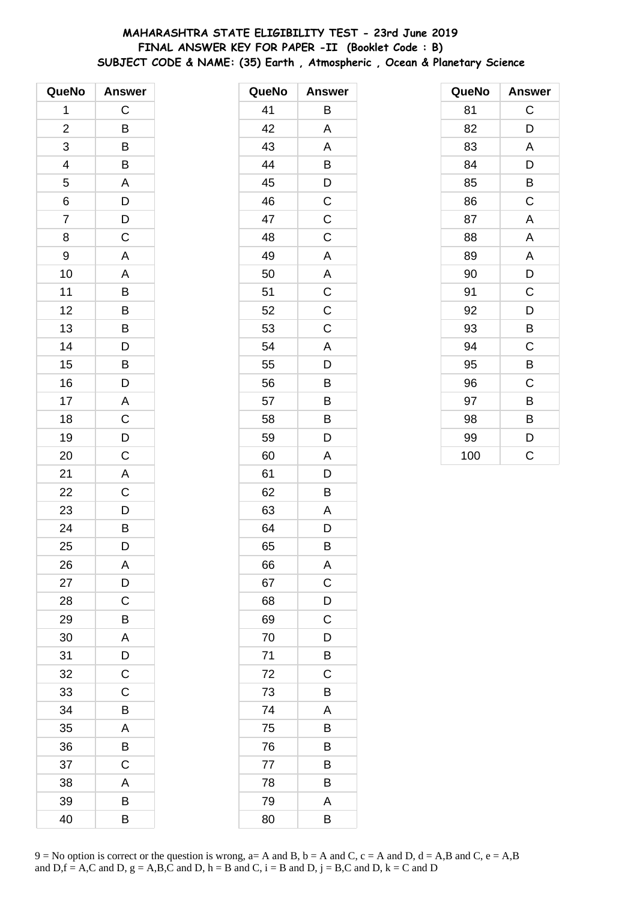# **MAHARASHTRA STATE ELIGIBILITY TEST - 23rd June 2019 FINAL ANSWER KEY FOR PAPER -II (Booklet Code : B) SUBJECT CODE & NAME: (35) Earth , Atmospheric , Ocean & Planetary Science**

| QueNo          | <b>Answer</b>           |
|----------------|-------------------------|
| 1              | $\mathsf C$             |
| $\overline{c}$ | B                       |
| 3              | B                       |
| 4              | B                       |
| 5              | $\overline{\mathsf{A}}$ |
| 6              | $\overline{D}$          |
| $\overline{7}$ | $\overline{D}$          |
| 8              | $\mathsf C$             |
| 9              | A                       |
| 10             | A                       |
| 11             | $\overline{B}$          |
| 12             | $\overline{B}$          |
| 13             | $\overline{B}$          |
| 14             | D                       |
| 15             | B                       |
| 16             | D                       |
| 17             | A                       |
| 18             | $\overline{C}$          |
| 19             | $\overline{D}$          |
| 20             | $\mathsf C$             |
| 21             | A                       |
| 22             | $\overline{C}$          |
| 23             | D                       |
| 24             | $\overline{B}$          |
| 25             | D                       |
| 26             | A                       |
| 27             | D                       |
| 28             | C                       |
| 29             | В                       |
| 30             | A                       |
| 31             | D                       |
| 32             | $\mathsf C$             |
| 33             | $\mathsf C$             |
| 34             | B                       |
| 35             | A                       |
| 36             | B                       |
| 37             | $\mathsf C$             |
| 38             | Α                       |
| 39             | B                       |
| 40             | B                       |

| QueNo | <b>Answer</b> |
|-------|---------------|
| 41    | B             |
| 42    | A             |
| 43    | A             |
| 44    | B             |
| 45    | D             |
| 46    | $\mathsf C$   |
| 47    | $\mathsf C$   |
| 48    | C             |
| 49    | A             |
| 50    | A             |
| 51    | $\mathsf C$   |
| 52    | C             |
| 53    | C             |
| 54    | A             |
| 55    | D             |
| 56    | В             |
| 57    | B             |
| 58    | B             |
| 59    | D             |
| 60    | A             |
| 61    | D             |
| 62    | В             |
| 63    | Α             |
| 64    | D             |
| 65    | B             |
| 66    | Α             |
| 67    | C             |
| 68    | D             |
| 69    | C             |
| 70    | D             |
| 71    | B             |
| 72    | C             |
| 73    | B             |
| 74    | A             |
| 75    | В             |
| 76    | В             |
| 77    | B             |
| 78    | B             |
| 79    | A             |
| 80    | B             |

| QueNo | <b>Answer</b> |
|-------|---------------|
| 81    | C             |
| 82    | D             |
| 83    | A             |
| 84    | D             |
| 85    | B             |
| 86    | C             |
| 87    | A             |
| 88    | A             |
| 89    | A             |
| 90    | D             |
| 91    | C             |
| 92    | D             |
| 93    | B             |
| 94    | C             |
| 95    | B             |
| 96    | C             |
| 97    | B             |
| 98    | B             |
| 99    | D             |
| 100   | Ć             |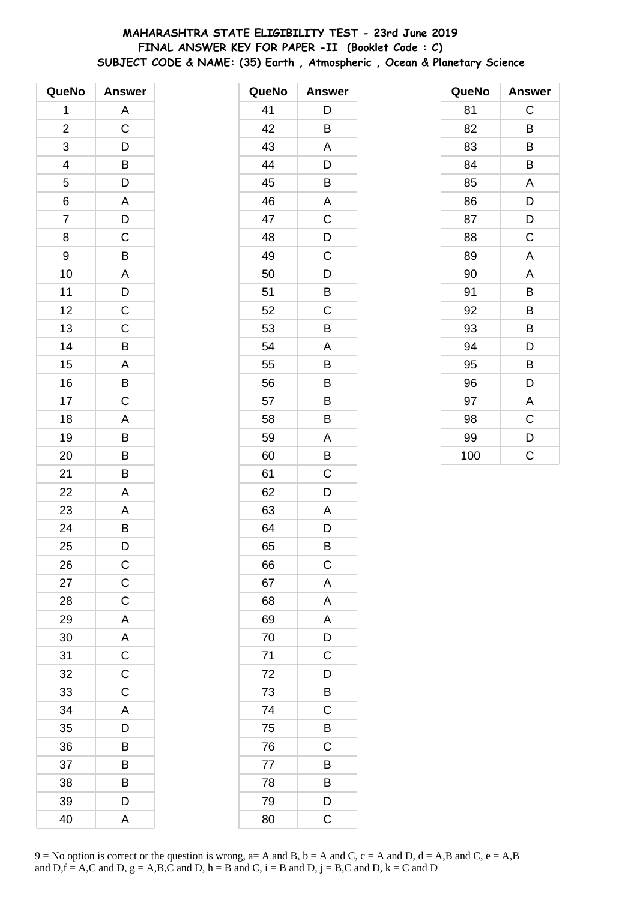# **MAHARASHTRA STATE ELIGIBILITY TEST - 23rd June 2019 FINAL ANSWER KEY FOR PAPER -II (Booklet Code : C) SUBJECT CODE & NAME: (35) Earth , Atmospheric , Ocean & Planetary Science**

| QueNo          | <b>Answer</b>           |
|----------------|-------------------------|
| 1              | A                       |
| $\overline{c}$ | C                       |
| 3              | D                       |
| 4              | $\mathsf{B}$            |
| 5              | D                       |
| 6              | A                       |
| $\overline{7}$ | D                       |
| 8              | C                       |
| 9              | B                       |
| 10             | A                       |
| 11             | $\mathsf{D}$            |
| 12             | $\overline{C}$          |
| 13             | $\overline{C}$          |
| 14             | B                       |
| 15             | A                       |
| 16             | B                       |
| 17             | $\mathsf C$             |
| 18             | A                       |
| 19             | B                       |
| 20             | B                       |
| 21             | B                       |
| 22             | A                       |
| 23             | A                       |
| 24             | B                       |
| 25             | D                       |
| 26             | $\mathsf C$             |
| 27             | $\mathsf C$             |
| 28             | $\mathsf C$             |
| 29             | A                       |
| 30             | $\mathsf{A}$            |
| 31             | $\overline{\mathrm{c}}$ |
| 32             | $\mathsf C$             |
| 33             | $\mathsf C$             |
| 34             | A                       |
| 35             | D                       |
| 36             | B                       |
| 37             | B                       |
| 38             | B                       |
| 39             | D                       |
| 40             | A                       |

| QueNo | <b>Answer</b> |
|-------|---------------|
| 41    | D             |
| 42    | B             |
| 43    | A             |
| 44    | D             |
| 45    | B             |
| 46    | A             |
| 47    | C             |
| 48    | D             |
| 49    | C             |
| 50    | D             |
| 51    | B             |
| 52    | C             |
| 53    | B             |
| 54    | A             |
| 55    | B             |
| 56    | Β             |
| 57    | B             |
| 58    | B             |
| 59    | A             |
| 60    | B             |
| 61    | C             |
| 62    | D             |
| 63    | A             |
| 64    | D             |
| 65    | B             |
| 66    | $\mathsf{C}$  |
| 67    | A             |
| 68    | A             |
| 69    | A             |
| 70    | D             |
| 71    | $\mathsf C$   |
| 72    | D             |
| 73    | B             |
| 74    | C             |
| 75    | B             |
| 76    | C             |
| 77    | B             |
| 78    | B             |
| 79    | D             |
| 80    | C             |

| QueNo | Answer |
|-------|--------|
| 81    | C      |
| 82    | B      |
| 83    | В      |
| 84    | B      |
| 85    | A      |
| 86    | D      |
| 87    | D      |
| 88    | C      |
| 89    | A      |
| 90    | A      |
| 91    | B      |
| 92    | B      |
| 93    | B      |
| 94    | D      |
| 95    | B      |
| 96    | D      |
| 97    | A      |
| 98    | C      |
| 99    | D      |
| 100   | Ć      |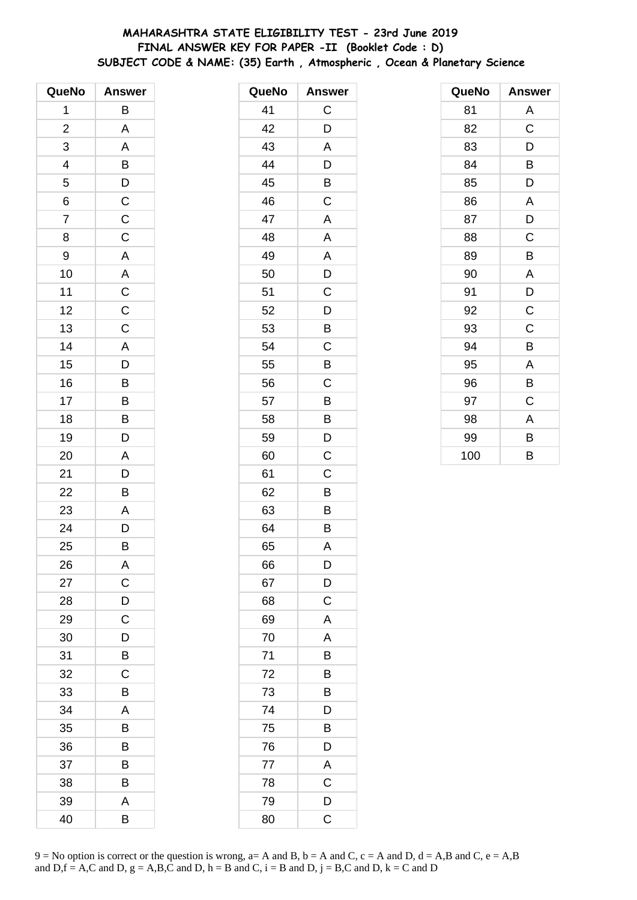# **MAHARASHTRA STATE ELIGIBILITY TEST - 23rd June 2019 FINAL ANSWER KEY FOR PAPER -II (Booklet Code : D) SUBJECT CODE & NAME: (35) Earth , Atmospheric , Ocean & Planetary Science**

| QueNo                   | <b>Answer</b>  |
|-------------------------|----------------|
| 1                       | В              |
| $\overline{\mathbf{c}}$ | A              |
| 3                       | A              |
| 4                       | B              |
| 5                       | D              |
| 6                       | $\overline{C}$ |
| $\overline{7}$          | $\overline{C}$ |
| 8                       | $\mathsf{C}$   |
| 9                       | A              |
| 10                      | A              |
| 11                      | $\mathsf{C}$   |
| 12                      | $\overline{C}$ |
| 13                      | $\mathsf C$    |
| 14                      | A              |
| 15                      | D              |
| 16                      | B              |
| 17                      | B              |
| 18                      | $\overline{B}$ |
| 19                      | D              |
| 20                      | A              |
| 21                      | D              |
| 22                      | B              |
| 23                      | A              |
| 24                      | D              |
| 25                      | B              |
| 26                      | A              |
| 27                      | $\mathsf C$    |
| 28                      | D              |
| 29                      | C              |
| 30                      | D              |
| 31                      | B              |
| 32                      | C              |
| 33                      | B              |
| 34                      | A              |
| 35                      | B              |
| 36                      | B              |
| 37                      | B              |
| 38                      | B              |
| 39                      | A              |
| 40                      | В              |

| QueNo | <b>Answer</b>         |
|-------|-----------------------|
| 41    | C                     |
| 42    | D                     |
| 43    | A                     |
| 44    | D                     |
| 45    | B                     |
| 46    | C                     |
| 47    | A                     |
| 48    | A                     |
| 49    | Α                     |
| 50    | D                     |
| 51    | C                     |
| 52    | D                     |
| 53    | B                     |
| 54    | C                     |
| 55    | B                     |
| 56    | C                     |
| 57    | B                     |
| 58    | B                     |
| 59    | D                     |
| 60    | C                     |
| 61    | C                     |
| 62    | B                     |
| 63    | B                     |
| 64    | B                     |
| 65    | A                     |
| 66    | D                     |
| 67    | D                     |
| 68    | $\mathsf C$           |
| 69    | A                     |
| 70    | A                     |
| 71    | B                     |
| 72    | B                     |
| 73    | B                     |
| 74    | D                     |
| 75    | B                     |
| 76    | D                     |
| 77    | A                     |
| 78    | C                     |
| 79    | D                     |
| 80    | $\overline{\text{c}}$ |

| QueNo | <b>Answer</b> |
|-------|---------------|
| 81    | A             |
| 82    | C             |
| 83    | D             |
| 84    | B             |
| 85    | D             |
| 86    | A             |
| 87    | D             |
| 88    | C             |
| 89    | B             |
| 90    | A             |
| 91    | D             |
| 92    | C             |
| 93    | C             |
| 94    | B             |
| 95    | A             |
| 96    | B             |
| 97    | C             |
| 98    | A             |
| 99    | B             |
| 100   | B             |

 $9 = No$  option is correct or the question is wrong,  $a = A$  and B,  $b = A$  and C,  $c = A$  and D,  $d = A$ ,B and C,  $e = A$ ,B and  $D,f = A,C$  and  $D, g = A,B,C$  and  $D, h = B$  and  $C, i = B$  and  $D, j = B,C$  and  $D, k = C$  and  $D$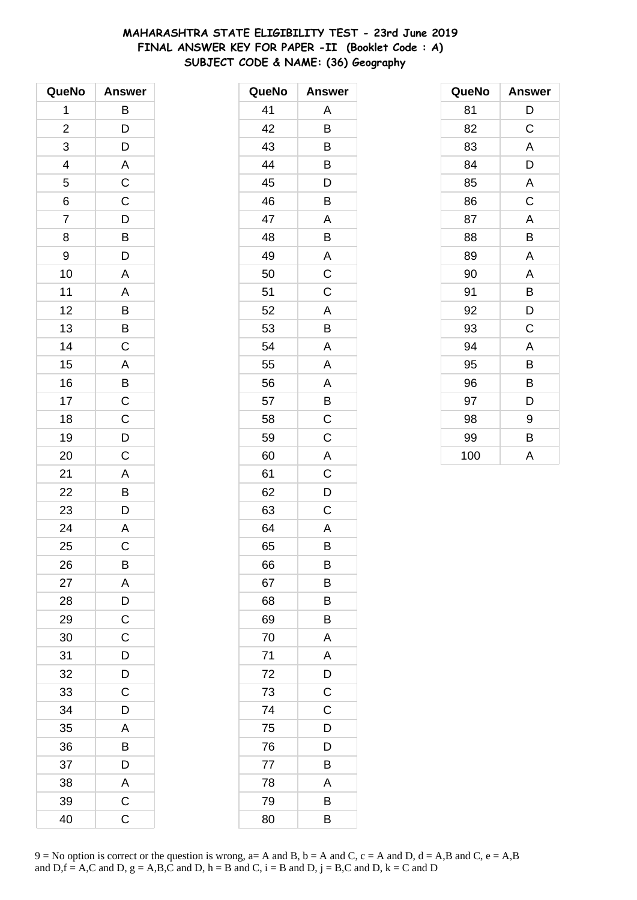# **MAHARASHTRA STATE ELIGIBILITY TEST - 23rd June 2019 FINAL ANSWER KEY FOR PAPER -II (Booklet Code : A) SUBJECT CODE & NAME: (36) Geography**

| QueNo                    | <b>Answer</b>           |
|--------------------------|-------------------------|
| 1                        | B                       |
| $\overline{\mathbf{c}}$  | D                       |
| 3                        | D                       |
| $\overline{\mathcal{A}}$ | A                       |
| 5                        | $\mathsf{C}$            |
| $\overline{6}$           | $\overline{C}$          |
| $\overline{7}$           | $\overline{D}$          |
| 8                        | $\overline{B}$          |
| 9                        | D                       |
| 10                       | A                       |
| 11                       | A                       |
| 12                       |                         |
| 13                       | $\overline{B}$          |
| 14                       | $\overline{C}$          |
| 15                       | A                       |
| 16                       | $\overline{B}$          |
| 17                       | $\mathsf{C}$            |
| 18                       | $\overline{C}$          |
| 19                       | $\overline{D}$          |
| 20                       | C                       |
| 21                       | A                       |
| 22                       | B                       |
| 23                       | D                       |
| 24                       | $\overline{\mathsf{A}}$ |
| 25                       | $\mathsf C$             |
| 26                       | B                       |
| 27                       | A                       |
| 28                       | D                       |
| 29                       | $\mathsf C$             |
| 30                       | $\overline{C}$          |
| 31                       | $\overline{D}$          |
| 32                       | $\overline{D}$          |
| 33                       | $\mathsf C$             |
| 34                       | D                       |
| 35                       | A                       |
| 36                       | B                       |
| 37                       | $\overline{D}$          |
| 38                       | $rac{A}{C}$             |
| 39                       |                         |
| 40                       | C                       |

| QueNo | <b>Answer</b> |
|-------|---------------|
| 41    | Α             |
| 42    | B             |
| 43    | B             |
| 44    | B             |
| 45    | D             |
| 46    | B             |
| 47    | A             |
| 48    | B             |
| 49    | Α             |
| 50    | C             |
| 51    | C             |
| 52    | A             |
| 53    | B             |
| 54    | A             |
| 55    | A             |
| 56    | A             |
| 57    | B             |
| 58    | C             |
| 59    | C             |
| 60    | A             |
| 61    | C             |
| 62    | D             |
| 63    | C             |
| 64    | A             |
| 65    | B             |
| 66    | B             |
| 67    | B             |
| 68    | В             |
| 69    | Β             |
| 70    | Α             |
| 71    | A             |
| 72    | D             |
| 73    | C             |
| 74    | C             |
| 75    | D             |
| 76    | D             |
| 77    | B             |
| 78    | A             |
| 79    | B             |
| 80    | B             |

| QueNo | <b>Answer</b> |
|-------|---------------|
| 81    | D             |
| 82    | C             |
| 83    | A             |
| 84    | D             |
| 85    | A             |
| 86    | C             |
| 87    | A             |
| 88    | B             |
| 89    | A             |
| 90    | A             |
| 91    | B             |
| 92    | D             |
| 93    | C             |
| 94    | A             |
| 95    | B             |
| 96    | B             |
| 97    | D             |
| 98    | 9             |
| 99    | В             |
| 100   | A             |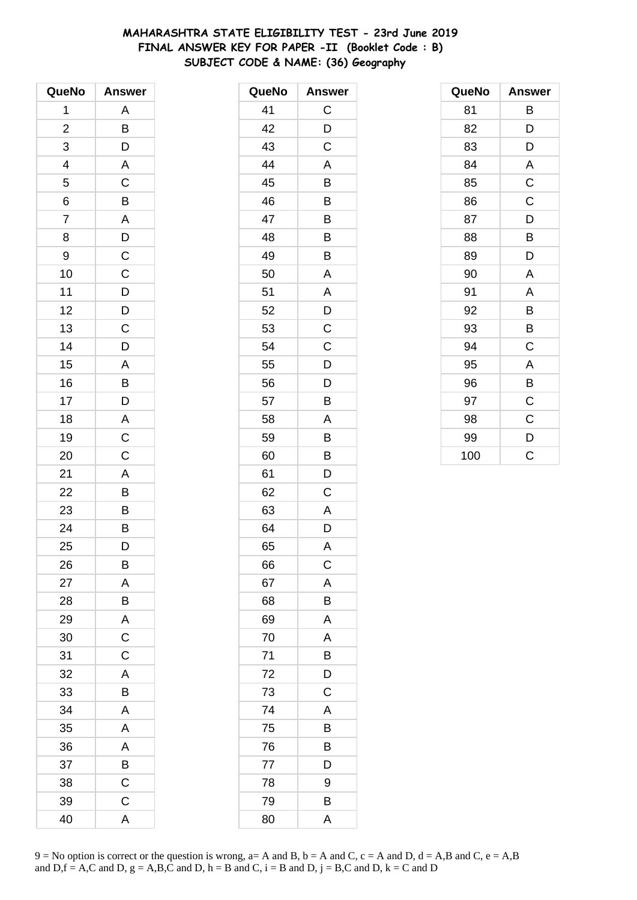# **MAHARASHTRA STATE ELIGIBILITY TEST - 23rd June 2019 FINAL ANSWER KEY FOR PAPER -II (Booklet Code : B) SUBJECT CODE & NAME: (36) Geography**

| QueNo                    | <b>Answer</b>           |
|--------------------------|-------------------------|
| 1                        | Α                       |
| $\overline{c}$           | B                       |
| 3                        | D                       |
| $\overline{\mathcal{A}}$ | A                       |
| 5                        | C                       |
| 6                        | B                       |
| $\overline{7}$           | $\overline{\mathsf{A}}$ |
| 8                        | $\overline{D}$          |
| 9                        | $\mathsf C$             |
| 10                       | $\mathsf C$             |
| 11                       | $\mathsf{D}$            |
| 12                       | $\overline{D}$          |
| 13                       | $\overline{C}$          |
| 14                       | D                       |
| 15                       | A                       |
| 16                       | B                       |
| 17                       | D                       |
| 18                       | $\mathsf{A}$            |
| 19                       | $\overline{C}$          |
| 20                       | C                       |
| 21                       | A                       |
| 22                       | B                       |
| 23                       | B                       |
| 24                       | $\overline{B}$          |
| 25                       | D                       |
| 26                       | B                       |
| 27                       | A                       |
| 28                       | B                       |
| 29                       | $\mathsf{A}$            |
| 30                       | $\overline{\mathsf{C}}$ |
| 31                       | $\overline{C}$          |
| 32                       | A                       |
| 33                       | B                       |
| 34                       | A                       |
| 35                       | A                       |
| 36                       | $\overline{A}$          |
| 37                       | $\overline{B}$          |
| 38                       | $\overline{\mathrm{c}}$ |
| 39                       | $\mathsf C$             |
| 40                       | A                       |

| QueNo | <b>Answer</b> |
|-------|---------------|
| 41    | C             |
| 42    | D             |
| 43    | C             |
| 44    | A             |
| 45    | B             |
| 46    | B             |
| 47    | B             |
| 48    | B             |
| 49    | Β             |
| 50    | A             |
| 51    | Α             |
| 52    | D             |
| 53    | C             |
| 54    | C             |
| 55    | D             |
| 56    | D             |
| 57    | B             |
| 58    | A             |
| 59    | B             |
| 60    | B             |
| 61    | D             |
| 62    | C             |
| 63    | A             |
| 64    | D             |
| 65    | A             |
| 66    | $\mathsf C$   |
| 67    | A             |
| 68    | Β             |
| 69    | A             |
| 70    | A             |
| 71    | B             |
| 72    | D             |
| 73    | C             |
| 74    | Α             |
| 75    | B             |
| 76    | Β             |
| 77    | D             |
| 78    | 9             |
| 79    | B             |
| 80    | Α             |

| QueNo | Answer      |
|-------|-------------|
| 81    | В           |
| 82    | D           |
| 83    | D           |
| 84    | A           |
| 85    | $\mathsf C$ |
| 86    | $\mathsf C$ |
| 87    | D           |
| 88    | B           |
| 89    | D           |
| 90    | A           |
| 91    | A           |
| 92    | B           |
| 93    | B           |
| 94    | C           |
| 95    | A           |
| 96    | B           |
| 97    | C           |
| 98    | C           |
| 99    | D           |
| 100   | Ć           |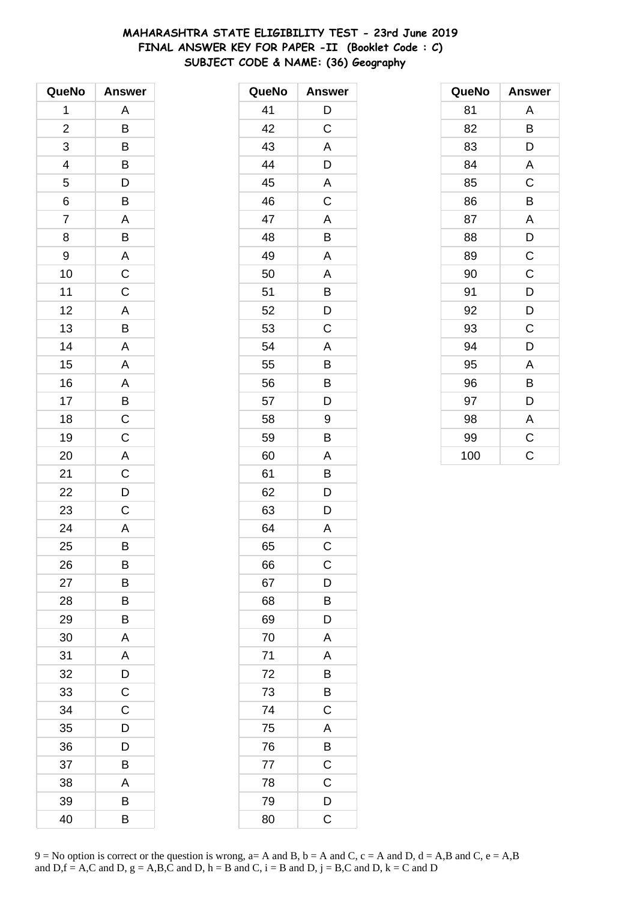# **MAHARASHTRA STATE ELIGIBILITY TEST - 23rd June 2019 FINAL ANSWER KEY FOR PAPER -II (Booklet Code : C) SUBJECT CODE & NAME: (36) Geography**

| QueNo                   | <b>Answer</b>           |
|-------------------------|-------------------------|
| 1                       | Α                       |
| $\overline{\mathbf{c}}$ | B                       |
| 3                       | B                       |
| 4                       | B                       |
| 5                       | D                       |
| 6                       | $\overline{\mathsf{B}}$ |
| $\overline{7}$          | A                       |
| 8                       | B                       |
| 9                       | $\mathsf{A}$            |
| 10                      | $\overline{c}$          |
| 11                      | $\mathsf{C}$            |
| 12                      | $\overline{A}$          |
| 13                      | B                       |
| 14                      | A                       |
| 15                      | A                       |
| 16                      | $\mathsf{A}$            |
| 17                      | $\overline{B}$          |
| 18                      | $\overline{C}$          |
| 19                      | $\overline{C}$          |
| 20                      |                         |
| 21                      | $rac{A}{C}$             |
| 22                      | $\overline{D}$          |
| 23                      | $\mathsf C$             |
| 24                      | $\overline{A}$          |
| 25                      | B                       |
| 26                      | B                       |
| 27                      | В                       |
| 28                      | B                       |
| 29                      | В                       |
| 30                      | A                       |
| 31                      | A                       |
| 32                      | D                       |
| 33                      | $\mathsf C$             |
| 34                      | C                       |
| 35                      | D                       |
| 36                      | D                       |
| 37                      | B                       |
| 38                      | A                       |
| 39                      | B                       |
| 40                      | B                       |

| QueNo | <b>Answer</b>  |
|-------|----------------|
| 41    | D              |
| 42    | C              |
| 43    | A              |
| 44    | D              |
| 45    | A              |
| 46    | C              |
| 47    | A              |
| 48    | B              |
| 49    | A              |
| 50    | A              |
| 51    | B              |
| 52    | D              |
| 53    | C              |
| 54    | A              |
| 55    | B              |
| 56    | B              |
| 57    | D              |
| 58    | 9              |
| 59    | B              |
| 60    | A              |
| 61    | B              |
| 62    | D              |
| 63    | D              |
| 64    | A              |
| 65    | C              |
| 66    | $\mathsf{C}$   |
| 67    | D              |
| 68    | B              |
| 69    | D              |
| 70    | A              |
| 71    | A              |
| 72    | $\overline{B}$ |
| 73    | $\overline{B}$ |
| 74    | C              |
| 75    | A              |
| 76    | B              |
| 77    | $\mathsf C$    |
| 78    | $\mathsf C$    |
| 79    | D              |
| 80    | C              |

| QueNo | <b>Answer</b> |
|-------|---------------|
| 81    | Α             |
| 82    | B             |
| 83    | D             |
| 84    | A             |
| 85    | $\mathsf C$   |
| 86    | B             |
| 87    | A             |
| 88    | D             |
| 89    | $\mathsf C$   |
| 90    | $\mathsf C$   |
| 91    | D             |
| 92    | D             |
| 93    | C             |
| 94    | D             |
| 95    | A             |
| 96    | B             |
| 97    | D             |
| 98    | A             |
| 99    | $\mathsf C$   |
| 100   | Ć             |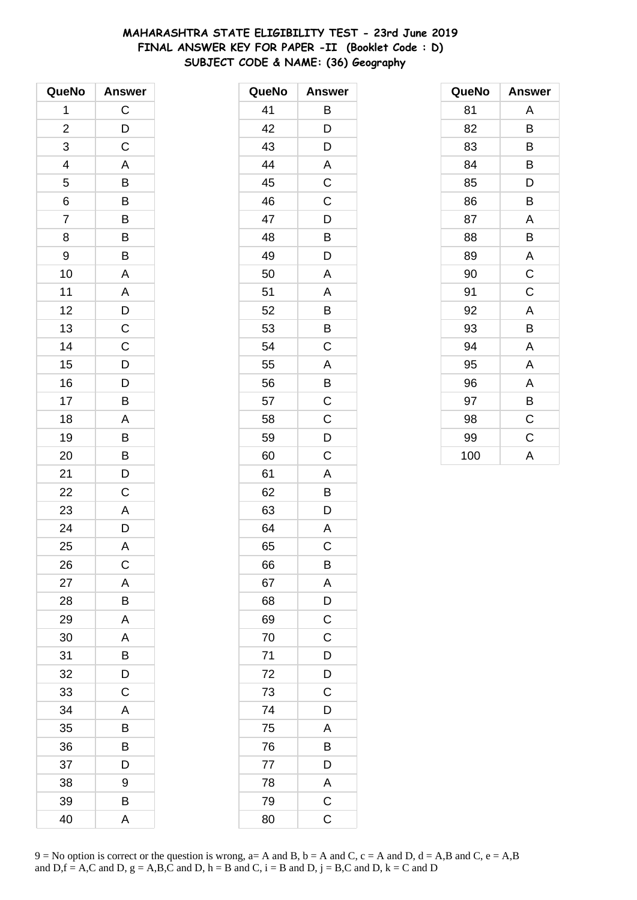# **MAHARASHTRA STATE ELIGIBILITY TEST - 23rd June 2019 FINAL ANSWER KEY FOR PAPER -II (Booklet Code : D) SUBJECT CODE & NAME: (36) Geography**

| QueNo          | <b>Answer</b>  |
|----------------|----------------|
| 1              | $\mathsf C$    |
| $\overline{c}$ | $\overline{D}$ |
| 3              | $\overline{C}$ |
| 4              | A              |
| 5              | B              |
| 6              | $\overline{B}$ |
| $\overline{7}$ | $\overline{B}$ |
| 8              | B              |
| 9              | B              |
| 10             | A              |
| 11             | A              |
| 12             | $\overline{D}$ |
| 13             | $\overline{C}$ |
| 14             | $\mathsf C$    |
| 15             | D              |
| 16             | D              |
| 17             | B              |
| 18             | A              |
| 19             | B              |
| 20             | B              |
| 21             | D              |
| 22             | $\mathsf C$    |
| 23             | A              |
| 24             | D              |
| 25             | A              |
| 26             | $\mathsf C$    |
| 27             | A              |
| 28             | B              |
| 29             | A              |
| 30             | A              |
| 31             | B              |
| 32             | D              |
| 33             | $\mathsf C$    |
| 34             | Α              |
| 35             | В              |
| 36             | B              |
| 37             | D              |
| 38             | 9              |
| 39             | В              |
| 40             | A              |

| QueNo | <b>Answer</b>           |
|-------|-------------------------|
| 41    | Β                       |
| 42    | D                       |
| 43    | D                       |
| 44    | A                       |
| 45    | C                       |
| 46    | $\mathsf C$             |
| 47    | D                       |
| 48    | B                       |
| 49    | D                       |
| 50    | A                       |
| 51    | A                       |
| 52    | B                       |
| 53    | B                       |
| 54    | C                       |
| 55    | A                       |
| 56    | B                       |
| 57    | $\mathsf C$             |
| 58    | $\mathsf C$             |
| 59    | D                       |
| 60    | C                       |
| 61    | A                       |
| 62    | Β                       |
| 63    | D                       |
| 64    | A                       |
| 65    | C                       |
| 66    | B                       |
| 67    | A                       |
| 68    | D                       |
| 69    | $\mathsf C$             |
| 70    | $\overline{\mathrm{c}}$ |
| 71    | $\overline{D}$          |
| 72    | $\overline{D}$          |
| 73    | C                       |
| 74    | D                       |
| 75    | A                       |
| 76    | B                       |
| 77    | D                       |
| 78    | A                       |
| 79    | $\overline{\mathbf{C}}$ |
| 80    | $\mathsf C$             |

| QueNo | <b>Answer</b> |
|-------|---------------|
| 81    | A             |
| 82    | B             |
| 83    | B             |
| 84    | B             |
| 85    | D             |
| 86    | B             |
| 87    | A             |
| 88    | B             |
| 89    | A             |
| 90    | $\mathsf C$   |
| 91    | C             |
| 92    | A             |
| 93    | В             |
| 94    | A             |
| 95    | A             |
| 96    | A             |
| 97    | B             |
| 98    | C             |
| 99    | $\mathsf C$   |
| 100   | A             |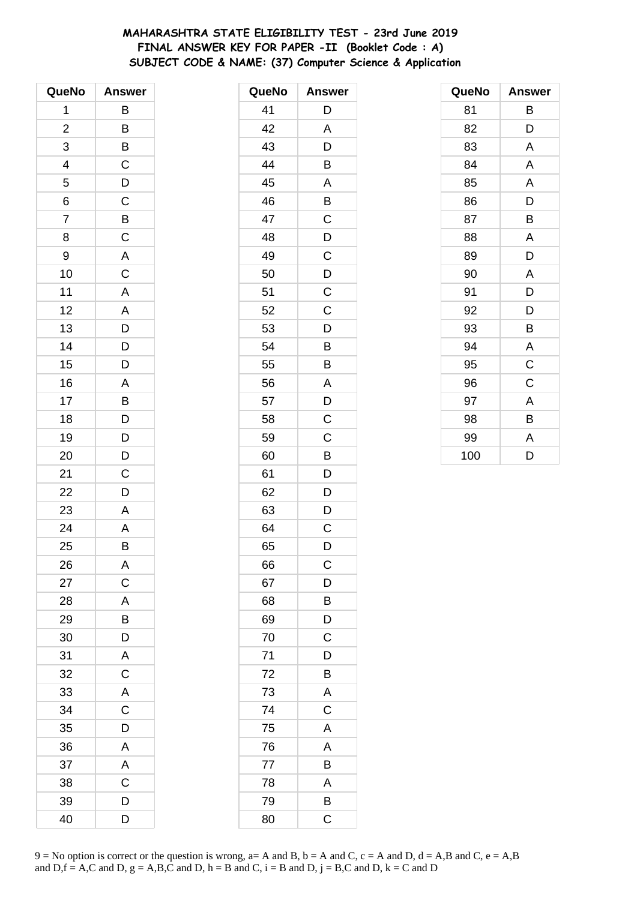# **MAHARASHTRA STATE ELIGIBILITY TEST - 23rd June 2019 FINAL ANSWER KEY FOR PAPER -II (Booklet Code : A) SUBJECT CODE & NAME: (37) Computer Science & Application**

| QueNo                   | Answer                                                                         |
|-------------------------|--------------------------------------------------------------------------------|
| 1                       | B                                                                              |
| $\overline{\mathbf{c}}$ | B                                                                              |
| 3                       | $\overline{B}$                                                                 |
| 4                       | $\mathsf C$                                                                    |
| 5                       | $\overline{D}$                                                                 |
| 6                       |                                                                                |
| $\overline{7}$          | $\frac{C}{B}$                                                                  |
| 8                       | $\overline{\mathrm{c}}$                                                        |
| 9                       | $\mathsf{A}$                                                                   |
| 10                      | $\overline{\text{c}}$                                                          |
| 11                      | A                                                                              |
| 12                      | $\overline{A}$                                                                 |
| 13                      | $\overline{D}$                                                                 |
| 14                      | $\overline{D}$                                                                 |
| 15                      | D                                                                              |
| 16                      | A                                                                              |
| 17                      | B                                                                              |
| 18                      |                                                                                |
| 19                      |                                                                                |
| 20                      | $\begin{array}{c} \n\overline{D} \\ \overline{D} \\ \overline{D}\n\end{array}$ |
| 21                      | C                                                                              |
| 22                      | D                                                                              |
| 23                      | A                                                                              |
| 24                      | A                                                                              |
| 25                      | B                                                                              |
| 26                      | A                                                                              |
| 27                      | $\overline{\mathrm{c}}$                                                        |
| 28                      | A                                                                              |
| 29                      |                                                                                |
| 30                      | $\frac{B}{D}$                                                                  |
| 31                      | $\overline{\mathsf{A}}$                                                        |
| 32                      | $\overline{C}$                                                                 |
| 33                      | A                                                                              |
| 34                      | $\mathsf C$                                                                    |
| 35                      | D                                                                              |
| 36                      | A                                                                              |
| 37                      | $\mathsf{A}$                                                                   |
| 38                      | $\overline{\mathrm{C}}$                                                        |
| 39                      | D                                                                              |
| 40                      | D                                                                              |

| QueNo | <b>Answer</b>           |
|-------|-------------------------|
| 41    | D                       |
| 42    | A                       |
| 43    | D                       |
| 44    | B                       |
| 45    | A                       |
| 46    | B                       |
| 47    | $\mathsf C$             |
| 48    | D                       |
| 49    | $\overline{C}$          |
| 50    | D                       |
| 51    | $\mathsf C$             |
| 52    | $\mathsf C$             |
| 53    | D                       |
| 54    | B                       |
| 55    | B                       |
| 56    | A                       |
| 57    | D                       |
| 58    | $\mathsf{C}$            |
| 59    | $\mathsf C$             |
| 60    | B                       |
| 61    | D                       |
| 62    | D                       |
| 63    | D                       |
| 64    | $\mathsf C$             |
| 65    | D                       |
| 66    | С                       |
| 67    | $\mathsf{D}$            |
| 68    | $\overline{B}$          |
| 69    | $\overline{D}$          |
| 70    | $\mathsf C$             |
| 71    | D                       |
| 72    | B                       |
| 73    | A                       |
| 74    | $\overline{C}$          |
| 75    | A                       |
| 76    | A                       |
| 77    | B                       |
| 78    | A                       |
| 79    | $\overline{B}$          |
| 80    | $\overline{\mathrm{C}}$ |

| QueNo | <b>Answer</b> |
|-------|---------------|
| 81    | В             |
| 82    | D             |
| 83    | A             |
| 84    | A             |
| 85    | A             |
| 86    | D             |
| 87    | В             |
| 88    | Α             |
| 89    | D             |
| 90    | A             |
| 91    | D             |
| 92    | D             |
| 93    | B             |
| 94    | A             |
| 95    | C             |
| 96    | C             |
| 97    | A             |
| 98    | В             |
| 99    | A             |
| 100   | D             |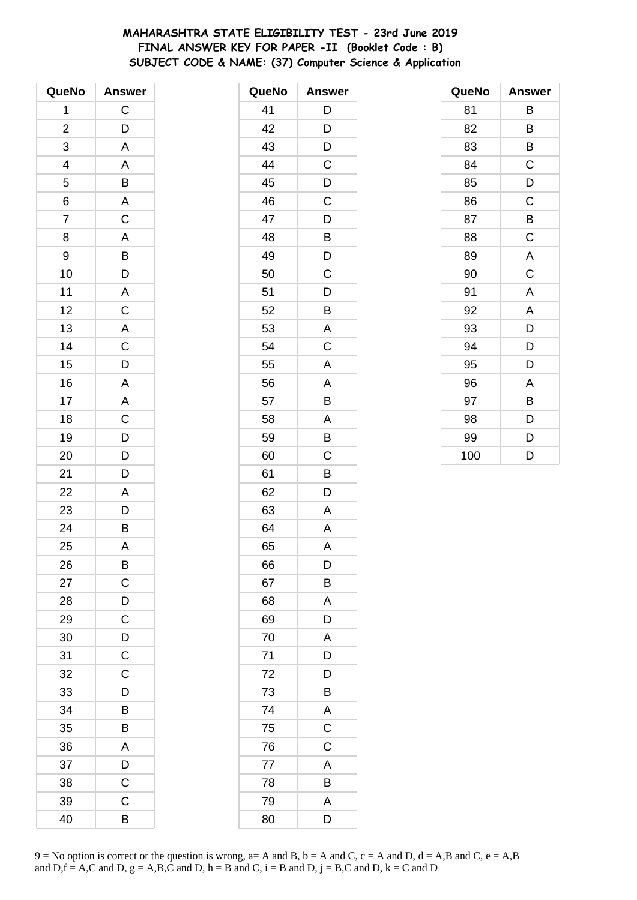# **MAHARASHTRA STATE ELIGIBILITY TEST - 23rd June 2019 FINAL ANSWER KEY FOR PAPER -II (Booklet Code : B) SUBJECT CODE & NAME: (37) Computer Science & Application**

| QueNo          | <b>Answer</b>                                |
|----------------|----------------------------------------------|
| 1              | $\mathsf{C}$                                 |
| $\overline{2}$ | D                                            |
| 3              | A                                            |
| $\overline{a}$ | $\overline{A}$                               |
| 5              |                                              |
| $\overline{6}$ | $\frac{B}{A}$                                |
| $\overline{7}$ | $\overline{C}$                               |
| 8              | $\frac{A}{B}$                                |
| 9              |                                              |
| 10             |                                              |
| 11             |                                              |
| 12             | $rac{A}{C}$                                  |
| 13             |                                              |
| 14             | $\overline{A}$ $\overline{C}$ $\overline{D}$ |
| 15             |                                              |
| 16             | A                                            |
| 17             |                                              |
| 18             |                                              |
| 19             | $A$ $C$ $D$ $D$                              |
| 20             |                                              |
| 21             | D                                            |
| 22             | $\overline{A}$                               |
| 23             | $\frac{D}{B}$                                |
| 24             |                                              |
| 25             | A                                            |
| 26             | B                                            |
| 27             | $\mathsf C$                                  |
| 28             | D                                            |
| 29             | $\mathsf C$                                  |
| 30             | $\frac{D}{C}$                                |
| 31             |                                              |
| 32             | $\mathsf C$                                  |
| 33             | D                                            |
| 34             | B                                            |
| 35             | B                                            |
| 36             | A                                            |
| 37             | $\overline{D}$                               |
| 38             | $\overline{\mathrm{c}}$                      |
| 39             | $\mathsf C$                                  |
| 40             | B                                            |

| QueNo | <b>Answer</b> |
|-------|---------------|
| 41    | D             |
| 42    | D             |
| 43    | D             |
| 44    | $\mathsf C$   |
| 45    | D             |
| 46    | $\mathsf C$   |
| 47    | D             |
| 48    | B             |
| 49    | D             |
| 50    | C             |
| 51    | D             |
| 52    | B             |
| 53    | A             |
| 54    | C             |
| 55    | A             |
| 56    | Α             |
| 57    | B             |
| 58    | A             |
| 59    | B             |
| 60    | C             |
| 61    | B             |
| 62    | D             |
| 63    | A             |
| 64    | A             |
| 65    | A             |
| 66    | D             |
| 67    | Β             |
| 68    | A             |
| 69    | D             |
| 70    | A             |
| 71    | D             |
| 72    | D             |
| 73    | B             |
| 74    | A             |
| 75    | $\mathsf C$   |
| 76    | C             |
| 77    | A             |
| 78    | B             |
| 79    | A             |
| 80    | D             |

| QueNo | <b>Answer</b> |
|-------|---------------|
| 81    | В             |
| 82    | B             |
| 83    | В             |
| 84    | C             |
| 85    | D             |
| 86    | C             |
| 87    | B             |
| 88    | $\mathsf C$   |
| 89    | A             |
| 90    | $\mathsf C$   |
| 91    | A             |
| 92    | A             |
| 93    | D             |
| 94    | D             |
| 95    | D             |
| 96    | A             |
| 97    | В             |
| 98    | D             |
| 99    | D             |
| 100   | D             |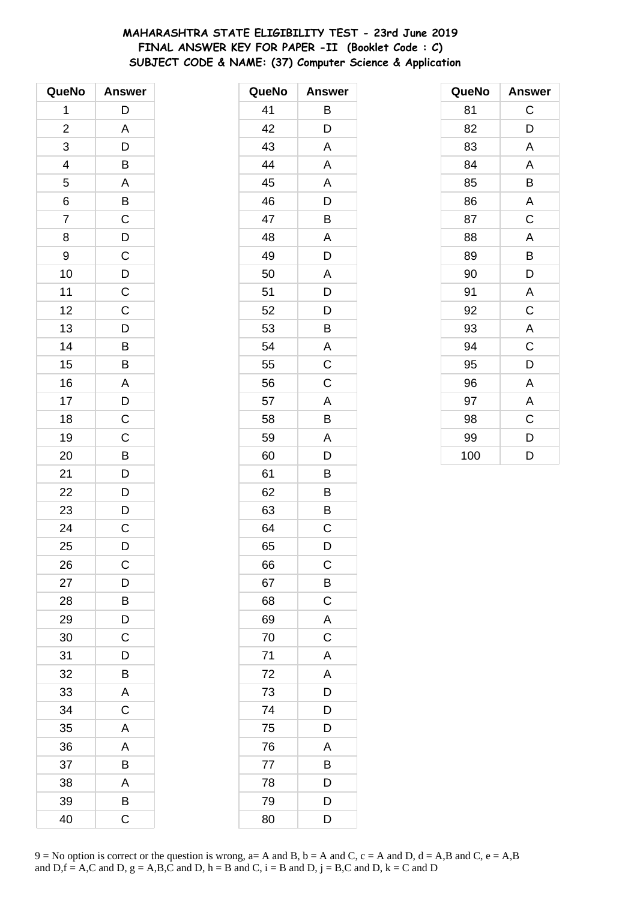# **MAHARASHTRA STATE ELIGIBILITY TEST - 23rd June 2019 FINAL ANSWER KEY FOR PAPER -II (Booklet Code : C) SUBJECT CODE & NAME: (37) Computer Science & Application**

| QueNo          | <b>Answer</b>           |
|----------------|-------------------------|
| 1              | D                       |
| $\overline{c}$ | A                       |
| 3              | D                       |
| 4              | B                       |
| 5              |                         |
| $\overline{6}$ | $\frac{A}{B}$           |
| $\overline{7}$ |                         |
| 8              | $\frac{1}{D}$           |
| 9              | $\overline{C}$          |
| 10             | $\overline{D}$          |
| 11             | $\mathsf{C}$            |
| 12             |                         |
| 13             | $\frac{C}{D}$           |
| 14             | B                       |
| 15             | B                       |
| 16             |                         |
| 17             |                         |
| 18             | $\frac{A}{D}$           |
| 19             | $\frac{1}{C}$           |
| 20             | $\overline{B}$          |
| 21             | $\overline{D}$          |
| 22             | D                       |
| 23             | D                       |
| 24             | $\overline{\mathrm{c}}$ |
| 25             | D                       |
| 26             | C                       |
| 27             | D                       |
| 28             | B                       |
| 29             | $\overline{D}$          |
| 30             | $\overline{\mathsf{C}}$ |
| 31             | D                       |
| 32             | B                       |
| 33             | A                       |
| 34             | $\mathsf C$             |
| 35             | $\mathsf{A}$            |
| 36             | A                       |
| 37             | B                       |
| 38             | A                       |
| 39             | B                       |
| 40             | C                       |

| <b>Answer</b>           |
|-------------------------|
| Β                       |
| D                       |
| A                       |
| A                       |
| A                       |
| D                       |
| B                       |
| A                       |
| D                       |
| A                       |
| D                       |
| D                       |
| B                       |
| A                       |
| $\overline{C}$          |
| $\mathsf C$             |
| A                       |
| B                       |
| A                       |
| D                       |
| B                       |
| B                       |
| B                       |
| C                       |
| D                       |
| С                       |
| $\overline{B}$          |
| $\overline{C}$          |
|                         |
| $rac{A}{C}$             |
| $\overline{\mathsf{A}}$ |
| $\overline{A}$          |
|                         |
| $\overline{D}$<br>$D$   |
| D                       |
| A                       |
| B                       |
| D                       |
| D                       |
| $\overline{\mathsf{D}}$ |
|                         |

| QueNo | <b>Answer</b> |
|-------|---------------|
| 81    | C             |
| 82    | D             |
| 83    | A             |
| 84    | A             |
| 85    | B             |
| 86    | A             |
| 87    | C             |
| 88    | A             |
| 89    | В             |
| 90    | D             |
| 91    | A             |
| 92    | C             |
| 93    | A             |
| 94    | C             |
| 95    | D             |
| 96    | Α             |
| 97    | A             |
| 98    | C             |
| 99    | D             |
| 100   | D             |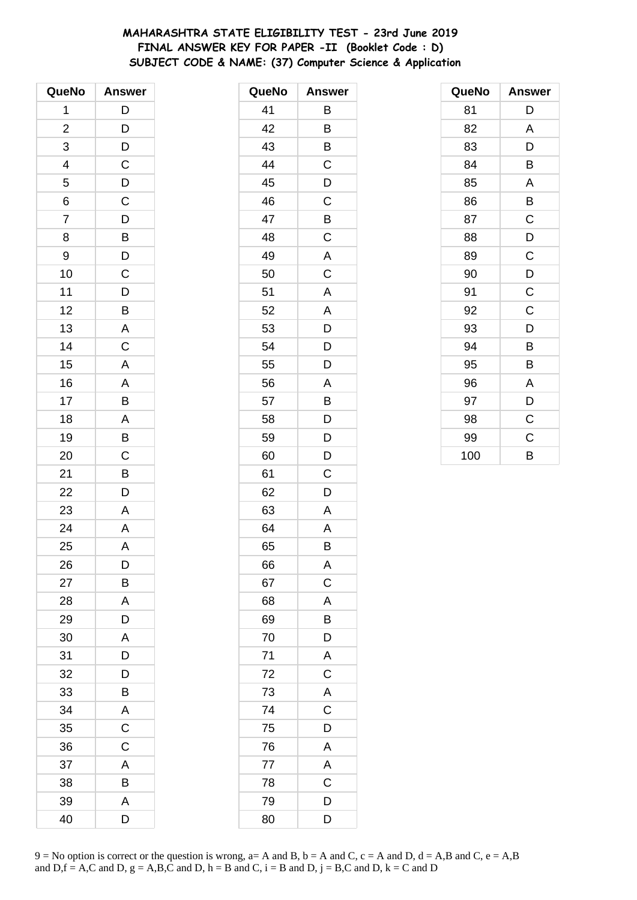# **MAHARASHTRA STATE ELIGIBILITY TEST - 23rd June 2019 FINAL ANSWER KEY FOR PAPER -II (Booklet Code : D) SUBJECT CODE & NAME: (37) Computer Science & Application**

| QueNo          | <b>Answer</b>                                      |
|----------------|----------------------------------------------------|
| 1              | $\mathsf{D}$                                       |
| $\overline{c}$ |                                                    |
| 3              | $\frac{D}{D}$                                      |
| 4              | $\mathsf C$                                        |
| 5              |                                                    |
| 6              | $\frac{D}{C}$                                      |
| $\overline{7}$ | $\overline{D}$                                     |
| 8              | $\overline{B}$<br>$\overline{D}$<br>$\overline{C}$ |
| 9              |                                                    |
| 10             |                                                    |
| 11             |                                                    |
| 12             | $\frac{D}{B}$                                      |
| 13             | $\overline{A}$                                     |
| 14             | $\overline{C}$                                     |
| 15             | A                                                  |
| 16             | $\overline{A}$                                     |
| 17             | B                                                  |
| 18             |                                                    |
| 19             | $\frac{A}{B}$                                      |
| 20             | $\frac{1}{C}$                                      |
| 21             | B                                                  |
| 22             | D                                                  |
| 23             | A                                                  |
| 24             | $\overline{A}$                                     |
| 25             | A                                                  |
| 26             | D                                                  |
| 27             | Β                                                  |
| 28             | A                                                  |
| 29             | D                                                  |
| 30             | A                                                  |
| 31             | D                                                  |
| 32             | D                                                  |
| 33             | B                                                  |
| 34             | A                                                  |
| 35             | C                                                  |
| 36             | C                                                  |
| 37             | A                                                  |
| 38             | B                                                  |
| 39             | A                                                  |
| 40             | D                                                  |

| QueNo | <b>Answer</b>           |
|-------|-------------------------|
| 41    | В                       |
| 42    | B                       |
| 43    | B                       |
| 44    | C                       |
| 45    | D                       |
| 46    | C                       |
| 47    | B                       |
| 48    | $\mathsf C$             |
| 49    | A                       |
| 50    | C                       |
| 51    | A                       |
| 52    | A                       |
| 53    | D                       |
| 54    | $\mathsf{D}$            |
| 55    | D                       |
| 56    | A                       |
| 57    | B                       |
| 58    | D                       |
| 59    | $\mathsf{D}$            |
| 60    | D                       |
| 61    | C                       |
| 62    | D                       |
| 63    | A                       |
| 64    | Α                       |
| 65    | B                       |
| 66    | A                       |
| 67    | $\overline{C}$          |
| 68    | A                       |
| 69    | B                       |
| 70    | D                       |
| 71    | A                       |
| 72    | $\overline{\mathbf{C}}$ |
| 73    | $rac{A}{C}$             |
| 74    |                         |
| 75    | D                       |
| 76    | A                       |
| 77    | A                       |
| 78    | $\mathsf C$             |
| 79    | $\overline{D}$          |
| 80    | D                       |

| QueNo | <b>Answer</b> |
|-------|---------------|
| 81    | D             |
| 82    | A             |
| 83    | D             |
| 84    | B             |
| 85    | A             |
| 86    | B             |
| 87    | C             |
| 88    | D             |
| 89    | C             |
| 90    | D             |
| 91    | C             |
| 92    | C             |
| 93    | D             |
| 94    | B             |
| 95    | B             |
| 96    | Α             |
| 97    | D             |
| 98    | C             |
| 99    | $\mathsf C$   |
| 100   | B             |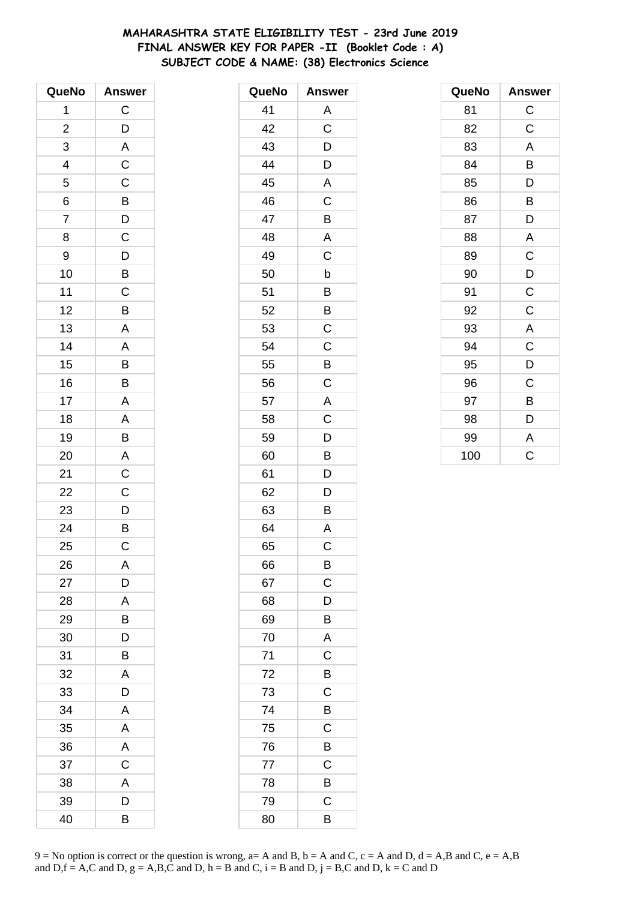# **MAHARASHTRA STATE ELIGIBILITY TEST - 23rd June 2019 FINAL ANSWER KEY FOR PAPER -II (Booklet Code : A) SUBJECT CODE & NAME: (38) Electronics Science**

| QueNo                   | <b>Answer</b>  |
|-------------------------|----------------|
| 1                       | C              |
| $\overline{\mathbf{c}}$ | D              |
| 3                       | $\overline{A}$ |
| 4                       | $\mathsf{C}$   |
| 5                       | $\mathsf C$    |
| 6                       | $\overline{B}$ |
| $\overline{7}$          | $\overline{D}$ |
| 8                       | $\mathsf C$    |
| 9                       | D              |
| 10                      | B              |
| 11                      | $\mathsf C$    |
| 12                      | B              |
| 13                      | A              |
| 14                      | A              |
| 15                      | B              |
| 16                      | B              |
| 17                      | $\mathsf{A}$   |
| 18                      | A              |
| 19                      | B              |
| 20                      | A              |
| 21                      | C              |
| 22                      | $\overline{C}$ |
| 23                      | D              |
| 24                      | $\frac{1}{B}$  |
| 25                      | C              |
| 26                      | A              |
| 27                      | D              |
| 28                      | A              |
| 29                      | В              |
| 30                      | D              |
| 31                      | B              |
| 32                      | A              |
| 33                      | D              |
| 34                      | Α              |
| 35                      | A              |
| 36                      | A              |
| 37                      | C              |
| 38                      | A              |
| 39                      | D              |
| 40                      | В              |

| QueNo | <b>Answer</b>           |
|-------|-------------------------|
| 41    | A                       |
| 42    | C                       |
| 43    | D                       |
| 44    | D                       |
| 45    | $\mathsf{A}$            |
| 46    | C                       |
| 47    | B                       |
| 48    | A                       |
| 49    | C                       |
| 50    | b                       |
| 51    | B                       |
| 52    | B                       |
| 53    | $\overline{\mathrm{C}}$ |
| 54    | C                       |
| 55    | B                       |
| 56    | $\mathsf C$             |
| 57    | $\mathsf{A}$            |
| 58    | $\overline{C}$          |
| 59    | D                       |
| 60    | B                       |
| 61    | D                       |
| 62    | D                       |
| 63    | B                       |
| 64    | $\overline{\mathsf{A}}$ |
| 65    | C                       |
| 66    | B                       |
| 67    | C                       |
| 68    | D                       |
| 69    | Β                       |
| 70    | A                       |
| 71    | C                       |
| 72    | B                       |
| 73    | C                       |
| 74    | B                       |
| 75    | C                       |
| 76    | B                       |
| 77    | C                       |
| 78    | B                       |
| 79    | C                       |
| 80    | B                       |

| QueNo | <b>Answer</b> |
|-------|---------------|
| 81    | $\mathsf C$   |
| 82    | C             |
| 83    | A             |
| 84    | B             |
| 85    | D             |
| 86    | B             |
| 87    | D             |
| 88    | A             |
| 89    | $\mathsf C$   |
| 90    | D             |
| 91    | C             |
| 92    | C             |
| 93    | A             |
| 94    | $\mathsf C$   |
| 95    | D             |
| 96    | C             |
| 97    | В             |
| 98    | D             |
| 99    | A             |
| 100   | Ċ             |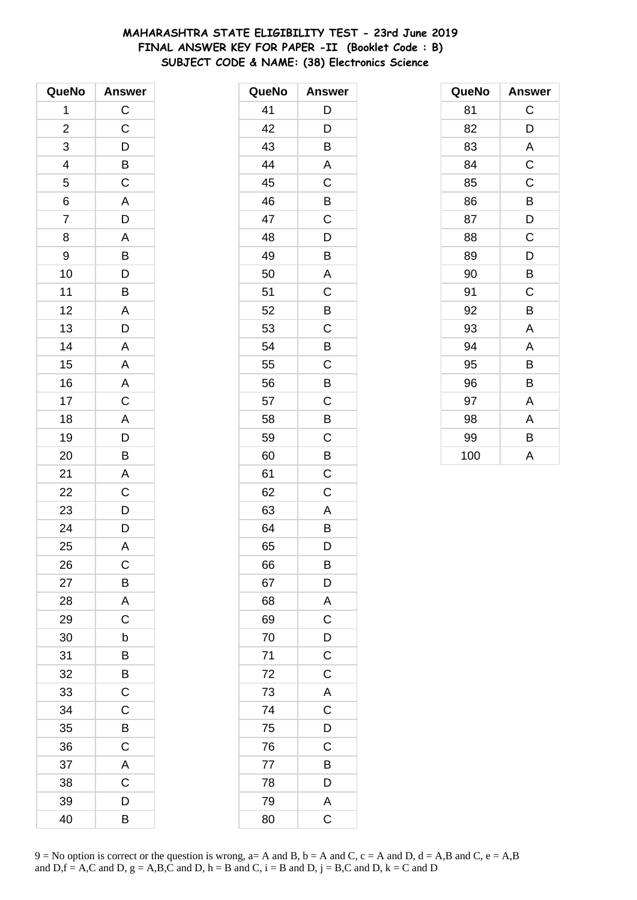# **MAHARASHTRA STATE ELIGIBILITY TEST - 23rd June 2019 FINAL ANSWER KEY FOR PAPER -II (Booklet Code : B) SUBJECT CODE & NAME: (38) Electronics Science**

| QueNo                   | <b>Answer</b>           |
|-------------------------|-------------------------|
| 1                       | $\mathsf C$             |
| $\overline{\mathbf{c}}$ | $\mathsf C$             |
| 3                       | $\overline{D}$          |
| 4                       | $\overline{B}$ C        |
| 5                       |                         |
| 6                       | A                       |
| 7                       | D                       |
| 8                       | A                       |
| 9                       | $\overline{B}$          |
| 10                      | $\overline{D}$          |
| 11                      | B                       |
| 12                      | $\overline{\mathsf{A}}$ |
| 13                      | $\bar{D}$               |
| 14                      | A                       |
| 15                      | $\overline{\mathsf{A}}$ |
| 16                      | $\overline{A}$          |
| 17                      | $\overline{C}$          |
| 18                      | A                       |
| 19                      | D                       |
| 20                      | B                       |
| 21                      | A                       |
| 22                      | $\frac{1}{C}$           |
| 23                      | $\overline{D}$          |
| 24                      | D                       |
| 25                      | A                       |
| 26                      | С                       |
| 27                      | B                       |
| 28                      | A                       |
| 29                      | C                       |
| 30                      | b                       |
| 31                      | B                       |
| 32                      | B                       |
| 33                      | $\mathsf C$             |
| 34                      | $\mathsf C$             |
| 35                      | B                       |
| 36                      | C                       |
| 37                      | A                       |
| 38                      | C                       |
| 39                      | D                       |
| 40                      | B                       |

| QueNo | <b>Answer</b>           |
|-------|-------------------------|
| 41    | D                       |
| 42    | D                       |
| 43    | B                       |
| 44    | A                       |
| 45    | Ċ                       |
| 46    | Β                       |
| 47    | C                       |
| 48    | D                       |
| 49    | B                       |
| 50    | A                       |
| 51    | C                       |
| 52    | B                       |
| 53    | C                       |
| 54    | B                       |
| 55    | C                       |
| 56    | B                       |
| 57    | C                       |
| 58    | B                       |
| 59    | C                       |
| 60    | B                       |
| 61    | C                       |
| 62    | Ċ                       |
| 63    | A                       |
| 64    | B                       |
| 65    | D                       |
| 66    | B                       |
| 67    | D                       |
| 68    | A                       |
| 69    | C                       |
| 70    | D                       |
| 71    | $\mathsf C$             |
| 72    | $\overline{C}$          |
| 73    | A                       |
| 74    | $\overline{C}$          |
| 75    | D                       |
| 76    | C                       |
| 77    | B                       |
| 78    | D                       |
| 79    | A                       |
| 80    | $\overline{\mathrm{C}}$ |

| QueNo | <b>Answer</b> |
|-------|---------------|
| 81    | C             |
| 82    | D             |
| 83    | A             |
| 84    | $\mathsf C$   |
| 85    | $\mathsf C$   |
| 86    | B             |
| 87    | D             |
| 88    | C             |
| 89    | D             |
| 90    | B             |
| 91    | C             |
| 92    | B             |
| 93    | A             |
| 94    | A             |
| 95    | B             |
| 96    | B             |
| 97    | Α             |
| 98    | A             |
| 99    | B             |
| 100   | A             |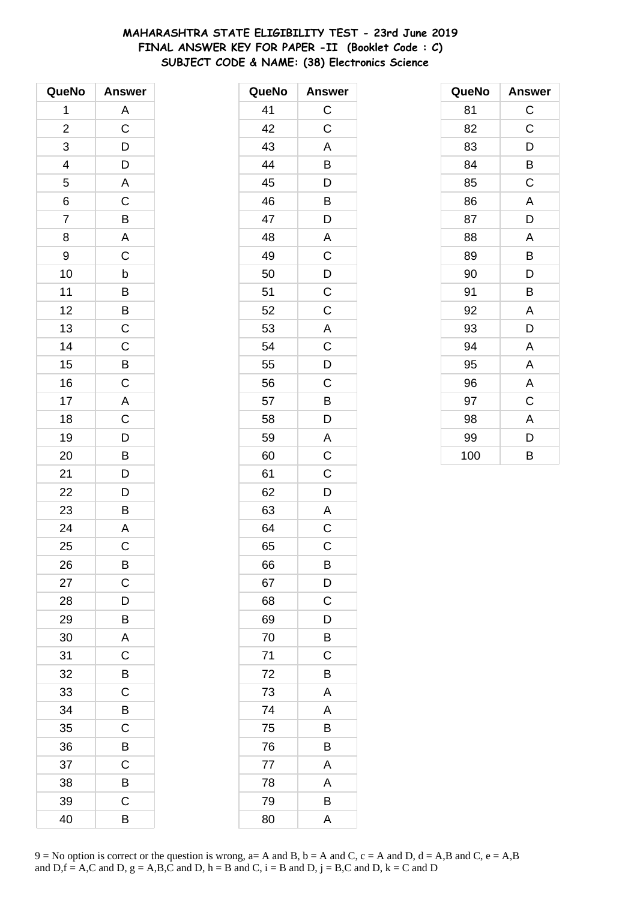# **MAHARASHTRA STATE ELIGIBILITY TEST - 23rd June 2019 FINAL ANSWER KEY FOR PAPER -II (Booklet Code : C) SUBJECT CODE & NAME: (38) Electronics Science**

| QueNo          | <b>Answer</b>             |
|----------------|---------------------------|
| 1              | A                         |
| $\overline{c}$ | $\mathsf C$               |
| 3              | D                         |
| 4              | $\overline{D}$            |
| 5              | $\overline{A}$            |
| 6              | $\overline{\overline{C}}$ |
| $\overline{7}$ | $\overline{B}$            |
| 8              | $\overline{A}$            |
| 9              | C                         |
| 10             | b                         |
| 11             |                           |
| 12             | $\frac{B}{C}$             |
| 13             |                           |
| 14             | $\mathsf C$               |
| 15             |                           |
| 16             | $rac{B}{C}$               |
| 17             | A                         |
| 18             | $\overline{C}$            |
| 19             | $\overline{D}$            |
| 20             | B                         |
| 21             | D                         |
| 22             | D                         |
| 23             | B                         |
| 24             | $\overline{A}$            |
| 25             | C                         |
| 26             | B                         |
| 27             | C                         |
| 28             | D                         |
| 29             | В                         |
| 30             | A                         |
| 31             | C                         |
| 32             | B                         |
| 33             | C                         |
| 34             | B                         |
| 35             | C                         |
| 36             | B                         |
| 37             | Ċ                         |
| 38             | B                         |
| 39             | C                         |
| 40             | В                         |

| QueNo | <b>Answer</b>           |
|-------|-------------------------|
| 41    | $\mathsf{C}$            |
| 42    | $\mathsf C$             |
| 43    | A                       |
| 44    | B                       |
| 45    | D                       |
| 46    | B                       |
| 47    | D                       |
| 48    | A                       |
| 49    | $\mathsf C$             |
| 50    | D                       |
| 51    | $\mathsf C$             |
| 52    | C                       |
| 53    | $\mathsf{A}$            |
| 54    | $\mathsf C$             |
| 55    | D                       |
| 56    | C                       |
| 57    | B                       |
| 58    | D                       |
| 59    | $\overline{\mathsf{A}}$ |
| 60    | $\mathsf C$             |
| 61    | C                       |
| 62    | D                       |
| 63    | A                       |
| 64    | C                       |
| 65    | C                       |
| 66    | B                       |
| 67    | D                       |
| 68    | C                       |
| 69    | D                       |
| 70    | Β                       |
| 71    | C                       |
| 72    | B                       |
| 73    | A                       |
| 74    | A                       |
| 75    | B                       |
| 76    | B                       |
| 77    | A                       |
| 78    | A                       |
| 79    | B                       |
| 80    | A                       |

| QueNo | Answer      |
|-------|-------------|
| 81    | $\mathsf C$ |
| 82    | $\mathsf C$ |
| 83    | D           |
| 84    | B           |
| 85    | C           |
| 86    | A           |
| 87    | D           |
| 88    | A           |
| 89    | B           |
| 90    | D           |
| 91    | B           |
| 92    | A           |
| 93    | D           |
| 94    | A           |
| 95    | A           |
| 96    | A           |
| 97    | C           |
| 98    | A           |
| 99    | D           |
| 100   | B           |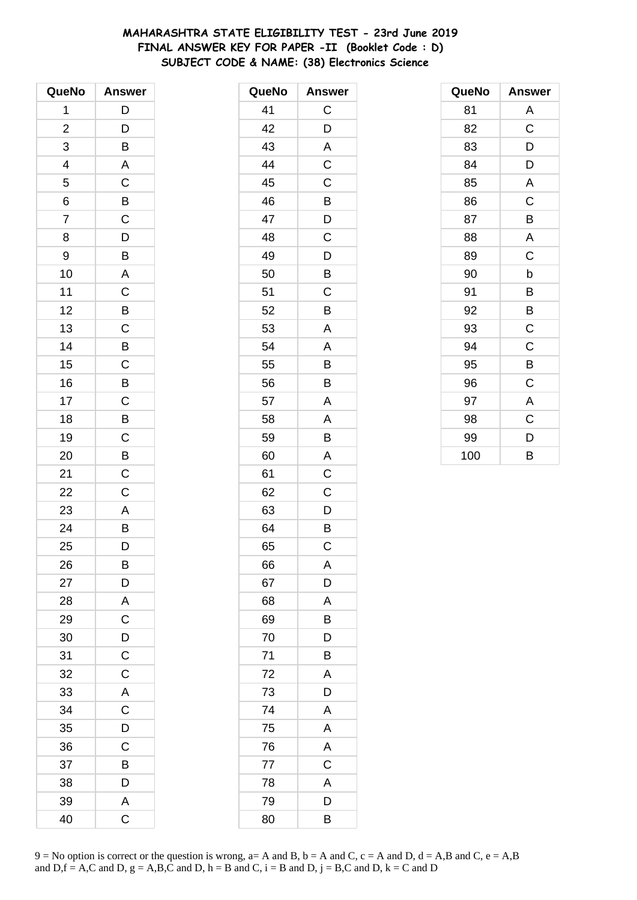# **MAHARASHTRA STATE ELIGIBILITY TEST - 23rd June 2019 FINAL ANSWER KEY FOR PAPER -II (Booklet Code : D) SUBJECT CODE & NAME: (38) Electronics Science**

| QueNo          | <b>Answer</b>  |
|----------------|----------------|
| 1              | $\mathsf{D}$   |
| $\overline{c}$ | D              |
| 3              | B              |
| 4              | A              |
| 5              | C              |
| 6              | $\overline{B}$ |
| $\overline{7}$ | $\overline{C}$ |
| 8              | $\overline{D}$ |
| 9              | B              |
| 10             | A              |
| 11             | $\mathsf C$    |
| 12             | B              |
| 13             | $\overline{C}$ |
| 14             | B              |
| 15             | C              |
| 16             | B              |
| 17             | C              |
| 18             | B              |
| 19             | $\mathsf C$    |
| 20             | B              |
| 21             | C              |
| 22             | C              |
| 23             | A              |
| 24             | B              |
| 25             | D              |
| 26             | B              |
| 27             | D              |
| 28             | A              |
| 29             | $\mathsf C$    |
| 30             | D              |
| 31             | $\mathsf{C}$   |
| 32             | $\mathsf C$    |
| 33             | A              |
| 34             | C              |
| 35             | D              |
| 36             | $\mathsf C$    |
| 37             | B              |
| 38             | D              |
| 39             | A              |
| 40             | C              |

| QueNo | <b>Answer</b> |
|-------|---------------|
| 41    | $\mathsf C$   |
| 42    | D             |
| 43    | A             |
| 44    | C             |
| 45    | C             |
| 46    | B             |
| 47    | D             |
| 48    | C             |
| 49    | D             |
| 50    | B             |
| 51    | C             |
| 52    | B             |
| 53    | A             |
| 54    | A             |
| 55    | B             |
| 56    | B             |
| 57    | A             |
| 58    | A             |
| 59    | B             |
| 60    | A             |
| 61    | C             |
| 62    | C             |
| 63    | D             |
| 64    | B             |
| 65    | C             |
| 66    | Α             |
| 67    | D             |
| 68    | A             |
| 69    | B             |
| 70    | D             |
| 71    | Β             |
| 72    | A             |
| 73    | D             |
| 74    | A             |
| 75    | A             |
| 76    | A             |
| 77    | $\mathsf C$   |
| 78    | A             |
| 79    | D             |
| 80    | B             |

| QueNo | <b>Answer</b> |
|-------|---------------|
| 81    | Α             |
| 82    | $\mathsf C$   |
| 83    | D             |
| 84    | D             |
| 85    | A             |
| 86    | C             |
| 87    | В             |
| 88    | A             |
| 89    | C             |
| 90    | b             |
| 91    | В             |
| 92    | B             |
| 93    | C             |
| 94    | C             |
| 95    | B             |
| 96    | C             |
| 97    | A             |
| 98    | C             |
| 99    | D             |
| 100   | B             |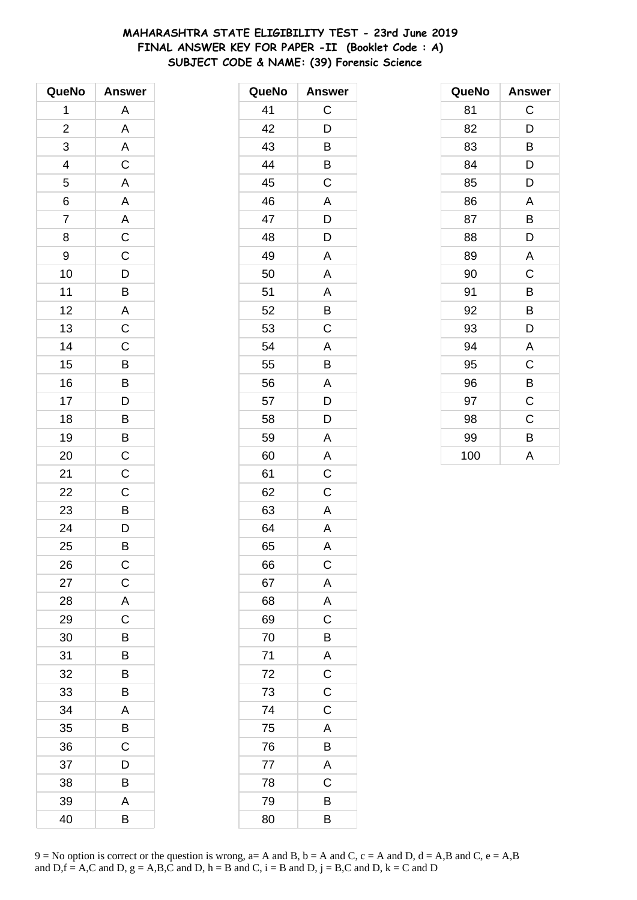# **MAHARASHTRA STATE ELIGIBILITY TEST - 23rd June 2019 FINAL ANSWER KEY FOR PAPER -II (Booklet Code : A) SUBJECT CODE & NAME: (39) Forensic Science**

| QueNo                   | <b>Answer</b>           |
|-------------------------|-------------------------|
| 1                       | A                       |
| $\overline{\mathbf{c}}$ | A                       |
| 3                       | A                       |
| 4                       | $\mathsf C$             |
| 5                       | $\mathsf{A}$            |
| 6                       | A                       |
| $\overline{7}$          | $\overline{\mathsf{A}}$ |
| 8                       | $\overline{\mathrm{c}}$ |
| 9                       | $\mathsf C$             |
| 10                      | D                       |
| 11                      | B                       |
| 12                      | $\overline{\mathsf{A}}$ |
| 13                      | $\overline{C}$          |
| 14                      | $\mathsf C$             |
| 15                      | B                       |
| 16                      | B                       |
| 17                      | D                       |
| 18                      | $\overline{B}$          |
| 19                      | $\overline{B}$          |
| 20                      | $\mathsf C$             |
| 21                      | $\mathsf C$             |
| 22                      | C                       |
| 23                      | B                       |
| 24                      | $\overline{D}$          |
| 25                      | B                       |
| 26                      | $\mathsf{C}$            |
| 27                      | $\mathsf C$             |
| 28                      | A                       |
| 29                      | $\mathsf C$             |
| 30                      | B                       |
| 31                      | B                       |
| 32                      | B                       |
| 33                      | В                       |
| 34                      | A                       |
| 35                      | В                       |
| 36                      | $\mathsf C$             |
| 37                      | D                       |
| 38                      | В                       |
| 39                      | A                       |
| 40                      | B                       |

| QueNo | <b>Answer</b>           |
|-------|-------------------------|
| 41    | C                       |
| 42    | D                       |
| 43    | B                       |
| 44    | B                       |
| 45    | C                       |
| 46    | Α                       |
| 47    | D                       |
| 48    | D                       |
| 49    | A                       |
| 50    | A                       |
| 51    | Α                       |
| 52    | B                       |
| 53    | C                       |
| 54    | A                       |
| 55    | B                       |
| 56    | A                       |
| 57    | D                       |
| 58    | D                       |
| 59    | A                       |
| 60    | A                       |
| 61    | $\overline{C}$          |
| 62    | C                       |
| 63    | A                       |
| 64    | A                       |
| 65    | A                       |
| 66    | $\mathsf{C}$            |
| 67    | $\mathsf{A}$            |
| 68    | A                       |
| 69    | $\mathsf C$             |
| 70    | B                       |
| 71    | $\overline{A}$          |
| 72    | $\overline{C}$          |
| 73    | $\overline{\mathrm{c}}$ |
| 74    | $\mathsf C$             |
| 75    | A                       |
| 76    | B                       |
| 77    | $\overline{A}$          |
| 78    | C                       |
| 79    | B                       |
| 80    | B                       |

| QueNo | <b>Answer</b> |
|-------|---------------|
| 81    | C             |
| 82    | D             |
| 83    | B             |
| 84    | D             |
| 85    | D             |
| 86    | A             |
| 87    | B             |
| 88    | D             |
| 89    | A             |
| 90    | C             |
| 91    | B             |
| 92    | B             |
| 93    | D             |
| 94    | A             |
| 95    | $\mathsf C$   |
| 96    | B             |
| 97    | C             |
| 98    | $\mathsf C$   |
| 99    | B             |
| 100   | A             |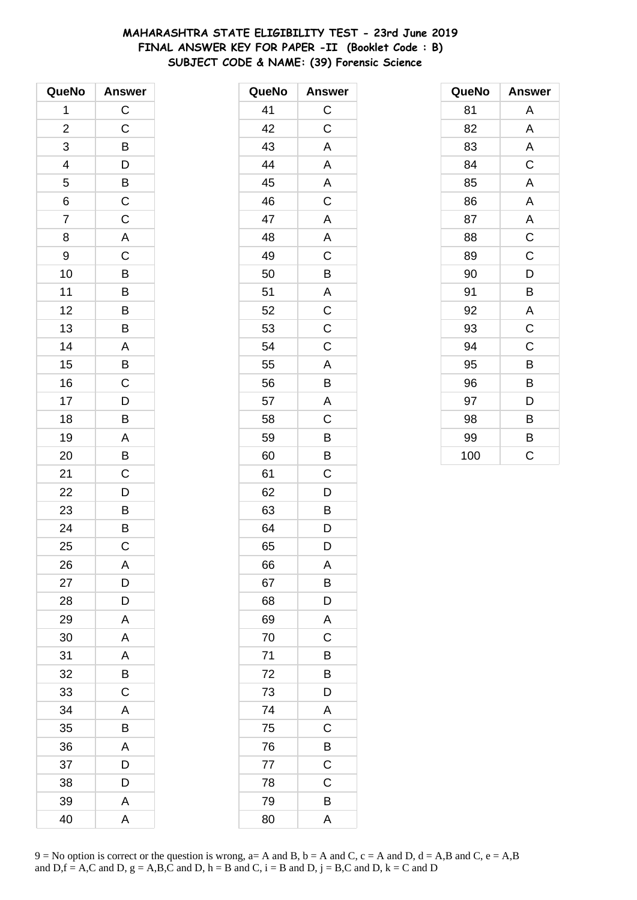# **MAHARASHTRA STATE ELIGIBILITY TEST - 23rd June 2019 FINAL ANSWER KEY FOR PAPER -II (Booklet Code : B) SUBJECT CODE & NAME: (39) Forensic Science**

| QueNo                   | <b>Answer</b>            |
|-------------------------|--------------------------|
| $\overline{\mathbf{1}}$ | $\mathsf C$              |
| $\overline{\mathbf{c}}$ | C                        |
| 3                       | B                        |
| 4                       | $\overline{D}$           |
| 5                       | $\frac{1}{\overline{B}}$ |
| 6                       | $\mathsf{C}$             |
| $\overline{7}$          | C                        |
| 8                       | A                        |
| 9                       | C                        |
| 10                      | B                        |
| 11                      | $\overline{B}$           |
| 12                      | B                        |
| 13                      | $\overline{B}$           |
| 14                      | A                        |
| 15                      | B                        |
| 16                      | $\mathsf C$              |
| 17                      | $\bar{D}$                |
| 18                      | B                        |
| 19                      | A                        |
| 20                      | B                        |
| 21                      | $\mathsf C$              |
| 22                      | D                        |
| 23                      |                          |
| 24                      | $\frac{B}{B}$            |
| 25                      | C                        |
| 26                      | A                        |
| 27                      | D                        |
| 28                      | D                        |
| 29                      | A                        |
| 30                      | A                        |
| 31                      | A                        |
| 32                      | В                        |
| 33                      | C                        |
| 34                      | Α                        |
| 35                      | В                        |
| 36                      | A                        |
| 37                      | D                        |
| 38                      | D                        |
| 39                      | Α                        |
| 40                      | A                        |

| QueNo | <b>Answer</b>           |
|-------|-------------------------|
| 41    | $\mathsf{C}$            |
| 42    | C                       |
| 43    | A                       |
| 44    | A                       |
| 45    | A                       |
| 46    | $\overline{\mathrm{c}}$ |
| 47    | $\overline{\mathsf{A}}$ |
| 48    | A                       |
| 49    | $\mathsf C$             |
| 50    | B                       |
| 51    | A                       |
| 52    | $\overline{\mathbf{C}}$ |
| 53    | $\overline{\mathsf{C}}$ |
| 54    | $\mathsf C$             |
| 55    | A                       |
| 56    | B                       |
| 57    | A                       |
| 58    | C                       |
| 59    | B                       |
| 60    | B                       |
| 61    | C                       |
| 62    | D                       |
| 63    | B                       |
| 64    | D                       |
| 65    | D                       |
| 66    | A                       |
| 67    | B                       |
| 68    | D                       |
| 69    | A                       |
| 70    | C                       |
| 71    | B                       |
| 72    | B                       |
| 73    | D                       |
| 74    | A                       |
| 75    | C                       |
| 76    | B                       |
| 77    | $\mathsf{C}$            |
| 78    | C                       |
| 79    | B                       |
| 80    | A                       |

| QueNo | <b>Answer</b> |
|-------|---------------|
| 81    | Α             |
| 82    | A             |
| 83    | A             |
| 84    | C             |
| 85    | A             |
| 86    | A             |
| 87    | A             |
| 88    | $\mathsf C$   |
| 89    | $\mathsf C$   |
| 90    | D             |
| 91    | B             |
| 92    | A             |
| 93    | $\mathsf C$   |
| 94    | $\mathsf C$   |
| 95    | B             |
| 96    | B             |
| 97    | D             |
| 98    | В             |
| 99    | B             |
| 100   | Ć             |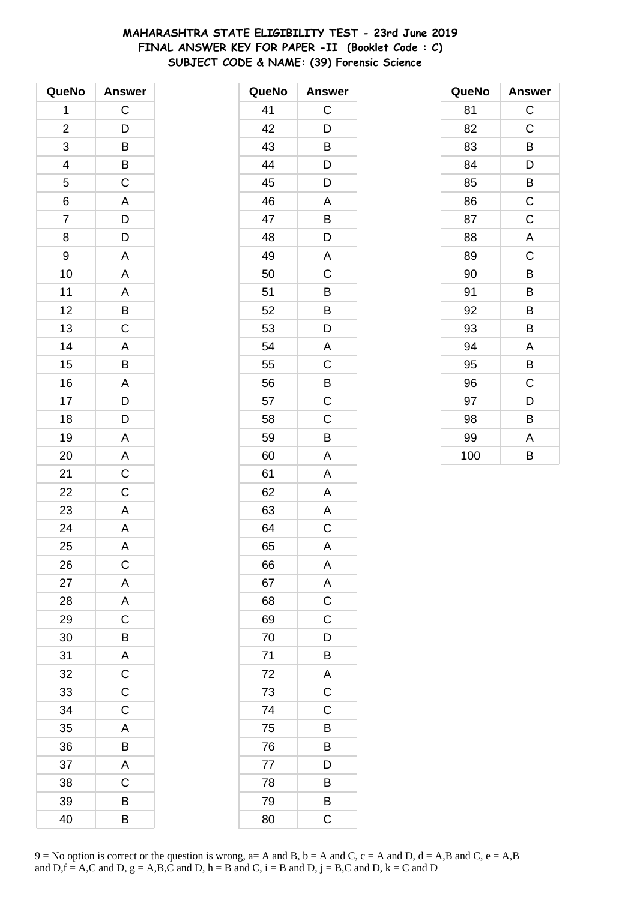# **MAHARASHTRA STATE ELIGIBILITY TEST - 23rd June 2019 FINAL ANSWER KEY FOR PAPER -II (Booklet Code : C) SUBJECT CODE & NAME: (39) Forensic Science**

| QueNo                    | <b>Answer</b>  |
|--------------------------|----------------|
| 1                        | $\mathsf C$    |
| $\overline{\mathbf{c}}$  | $\mathsf{D}$   |
| 3                        | B              |
| $\overline{\mathcal{L}}$ |                |
| $\overline{5}$           | $rac{B}{C}$    |
| 6                        | A              |
| $\overline{7}$           | D              |
| 8                        | D              |
| 9                        | A              |
| 10                       | A              |
| 11                       | $\overline{A}$ |
| 12                       | $\overline{B}$ |
| 13                       | $\overline{C}$ |
| 14                       | A              |
| 15                       | B              |
| 16                       | A              |
| 17                       |                |
| 18                       | $\frac{D}{D}$  |
| 19                       | A              |
| 20                       | A              |
| 21                       | $\mathsf C$    |
| 22                       | C              |
| 23                       | $\overline{A}$ |
| 24                       | $\mathsf{A}$   |
| 25                       | A              |
| 26                       | C              |
| 27                       | A              |
| 28                       | A              |
| 29                       | $\mathsf C$    |
| 30                       | B              |
| 31                       | A              |
| 32                       | $\mathsf{C}$   |
| 33                       | C              |
| 34                       | $\mathsf C$    |
| 35                       | A              |
| 36                       | B              |
| 37                       | A              |
| 38                       | C              |
| 39                       | B              |
| 40                       | В              |

| QueNo | <b>Answer</b>  |
|-------|----------------|
| 41    | C              |
| 42    | D              |
| 43    | B              |
| 44    | D              |
| 45    | D              |
| 46    | A              |
| 47    | B              |
| 48    | D              |
| 49    | A              |
| 50    | C              |
| 51    | Β              |
| 52    | B              |
| 53    | D              |
| 54    | A              |
| 55    | C              |
| 56    | B              |
| 57    | C              |
| 58    | C              |
| 59    | B              |
| 60    | A              |
| 61    | A              |
| 62    | A              |
| 63    | Α              |
| 64    | C              |
| 65    | A              |
| 66    | A              |
| 67    | A              |
| 68    | $\overline{C}$ |
| 69    | $\mathsf C$    |
| 70    | D              |
| 71    | B              |
| 72    | A              |
| 73    | $\mathsf C$    |
| 74    | C              |
| 75    | B              |
| 76    | B              |
| 77    | D              |
| 78    | B              |
| 79    | B              |
| 80    | C              |

| QueNo | <b>Answer</b> |
|-------|---------------|
| 81    | C             |
| 82    | $\mathsf C$   |
| 83    | В             |
| 84    | D             |
| 85    | B             |
| 86    | $\mathsf C$   |
| 87    | $\mathsf C$   |
| 88    | A             |
| 89    | $\mathsf C$   |
| 90    | B             |
| 91    | В             |
| 92    | B             |
| 93    | B             |
| 94    | A             |
| 95    | B             |
| 96    | C             |
| 97    | D             |
| 98    | B             |
| 99    | A             |
| 100   | B             |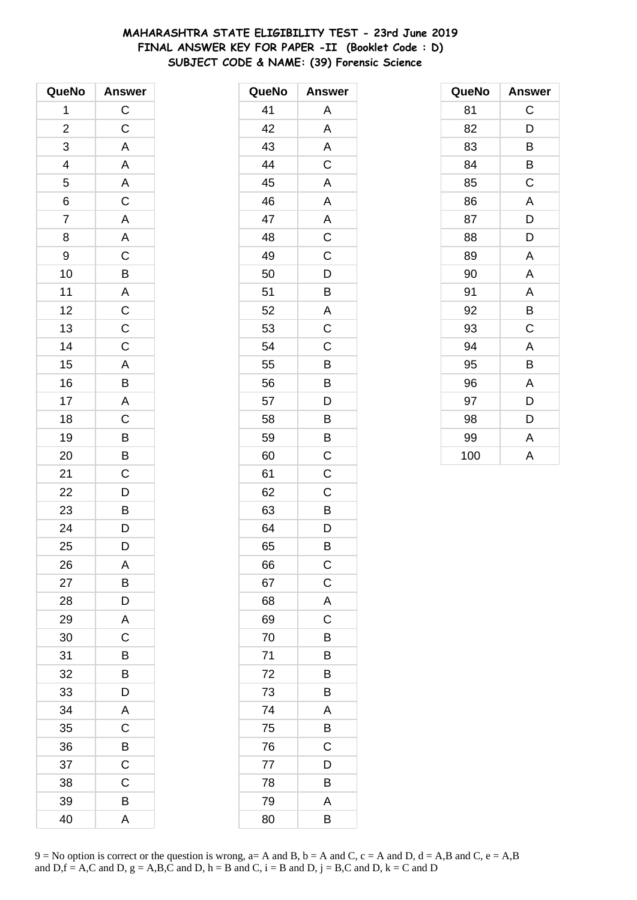# **MAHARASHTRA STATE ELIGIBILITY TEST - 23rd June 2019 FINAL ANSWER KEY FOR PAPER -II (Booklet Code : D) SUBJECT CODE & NAME: (39) Forensic Science**

| QueNo                   | <b>Answer</b>               |
|-------------------------|-----------------------------|
| 1                       | $\mathsf C$                 |
| $\overline{\mathbf{c}}$ | $\mathsf C$                 |
| 3                       | A                           |
| 4                       | $\mathsf{A}$                |
| 5                       | A                           |
| 6                       | $\overline{C}$              |
| $\overline{7}$          | $\overline{\mathsf{A}}$     |
| 8                       | $\overline{\mathsf{A}}$     |
| 9                       | $\mathsf C$                 |
| 10                      | B                           |
| 11                      |                             |
| 12                      |                             |
| 13                      | $\frac{A}{C}$ $\frac{C}{C}$ |
| 14                      |                             |
| 15                      | $\overline{A}$              |
| 16                      | $\overline{B}$              |
| 17                      | $\mathsf{A}$                |
| 18                      | $\overline{C}$              |
| 19                      | $\overline{B}$              |
| 20                      | B                           |
| 21                      | C                           |
| 22                      | D                           |
| 23                      | $\overline{B}$              |
| 24                      | $\overline{D}$              |
| 25                      | D                           |
| 26                      | A                           |
| 27                      | B                           |
| 28                      | D                           |
| 29                      | A                           |
| 30                      | C                           |
| 31                      | B                           |
| 32                      | B                           |
| 33                      | D                           |
| 34                      | A                           |
| 35                      | C                           |
| 36                      | B                           |
| 37                      | C                           |
| 38                      | C                           |
| 39                      | B                           |
| 40                      | Α                           |

| QueNo | <b>Answer</b>  |
|-------|----------------|
| 41    | Α              |
| 42    | A              |
| 43    | A              |
| 44    | C              |
| 45    | A              |
| 46    | A              |
| 47    | A              |
| 48    | $\overline{C}$ |
| 49    | C              |
| 50    | D              |
| 51    | B              |
| 52    | A              |
| 53    | $\mathsf C$    |
| 54    | $\mathsf C$    |
| 55    | B              |
| 56    | B              |
| 57    | D              |
| 58    | B              |
| 59    | B              |
| 60    | $\mathsf C$    |
| 61    | C              |
| 62    | C              |
| 63    | B              |
| 64    | D              |
| 65    | В              |
| 66    | $\mathsf{C}$   |
| 67    | $\overline{C}$ |
| 68    | A              |
| 69    | C              |
| 70    | B              |
| 71    | В              |
| 72    | B              |
| 73    | B              |
| 74    | A              |
| 75    | B              |
| 76    | C              |
| 77    | D              |
| 78    | B              |
| 79    | A              |
| 80    | B              |

| QueNo | <b>Answer</b> |
|-------|---------------|
| 81    | C             |
| 82    | D             |
| 83    | B             |
| 84    | B             |
| 85    | C             |
| 86    | A             |
| 87    | D             |
| 88    | D             |
| 89    | A             |
| 90    | A             |
| 91    | A             |
| 92    | B             |
| 93    | C             |
| 94    | A             |
| 95    | B             |
| 96    | A             |
| 97    | D             |
| 98    | D             |
| 99    | A             |
| 100   | A             |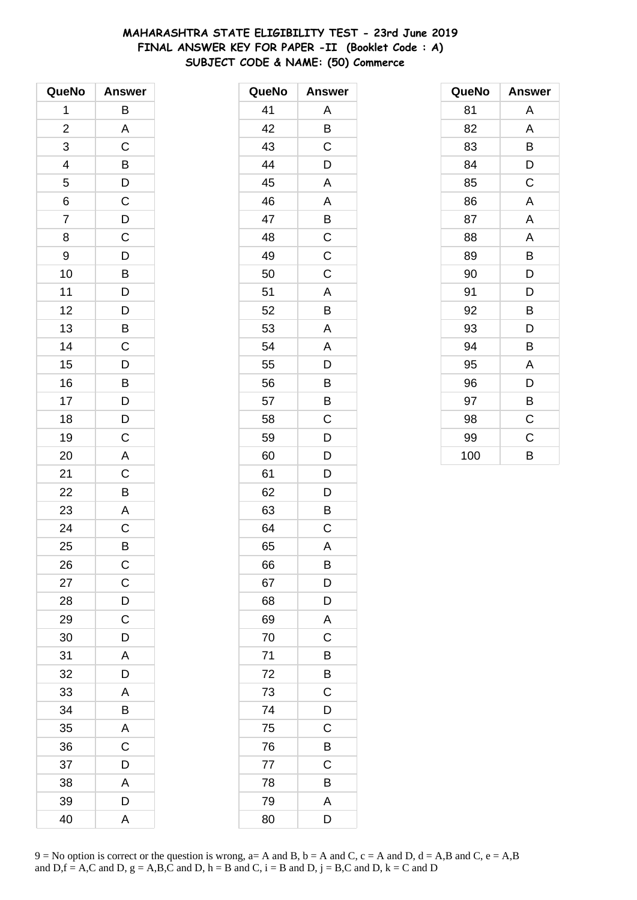# **MAHARASHTRA STATE ELIGIBILITY TEST - 23rd June 2019 FINAL ANSWER KEY FOR PAPER -II (Booklet Code : A) SUBJECT CODE & NAME: (50) Commerce**

| QueNo          | <b>Answer</b>           |
|----------------|-------------------------|
| 1              | B                       |
| $\overline{c}$ | A                       |
| 3              | C                       |
| 4              | B                       |
| 5              | D                       |
| 6              | $\overline{C}$          |
| $\overline{7}$ | $\overline{D}$          |
| 8              | C                       |
| 9              | D                       |
| 10             | B                       |
| 11             | $\mathsf{D}$            |
| 12             | $\overline{D}$          |
| 13             | $\overline{B}$          |
| 14             | C                       |
| 15             | D                       |
| 16             | B                       |
| 17             | D                       |
| 18             | D                       |
| 19             | $\overline{C}$          |
| 20             | A                       |
| 21             | C                       |
| 22             | B                       |
| 23             | $\overline{\mathsf{A}}$ |
| 24             | $\overline{C}$          |
| 25             | B                       |
| 26             | $\mathsf C$             |
| 27             | $\mathsf C$             |
| 28             | D                       |
| 29             | $\mathsf C$             |
| 30             | D                       |
| 31             | A                       |
| 32             | D                       |
| 33             | A                       |
| 34             | B                       |
| 35             | A                       |
| 36             | C                       |
| 37             | D                       |
| 38             | A                       |
| 39             | D                       |
| 40             | A                       |

| QueNo | <b>Answer</b> |
|-------|---------------|
| 41    | Α             |
| 42    | B             |
| 43    | C             |
| 44    | D             |
| 45    | A             |
| 46    | A             |
| 47    | B             |
| 48    | C             |
| 49    | $\mathsf C$   |
| 50    | C             |
| 51    | A             |
| 52    | B             |
| 53    | A             |
| 54    | A             |
| 55    | D             |
| 56    | B             |
| 57    | B             |
| 58    | C             |
| 59    | D             |
| 60    | D             |
| 61    | D             |
| 62    | D             |
| 63    | B             |
| 64    | $\mathsf C$   |
| 65    | A             |
| 66    | B             |
| 67    | D             |
| 68    | D             |
| 69    | A             |
| 70    | $\mathsf C$   |
| 71    | B             |
| 72    | B             |
| 73    | C             |
| 74    | D             |
| 75    | C             |
| 76    | B             |
| 77    | C             |
| 78    | B             |
| 79    | A             |
| 80    | D             |

| QueNo | <b>Answer</b> |
|-------|---------------|
| 81    | Α             |
| 82    | A             |
| 83    | B             |
| 84    | D             |
| 85    | C             |
| 86    | A             |
| 87    | A             |
| 88    | A             |
| 89    | B             |
| 90    | D             |
| 91    | D             |
| 92    | B             |
| 93    | D             |
| 94    | B             |
| 95    | A             |
| 96    | D             |
| 97    | B             |
| 98    | C             |
| 99    | $\mathsf C$   |
| 100   | B             |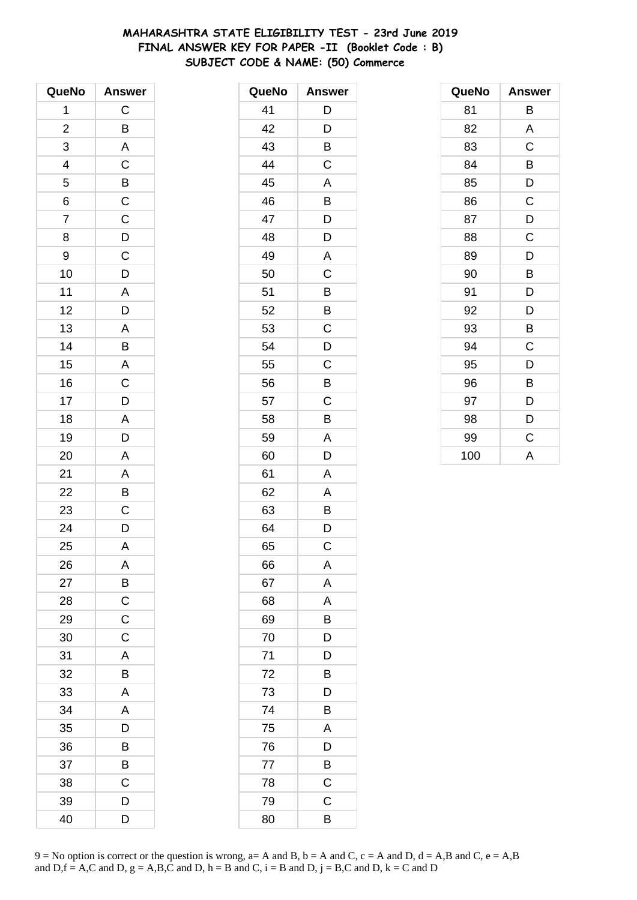# **MAHARASHTRA STATE ELIGIBILITY TEST - 23rd June 2019 FINAL ANSWER KEY FOR PAPER -II (Booklet Code : B) SUBJECT CODE & NAME: (50) Commerce**

| QueNo                   | <b>Answer</b>  |
|-------------------------|----------------|
| 1                       | C              |
| $\overline{\mathbf{c}}$ | B              |
| 3                       | A              |
| 4                       | $\mathsf C$    |
| 5                       | $\overline{B}$ |
| 6                       | $\overline{C}$ |
| $\overline{7}$          | $\overline{C}$ |
| 8                       | $\overline{D}$ |
| 9                       | $\mathsf C$    |
| 10                      | D              |
| 11                      | $\mathsf{A}$   |
| 12                      | D              |
| 13                      | A              |
| 14                      | B              |
| 15                      | $\overline{A}$ |
| 16                      | $\mathsf C$    |
| 17                      | D              |
| 18                      | A              |
| 19                      | D              |
| 20                      | A              |
| 21                      | A              |
| 22                      | B              |
| 23                      | $\mathsf C$    |
| 24                      | D              |
| 25                      | A              |
| 26                      | A              |
| 27                      | B              |
| 28                      | $\mathsf C$    |
| 29                      | $\mathsf C$    |
| 30                      | $\mathsf C$    |
| 31                      | A              |
| 32                      | B              |
| 33                      | A              |
| 34                      | A              |
| 35                      | D              |
| 36                      | В              |
| 37                      | B              |
| 38                      | C              |
| 39                      | D              |
| 40                      | D              |

| QueNo | <b>Answer</b> |
|-------|---------------|
| 41    | D             |
| 42    | D             |
| 43    | B             |
| 44    | C             |
| 45    | A             |
| 46    | B             |
| 47    | D             |
| 48    | D             |
| 49    | A             |
| 50    | C             |
| 51    | B             |
| 52    | B             |
| 53    | C             |
| 54    | D             |
| 55    | C             |
| 56    | B             |
| 57    | C             |
| 58    | B             |
| 59    | A             |
| 60    | D             |
| 61    | A             |
| 62    | A             |
| 63    | Β             |
| 64    | D             |
| 65    | C             |
| 66    | Α             |
| 67    | A             |
| 68    | A             |
| 69    | B             |
| 70    | D             |
| 71    | D             |
| 72    | B             |
| 73    | D             |
| 74    | B             |
| 75    | A             |
| 76    | D             |
| 77    | B             |
| 78    | C             |
| 79    | C             |
| 80    | B             |

| QueNo | <b>Answer</b> |
|-------|---------------|
| 81    | В             |
| 82    | A             |
| 83    | C             |
| 84    | B             |
| 85    | D             |
| 86    | $\mathsf C$   |
| 87    | D             |
| 88    | C             |
| 89    | D             |
| 90    | B             |
| 91    | D             |
| 92    | D             |
| 93    | Β             |
| 94    | C             |
| 95    | D             |
| 96    | B             |
| 97    | D             |
| 98    | D             |
| 99    | C             |
| 100   | A             |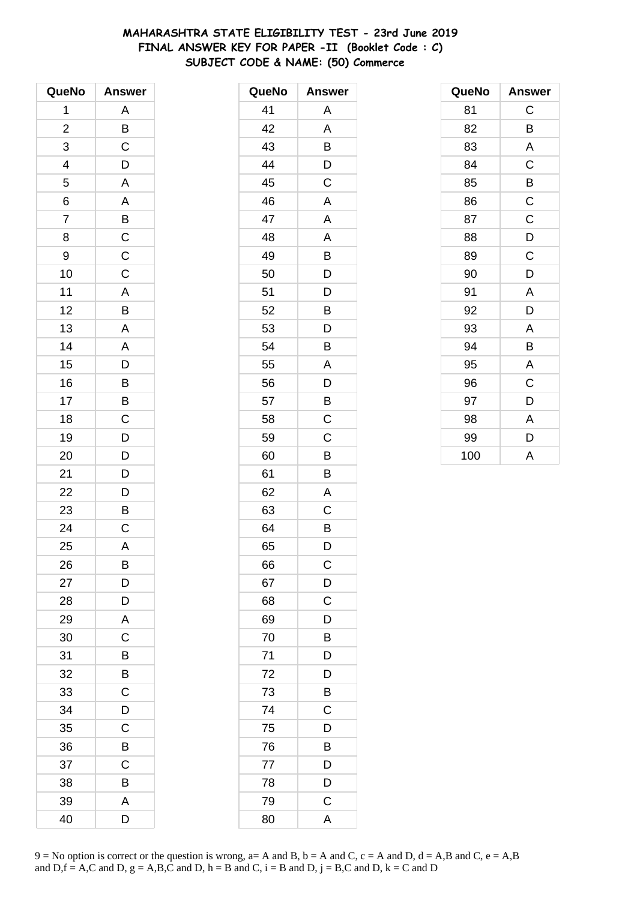# **MAHARASHTRA STATE ELIGIBILITY TEST - 23rd June 2019 FINAL ANSWER KEY FOR PAPER -II (Booklet Code : C) SUBJECT CODE & NAME: (50) Commerce**

| QueNo          | <b>Answer</b>                                      |
|----------------|----------------------------------------------------|
| 1              | Α                                                  |
| $\overline{c}$ | $rac{B}{C}$                                        |
| 3              |                                                    |
| 4              | $\mathsf{D}$                                       |
| 5              | $\overline{\mathsf{A}}$                            |
| $\overline{6}$ | $\overline{A}$                                     |
| $\overline{7}$ |                                                    |
| 8              | $\overline{C}$<br>$\overline{C}$<br>$\overline{C}$ |
| 9              |                                                    |
| 10             |                                                    |
| 11             |                                                    |
| 12             |                                                    |
| 13             | $\frac{A}{B}$                                      |
| 14             |                                                    |
| 15             | $\frac{A}{D}$                                      |
| 16             |                                                    |
| 17             |                                                    |
| 18             | $\frac{B}{C}$                                      |
| 19             | $\frac{1}{D}$                                      |
| 20             | $\overline{D}$                                     |
| 21             | D                                                  |
| 22             | $\overline{D}$                                     |
| 23             | $\mathsf{B}$                                       |
| 24             | $\overline{C}$                                     |
| 25             | Α                                                  |
| 26             | B                                                  |
| 27             | D                                                  |
| 28             | D                                                  |
| 29             | A                                                  |
| 30             | $\overline{C}$                                     |
| 31             | B                                                  |
| 32             | B                                                  |
| 33             | C                                                  |
| 34             | D                                                  |
| 35             | C                                                  |
| 36             | B                                                  |
| 37             | C                                                  |
| 38             | B                                                  |
| 39             | A                                                  |
| 40             | D                                                  |

| QueNo | <b>Answer</b>           |
|-------|-------------------------|
| 41    | А                       |
| 42    | Α                       |
| 43    | Β                       |
| 44    | D                       |
| 45    | $\overline{C}$          |
| 46    | A                       |
| 47    | A                       |
| 48    | A                       |
| 49    | B                       |
| 50    | D                       |
| 51    | D                       |
| 52    | B                       |
| 53    | D                       |
| 54    | Β                       |
| 55    | A                       |
| 56    | D                       |
| 57    | $\overline{B}$          |
| 58    | $\overline{\mathrm{C}}$ |
| 59    | C                       |
| 60    | B                       |
| 61    | B                       |
| 62    | A                       |
| 63    | C                       |
| 64    | B                       |
| 65    | D                       |
| 66    | С                       |
| 67    | D                       |
| 68    | $\mathsf C$             |
| 69    | D                       |
| 70    | B                       |
| 71    | D                       |
| 72    | D                       |
| 73    | B                       |
| 74    | $\mathsf C$             |
| 75    | D                       |
| 76    | B                       |
| 77    | D                       |
| 78    | D                       |
| 79    | $\mathsf{C}$            |
| 80    | A                       |

| QueNo | <b>Answer</b> |
|-------|---------------|
| 81    | C             |
| 82    | B             |
| 83    | A             |
| 84    | $\mathsf C$   |
| 85    | В             |
| 86    | $\mathsf C$   |
| 87    | $\mathsf C$   |
| 88    | D             |
| 89    | C             |
| 90    | D             |
| 91    | A             |
| 92    | D             |
| 93    | A             |
| 94    | В             |
| 95    | A             |
| 96    | C             |
| 97    | D             |
| 98    | A             |
| 99    | D             |
| 100   | A             |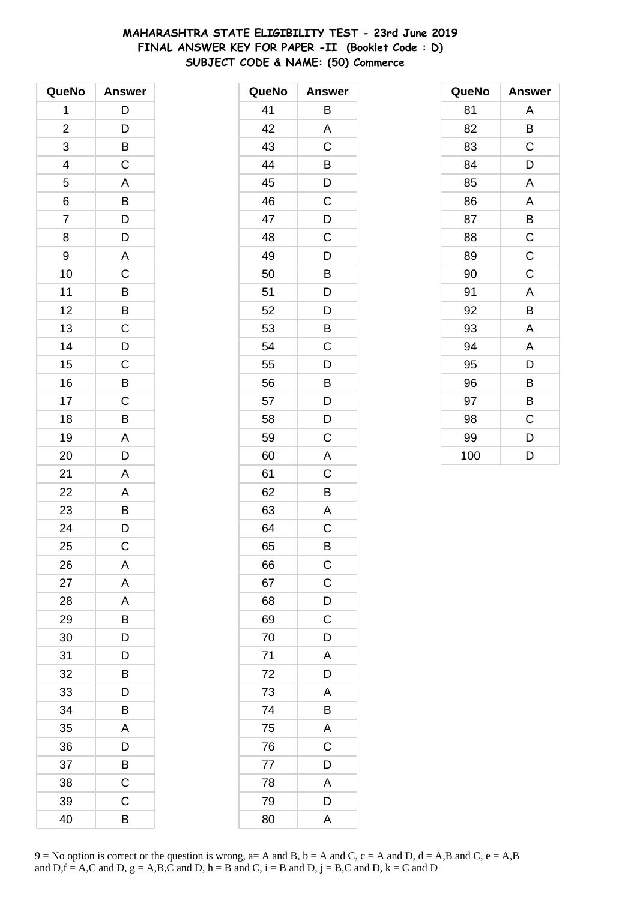# **MAHARASHTRA STATE ELIGIBILITY TEST - 23rd June 2019 FINAL ANSWER KEY FOR PAPER -II (Booklet Code : D) SUBJECT CODE & NAME: (50) Commerce**

| QueNo          | <b>Answer</b>           |
|----------------|-------------------------|
| 1              | D                       |
| $\overline{c}$ | D                       |
| 3              | B                       |
| 4              | $\mathsf C$             |
| 5              | A                       |
| 6              | $\overline{B}$          |
| $\overline{7}$ | $\overline{D}$          |
| 8              | D                       |
| 9              | A                       |
| 10             | C                       |
| 11             | $\overline{B}$          |
| 12             | B                       |
| 13             | $\overline{\mathbf{C}}$ |
| 14             | $\overline{D}$          |
| 15             | C                       |
| 16             | B                       |
| 17             | C                       |
| 18             | B                       |
| 19             | $\mathsf{A}$            |
| 20             | D                       |
| 21             | $\overline{\mathsf{A}}$ |
| 22             | A                       |
| 23             | B                       |
| 24             | D                       |
| 25             | $\mathsf C$             |
| 26             | A                       |
| 27             | A                       |
| 28             | A                       |
| 29             | В                       |
| 30             | D                       |
| 31             | D                       |
| 32             | B                       |
| 33             | D                       |
| 34             | В                       |
| 35             | Α                       |
| 36             | D                       |
| 37             | B                       |
| 38             | C                       |
| 39             | C                       |
| 40             | B                       |

| QueNo | <b>Answer</b>  |
|-------|----------------|
| 41    | Β              |
| 42    | A              |
| 43    | C              |
| 44    | B              |
| 45    | D              |
| 46    | C              |
| 47    | D              |
| 48    | C              |
| 49    | D              |
| 50    | В              |
| 51    | D              |
| 52    | D              |
| 53    | B              |
| 54    | C              |
| 55    | D              |
| 56    | B              |
| 57    | D              |
| 58    | D              |
| 59    | C              |
| 60    | A              |
| 61    | C              |
| 62    | B              |
| 63    | A              |
| 64    | C              |
| 65    | В              |
| 66    | $\mathsf{C}$   |
| 67    | $\overline{C}$ |
| 68    | D              |
| 69    | $\mathsf C$    |
| 70    | D              |
| 71    | A              |
| 72    | D              |
| 73    | A              |
| 74    | B              |
| 75    | A              |
| 76    | C              |
| 77    | D              |
| 78    | A              |
| 79    | D              |
| 80    | A              |

| QueNo | <b>Answer</b> |
|-------|---------------|
| 81    | Α             |
| 82    | В             |
| 83    | C             |
| 84    | D             |
| 85    | A             |
| 86    | A             |
| 87    | В             |
| 88    | $\mathsf C$   |
| 89    | $\mathsf C$   |
| 90    | C             |
| 91    | A             |
| 92    | B             |
| 93    | A             |
| 94    | A             |
| 95    | D             |
| 96    | B             |
| 97    | В             |
| 98    | C             |
| 99    | D             |
| 100   | D             |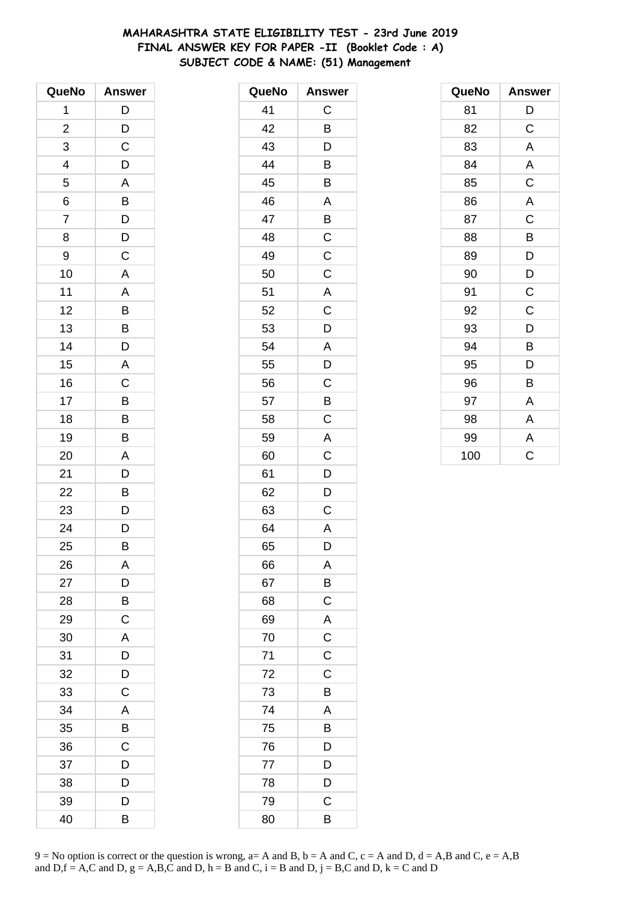# **MAHARASHTRA STATE ELIGIBILITY TEST - 23rd June 2019 FINAL ANSWER KEY FOR PAPER -II (Booklet Code : A) SUBJECT CODE & NAME: (51) Management**

| QueNo                    | <b>Answer</b>           |
|--------------------------|-------------------------|
| 1                        | $\mathsf{D}$            |
| $\overline{\mathbf{c}}$  | $\overline{D}$          |
| 3                        | C                       |
| $\overline{\mathcal{A}}$ | D                       |
| 5                        | A                       |
| 6                        | $\overline{B}$          |
| $\overline{7}$           | $\overline{D}$          |
| 8                        | D                       |
| 9                        | $\mathsf C$             |
| 10                       | A                       |
| 11                       | A                       |
| 12                       | $\overline{B}$          |
| 13                       | B                       |
| 14                       | D                       |
| 15                       | $\overline{\mathsf{A}}$ |
| 16                       | $\mathsf C$             |
| 17                       | B                       |
| 18                       | $\overline{B}$          |
| 19                       | $\overline{\mathsf{B}}$ |
| 20                       | A                       |
| 21                       | D                       |
| 22                       | B                       |
| 23                       | D                       |
| 24                       | $\overline{\mathsf{D}}$ |
| 25                       | B                       |
| 26                       | A                       |
| 27                       | D                       |
| 28                       | B                       |
| 29                       | $\mathsf C$             |
| 30                       | $\overline{\mathsf{A}}$ |
| 31                       | D                       |
| 32                       | D                       |
| 33                       | $\mathsf C$             |
| 34                       | A                       |
| 35                       | B                       |
| 36                       | $\mathsf C$             |
| 37                       | D                       |
| 38                       | D                       |
| 39                       | D                       |
| 40                       | В                       |

| QueNo | <b>Answer</b>           |
|-------|-------------------------|
| 41    | C                       |
| 42    | B                       |
| 43    | D                       |
| 44    | B                       |
| 45    | B                       |
| 46    | A                       |
| 47    | B                       |
| 48    | $\overline{C}$          |
| 49    | $\mathsf C$             |
| 50    | $\mathsf C$             |
| 51    | A                       |
| 52    | $\overline{\mathrm{C}}$ |
| 53    | D                       |
| 54    | A                       |
| 55    | D                       |
| 56    | $\mathsf{C}$            |
| 57    | $\overline{B}$          |
| 58    | C                       |
| 59    | A                       |
| 60    | C                       |
| 61    | D                       |
| 62    | D                       |
| 63    | C                       |
| 64    | A                       |
| 65    | D                       |
| 66    | Α                       |
| 67    | B                       |
| 68    | $\mathsf C$             |
| 69    | $\overline{A}$          |
| 70    | $\overline{C}$          |
| 71    | $\overline{C}$          |
| 72    | C                       |
| 73    | B                       |
| 74    | A                       |
| 75    | B                       |
| 76    | $\overline{D}$          |
| 77    | D                       |
| 78    | D                       |
| 79    | C                       |
| 80    | В                       |

| QueNo | <b>Answer</b> |
|-------|---------------|
| 81    | D             |
| 82    | C             |
| 83    | A             |
| 84    | A             |
| 85    | $\mathsf C$   |
| 86    | A             |
| 87    | $\mathsf C$   |
| 88    | B             |
| 89    | D             |
| 90    | D             |
| 91    | $\mathsf C$   |
| 92    | C             |
| 93    | D             |
| 94    | B             |
| 95    | D             |
| 96    | B             |
| 97    | Α             |
| 98    | A             |
| 99    | A             |
| 100   | C             |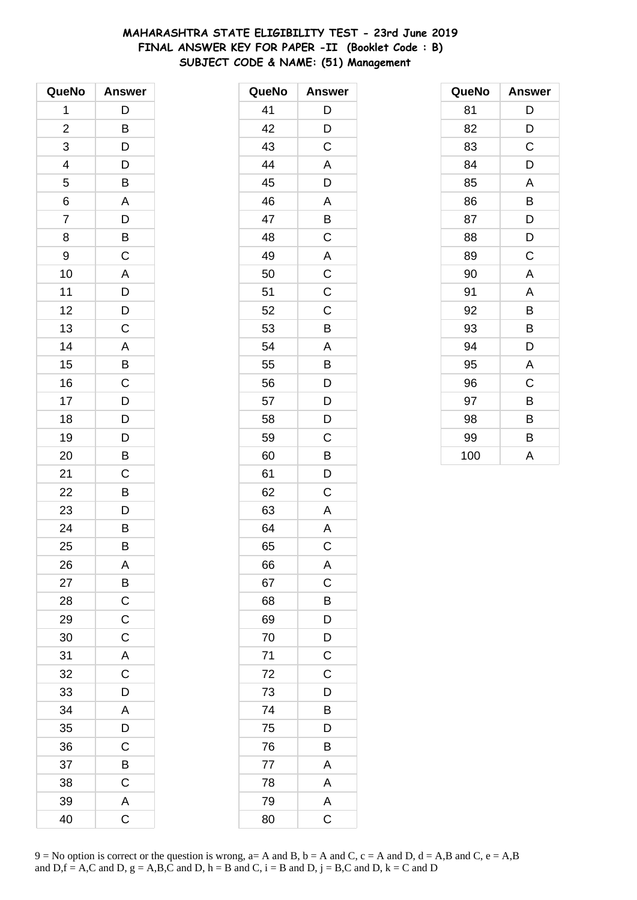# **MAHARASHTRA STATE ELIGIBILITY TEST - 23rd June 2019 FINAL ANSWER KEY FOR PAPER -II (Booklet Code : B) SUBJECT CODE & NAME: (51) Management**

| QueNo                    | <b>Answer</b>           |
|--------------------------|-------------------------|
| 1                        | D                       |
| $\overline{\mathbf{c}}$  | B                       |
| 3                        | D                       |
| $\overline{\mathcal{A}}$ | D                       |
| 5                        | B                       |
| 6                        | A                       |
| $\overline{7}$           | $\overline{D}$          |
| 8                        | B                       |
| 9                        | $\mathsf C$             |
| 10                       | $\mathsf{A}$            |
| 11                       |                         |
| 12                       | $\frac{D}{D}$           |
| 13                       | $\overline{\mathrm{c}}$ |
| 14                       |                         |
| 15                       | $\frac{A}{B}$           |
| 16                       | $\mathsf C$             |
| 17                       |                         |
| 18                       | $\overline{D}$<br>$D$   |
| 19                       | $\overline{D}$          |
| 20                       | B                       |
| 21                       | C                       |
| 22                       | B                       |
| 23                       | D                       |
| 24                       | $\overline{B}$          |
| 25                       | B                       |
| 26                       | A                       |
| 27                       |                         |
| 28                       | $rac{B}{C}$             |
| 29                       | $\mathsf{C}$            |
| 30                       | $\overline{C}$          |
| 31                       | $\overline{A}$          |
| 32                       | $\overline{\mathrm{C}}$ |
| 33                       | D                       |
| 34                       | A                       |
| 35                       | D                       |
| 36                       | $\overline{C}$          |
| 37                       | $\overline{B}$          |
| 38                       | $\mathsf C$             |
| 39                       | $\overline{\mathsf{A}}$ |
| 40                       | C                       |

| QueNo | <b>Answer</b>           |
|-------|-------------------------|
| 41    | D                       |
| 42    | D                       |
| 43    | $\overline{C}$          |
| 44    | $\mathsf{A}$            |
| 45    | $\overline{D}$          |
| 46    | A                       |
| 47    | B                       |
| 48    | C                       |
| 49    | A                       |
| 50    | $\overline{\mathbf{C}}$ |
| 51    | $\overline{C}$          |
| 52    | $\mathsf C$             |
| 53    | B                       |
| 54    | A                       |
| 55    | B                       |
| 56    |                         |
| 57    | $\frac{D}{D}$           |
| 58    |                         |
| 59    | C                       |
| 60    | B                       |
| 61    | D                       |
| 62    | $\mathsf C$             |
| 63    | Α                       |
| 64    | $\overline{\mathsf{A}}$ |
| 65    | C                       |
| 66    | Α                       |
| 67    | $\mathsf C$             |
| 68    | B                       |
| 69    | $\frac{1}{D}$           |
| 70    | $\frac{D}{C}$           |
| 71    |                         |
| 72    | C                       |
| 73    | D                       |
| 74    | B                       |
| 75    | D                       |
| 76    | B                       |
| 77    | A                       |
| 78    | A                       |
| 79    | A                       |
| 80    | $\mathsf C$             |

| QueNo | <b>Answer</b> |
|-------|---------------|
| 81    | D             |
| 82    | D             |
| 83    | C             |
| 84    | D             |
| 85    | A             |
| 86    | В             |
| 87    | D             |
| 88    | D             |
| 89    | C             |
| 90    | A             |
| 91    | A             |
| 92    | B             |
| 93    | В             |
| 94    | D             |
| 95    | A             |
| 96    | C             |
| 97    | B             |
| 98    | B             |
| 99    | В             |
| 100   | A             |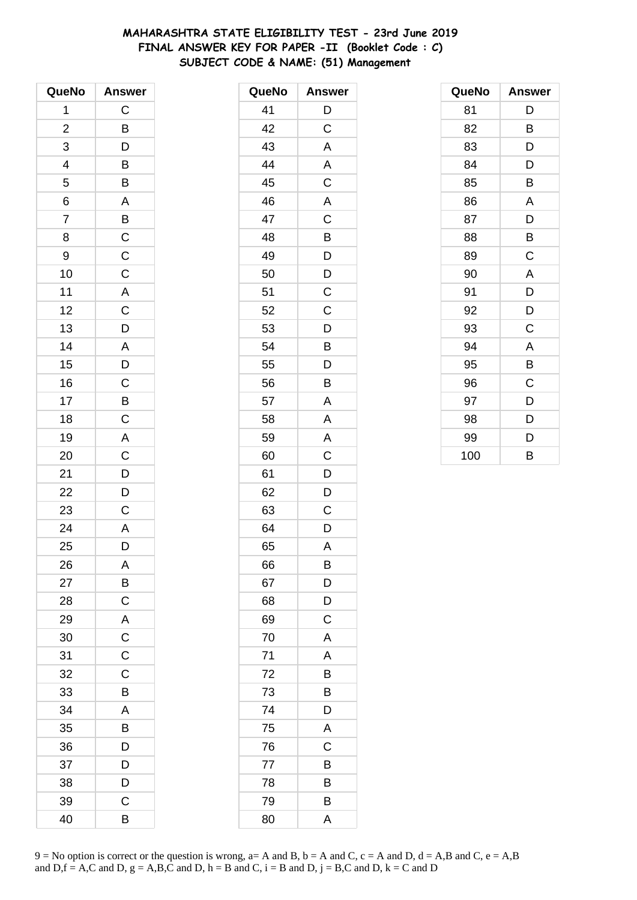# **MAHARASHTRA STATE ELIGIBILITY TEST - 23rd June 2019 FINAL ANSWER KEY FOR PAPER -II (Booklet Code : C) SUBJECT CODE & NAME: (51) Management**

| QueNo                   | <b>Answer</b>   |
|-------------------------|-----------------|
| 1                       | $\mathsf C$     |
| $\overline{\mathbf{c}}$ | $\overline{B}$  |
| 3                       | D               |
|                         |                 |
| $\frac{4}{5}$           | $\frac{B}{B}$   |
| $\overline{6}$          | $\overline{A}$  |
| $\overline{7}$          |                 |
| 8                       |                 |
| 9                       | $\overline{BC}$ |
| 10                      | $\frac{1}{C}$   |
| 11                      |                 |
| 12                      |                 |
| 13                      | $\frac{A}{C}$   |
| 14                      |                 |
| 15                      | $rac{A}{D}$     |
| 16                      |                 |
| 17                      |                 |
| 18                      | $rac{C}{C}$     |
| 19                      |                 |
| 20                      | $rac{A}{C}$     |
| 21                      |                 |
| 22                      | $\frac{D}{D}$   |
| 23                      | $\mathsf C$     |
| 24                      | $\overline{A}$  |
| 25                      | D               |
| 26                      | A               |
| 27                      | B               |
| 28                      | $\mathsf{C}$    |
| 29                      | $\overline{A}$  |
| 30                      | $\overline{C}$  |
| 31                      | $\overline{C}$  |
| 32                      | $\mathsf C$     |
| 33                      | B               |
| 34                      | A               |
| 35                      | B               |
| 36                      | $\overline{D}$  |
| 37                      | D               |
| 38                      | D               |
| 39                      | C               |
| 40                      | B               |

| QueNo | <b>Answer</b> |
|-------|---------------|
| 41    | D             |
| 42    | C             |
| 43    | A             |
| 44    | A             |
| 45    | C             |
| 46    | A             |
| 47    | C             |
| 48    | B             |
| 49    | D             |
| 50    | D             |
| 51    | С             |
| 52    | C             |
| 53    | D             |
| 54    | B             |
| 55    | D             |
| 56    | B             |
| 57    | A             |
| 58    | Α             |
| 59    | A             |
| 60    | C             |
| 61    | D             |
| 62    | D             |
| 63    | С             |
| 64    | D             |
| 65    | A             |
| 66    | B             |
| 67    | D             |
| 68    | D             |
| 69    | C             |
| 70    | A             |
| 71    | A             |
| 72    | B             |
| 73    | B             |
| 74    | D             |
| 75    | A             |
| 76    | C             |
| 77    | B             |
| 78    | B             |
| 79    | B             |
| 80    | A             |

| QueNo | <b>Answer</b> |
|-------|---------------|
| 81    | D             |
| 82    | B             |
| 83    | D             |
| 84    | D             |
| 85    | B             |
| 86    | A             |
| 87    | D             |
| 88    | B             |
| 89    | C             |
| 90    | A             |
| 91    | D             |
| 92    | D             |
| 93    | C             |
| 94    | A             |
| 95    | B             |
| 96    | C             |
| 97    | D             |
| 98    | D             |
| 99    | D             |
| 100   | B             |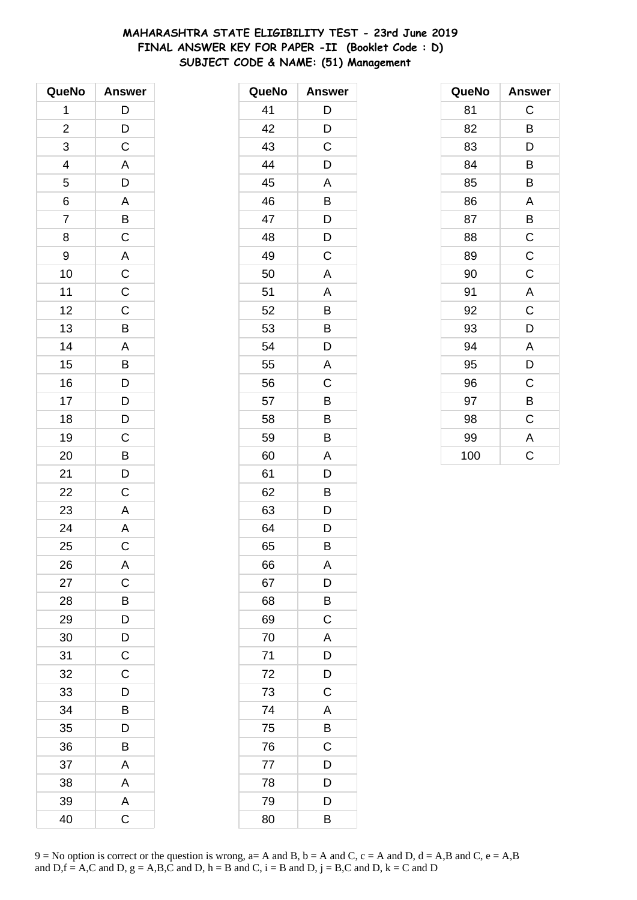# **MAHARASHTRA STATE ELIGIBILITY TEST - 23rd June 2019 FINAL ANSWER KEY FOR PAPER -II (Booklet Code : D) SUBJECT CODE & NAME: (51) Management**

| QueNo                    | <b>Answer</b>                                |
|--------------------------|----------------------------------------------|
| 1                        | $\mathsf{D}$                                 |
| $\overline{\mathbf{c}}$  | $\overline{D}$                               |
| 3                        | $\mathsf C$                                  |
| $\overline{\mathcal{L}}$ | $\mathsf{A}$                                 |
| 5                        | $\frac{1}{D}$                                |
| $\overline{6}$           | $\overline{A}$                               |
| $\overline{7}$           |                                              |
| 8                        | $\frac{B}{C}$                                |
| 9                        | $\mathsf{A}$                                 |
| 10                       | $\overline{\mathbf{C}}$                      |
| 11                       | $\overline{\mathsf{C}}$                      |
| 12                       | $\overline{C}$                               |
| 13                       | $\overline{B}$                               |
| 14                       |                                              |
| 15                       | $\frac{A}{B}$                                |
| 16                       |                                              |
| 17                       |                                              |
| 18                       | $\begin{array}{c}\nD \\ D \\ D\n\end{array}$ |
| 19                       | $\overline{C}$                               |
| 20                       | $\overline{B}$                               |
| 21                       |                                              |
| 22                       | $\frac{D}{C}$                                |
| 23                       | A                                            |
| 24                       | $\overline{A}$                               |
| 25                       | $\overline{C}$                               |
| 26                       | A                                            |
| 27                       | $\mathsf C$                                  |
| 28                       | B                                            |
| 29                       | $\overline{D}$                               |
| 30                       | $\overline{D}$                               |
| 31                       | $\overline{\mathrm{c}}$                      |
| 32                       | $\mathsf C$                                  |
| 33                       | D                                            |
| 34                       | B                                            |
| 35                       | D                                            |
| 36                       | B                                            |
| 37                       | A                                            |
| 38                       | A                                            |
| 39                       | A                                            |
| 40                       | C                                            |

| QueNo | <b>Answer</b> |
|-------|---------------|
| 41    | D             |
| 42    | D             |
| 43    | C             |
| 44    | D             |
| 45    | A             |
| 46    | Β             |
| 47    | D             |
| 48    | D             |
| 49    | C             |
| 50    | A             |
| 51    | Α             |
| 52    | B             |
| 53    | B             |
| 54    | D             |
| 55    | A             |
| 56    | C             |
| 57    | B             |
| 58    | B             |
| 59    | B             |
| 60    | A             |
| 61    | D             |
| 62    | B             |
| 63    | D             |
| 64    | D             |
| 65    | В             |
| 66    | Α             |
| 67    | D             |
| 68    | B             |
| 69    | C             |
| 70    | A             |
| 71    | D             |
| 72    | D             |
| 73    | $\mathsf C$   |
| 74    | A             |
| 75    | B             |
| 76    | C             |
| 77    | D             |
| 78    | D             |
| 79    | D             |
| 80    | B             |

| QueNo | <b>Answer</b> |
|-------|---------------|
| 81    | C             |
| 82    | B             |
| 83    | D             |
| 84    | B             |
| 85    | B             |
| 86    | A             |
| 87    | B             |
| 88    | $\mathsf C$   |
| 89    | $\mathsf C$   |
| 90    | C             |
| 91    | A             |
| 92    | C             |
| 93    | D             |
| 94    | A             |
| 95    | D             |
| 96    | C             |
| 97    | В             |
| 98    | C             |
| 99    | A             |
| 100   | Ć             |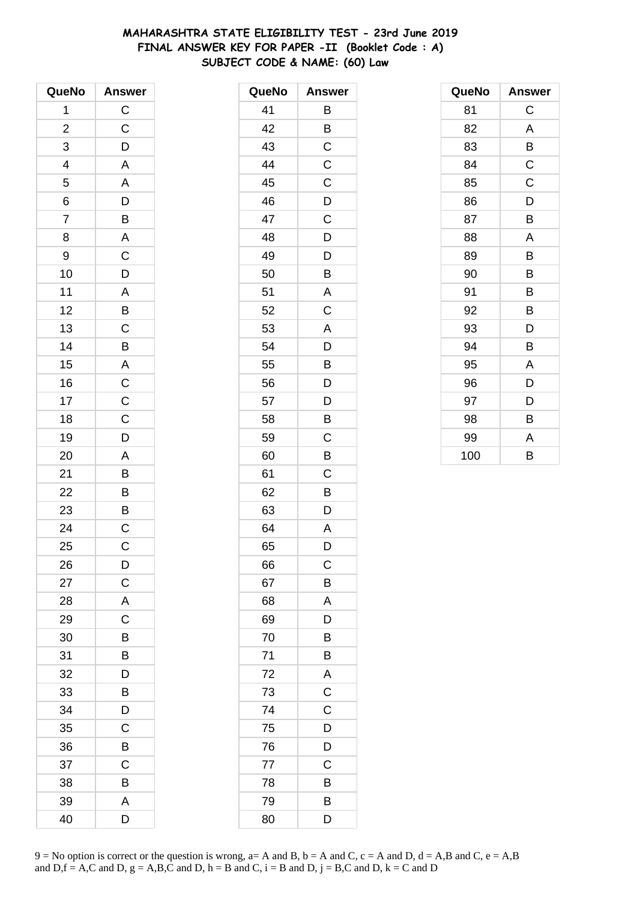# **MAHARASHTRA STATE ELIGIBILITY TEST - 23rd June 2019 FINAL ANSWER KEY FOR PAPER -II (Booklet Code : A) SUBJECT CODE & NAME: (60) Law**

| QueNo          | <b>Answer</b>           |
|----------------|-------------------------|
| 1              | $\mathsf C$             |
| $\overline{c}$ | $\mathsf C$             |
| 3              | D                       |
| 4              | A                       |
| 5              | A                       |
| 6              |                         |
| $\overline{7}$ | $\frac{D}{B}$           |
| 8              | $\overline{\mathsf{A}}$ |
| 9              | $\mathsf C$             |
| 10             | D                       |
| 11             | A                       |
| 12             | B                       |
| 13             | $\overline{c}$          |
| 14             | B                       |
| 15             | A                       |
| 16             | $\mathsf C$             |
| 17             | $\mathsf C$             |
| 18             | $\overline{C}$          |
| 19             | D                       |
| 20             | A                       |
| 21             | B                       |
| 22             | B                       |
| 23             | B                       |
| 24             | $\overline{\mathrm{c}}$ |
| 25             | $\mathsf C$             |
| 26             | D                       |
| 27             | C                       |
| 28             | A                       |
| 29             | C                       |
| 30             | В                       |
| 31             | B                       |
| 32             | D                       |
| 33             | B                       |
| 34             | D                       |
| 35             | Ć                       |
| 36             | В                       |
| 37             | Ċ                       |
| 38             | B                       |
| 39             | A                       |
| 40             | D                       |

| QueNo | <b>Answer</b>  |
|-------|----------------|
| 41    | B              |
| 42    | B              |
| 43    | C              |
| 44    | $\mathsf C$    |
| 45    | C              |
| 46    | D              |
| 47    | C              |
| 48    | D              |
| 49    | D              |
| 50    | B              |
| 51    | Α              |
| 52    | C              |
| 53    | A              |
| 54    | D              |
| 55    | B              |
| 56    | D              |
| 57    | D              |
| 58    | B              |
| 59    | C              |
| 60    | B              |
| 61    | C              |
| 62    | B              |
| 63    | D              |
| 64    | A              |
| 65    | D              |
| 66    | C              |
| 67    | B              |
| 68    | A              |
| 69    | D              |
| 70    | B              |
| 71    | B              |
| 72    | A              |
| 73    | $\overline{C}$ |
| 74    | C              |
| 75    | D              |
| 76    | D              |
| 77    | C              |
| 78    | B              |
| 79    | B              |
| 80    | D              |

| QueNo | <b>Answer</b> |
|-------|---------------|
| 81    | C             |
| 82    | A             |
| 83    | В             |
| 84    | C             |
| 85    | C             |
| 86    | D             |
| 87    | B             |
| 88    | A             |
| 89    | В             |
| 90    | B             |
| 91    | B             |
| 92    | B             |
| 93    | D             |
| 94    | B             |
| 95    | A             |
| 96    | D             |
| 97    | D             |
| 98    | B             |
| 99    | A             |
| 100   | B             |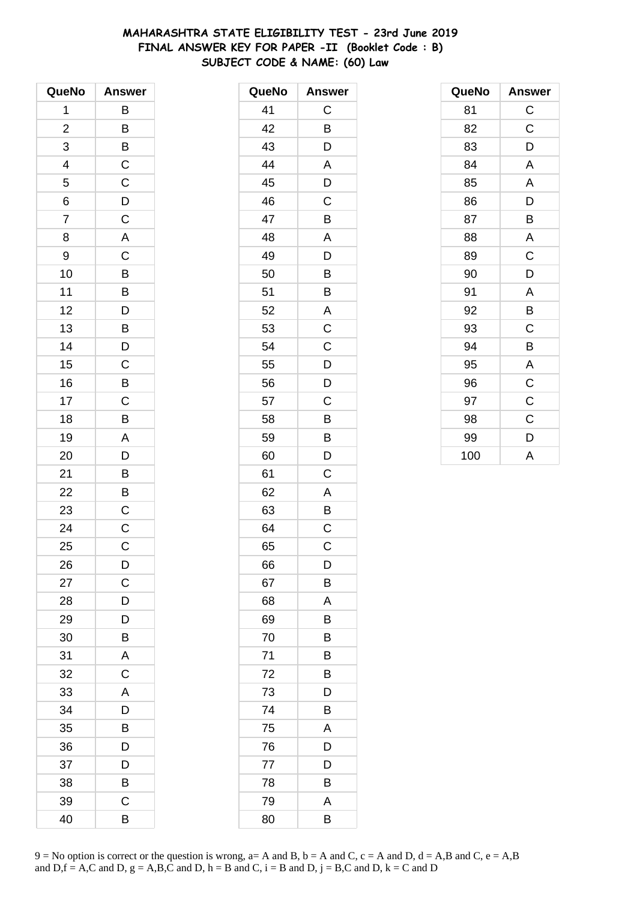# **MAHARASHTRA STATE ELIGIBILITY TEST - 23rd June 2019 FINAL ANSWER KEY FOR PAPER -II (Booklet Code : B) SUBJECT CODE & NAME: (60) Law**

| QueNo                   | <b>Answer</b>           |
|-------------------------|-------------------------|
| 1                       | В                       |
| $\overline{\mathbf{c}}$ | B                       |
| 3                       | B                       |
| 4                       | $\mathsf{C}$            |
| 5                       | $\mathsf C$             |
| 6                       | $\overline{D}$          |
| $\overline{7}$          | $\overline{\mathbf{C}}$ |
| 8                       | A                       |
| 9                       | C                       |
| 10                      | B                       |
| 11                      | B                       |
| 12                      | $\overline{\mathsf{D}}$ |
| 13                      | $\mathsf{B}$            |
| 14                      | D                       |
| 15                      | C                       |
| 16                      | B                       |
| 17                      | $\mathsf C$             |
| 18                      | B                       |
| 19                      | A                       |
| 20                      | D                       |
| 21                      | B                       |
| 22                      | B                       |
| 23                      | $\mathsf C$             |
| 24                      | $\mathsf{C}$            |
| 25                      | C                       |
| 26                      | D                       |
| 27                      | C                       |
| 28                      | D                       |
| 29                      | D                       |
| 30                      | B                       |
| 31                      | A                       |
| 32                      | C                       |
| 33                      | A                       |
| 34                      | D                       |
| 35                      | В                       |
| 36                      | D                       |
| 37                      | D                       |
| 38                      | B                       |
| 39                      | C                       |
| 40                      | В                       |

| QueNo | <b>Answer</b>  |
|-------|----------------|
| 41    | $\mathsf C$    |
| 42    | B              |
| 43    | D              |
| 44    | A              |
| 45    | D              |
| 46    | C              |
| 47    | B              |
| 48    | A              |
| 49    | D              |
| 50    | B              |
| 51    | Β              |
| 52    | A              |
| 53    | $\mathsf C$    |
| 54    | $\mathsf C$    |
| 55    | D              |
| 56    | D              |
| 57    | C              |
| 58    | B              |
| 59    | B              |
| 60    | D              |
| 61    | C              |
| 62    | A              |
| 63    | Β              |
| 64    | $\overline{C}$ |
| 65    | $\mathsf C$    |
| 66    | D              |
| 67    | Β              |
| 68    | A              |
| 69    | Β              |
| 70    | В              |
| 71    | в              |
| 72    | B              |
| 73    | D              |
| 74    | B              |
| 75    | A              |
| 76    | D              |
| 77    | D              |
| 78    | Β              |
| 79    | A              |
| 80    | В              |

| QueNo | <b>Answer</b> |
|-------|---------------|
| 81    | $\mathsf C$   |
| 82    | C             |
| 83    | D             |
| 84    | A             |
| 85    | A             |
| 86    | D             |
| 87    | B             |
| 88    | A             |
| 89    | C             |
| 90    | D             |
| 91    | A             |
| 92    | B             |
| 93    | C             |
| 94    | B             |
| 95    | A             |
| 96    | C             |
| 97    | C             |
| 98    | C             |
| 99    | D             |
| 100   | A             |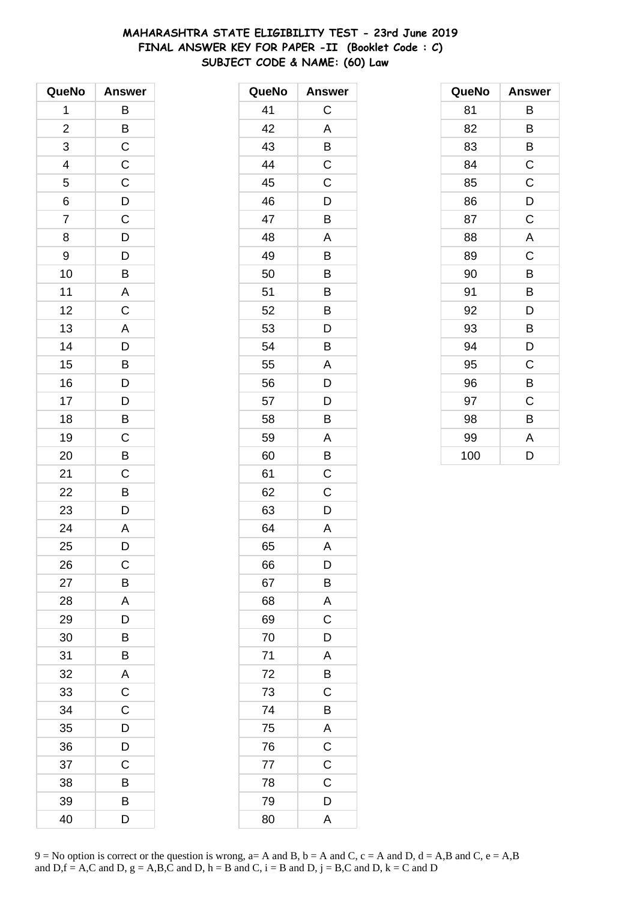# **MAHARASHTRA STATE ELIGIBILITY TEST - 23rd June 2019 FINAL ANSWER KEY FOR PAPER -II (Booklet Code : C) SUBJECT CODE & NAME: (60) Law**

| QueNo                    | <b>Answer</b>                                                         |
|--------------------------|-----------------------------------------------------------------------|
| 1                        | B                                                                     |
| $\overline{\mathbf{c}}$  |                                                                       |
| 3                        | $rac{B}{C}$                                                           |
| $\overline{\mathcal{A}}$ | $\mathsf{C}$                                                          |
| 5                        | $\overline{C}$                                                        |
| 6                        | $\overline{D}$                                                        |
| $\overline{7}$           | $\frac{1}{C}$                                                         |
| 8                        | $\overline{D}$                                                        |
| 9                        | D                                                                     |
| 10                       | B                                                                     |
| 11                       | $\overline{A}$                                                        |
| 12                       | $\overline{C}$                                                        |
| 13                       | A                                                                     |
| 14                       | D                                                                     |
| 15                       | $\overline{B}$                                                        |
| 16                       |                                                                       |
| 17                       |                                                                       |
| 18                       | $\begin{array}{c} \mathsf{D} \\ \mathsf{D} \\ \mathsf{B} \end{array}$ |
| 19                       | $\overline{C}$                                                        |
| 20                       | B                                                                     |
| 21                       | C                                                                     |
| 22                       | B                                                                     |
| 23                       | D                                                                     |
| 24                       | $\overline{A}$                                                        |
| 25                       | D                                                                     |
| 26                       | $\mathsf C$                                                           |
| 27                       | B                                                                     |
| 28                       | A                                                                     |
| 29                       | D                                                                     |
| 30                       | B                                                                     |
| 31                       | B                                                                     |
| 32                       | A                                                                     |
| 33                       | $\overline{C}$                                                        |
| 34                       | $\mathsf C$                                                           |
| 35                       | D                                                                     |
| 36                       | D                                                                     |
| 37                       | C                                                                     |
| 38                       | B                                                                     |
| 39                       | B                                                                     |
| 40                       | D                                                                     |

| QueNo | <b>Answer</b> |
|-------|---------------|
| 41    | C             |
| 42    | A             |
| 43    | B             |
| 44    | C             |
| 45    | C             |
| 46    | D             |
| 47    | B             |
| 48    | A             |
| 49    | Β             |
| 50    | B             |
| 51    | B             |
| 52    | B             |
| 53    | D             |
| 54    | B             |
| 55    | A             |
| 56    | D             |
| 57    | D             |
| 58    | B             |
| 59    | A             |
| 60    | B             |
| 61    | C             |
| 62    | Ċ             |
| 63    | D             |
| 64    | A             |
| 65    | A             |
| 66    | D             |
| 67    | B             |
| 68    | A             |
| 69    | $\mathsf C$   |
| 70    | D             |
| 71    | A             |
| 72    | B             |
| 73    | C             |
| 74    | B             |
| 75    | A             |
| 76    | $\mathsf{C}$  |
| 77    | $\mathsf C$   |
| 78    | C             |
| 79    | D             |
| 80    | A             |

| QueNo | <b>Answer</b> |
|-------|---------------|
| 81    | В             |
| 82    | В             |
| 83    | В             |
| 84    | $\mathsf C$   |
| 85    | C             |
| 86    | D             |
| 87    | C             |
| 88    | A             |
| 89    | C             |
| 90    | B             |
| 91    | B             |
| 92    | D             |
| 93    | В             |
| 94    | D             |
| 95    | C             |
| 96    | B             |
| 97    | C             |
| 98    | B             |
| 99    | A             |
| 100   | D             |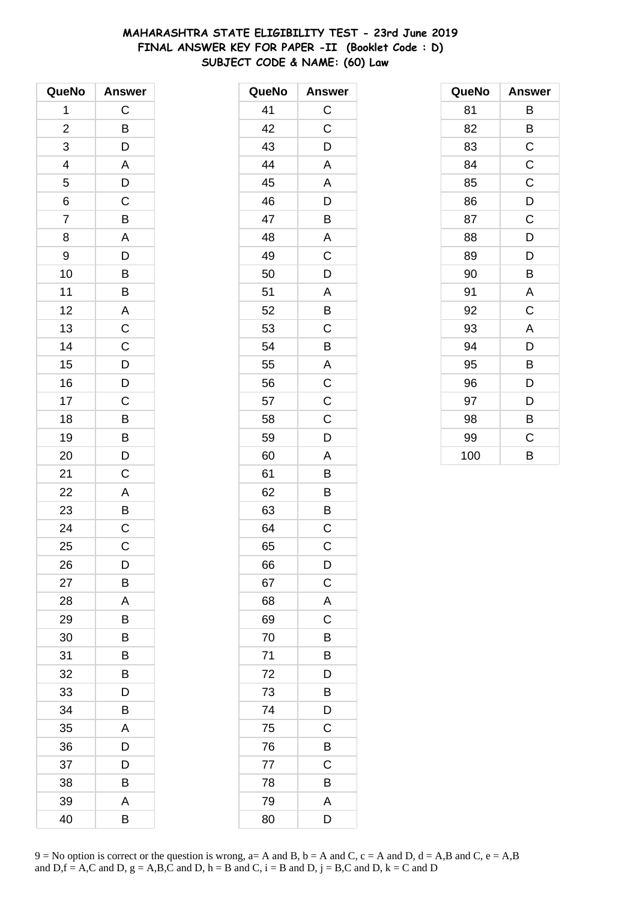# **MAHARASHTRA STATE ELIGIBILITY TEST - 23rd June 2019 FINAL ANSWER KEY FOR PAPER -II (Booklet Code : D) SUBJECT CODE & NAME: (60) Law**

| QueNo          | <b>Answer</b>             |
|----------------|---------------------------|
| 1              | $\mathsf C$               |
| $\overline{c}$ | B                         |
| 3              | D                         |
| 4              | A                         |
| $\overline{5}$ | D                         |
| 6              | $\overline{\overline{C}}$ |
| $\overline{7}$ | B                         |
| 8              | A                         |
| 9              | D                         |
| 10             | B                         |
| 11             | B                         |
| 12             | A                         |
| 13             | $\overline{C}$            |
| 14             | $\mathsf C$               |
| 15             | D                         |
| 16             | $\overline{D}$            |
| 17             | $\overline{\mathrm{c}}$   |
| 18             | $\overline{B}$            |
| 19             | $\overline{B}$            |
| 20             | D                         |
| 21             | $\mathsf C$               |
| 22             | A                         |
| 23             | $\overline{B}$            |
| 24             | $\frac{1}{C}$             |
| 25             | C                         |
| 26             | D                         |
| 27             | В                         |
| 28             | Α                         |
| 29             | В                         |
| 30             | B                         |
| 31             | В                         |
| 32             | B                         |
| 33             | D                         |
| 34             | В                         |
| 35             | A                         |
| 36             | D                         |
| 37             | D                         |
| 38             | B                         |
| 39             | Α                         |
| 40             | В                         |

| QueNo | <b>Answer</b>  |
|-------|----------------|
| 41    | $\mathsf{C}$   |
| 42    | C              |
| 43    | D              |
| 44    | A              |
| 45    | A              |
| 46    | D              |
| 47    | B              |
| 48    | A              |
| 49    | C              |
| 50    | D              |
| 51    | A              |
| 52    | B              |
| 53    | C              |
| 54    | $\overline{B}$ |
| 55    | A              |
| 56    | $\overline{c}$ |
| 57    | $\mathsf C$    |
| 58    | C              |
| 59    | D              |
| 60    | A              |
| 61    | B              |
| 62    | B              |
| 63    | B              |
| 64    | C              |
| 65    | $\mathsf C$    |
| 66    | D              |
| 67    | $\mathsf C$    |
| 68    | A              |
| 69    | C              |
| 70    | B              |
| 71    | B              |
| 72    | D              |
| 73    | B              |
| 74    | D              |
| 75    | C              |
| 76    | B              |
| 77    | C              |
| 78    | B              |
| 79    | A              |
| 80    | D              |

| QueNo | <b>Answer</b> |
|-------|---------------|
| 81    | В             |
| 82    | B             |
| 83    | C             |
| 84    | $\mathsf C$   |
| 85    | C             |
| 86    | D             |
| 87    | $\mathsf C$   |
| 88    | D             |
| 89    | D             |
| 90    | B             |
| 91    | A             |
| 92    | C             |
| 93    | A             |
| 94    | D             |
| 95    | B             |
| 96    | D             |
| 97    | D             |
| 98    | B             |
| 99    | C             |
| 100   | B             |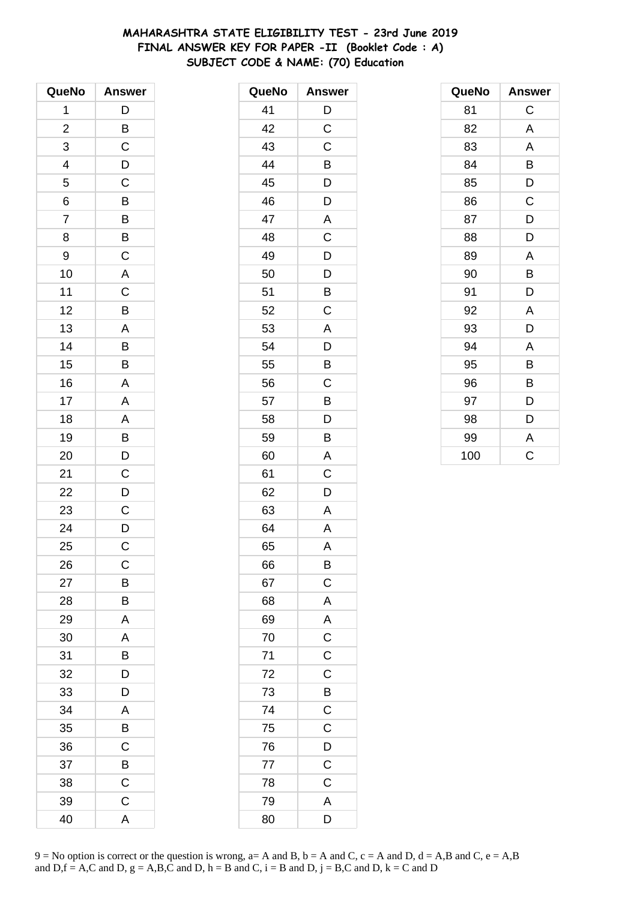# MAHARASHTRA STATE ELIGIBILITY TEST - 23rd June 2019 FINAL ANSWER KEY FOR PAPER -II (Booklet Code: A) SUBJECT CODE & NAME: (70) Education

| QueNo                    | <b>Answer</b>  |
|--------------------------|----------------|
| 1                        | D              |
| $\overline{c}$           | B              |
| 3                        | $\mathsf C$    |
| $\overline{\mathcal{A}}$ | D              |
| 5                        | $\mathsf C$    |
| 6                        | $\overline{B}$ |
| $\overline{7}$           | $\overline{B}$ |
| 8                        | B              |
| 9                        | $\mathsf C$    |
| 10                       | A              |
| 11                       | $\mathsf C$    |
| 12                       | $\overline{B}$ |
| 13                       | A              |
| 14                       | B              |
| 15                       | B              |
| 16                       | A              |
| 17                       | A              |
| 18                       | A              |
| 19                       | $\frac{1}{B}$  |
| 20                       | D              |
| 21                       | $\mathsf C$    |
| 22                       | $\overline{D}$ |
| 23                       | $\mathsf C$    |
| 24                       | $\overline{D}$ |
| 25                       | C              |
| 26                       | C              |
| 27                       | B              |
| 28                       | B              |
| 29                       | A              |
| 30                       | A              |
| 31                       | B              |
| 32                       | D              |
| 33                       | D              |
| 34                       | A              |
| 35                       | Β              |
| 36                       | $\mathsf C$    |
| 37                       | $\overline{B}$ |
| 38                       | $\mathsf C$    |
| 39                       | $\mathsf C$    |
| 40                       | A              |

| QueNo | <b>Answer</b>           |
|-------|-------------------------|
| 41    | D                       |
| 42    | C                       |
| 43    | C                       |
| 44    | B                       |
| 45    | D                       |
| 46    | D                       |
| 47    | A                       |
| 48    | C                       |
| 49    | D                       |
| 50    | D                       |
| 51    | B                       |
| 52    | C                       |
| 53    | A                       |
| 54    | D                       |
| 55    | B                       |
| 56    | C                       |
| 57    | B                       |
| 58    | D                       |
| 59    | B                       |
| 60    | A                       |
| 61    | C                       |
| 62    | D                       |
| 63    | A                       |
| 64    | $\overline{\mathsf{A}}$ |
| 65    | A                       |
| 66    | B                       |
| 67    | $\mathsf C$             |
| 68    | A                       |
| 69    | A                       |
| 70    | $\overline{\mathbf{C}}$ |
| 71    | $\overline{C}$          |
| 72    | $\overline{C}$          |
| 73    | B                       |
| 74    | $\mathsf C$             |
| 75    | $\overline{\rm c}$      |
| 76    | $\mathsf{D}$            |
| 77    | $\overline{C}$          |
| 78    | $\overline{C}$          |
| 79    | A                       |
| 80    | D                       |

| QueNo | <b>Answer</b> |
|-------|---------------|
| 81    | C             |
| 82    | A             |
| 83    | A             |
| 84    | B             |
| 85    | D             |
| 86    | C             |
| 87    | D             |
| 88    | D             |
| 89    | A             |
| 90    | B             |
| 91    | D             |
| 92    | A             |
| 93    | D             |
| 94    | A             |
| 95    | B             |
| 96    | B             |
| 97    | D             |
| 98    | D             |
| 99    | A             |
| 100   | C             |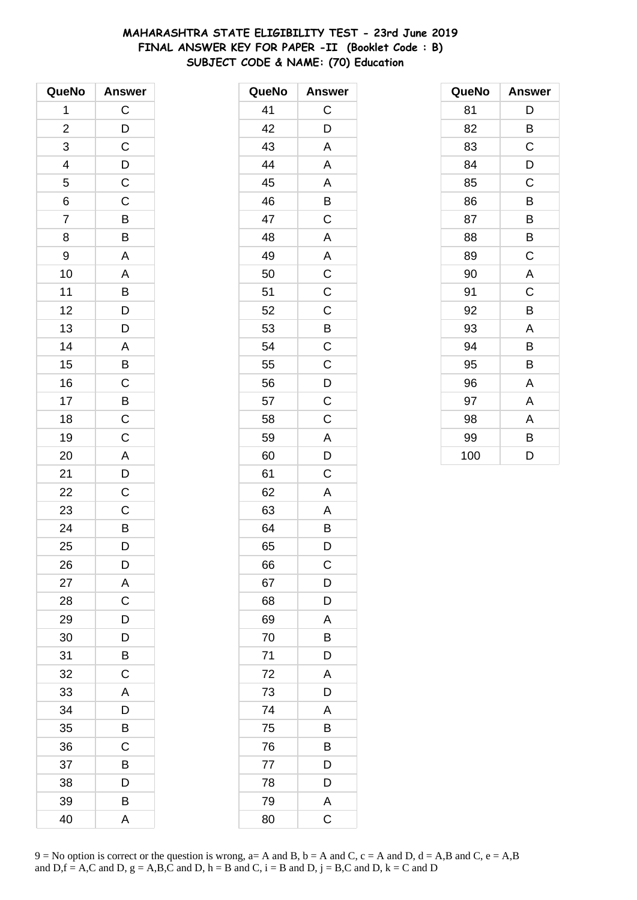# MAHARASHTRA STATE ELIGIBILITY TEST - 23rd June 2019 FINAL ANSWER KEY FOR PAPER -II (Booklet Code: B) SUBJECT CODE & NAME: (70) Education

| QueNo          | <b>Answer</b>                                                           |
|----------------|-------------------------------------------------------------------------|
| 1              | $\mathsf{C}$                                                            |
| $\overline{c}$ | $\frac{D}{C}$                                                           |
| 3              |                                                                         |
|                |                                                                         |
| $\frac{4}{5}$  | $\frac{D}{C}$                                                           |
| $\overline{6}$ | $\overline{\overline{C}}$                                               |
| $\overline{7}$ | B                                                                       |
| 8              | B                                                                       |
| 9              | A                                                                       |
| 10             | A                                                                       |
| 11             |                                                                         |
| 12             |                                                                         |
| 13             | $\begin{array}{c}\n\mathsf{B} \\ \mathsf{D} \\ \mathsf{D}\n\end{array}$ |
| 14             |                                                                         |
| 15             | $\frac{A}{B}$                                                           |
| 16             |                                                                         |
| 17             |                                                                         |
| 18             | $rac{C}{C}$                                                             |
| 19             | $\overline{\overline{C}}$                                               |
| 20             | $\overline{A}$                                                          |
| 21             |                                                                         |
| 22             | $\frac{D}{C}$                                                           |
| 23             | $\mathsf C$                                                             |
| 24             | $\frac{1}{B}$                                                           |
| 25             | D                                                                       |
| 26             | D                                                                       |
| 27             | A                                                                       |
| 28             | C                                                                       |
| 29             | D                                                                       |
| 30             | D                                                                       |
| 31             | B                                                                       |
| 32             | C                                                                       |
| 33             | $\overline{\mathsf{A}}$                                                 |
| 34             | D                                                                       |
| 35             | B                                                                       |
| 36             | C                                                                       |
| 37             | B                                                                       |
| 38             | D                                                                       |
| 39             | B                                                                       |
| 40             | A                                                                       |

| QueNo | <b>Answer</b>  |
|-------|----------------|
| 41    | C              |
| 42    | D              |
| 43    | A              |
| 44    | A              |
| 45    | A              |
| 46    | B              |
| 47    | C              |
| 48    | A              |
| 49    | A              |
| 50    | $\mathsf C$    |
| 51    | $\overline{C}$ |
| 52    | $\mathsf C$    |
| 53    | B              |
| 54    | C              |
| 55    | C              |
| 56    | D              |
| 57    | $\overline{C}$ |
| 58    | C              |
| 59    | A              |
| 60    | D              |
| 61    | С              |
| 62    | A              |
| 63    | A              |
| 64    | B              |
| 65    | D              |
| 66    | С              |
| 67    | D              |
| 68    | D              |
| 69    | $\mathsf{A}$   |
| 70    | B              |
| 71    | D              |
| 72    | A              |
| 73    | D              |
| 74    | A              |
| 75    | B              |
| 76    | B              |
| 77    | D              |
| 78    | D              |
| 79    | A              |
| 80    | C              |

| QueNo | <b>Answer</b> |
|-------|---------------|
| 81    | D             |
| 82    | B             |
| 83    | C             |
| 84    | D             |
| 85    | C             |
| 86    | B             |
| 87    | B             |
| 88    | B             |
| 89    | C             |
| 90    | A             |
| 91    | C             |
| 92    | B             |
| 93    | A             |
| 94    | B             |
| 95    | B             |
| 96    | A             |
| 97    | A             |
| 98    | A             |
| 99    | В             |
| 100   | D             |

9 = No option is correct or the question is wrong, a= A and B, b = A and C, c = A and D, d = A,B and C, e = A,B and D, f = A,C and D, g = A,B,C and D, h = B and C, i = B and D, j = B,C and D, k = C and D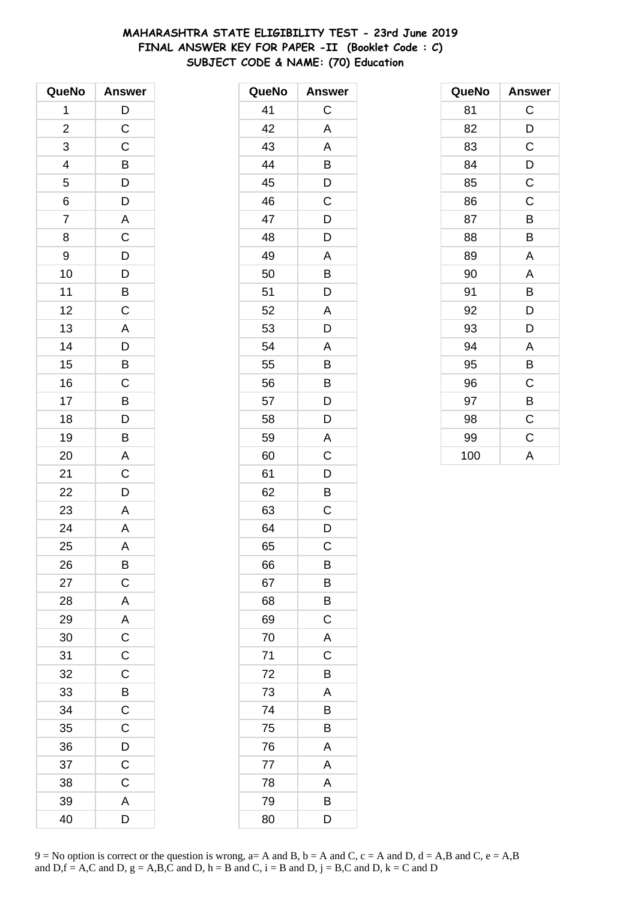# MAHARASHTRA STATE ELIGIBILITY TEST - 23rd June 2019 FINAL ANSWER KEY FOR PAPER -II (Booklet Code : C) SUBJECT CODE & NAME: (70) Education

| QueNo                   | <b>Answer</b>                                |
|-------------------------|----------------------------------------------|
| 1                       | $\overline{D}$                               |
| $\overline{\mathbf{c}}$ | $\mathsf{C}$                                 |
| 3                       | $\mathsf C$                                  |
| 4                       |                                              |
| 5                       |                                              |
| $\overline{6}$          | $\begin{array}{c}\nB \\ D \\ D\n\end{array}$ |
| $\overline{7}$          |                                              |
| 8                       | $rac{A}{C}$                                  |
| 9                       |                                              |
| 10                      |                                              |
| 11                      | $D$<br>$B$<br>$C$                            |
| 12                      |                                              |
| 13                      | $\overline{A}$                               |
| 14                      | $\overline{D}$                               |
| 15                      | B                                            |
| 16                      |                                              |
| 17                      |                                              |
| 18                      | $\frac{C}{D}$                                |
| 19                      | $\frac{B}{A}$                                |
| 20                      |                                              |
| 21                      | $\mathsf C$                                  |
| 22                      | $\overline{D}$                               |
| 23                      | A                                            |
| 24                      | $\overline{A}$                               |
| 25                      | A                                            |
| 26                      | B                                            |
| 27                      | $\mathsf C$                                  |
| 28                      | A                                            |
| 29                      | $\overline{A}$                               |
| 30                      | $\overline{c}$                               |
| 31                      | $\overline{\mathsf{C}}$                      |
| 32                      | $\mathsf C$                                  |
| 33                      | B                                            |
| 34                      | $\mathsf C$                                  |
| 35                      | $\mathsf C$                                  |
| 36                      | $\overline{D}$                               |
| 37                      | $\overline{C}$                               |
| 38                      | C                                            |
| 39                      | A                                            |
| 40                      | D                                            |

| QueNo | <b>Answer</b> |
|-------|---------------|
| 41    | C             |
| 42    | A             |
| 43    | A             |
| 44    | B             |
| 45    | D             |
| 46    | C             |
| 47    | D             |
| 48    | D             |
| 49    | A             |
| 50    | B             |
| 51    | D             |
| 52    | A             |
| 53    | D             |
| 54    | Α             |
| 55    | B             |
| 56    | B             |
| 57    | D             |
| 58    | D             |
| 59    | A             |
| 60    | C             |
| 61    | D             |
| 62    | B             |
| 63    | C             |
| 64    | D             |
| 65    | C             |
| 66    | В             |
| 67    | B             |
| 68    | Β             |
| 69    | $\mathsf C$   |
| 70    | A             |
| 71    | C             |
| 72    | B             |
| 73    | Α             |
| 74    | B             |
| 75    | B             |
| 76    | A             |
| 77    | A             |
| 78    | A             |
| 79    | В             |
| 80    | D             |

| QueNo | <b>Answer</b> |
|-------|---------------|
| 81    | C             |
| 82    | D             |
| 83    | C             |
| 84    | D             |
| 85    | $\mathsf C$   |
| 86    | C             |
| 87    | B             |
| 88    | B             |
| 89    | A             |
| 90    | A             |
| 91    | В             |
| 92    | D             |
| 93    | D             |
| 94    | A             |
| 95    | B             |
| 96    | C             |
| 97    | B             |
| 98    | $\mathsf C$   |
| 99    | C             |
| 100   | A             |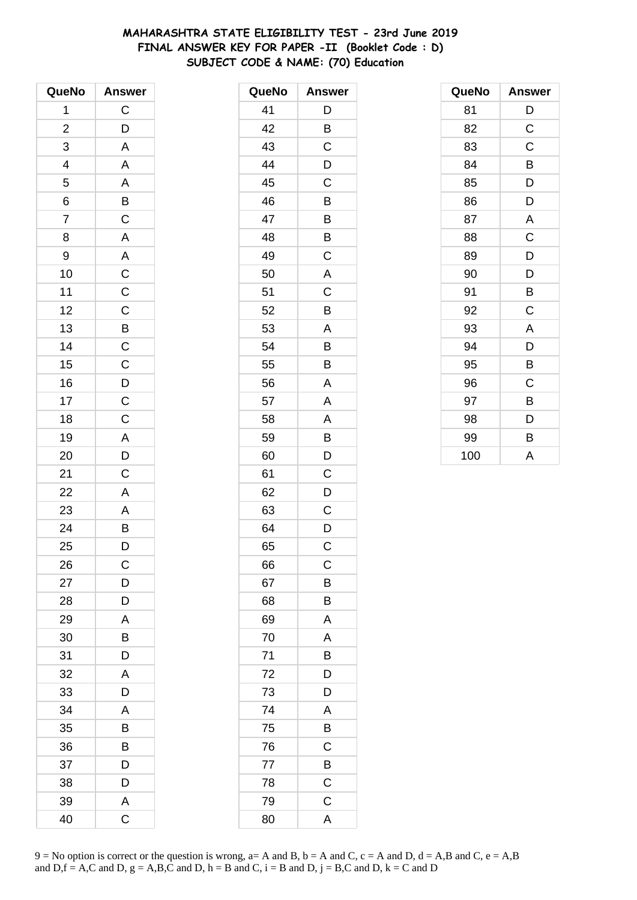# MAHARASHTRA STATE ELIGIBILITY TEST - 23rd June 2019 FINAL ANSWER KEY FOR PAPER -II (Booklet Code: D) SUBJECT CODE & NAME: (70) Education

| QueNo                    | <b>Answer</b>                        |
|--------------------------|--------------------------------------|
| 1                        | $\mathsf C$                          |
| $\overline{c}$           | D                                    |
| 3                        | A                                    |
| $\overline{\mathcal{L}}$ | A                                    |
| $\overline{5}$           |                                      |
| $\overline{6}$           | $\frac{A}{B}$                        |
| $\overline{7}$           |                                      |
| 8                        | $\overline{A}$                       |
| 9                        | $\overline{\mathsf{A}}$              |
| 10                       | $\frac{c}{c}$                        |
| 11                       |                                      |
| 12                       |                                      |
| 13                       |                                      |
| 14                       | C<br>B<br>C<br>C<br>D<br>C<br>D<br>C |
| 15                       |                                      |
| 16                       |                                      |
| 17                       |                                      |
| 18                       | $\overline{C}$                       |
| 19                       |                                      |
| 20                       | $rac{A}{D}$                          |
| 21                       | $\mathsf C$                          |
| 22                       | A                                    |
| 23                       |                                      |
| 24                       | $\frac{A}{B}$                        |
| 25                       | D                                    |
| 26                       | $\mathsf C$                          |
| 27                       | D                                    |
| 28                       | D                                    |
| 29                       | A                                    |
| 30                       | B                                    |
| 31                       | D                                    |
| 32                       | A                                    |
| 33                       | D                                    |
| 34                       | A                                    |
| 35                       | В                                    |
| 36                       | B                                    |
| 37                       | D                                    |
| 38                       | D                                    |
| 39                       | A                                    |
| 40                       | Ć                                    |

| QueNo | <b>Answer</b>           |
|-------|-------------------------|
| 41    | D                       |
| 42    | B                       |
| 43    | C                       |
| 44    | D                       |
| 45    | C                       |
| 46    | B                       |
| 47    | B                       |
| 48    | B                       |
| 49    | $\mathsf C$             |
| 50    | $\overline{\mathsf{A}}$ |
| 51    | $\mathsf C$             |
| 52    | B                       |
| 53    | A                       |
| 54    | B                       |
| 55    | B                       |
| 56    | A                       |
| 57    | A                       |
| 58    | A                       |
| 59    | B                       |
| 60    | D                       |
| 61    | $\mathsf C$             |
| 62    | D                       |
| 63    | C                       |
| 64    | D                       |
| 65    | C                       |
| 66    | С                       |
| 67    | B                       |
| 68    | B                       |
| 69    | A                       |
| 70    | A                       |
| 71    | B                       |
| 72    | D                       |
| 73    | D                       |
| 74    | A                       |
| 75    | $\overline{B}$          |
| 76    | C                       |
| 77    | B                       |
| 78    | C                       |
| 79    | $\mathsf C$             |
| 80    | $\overline{\mathsf{A}}$ |

| QueNo | <b>Answer</b> |
|-------|---------------|
| 81    | D             |
| 82    | C             |
| 83    | C             |
| 84    | B             |
| 85    | D             |
| 86    | D             |
| 87    | A             |
| 88    | C             |
| 89    | D             |
| 90    | D             |
| 91    | В             |
| 92    | C             |
| 93    | A             |
| 94    | D             |
| 95    | B             |
| 96    | C             |
| 97    | B             |
| 98    | D             |
| 99    | B             |
| 100   | Α             |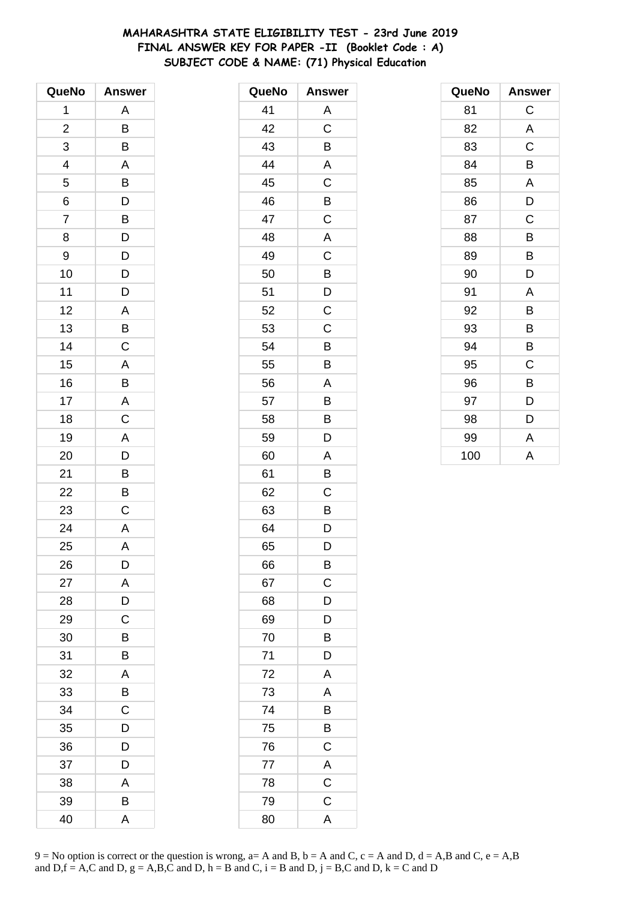# **MAHARASHTRA STATE ELIGIBILITY TEST - 23rd June 2019 FINAL ANSWER KEY FOR PAPER -II (Booklet Code : A) SUBJECT CODE & NAME: (71) Physical Education**

| QueNo                    | <b>Answer</b>           |
|--------------------------|-------------------------|
| 1                        | Α                       |
| $\overline{\mathbf{c}}$  | B                       |
| 3                        | B                       |
| $\overline{\mathcal{A}}$ | $\mathsf{A}$            |
| 5                        |                         |
| 6                        | B<br>D                  |
| $\overline{7}$           | $\overline{B}$          |
| 8                        | D                       |
| 9                        | D                       |
| 10                       | D                       |
| 11                       | D                       |
| 12                       | A                       |
| 13                       | B                       |
| 14                       | $\mathsf C$             |
| 15                       | A                       |
| 16                       | B                       |
| 17                       | $\overline{A}$          |
| 18                       | $\mathsf C$             |
| 19                       | $\overline{A}$          |
| 20                       | D                       |
| 21                       | B                       |
| 22                       | B                       |
| 23                       | C                       |
| 24                       | $\overline{\mathsf{A}}$ |
| 25                       | A                       |
| 26                       | D                       |
| 27                       | A                       |
| 28                       | D                       |
| 29                       | $\mathsf C$             |
| 30                       | B                       |
| 31                       | B                       |
| 32                       | A                       |
| 33                       | B                       |
| 34                       | C                       |
| 35                       | D                       |
| 36                       | D                       |
| 37                       | D                       |
| 38                       | A                       |
| 39                       | B                       |
| 40                       | A                       |

| QueNo | <b>Answer</b>           |
|-------|-------------------------|
| 41    | A                       |
| 42    | C                       |
| 43    | B                       |
| 44    | A                       |
| 45    | C                       |
| 46    | B                       |
| 47    | $\mathsf C$             |
| 48    | A                       |
| 49    | C                       |
| 50    | B                       |
| 51    | D                       |
| 52    | C                       |
| 53    | $\mathsf C$             |
| 54    | B                       |
| 55    | B                       |
| 56    | Α                       |
| 57    | B                       |
| 58    | B                       |
| 59    | D                       |
| 60    | A                       |
| 61    | B                       |
| 62    | C                       |
| 63    | B                       |
| 64    | D                       |
| 65    | D                       |
| 66    | B                       |
| 67    | C                       |
| 68    | D                       |
| 69    | D                       |
| 70    | B                       |
| 71    | D                       |
| 72    | A                       |
| 73    | A                       |
| 74    | B                       |
| 75    | B                       |
| 76    | $\mathsf C$             |
| 77    | A                       |
| 78    | $\overline{\mathrm{C}}$ |
| 79    | C                       |
| 80    | A                       |

| QueNo | <b>Answer</b> |
|-------|---------------|
| 81    | C             |
| 82    | A             |
| 83    | C             |
| 84    | B             |
| 85    | A             |
| 86    | D             |
| 87    | C             |
| 88    | B             |
| 89    | B             |
| 90    | D             |
| 91    | A             |
| 92    | B             |
| 93    | B             |
| 94    | B             |
| 95    | C             |
| 96    | B             |
| 97    | D             |
| 98    | D             |
| 99    | A             |
| 100   | A             |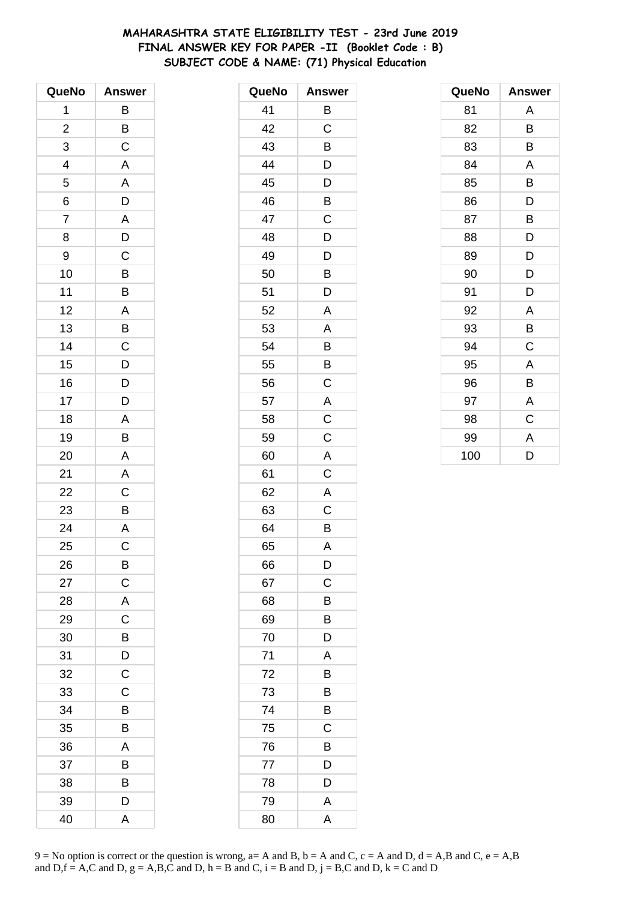# **MAHARASHTRA STATE ELIGIBILITY TEST - 23rd June 2019 FINAL ANSWER KEY FOR PAPER -II (Booklet Code : B) SUBJECT CODE & NAME: (71) Physical Education**

| QueNo                    | <b>Answer</b>           |
|--------------------------|-------------------------|
| 1                        | В                       |
| $\overline{\mathbf{c}}$  | B                       |
| 3                        | $\overline{C}$          |
| $\overline{\mathcal{A}}$ | $\mathsf{A}$            |
| 5                        | A                       |
| 6                        | D                       |
| $\overline{7}$           | $\frac{A}{D}$           |
| 8                        |                         |
| 9                        | $\mathsf C$             |
| 10                       | B                       |
| 11                       | B                       |
| 12                       | $\overline{\mathsf{A}}$ |
| 13                       | B                       |
| 14                       | $\mathsf C$             |
| 15                       | D                       |
| 16                       | $\frac{D}{D}$           |
| 17                       |                         |
| 18                       | A                       |
| 19                       | B                       |
| 20                       | A                       |
| 21                       | A                       |
| 22                       | C                       |
| 23                       | B                       |
| 24                       | $\overline{A}$          |
| 25                       | C                       |
| 26                       | B                       |
| 27                       | $\mathsf C$             |
| 28                       | A                       |
| 29                       | $\mathsf C$             |
| 30                       | B                       |
| 31                       | D                       |
| 32                       | $\mathsf C$             |
| 33                       | C                       |
| 34                       | B                       |
| 35                       | B                       |
| 36                       | A                       |
| 37                       | B                       |
| 38                       | B                       |
| 39                       | D                       |
| 40                       | A                       |

| QueNo | <b>Answer</b>  |
|-------|----------------|
| 41    | B              |
| 42    | C              |
| 43    | B              |
| 44    | D              |
| 45    | D              |
| 46    | B              |
| 47    | C              |
| 48    | D              |
| 49    | D              |
| 50    | Β              |
| 51    | D              |
| 52    | A              |
| 53    | A              |
| 54    | B              |
| 55    | B              |
| 56    | C              |
| 57    | A              |
| 58    | $\mathsf C$    |
| 59    | $\overline{C}$ |
| 60    | A              |
| 61    | $\mathsf C$    |
| 62    | $\overline{A}$ |
| 63    | C              |
| 64    | B              |
| 65    | A              |
| 66    | D              |
| 67    | C              |
| 68    | B              |
| 69    | B              |
| 70    | D              |
| 71    | A              |
| 72    | B              |
| 73    | B              |
| 74    | Β              |
| 75    | C              |
| 76    | Β              |
| 77    | D              |
| 78    | D              |
| 79    | A              |
| 80    | A              |

| QueNo | <b>Answer</b> |
|-------|---------------|
| 81    | Α             |
| 82    | B             |
| 83    | В             |
| 84    | A             |
| 85    | B             |
| 86    | D             |
| 87    | B             |
| 88    | D             |
| 89    | D             |
| 90    | D             |
| 91    | D             |
| 92    | A             |
| 93    | B             |
| 94    | C             |
| 95    | A             |
| 96    | B             |
| 97    | Α             |
| 98    | C             |
| 99    | A             |
| 100   | D             |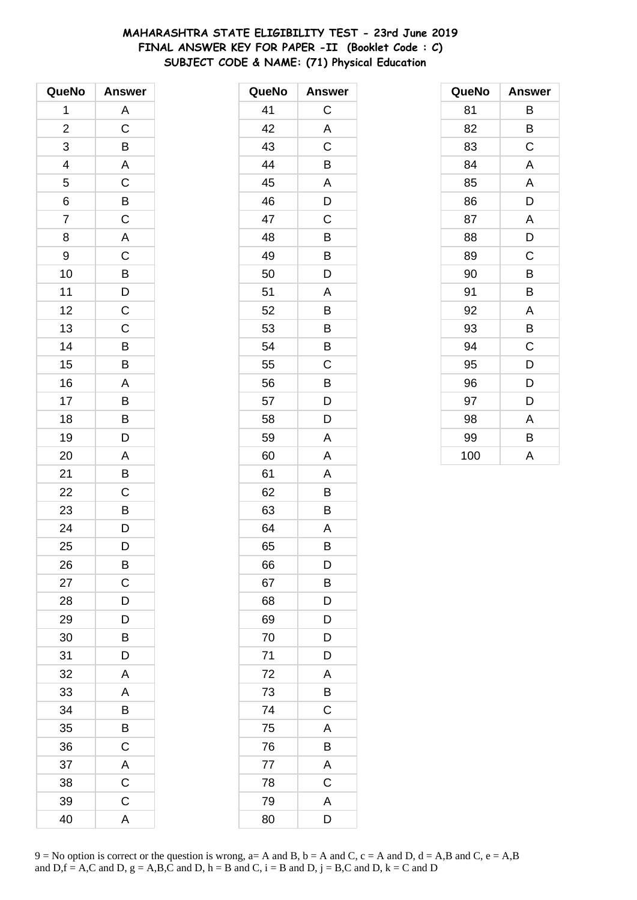# **MAHARASHTRA STATE ELIGIBILITY TEST - 23rd June 2019 FINAL ANSWER KEY FOR PAPER -II (Booklet Code : C) SUBJECT CODE & NAME: (71) Physical Education**

| QueNo                    | <b>Answer</b>           |
|--------------------------|-------------------------|
| 1                        | A                       |
| $\overline{c}$           | $\mathsf C$             |
| 3                        | B                       |
| $\overline{\mathcal{L}}$ | $\overline{A}$          |
| $\overline{5}$           | $\overline{C}$          |
| 6                        | $\overline{B}$          |
| $\overline{7}$           | $\overline{\mathrm{c}}$ |
| 8                        | $\overline{\mathsf{A}}$ |
| 9                        | $\mathsf C$             |
| 10                       |                         |
| 11                       | $\frac{B}{C}$           |
| 12                       |                         |
| 13                       | $\overline{C}$          |
| 14                       | B                       |
| 15                       | B                       |
| 16                       | A                       |
| 17                       | $\frac{1}{B}$           |
| 18                       | $\overline{B}$          |
| 19                       | $\overline{D}$          |
| 20                       | A                       |
| 21                       | B                       |
| 22                       | $\mathsf C$             |
| 23                       |                         |
| 24                       | $\frac{B}{D}$           |
| 25                       | D                       |
| 26                       | B                       |
| 27                       | C                       |
| 28                       | D                       |
| 29                       | D                       |
| 30                       | B                       |
| 31                       | D                       |
| 32                       | A                       |
| 33                       | A                       |
| 34                       | B                       |
| 35                       | B                       |
| 36                       | C                       |
| 37                       | A                       |
| 38                       | $\mathsf C$             |
| 39                       | $\mathsf C$             |
| 40                       | A                       |

| QueNo | <b>Answer</b> |
|-------|---------------|
| 41    | C             |
| 42    | A             |
| 43    | C             |
| 44    | B             |
| 45    | A             |
| 46    | D             |
| 47    | C             |
| 48    | B             |
| 49    | B             |
| 50    | D             |
| 51    | Α             |
| 52    | B             |
| 53    | B             |
| 54    | B             |
| 55    | C             |
| 56    | B             |
| 57    | D             |
| 58    | D             |
| 59    | A             |
| 60    | A             |
| 61    | A             |
| 62    | B             |
| 63    | Β             |
| 64    | A             |
| 65    | B             |
| 66    | D             |
| 67    | B             |
| 68    | D             |
| 69    | D             |
| 70    | D             |
| 71    | D             |
| 72    | A             |
| 73    | B             |
| 74    | $\mathsf C$   |
| 75    | A             |
| 76    | B             |
| 77    | A             |
| 78    | C             |
| 79    | A             |
| 80    | D             |

| QueNo | <b>Answer</b> |
|-------|---------------|
| 81    | В             |
| 82    | В             |
| 83    | C             |
| 84    | A             |
| 85    | A             |
| 86    | D             |
| 87    | A             |
| 88    | D             |
| 89    | C             |
| 90    | B             |
| 91    | B             |
| 92    | A             |
| 93    | В             |
| 94    | C             |
| 95    | D             |
| 96    | D             |
| 97    | D             |
| 98    | A             |
| 99    | B             |
| 100   | A             |